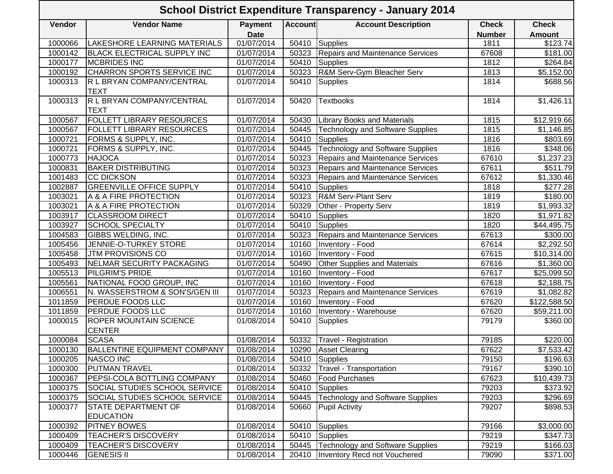## **Vendor Vendor Name Payment DateAccount Account Description Check NumberCheckAmount**1000066 LAKESHORE LEARNING MATERIALS 01/07/2014 50410 Supplies 1811 \$123.74 1000142 BLACK ELECTRICAL SUPPLY INC | 01/07/2014 | 50323 Repairs and Maintenance Services | 67608 | \$181.00 1000177 |MCBRIDES INC | 01/07/2014 | 50410 |Supplies \$264.84 1000192 CHARRON SPORTS SERVICE INC | 01/07/2014 | 50323 R&M Serv-Gym Bleacher Serv | 1813 | \$5,152.00 1000313 R L BRYAN COMPANY/CENTRAL **TEXT** 01/07/2014 | 50410 |Supplies 1814 | 1814 | \$688.56 1000313 R L BRYAN COMPANY/CENTRAL **TEXT** 01/07/2014 | 50420 |Textbooks | 1814 | \$1,426.11 1000567 FOLLETT LIBRARY RESOURCES 101/07/2014 50430 Library Books and Materials 1815 1815 \$12,919.66 1000567 | FOLLETT LIBRARY RESOURCES | 01/07/2014 | 50445 | Technology and Software Supplies | 1815 | \$1,146.85 1000721 FORMS & SUPPLY, INC. 101/07/2014 50410 Supplies 1816 1816 5803.69<br>1000721 FORMS & SUPPLY, INC. 101/07/2014 50445 Technology and Software Supplies 1816 5348.06 1000721 | FORMS & SUPPLY, INC. | 01/07/2014 | 50445 | Technology and Software Supplies | 1816 | \$348.06 1000773 HAJOCA 1000773 HAJOCA 101/07/2014 50323 Repairs and Maintenance Services 67610 \$1,237.23<br>1000831 BAKER DISTRIBUTING 101/07/2014 50323 Repairs and Maintenance Services 67611 \$511.79 1000831 BAKER DISTRIBUTING 101/07/2014 50323 Repairs and Maintenance Services 67611 5511.79 1001483 CC DICKSON 101/07/2014 50323 Repairs and Maintenance Services 67612 \$1,330.46 1002887 GREENVILLE OFFICE SUPPLY 101/07/2014 | 50410 Supplies | 1818 | \$277.28<br>1003021 A & A FIRE PROTECTION 101/07/2014 | 50323 R&M Serv-Plant Serv | 1819 | \$180.00 1003021 A & A FIRE PROTECTION 101/07/2014 50323 R&M Serv-Plant Serv 1819 1819 5180.00 1003021 A & A FIRE PROTECTION 101/07/2014 50329 Other - Property Serv 1819 4819 \$1,993.32 1003917 CLASSROOM DIRECT 101/07/2014 50410 Supplies 1820 1820 \$1,971.82 1003927 SCHOOL SPECIALTY 101/07/2014 50410 Supplies 1820 1820 544,495.75 1004583 GIBBS WELDING, INC. | 01/07/2014 50323 Repairs and Maintenance Services | 67613 | \$300.00 1005456 JENNIE-O-TURKEY STORE | 01/07/2014 | 10160 |Inventory - Food | 67614 | \$2,292.50 1005458 JTM PROVISIONS CO 01/07/2014 10160 Inventory - Food 67615 \$10,314.00 1005493 NELMAR SECURITY PACKAGING | 01/07/2014 | 50490 Other Supplies and Materials | 67616 | \$1,360.00 1005513 PILGRIM'S PRIDE 101/07/2014 10160 Inventory - Food 107617 67617 \$25,099.50 1005561 NATIONAL FOOD GROUP, INC | 01/07/2014 | 10160 |Inventory - Food | 67618 | \$2,188.75 1006551 N. WASSERSTROM & SON'S/GEN III | 01/07/2014 | 50323 Repairs and Maintenance Services | 67619 | \$1,082.82 1011859 PERDUE FOODS LLC 101/07/2014 10160 Inventory - Food 107620 67620 \$122,588.50 1011859 **PERDUE FOODS LLC** 101/07/2014 10160 Inventory - Warehouse 67620 **67620** \$59,211.00 1000015 ROPER MOUNTAIN SCIENCE **CENTER** 01/08/2014 50410 Supplies 79179 \$360.00 1000084 SCASA **1000084 SCASA** 50220.00 1000130 BALLENTINE EQUIPMENT COMPANY 01/08/2014 10290 Asset Clearing 67622 67622 \$7,533.42 1000205 |NASCO INC | 01/08/2014 | 50410 |Supplies | 79150 | \$196.63 1000300 PUTMAN TRAVEL 101/08/2014 50332 Travel - Transportation 1000300 PUTMAN TRAVEL 1000367 PEPSI-COLA BOTTLING COMPANY 01/08/2014 50460 Food Purchases 67623 67623 \$10,439.73 1000375 SOCIAL STUDIES SCHOOL SERVICE 01/08/2014 50410 Supplies 79203 \$373.92 1000375 SOCIAL STUDIES SCHOOL SERVICE | 01/08/2014 | 50445 Technology and Software Supplies | 79203 | \$296.69 1000377 STATE DEPARTMENT OF **EDUCATION** 01/08/2014 | 50660 Pupil Activity | 79207 | \$898.53 1000392 |PITNEY BOWES | 01/08/2014 | 50410 |Supplies | 79166 | \$3,000.00 1000409 | TEACHER'S DISCOVERY | 01/08/2014 | 50410 Supplies | 79219 | 3347.73 1000409 | TEACHER'S DISCOVERY | 01/08/2014 | 50445 | Technology and Software Supplies | 79219 | \$166.03 **School District Expenditure Transparency - January 2014**

1000446 GENESIS II **10000 | 101/08/2014 | 20410** | Inventory Recd not Vouchered | 79090 | \$371.00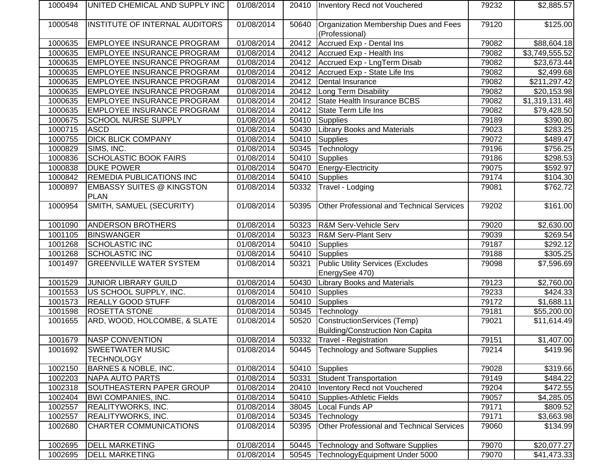| 1000494 | UNITED CHEMICAL AND SUPPLY INC    | 01/08/2014 |       | 20410   Inventory Recd not Vouchered                    | 79232 | \$2,885.57               |
|---------|-----------------------------------|------------|-------|---------------------------------------------------------|-------|--------------------------|
| 1000548 | INSTITUTE OF INTERNAL AUDITORS    | 01/08/2014 | 50640 | Organization Membership Dues and Fees<br>(Professional) | 79120 | \$125.00                 |
| 1000635 | <b>EMPLOYEE INSURANCE PROGRAM</b> | 01/08/2014 | 20412 | Accrued Exp - Dental Ins                                | 79082 | \$88,604.18              |
| 1000635 | <b>EMPLOYEE INSURANCE PROGRAM</b> | 01/08/2014 | 20412 | Accrued Exp - Health Ins                                | 79082 | \$3,749,555.52           |
| 1000635 | <b>EMPLOYEE INSURANCE PROGRAM</b> | 01/08/2014 | 20412 | Accrued Exp - LngTerm Disab                             | 79082 | \$23,673.44              |
| 1000635 | <b>EMPLOYEE INSURANCE PROGRAM</b> | 01/08/2014 | 20412 | Accrued Exp - State Life Ins                            | 79082 | \$2,499.68               |
| 1000635 | <b>EMPLOYEE INSURANCE PROGRAM</b> | 01/08/2014 | 20412 | Dental Insurance                                        | 79082 | $\overline{$211,297.42}$ |
| 1000635 | <b>EMPLOYEE INSURANCE PROGRAM</b> | 01/08/2014 | 20412 | Long Term Disability                                    | 79082 | \$20,153.98              |
| 1000635 | <b>EMPLOYEE INSURANCE PROGRAM</b> | 01/08/2014 | 20412 | State Health Insurance BCBS                             | 79082 | \$1,319,131.48           |
| 1000635 | <b>EMPLOYEE INSURANCE PROGRAM</b> | 01/08/2014 | 20412 | State Term Life Ins                                     | 79082 | \$79,428.50              |
| 1000675 | <b>SCHOOL NURSE SUPPLY</b>        | 01/08/2014 | 50410 | Supplies                                                | 79189 | \$390.80                 |
| 1000715 | <b>ASCD</b>                       | 01/08/2014 | 50430 | <b>Library Books and Materials</b>                      | 79023 | $\overline{$}283.25$     |
| 1000755 | <b>DICK BLICK COMPANY</b>         | 01/08/2014 | 50410 | Supplies                                                | 79072 | \$489.47                 |
| 1000829 | SIMS, INC.                        | 01/08/2014 | 50345 | Technology                                              | 79196 | $\frac{1}{156.25}$       |
| 1000836 | <b>SCHOLASTIC BOOK FAIRS</b>      | 01/08/2014 | 50410 | Supplies                                                | 79186 | $\sqrt{298.53}$          |
| 1000838 | <b>DUKE POWER</b>                 | 01/08/2014 | 50470 | Energy-Electricity                                      | 79075 | \$592.97                 |
| 1000842 | REMEDIA PUBLICATIONS INC          | 01/08/2014 | 50410 | Supplies                                                | 79174 | \$104.30                 |
| 1000897 | <b>EMBASSY SUITES @ KINGSTON</b>  | 01/08/2014 | 50332 | Travel - Lodging                                        | 79081 | \$762.72                 |
|         | <b>PLAN</b>                       |            |       |                                                         |       |                          |
| 1000954 | SMITH, SAMUEL (SECURITY)          | 01/08/2014 | 50395 | Other Professional and Technical Services               | 79202 | \$161.00                 |
| 1001090 | <b>ANDERSON BROTHERS</b>          | 01/08/2014 | 50323 | <b>R&amp;M Serv-Vehicle Serv</b>                        | 79020 | \$2,630.00               |
| 1001105 | <b>BINSWANGER</b>                 | 01/08/2014 | 50323 | <b>R&amp;M Serv-Plant Serv</b>                          | 79039 | \$269.54                 |
| 1001268 | <b>SCHOLASTIC INC</b>             | 01/08/2014 | 50410 | Supplies                                                | 79187 | \$292.12]                |
| 1001268 | <b>SCHOLASTIC INC</b>             | 01/08/2014 | 50410 | Supplies                                                | 79188 | \$305.25                 |
| 1001497 | <b>GREENVILLE WATER SYSTEM</b>    | 01/08/2014 | 50321 | <b>Public Utility Services (Excludes</b>                | 79098 | \$7,596.69               |
|         |                                   |            |       | EnergySee 470)                                          |       |                          |
| 1001529 | JUNIOR LIBRARY GUILD              | 01/08/2014 | 50430 | <b>Library Books and Materials</b>                      | 79123 | \$2,760.00               |
| 1001553 | US SCHOOL SUPPLY, INC.            | 01/08/2014 | 50410 | Supplies                                                | 79233 | \$424.33                 |
| 1001573 | <b>REALLY GOOD STUFF</b>          | 01/08/2014 | 50410 | Supplies                                                | 79172 | \$1,688.11               |
| 1001598 | <b>ROSETTA STONE</b>              | 01/08/2014 | 50345 | Technology                                              | 79181 | \$55,200.00              |
| 1001655 | ARD, WOOD, HOLCOMBE, & SLATE      | 01/08/2014 | 50520 | ConstructionServices (Temp)                             | 79021 | \$11,614.49              |
|         |                                   |            |       | <b>Building/Construction Non Capita</b>                 |       |                          |
| 1001679 | NASP CONVENTION                   | 01/08/2014 | 50332 | Travel - Registration                                   | 79151 | \$1,407.00               |
| 1001692 | <b>SWEETWATER MUSIC</b>           | 01/08/2014 | 50445 | <b>Technology and Software Supplies</b>                 | 79214 | \$419.96                 |
|         | <b>TECHNOLOGY</b>                 |            |       |                                                         |       |                          |
| 1002150 | <b>BARNES &amp; NOBLE, INC.</b>   | 01/08/2014 | 50410 | Supplies                                                | 79028 | \$319.66                 |
| 1002203 | <b>NAPA AUTO PARTS</b>            | 01/08/2014 | 50331 | <b>Student Transportation</b>                           | 79149 | \$484.22                 |
| 1002318 | SOUTHEASTERN PAPER GROUP          | 01/08/2014 | 20410 | Inventory Recd not Vouchered                            | 79204 | \$472.55                 |
| 1002404 | <b>BWI COMPANIES, INC.</b>        | 01/08/2014 | 50410 | Supplies-Athletic Fields                                | 79057 | \$4,285.05               |
| 1002557 | REALITYWORKS, INC.                | 01/08/2014 | 38045 | Local Funds AP                                          | 79171 | \$809.52                 |
| 1002557 | REALITYWORKS, INC.                | 01/08/2014 | 50345 | Technology                                              | 79171 | \$3,663.98               |
| 1002680 | CHARTER COMMUNICATIONS            | 01/08/2014 | 50395 | Other Professional and Technical Services               | 79060 | \$134.99                 |
| 1002695 | <b>DELL MARKETING</b>             | 01/08/2014 | 50445 | <b>Technology and Software Supplies</b>                 | 79070 | \$20,077.27              |
| 1002695 | <b>DELL MARKETING</b>             | 01/08/2014 | 50545 | TechnologyEquipment Under 5000                          | 79070 | \$41,473.33              |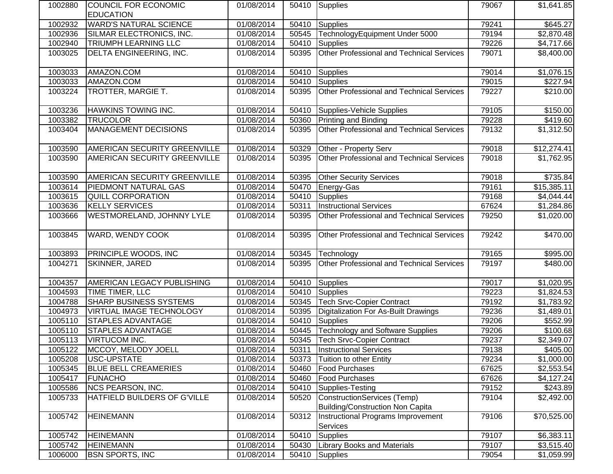| 1002880 | COUNCIL FOR ECONOMIC          | 01/08/2014 |       | 50410 Supplies                                                         | 79067 | \$1,641.85             |
|---------|-------------------------------|------------|-------|------------------------------------------------------------------------|-------|------------------------|
|         | <b>EDUCATION</b>              |            |       |                                                                        |       |                        |
| 1002932 | <b>WARD'S NATURAL SCIENCE</b> | 01/08/2014 | 50410 | <b>Supplies</b>                                                        | 79241 | \$645.27               |
| 1002936 | SILMAR ELECTRONICS, INC.      | 01/08/2014 | 50545 | TechnologyEquipment Under 5000                                         | 79194 | \$2,870.48             |
| 1002940 | TRIUMPH LEARNING LLC          | 01/08/2014 | 50410 | <b>Supplies</b>                                                        | 79226 | \$4,717.66             |
| 1003025 | DELTA ENGINEERING, INC.       | 01/08/2014 | 50395 | Other Professional and Technical Services                              | 79071 | \$8,400.00             |
| 1003033 | AMAZON.COM                    | 01/08/2014 | 50410 | <b>Supplies</b>                                                        | 79014 | \$1,076.15             |
| 1003033 | AMAZON.COM                    | 01/08/2014 | 50410 | <b>Supplies</b>                                                        | 79015 | \$227.94               |
| 1003224 | TROTTER, MARGIE T.            | 01/08/2014 | 50395 | Other Professional and Technical Services                              | 79227 | \$210.00               |
| 1003236 | HAWKINS TOWING INC.           | 01/08/2014 | 50410 | Supplies-Vehicle Supplies                                              | 79105 | \$150.00               |
| 1003382 | <b>TRUCOLOR</b>               | 01/08/2014 | 50360 | Printing and Binding                                                   | 79228 | \$419.60               |
| 1003404 | <b>MANAGEMENT DECISIONS</b>   | 01/08/2014 | 50395 | Other Professional and Technical Services                              | 79132 | \$1,312.50             |
| 1003590 | AMERICAN SECURITY GREENVILLE  | 01/08/2014 | 50329 | Other - Property Serv                                                  | 79018 | \$12,274.41            |
| 1003590 | AMERICAN SECURITY GREENVILLE  | 01/08/2014 | 50395 | Other Professional and Technical Services                              | 79018 | \$1,762.95             |
| 1003590 | AMERICAN SECURITY GREENVILLE  | 01/08/2014 | 50395 | <b>Other Security Services</b>                                         | 79018 | \$735.84               |
| 1003614 | PIEDMONT NATURAL GAS          | 01/08/2014 | 50470 | Energy-Gas                                                             | 79161 | \$15,385.11            |
| 1003615 | <b>QUILL CORPORATION</b>      | 01/08/2014 | 50410 | Supplies                                                               | 79168 | \$4,044.44             |
| 1003636 | <b>KELLY SERVICES</b>         | 01/08/2014 | 50311 | <b>Instructional Services</b>                                          | 67624 | \$1,284.86             |
| 1003666 | WESTMORELAND, JOHNNY LYLE     | 01/08/2014 | 50395 | Other Professional and Technical Services                              | 79250 | \$1,020.00             |
| 1003845 | <b>WARD, WENDY COOK</b>       | 01/08/2014 | 50395 | Other Professional and Technical Services                              | 79242 | \$470.00               |
| 1003893 | PRINCIPLE WOODS, INC          | 01/08/2014 | 50345 | Technology                                                             | 79165 | \$995.00               |
| 1004271 | <b>SKINNER, JARED</b>         | 01/08/2014 | 50395 | Other Professional and Technical Services                              | 79197 | \$480.00               |
| 1004357 | AMERICAN LEGACY PUBLISHING    | 01/08/2014 | 50410 | <b>Supplies</b>                                                        | 79017 | $\overline{$1,020.95}$ |
| 1004593 | TIME TIMER, LLC               | 01/08/2014 | 50410 | Supplies                                                               | 79223 | \$1,824.53             |
| 1004788 | <b>SHARP BUSINESS SYSTEMS</b> | 01/08/2014 | 50345 | <b>Tech Srvc-Copier Contract</b>                                       | 79192 | \$1,783.92             |
| 1004973 | VIRTUAL IMAGE TECHNOLOGY      | 01/08/2014 | 50395 | Digitalization For As-Built Drawings                                   | 79236 | \$1,489.01             |
| 1005110 | STAPLES ADVANTAGE             | 01/08/2014 | 50410 | <b>Supplies</b>                                                        | 79206 | \$552.99               |
| 1005110 | STAPLES ADVANTAGE             | 01/08/2014 | 50445 | <b>Technology and Software Supplies</b>                                | 79206 | \$100.68               |
| 1005113 | <b>VIRTUCOM INC.</b>          | 01/08/2014 | 50345 | <b>Tech Srvc-Copier Contract</b>                                       | 79237 | \$2,349.07             |
| 1005122 | MCCOY, MELODY JOELL           | 01/08/2014 |       | 50311   Instructional Services                                         | 79138 | \$405.00               |
| 1005208 | USC-UPSTATE                   | 01/08/2014 | 50373 | Tuition to other Entity                                                | 79234 | \$1,000.00             |
| 1005345 | <b>BLUE BELL CREAMERIES</b>   | 01/08/2014 | 50460 | Food Purchases                                                         | 67625 | \$2,553.54             |
| 1005417 | <b>FUNACHO</b>                | 01/08/2014 | 50460 | <b>Food Purchases</b>                                                  | 67626 | \$4,127.24             |
| 1005586 | <b>NCS PEARSON, INC.</b>      | 01/08/2014 | 50410 | Supplies-Testing                                                       | 79152 | \$243.89               |
| 1005733 | HATFIELD BUILDERS OF G'VILLE  | 01/08/2014 | 50520 | <b>ConstructionServices (Temp)</b>                                     | 79104 | \$2,492.00             |
| 1005742 | <b>HEINEMANN</b>              | 01/08/2014 | 50312 | Building/Construction Non Capita<br>Instructional Programs Improvement | 79106 | \$70,525.00            |
| 1005742 | <b>HEINEMANN</b>              | 01/08/2014 | 50410 | Services<br><b>Supplies</b>                                            | 79107 | \$6,383.11             |
| 1005742 | <b>HEINEMANN</b>              | 01/08/2014 | 50430 | <b>Library Books and Materials</b>                                     | 79107 | \$3,515.40             |
| 1006000 | <b>BSN SPORTS, INC</b>        | 01/08/2014 |       |                                                                        | 79054 |                        |
|         |                               |            | 50410 | Supplies                                                               |       | \$1,059.99             |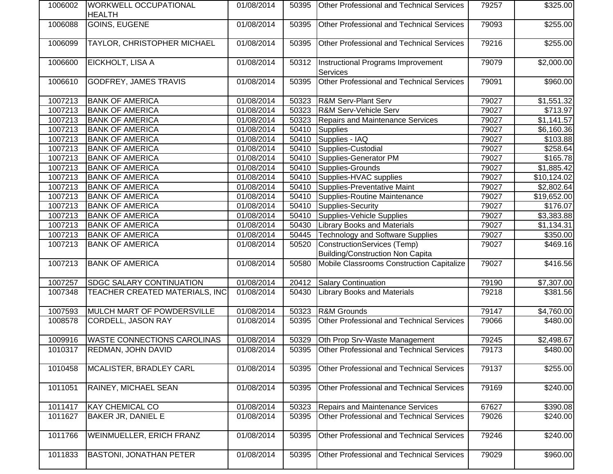| 1006002 | WORKWELL OCCUPATIONAL<br><b>HEALTH</b> | 01/08/2014 | 50395 | <b>Other Professional and Technical Services</b>                       | 79257 | \$325.00    |
|---------|----------------------------------------|------------|-------|------------------------------------------------------------------------|-------|-------------|
| 1006088 | <b>GOINS, EUGENE</b>                   | 01/08/2014 | 50395 | Other Professional and Technical Services                              | 79093 | \$255.00    |
| 1006099 | TAYLOR, CHRISTOPHER MICHAEL            | 01/08/2014 | 50395 | Other Professional and Technical Services                              | 79216 | \$255.00    |
| 1006600 | EICKHOLT, LISA A                       | 01/08/2014 | 50312 | Instructional Programs Improvement<br>Services                         | 79079 | \$2,000.00  |
| 1006610 | <b>GODFREY, JAMES TRAVIS</b>           | 01/08/2014 | 50395 | Other Professional and Technical Services                              | 79091 | \$960.00    |
| 1007213 | <b>BANK OF AMERICA</b>                 | 01/08/2014 | 50323 | <b>R&amp;M Serv-Plant Serv</b>                                         | 79027 | \$1,551.32  |
| 1007213 | <b>BANK OF AMERICA</b>                 | 01/08/2014 | 50323 | R&M Serv-Vehicle Serv                                                  | 79027 | \$713.97    |
| 1007213 | <b>BANK OF AMERICA</b>                 | 01/08/2014 | 50323 | <b>Repairs and Maintenance Services</b>                                | 79027 | \$1,141.57  |
| 1007213 | <b>BANK OF AMERICA</b>                 | 01/08/2014 | 50410 | Supplies                                                               | 79027 | \$6,160.36  |
| 1007213 | <b>BANK OF AMERICA</b>                 | 01/08/2014 | 50410 | Supplies - IAQ                                                         | 79027 | \$103.88    |
| 1007213 | <b>BANK OF AMERICA</b>                 | 01/08/2014 | 50410 | Supplies-Custodial                                                     | 79027 | \$258.64    |
| 1007213 | <b>BANK OF AMERICA</b>                 | 01/08/2014 | 50410 | Supplies-Generator PM                                                  | 79027 | \$165.78    |
| 1007213 | <b>BANK OF AMERICA</b>                 | 01/08/2014 | 50410 | Supplies-Grounds                                                       | 79027 | \$1,885.42  |
| 1007213 | <b>BANK OF AMERICA</b>                 | 01/08/2014 | 50410 | Supplies-HVAC supplies                                                 | 79027 | \$10,124.02 |
| 1007213 | <b>BANK OF AMERICA</b>                 | 01/08/2014 | 50410 | Supplies-Preventative Maint                                            | 79027 | \$2,802.64  |
| 1007213 | <b>BANK OF AMERICA</b>                 | 01/08/2014 | 50410 | Supplies-Routine Maintenance                                           | 79027 | \$19,652.00 |
| 1007213 | <b>BANK OF AMERICA</b>                 | 01/08/2014 | 50410 | Supplies-Security                                                      | 79027 | \$176.07    |
| 1007213 | <b>BANK OF AMERICA</b>                 | 01/08/2014 | 50410 | Supplies-Vehicle Supplies                                              | 79027 | \$3,383.88  |
| 1007213 | <b>BANK OF AMERICA</b>                 | 01/08/2014 | 50430 | <b>Library Books and Materials</b>                                     | 79027 | \$1,134.31  |
| 1007213 | <b>BANK OF AMERICA</b>                 | 01/08/2014 | 50445 | <b>Technology and Software Supplies</b>                                | 79027 | \$350.00    |
| 1007213 | <b>BANK OF AMERICA</b>                 | 01/08/2014 | 50520 | ConstructionServices (Temp)<br><b>Building/Construction Non Capita</b> | 79027 | \$469.16    |
| 1007213 | <b>BANK OF AMERICA</b>                 | 01/08/2014 | 50580 | Mobile Classrooms Construction Capitalize                              | 79027 | \$416.56    |
| 1007257 | SDGC SALARY CONTINUATION               | 01/08/2014 | 20412 | <b>Salary Continuation</b>                                             | 79190 | \$7,307.00  |
| 1007348 | TEACHER CREATED MATERIALS, INC         | 01/08/2014 | 50430 | <b>Library Books and Materials</b>                                     | 79218 | \$381.56    |
| 1007593 | MULCH MART OF POWDERSVILLE             | 01/08/2014 | 50323 | <b>R&amp;M Grounds</b>                                                 | 79147 | \$4,760.00  |
| 1008578 | <b>CORDELL, JASON RAY</b>              | 01/08/2014 | 50395 | Other Professional and Technical Services                              | 79066 | \$480.00    |
| 1009916 | <b>WASTE CONNECTIONS CAROLINAS</b>     | 01/08/2014 | 50329 | Oth Prop Srv-Waste Management                                          | 79245 | \$2,498.67  |
| 1010317 | REDMAN, JOHN DAVID                     | 01/08/2014 |       | 50395 Other Professional and Technical Services                        | 79173 | \$480.00    |
| 1010458 | MCALISTER, BRADLEY CARL                | 01/08/2014 | 50395 | Other Professional and Technical Services                              | 79137 | \$255.00    |
| 1011051 | RAINEY, MICHAEL SEAN                   | 01/08/2014 | 50395 | Other Professional and Technical Services                              | 79169 | \$240.00    |
| 1011417 | <b>KAY CHEMICAL CO</b>                 | 01/08/2014 | 50323 | <b>Repairs and Maintenance Services</b>                                | 67627 | \$390.08    |
| 1011627 | BAKER JR, DANIEL E                     | 01/08/2014 | 50395 | <b>Other Professional and Technical Services</b>                       | 79026 | \$240.00    |
| 1011766 | WEINMUELLER, ERICH FRANZ               | 01/08/2014 | 50395 | Other Professional and Technical Services                              | 79246 | \$240.00    |
| 1011833 | <b>BASTONI, JONATHAN PETER</b>         | 01/08/2014 | 50395 | Other Professional and Technical Services                              | 79029 | \$960.00    |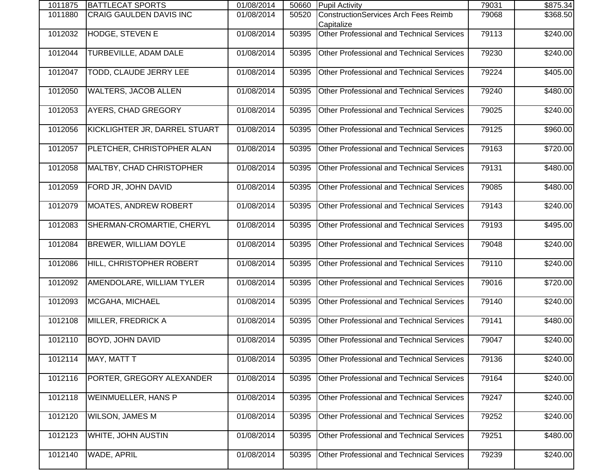| 1011875 | BATTLECAT SPORTS              | 01/08/2014 | 50660 | <b>Pupil Activity</b>                                     | 79031 | \$875.34         |
|---------|-------------------------------|------------|-------|-----------------------------------------------------------|-------|------------------|
| 1011880 | CRAIG GAULDEN DAVIS INC       | 01/08/2014 | 50520 | <b>ConstructionServices Arch Fees Reimb</b><br>Capitalize | 79068 | \$368.50         |
| 1012032 | <b>HODGE, STEVEN E</b>        | 01/08/2014 | 50395 | Other Professional and Technical Services                 | 79113 | \$240.00         |
| 1012044 | <b>TURBEVILLE, ADAM DALE</b>  | 01/08/2014 | 50395 | Other Professional and Technical Services                 | 79230 | \$240.00         |
| 1012047 | <b>TODD, CLAUDE JERRY LEE</b> | 01/08/2014 | 50395 | Other Professional and Technical Services                 | 79224 | \$405.00         |
| 1012050 | <b>WALTERS, JACOB ALLEN</b>   | 01/08/2014 | 50395 | <b>Other Professional and Technical Services</b>          | 79240 | \$480.00         |
| 1012053 | AYERS, CHAD GREGORY           | 01/08/2014 | 50395 | Other Professional and Technical Services                 | 79025 | \$240.00         |
| 1012056 | KICKLIGHTER JR, DARREL STUART | 01/08/2014 | 50395 | <b>Other Professional and Technical Services</b>          | 79125 | \$960.00         |
| 1012057 | PLETCHER, CHRISTOPHER ALAN    | 01/08/2014 | 50395 | Other Professional and Technical Services                 | 79163 | \$720.00         |
| 1012058 | MALTBY, CHAD CHRISTOPHER      | 01/08/2014 | 50395 | Other Professional and Technical Services                 | 79131 | \$480.00         |
| 1012059 | FORD JR, JOHN DAVID           | 01/08/2014 | 50395 | Other Professional and Technical Services                 | 79085 | \$480.00         |
| 1012079 | <b>MOATES, ANDREW ROBERT</b>  | 01/08/2014 | 50395 | Other Professional and Technical Services                 | 79143 | \$240.00         |
| 1012083 | SHERMAN-CROMARTIE, CHERYL     | 01/08/2014 | 50395 | Other Professional and Technical Services                 | 79193 | \$495.00         |
| 1012084 | BREWER, WILLIAM DOYLE         | 01/08/2014 | 50395 | <b>Other Professional and Technical Services</b>          | 79048 | \$240.00         |
| 1012086 | HILL, CHRISTOPHER ROBERT      | 01/08/2014 | 50395 | Other Professional and Technical Services                 | 79110 | \$240.00         |
| 1012092 | AMENDOLARE, WILLIAM TYLER     | 01/08/2014 | 50395 | <b>Other Professional and Technical Services</b>          | 79016 | \$720.00         |
| 1012093 | MCGAHA, MICHAEL               | 01/08/2014 | 50395 | Other Professional and Technical Services                 | 79140 | \$240.00         |
| 1012108 | MILLER, FREDRICK A            | 01/08/2014 | 50395 | <b>Other Professional and Technical Services</b>          | 79141 | \$480.00         |
| 1012110 | <b>BOYD, JOHN DAVID</b>       | 01/08/2014 | 50395 | Other Professional and Technical Services                 | 79047 | $\sqrt{240.00}$  |
| 1012114 | MAY, MATT T                   | 01/08/2014 | 50395 | Other Professional and Technical Services                 | 79136 | \$240.00         |
| 1012116 | PORTER, GREGORY ALEXANDER     | 01/08/2014 | 50395 | Other Professional and Technical Services                 | 79164 | \$240.00         |
| 1012118 | WEINMUELLER, HANS P           | 01/08/2014 | 50395 | Other Professional and Technical Services                 | 79247 | \$240.00         |
| 1012120 | <b>WILSON, JAMES M</b>        | 01/08/2014 | 50395 | Other Professional and Technical Services                 | 79252 | \$240.00         |
| 1012123 | WHITE, JOHN AUSTIN            | 01/08/2014 | 50395 | Other Professional and Technical Services                 | 79251 | \$480.00         |
| 1012140 | WADE, APRIL                   | 01/08/2014 | 50395 | Other Professional and Technical Services                 | 79239 | $\sqrt{$240.00}$ |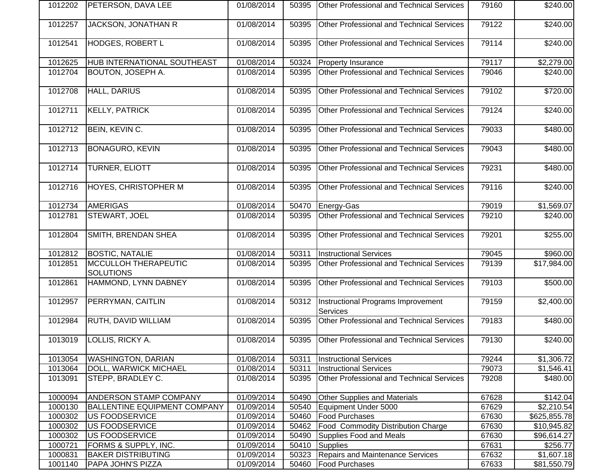| 1012202 | PETERSON, DAVA LEE                       | 01/08/2014 | 50395 | <b>Other Professional and Technical Services</b>      | 79160 | \$240.00         |
|---------|------------------------------------------|------------|-------|-------------------------------------------------------|-------|------------------|
| 1012257 | JACKSON, JONATHAN R                      | 01/08/2014 | 50395 | Other Professional and Technical Services             | 79122 | $\sqrt{$240.00}$ |
| 1012541 | <b>HODGES, ROBERT L</b>                  | 01/08/2014 | 50395 | Other Professional and Technical Services             | 79114 | \$240.00         |
| 1012625 | HUB INTERNATIONAL SOUTHEAST              | 01/08/2014 | 50324 | <b>Property Insurance</b>                             | 79117 | \$2,279.00       |
| 1012704 | BOUTON, JOSEPH A.                        | 01/08/2014 | 50395 | Other Professional and Technical Services             | 79046 | \$240.00         |
| 1012708 | HALL, DARIUS                             | 01/08/2014 | 50395 | <b>Other Professional and Technical Services</b>      | 79102 | \$720.00         |
| 1012711 | <b>KELLY, PATRICK</b>                    | 01/08/2014 | 50395 | <b>Other Professional and Technical Services</b>      | 79124 | \$240.00         |
| 1012712 | BEIN, KEVIN C.                           | 01/08/2014 | 50395 | <b>Other Professional and Technical Services</b>      | 79033 | \$480.00         |
| 1012713 | <b>BONAGURO, KEVIN</b>                   | 01/08/2014 | 50395 | Other Professional and Technical Services             | 79043 | \$480.00         |
| 1012714 | TURNER, ELIOTT                           | 01/08/2014 | 50395 | <b>Other Professional and Technical Services</b>      | 79231 | \$480.00         |
| 1012716 | <b>HOYES, CHRISTOPHER M</b>              | 01/08/2014 | 50395 | Other Professional and Technical Services             | 79116 | \$240.00         |
| 1012734 | <b>AMERIGAS</b>                          | 01/08/2014 | 50470 | <b>Energy-Gas</b>                                     | 79019 | \$1,569.07       |
| 1012781 | STEWART, JOEL                            | 01/08/2014 | 50395 | Other Professional and Technical Services             | 79210 | \$240.00         |
| 1012804 | SMITH, BRENDAN SHEA                      | 01/08/2014 | 50395 | Other Professional and Technical Services             | 79201 | \$255.00         |
| 1012812 | <b>BOSTIC, NATALIE</b>                   | 01/08/2014 | 50311 | <b>Instructional Services</b>                         | 79045 | \$960.00         |
| 1012851 | MCCULLOH THERAPEUTIC<br><b>SOLUTIONS</b> | 01/08/2014 | 50395 | <b>Other Professional and Technical Services</b>      | 79139 | \$17,984.00      |
| 1012861 | HAMMOND, LYNN DABNEY                     | 01/08/2014 | 50395 | <b>Other Professional and Technical Services</b>      | 79103 | \$500.00         |
| 1012957 | PERRYMAN, CAITLIN                        | 01/08/2014 | 50312 | Instructional Programs Improvement<br><b>Services</b> | 79159 | \$2,400.00       |
| 1012984 | RUTH, DAVID WILLIAM                      | 01/08/2014 | 50395 | Other Professional and Technical Services             | 79183 | \$480.00         |
| 1013019 | LOLLIS, RICKY A.                         | 01/08/2014 | 50395 | Other Professional and Technical Services             | 79130 | $\sqrt{240.00}$  |
| 1013054 | <b>WASHINGTON, DARIAN</b>                | 01/08/2014 | 50311 | <b>Instructional Services</b>                         | 79244 | \$1,306.72       |
| 1013064 | DOLL, WARWICK MICHAEL                    | 01/08/2014 | 50311 | <b>Instructional Services</b>                         | 79073 | \$1,546.41       |
| 1013091 | STEPP, BRADLEY C.                        | 01/08/2014 | 50395 | Other Professional and Technical Services             | 79208 | \$480.00         |
| 1000094 | ANDERSON STAMP COMPANY                   | 01/09/2014 | 50490 | Other Supplies and Materials                          | 67628 | \$142.04         |
| 1000130 | BALLENTINE EQUIPMENT COMPANY             | 01/09/2014 | 50540 | Equipment Under 5000                                  | 67629 | \$2,210.54       |
| 1000302 | US FOODSERVICE                           | 01/09/2014 | 50460 | <b>Food Purchases</b>                                 | 67630 | \$625,855.78     |
| 1000302 | US FOODSERVICE                           | 01/09/2014 | 50462 | <b>Food Commodity Distribution Charge</b>             | 67630 | \$10,945.82      |
| 1000302 | US FOODSERVICE                           | 01/09/2014 | 50490 | <b>Supplies Food and Meals</b>                        | 67630 | \$96,614.27      |
| 1000721 | FORMS & SUPPLY, INC.                     | 01/09/2014 | 50410 | Supplies                                              | 67631 | \$256.77         |
| 1000831 | <b>BAKER DISTRIBUTING</b>                | 01/09/2014 | 50323 | <b>Repairs and Maintenance Services</b>               | 67632 | \$1,607.18       |
| 1001140 | PAPA JOHN'S PIZZA                        | 01/09/2014 | 50460 | <b>Food Purchases</b>                                 | 67633 | \$81,550.79      |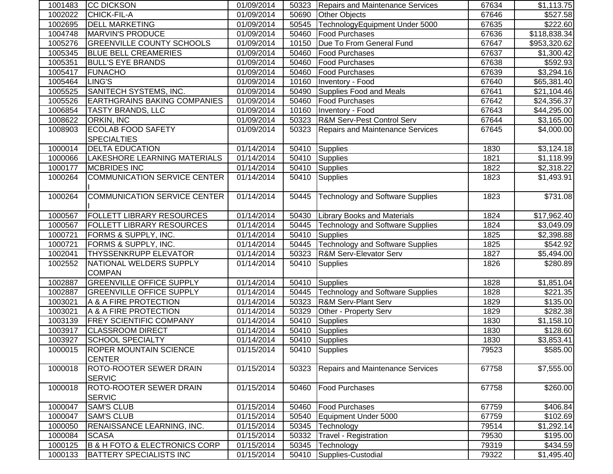| 1001483 | <b>CC DICKSON</b>                            | 01/09/2014 | 50323 | Repairs and Maintenance Services        | 67634 | \$1,113.75   |
|---------|----------------------------------------------|------------|-------|-----------------------------------------|-------|--------------|
| 1002022 | <b>CHICK-FIL-A</b>                           | 01/09/2014 | 50690 | <b>Other Objects</b>                    | 67646 | \$527.58     |
| 1002695 | <b>DELL MARKETING</b>                        | 01/09/2014 | 50545 | TechnologyEquipment Under 5000          | 67635 | \$222.60     |
| 1004748 | MARVIN'S PRODUCE                             | 01/09/2014 | 50460 | <b>Food Purchases</b>                   | 67636 | \$118,838.34 |
| 1005276 | <b>GREENVILLE COUNTY SCHOOLS</b>             | 01/09/2014 | 10150 | Due To From General Fund                | 67647 | \$953,320.62 |
| 1005345 | <b>BLUE BELL CREAMERIES</b>                  | 01/09/2014 | 50460 | <b>Food Purchases</b>                   | 67637 | \$1,300.42   |
| 1005351 | <b>BULL'S EYE BRANDS</b>                     | 01/09/2014 | 50460 | <b>Food Purchases</b>                   | 67638 | \$592.93     |
| 1005417 | <b>FUNACHO</b>                               | 01/09/2014 | 50460 | <b>Food Purchases</b>                   | 67639 | \$3,294.16   |
| 1005464 | LING'S                                       | 01/09/2014 | 10160 | Inventory - Food                        | 67640 | \$65,381.40  |
| 1005525 | SANITECH SYSTEMS, INC.                       | 01/09/2014 | 50490 | Supplies Food and Meals                 | 67641 | \$21,104.46  |
| 1005526 | <b>EARTHGRAINS BAKING COMPANIES</b>          | 01/09/2014 | 50460 | <b>Food Purchases</b>                   | 67642 | \$24,356.37  |
| 1006854 | <b>TASTY BRANDS, LLC</b>                     | 01/09/2014 | 10160 | Inventory - Food                        | 67643 | \$44,295.00  |
| 1008622 | ORKIN, INC                                   | 01/09/2014 | 50323 | R&M Serv-Pest Control Serv              | 67644 | \$3,165.00   |
| 1008903 | <b>ECOLAB FOOD SAFETY</b>                    | 01/09/2014 | 50323 | <b>Repairs and Maintenance Services</b> | 67645 | \$4,000.00   |
|         | <b>SPECIALTIES</b>                           |            |       |                                         |       |              |
| 1000014 | <b>DELTA EDUCATION</b>                       | 01/14/2014 | 50410 | Supplies                                | 1830  | \$3,124.18   |
| 1000066 | LAKESHORE LEARNING MATERIALS                 | 01/14/2014 | 50410 | Supplies                                | 1821  | \$1,118.99   |
| 1000177 | <b>MCBRIDES INC</b>                          | 01/14/2014 | 50410 | Supplies                                | 1822  | \$2,318.22   |
| 1000264 | <b>COMMUNICATION SERVICE CENTER</b>          | 01/14/2014 | 50410 | Supplies                                | 1823  | \$1,493.91   |
|         |                                              |            |       |                                         |       |              |
| 1000264 | <b>COMMUNICATION SERVICE CENTER</b>          | 01/14/2014 | 50445 | <b>Technology and Software Supplies</b> | 1823  | \$731.08     |
|         |                                              |            |       |                                         |       |              |
| 1000567 | <b>FOLLETT LIBRARY RESOURCES</b>             | 01/14/2014 | 50430 | <b>Library Books and Materials</b>      | 1824  | \$17,962.40  |
| 1000567 | <b>FOLLETT LIBRARY RESOURCES</b>             | 01/14/2014 | 50445 | Technology and Software Supplies        | 1824  | \$3,049.09   |
| 1000721 | FORMS & SUPPLY, INC.                         | 01/14/2014 | 50410 | Supplies                                | 1825  | \$2,398.88   |
| 1000721 | FORMS & SUPPLY, INC.                         | 01/14/2014 | 50445 | <b>Technology and Software Supplies</b> | 1825  | \$542.92     |
| 1002041 | THYSSENKRUPP ELEVATOR                        | 01/14/2014 | 50323 | <b>R&amp;M Serv-Elevator Serv</b>       | 1827  | \$5,494.00   |
| 1002552 | NATIONAL WELDERS SUPPLY                      | 01/14/2014 | 50410 | <b>Supplies</b>                         | 1826  | \$280.89     |
|         | <b>COMPAN</b>                                |            |       |                                         |       |              |
| 1002887 | <b>GREENVILLE OFFICE SUPPLY</b>              | 01/14/2014 | 50410 | Supplies                                | 1828  | \$1,851.04   |
| 1002887 | <b>GREENVILLE OFFICE SUPPLY</b>              | 01/14/2014 | 50445 | <b>Technology and Software Supplies</b> | 1828  | \$221.35     |
| 1003021 | A & A FIRE PROTECTION                        | 01/14/2014 | 50323 | <b>R&amp;M Serv-Plant Serv</b>          | 1829  | \$135.00     |
| 1003021 | A & A FIRE PROTECTION                        | 01/14/2014 | 50329 | Other - Property Serv                   | 1829  | \$282.38     |
| 1003139 | <b>FREY SCIENTIFIC COMPANY</b>               | 01/14/2014 | 50410 | Supplies                                | 1830  | \$1,158.10   |
| 1003917 | <b>CLASSROOM DIRECT</b>                      | 01/14/2014 | 50410 | Supplies                                | 1830  | \$128.60     |
| 1003927 | <b>SCHOOL SPECIALTY</b>                      | 01/14/2014 | 50410 | Supplies                                | 1830  | \$3,853.41   |
| 1000015 | <b>ROPER MOUNTAIN SCIENCE</b>                | 01/15/2014 |       | 50410 Supplies                          | 79523 | \$585.00     |
|         | <b>CENTER</b>                                |            |       |                                         |       |              |
| 1000018 | ROTO-ROOTER SEWER DRAIN                      | 01/15/2014 | 50323 | <b>Repairs and Maintenance Services</b> | 67758 | \$7,555.00   |
|         | <b>SERVIC</b>                                |            |       |                                         |       |              |
| 1000018 | ROTO-ROOTER SEWER DRAIN                      | 01/15/2014 | 50460 | <b>Food Purchases</b>                   | 67758 | \$260.00     |
|         | <b>SERVIC</b>                                |            |       |                                         |       |              |
| 1000047 | <b>SAM'S CLUB</b>                            | 01/15/2014 | 50460 | <b>Food Purchases</b>                   | 67759 | \$406.84]    |
| 1000047 | <b>SAM'S CLUB</b>                            | 01/15/2014 | 50540 | Equipment Under 5000                    | 67759 | \$102.69     |
| 1000050 | RENAISSANCE LEARNING, INC.                   | 01/15/2014 | 50345 | Technology                              | 79514 | \$1,292.14   |
| 1000084 | <b>SCASA</b>                                 | 01/15/2014 | 50332 | Travel - Registration                   | 79530 | \$195.00     |
| 1000125 | <b>B &amp; H FOTO &amp; ELECTRONICS CORP</b> | 01/15/2014 | 50345 | Technology                              | 79319 | \$434.59     |
| 1000133 | <b>BATTERY SPECIALISTS INC</b>               | 01/15/2014 | 50410 | Supplies-Custodial                      | 79322 | \$1,495.40   |
|         |                                              |            |       |                                         |       |              |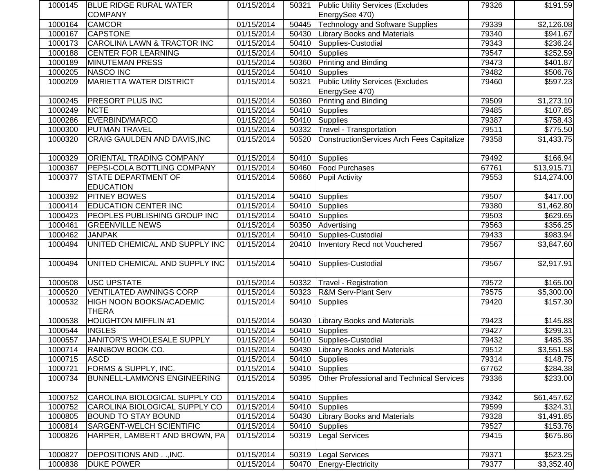| 1000145 | <b>IBLUE RIDGE RURAL WATER</b>     | 01/15/2014              |       | 50321 Public Utility Services (Excludes   | 79326 | \$191.59               |
|---------|------------------------------------|-------------------------|-------|-------------------------------------------|-------|------------------------|
|         | <b>COMPANY</b>                     |                         |       | EnergySee 470)                            |       |                        |
| 1000164 | <b>CAMCOR</b>                      | 01/15/2014              | 50445 | <b>Technology and Software Supplies</b>   | 79339 | \$2,126.08             |
| 1000167 | <b>CAPSTONE</b>                    | 01/15/2014              | 50430 | <b>Library Books and Materials</b>        | 79340 | \$941.67               |
| 1000173 | CAROLINA LAWN & TRACTOR INC        | 01/15/2014              | 50410 | Supplies-Custodial                        | 79343 | \$236.24               |
| 1000188 | <b>CENTER FOR LEARNING</b>         | 01/15/2014              | 50410 | Supplies                                  | 79547 | \$252.59               |
| 1000189 | <b>MINUTEMAN PRESS</b>             | 01/15/2014              | 50360 | <b>Printing and Binding</b>               | 79473 | \$401.87               |
| 1000205 | <b>NASCO INC</b>                   | 01/15/2014              | 50410 | Supplies                                  | 79482 | \$506.76               |
| 1000209 | <b>MARIETTA WATER DISTRICT</b>     | 01/15/2014              | 50321 | <b>Public Utility Services (Excludes</b>  | 79460 | \$597.23               |
|         |                                    |                         |       | EnergySee 470)                            |       |                        |
| 1000245 | <b>PRESORT PLUS INC</b>            | 01/15/2014              | 50360 | Printing and Binding                      | 79509 | \$1,273.10             |
| 1000249 | <b>NCTE</b>                        | 01/15/2014              | 50410 | Supplies                                  | 79485 | \$107.85               |
| 1000286 | EVERBIND/MARCO                     | 01/15/2014              | 50410 | Supplies                                  | 79387 | \$758.43               |
| 1000300 | <b>PUTMAN TRAVEL</b>               | 01/15/2014              | 50332 | Travel - Transportation                   | 79511 | \$775.50               |
| 1000320 | CRAIG GAULDEN AND DAVIS, INC       | 01/15/2014              | 50520 | ConstructionServices Arch Fees Capitalize | 79358 | \$1,433.75             |
|         |                                    |                         |       |                                           |       |                        |
| 1000329 | ORIENTAL TRADING COMPANY           | 01/15/2014              | 50410 | Supplies                                  | 79492 | \$166.94               |
| 1000367 | PEPSI-COLA BOTTLING COMPANY        | 01/15/2014              | 50460 | <b>Food Purchases</b>                     | 67761 | \$13,915.71            |
| 1000377 | <b>STATE DEPARTMENT OF</b>         | 01/15/2014              | 50660 | <b>Pupil Activity</b>                     | 79553 | \$14,274.00            |
|         | <b>EDUCATION</b>                   |                         |       |                                           |       |                        |
| 1000392 | <b>PITNEY BOWES</b>                | 01/15/2014              | 50410 | Supplies                                  | 79507 | \$417.00               |
| 1000414 | <b>EDUCATION CENTER INC</b>        | 01/15/2014              | 50410 | Supplies                                  | 79380 | $\overline{$1,462.80}$ |
| 1000423 | PEOPLES PUBLISHING GROUP INC       | 01/15/2014              | 50410 | Supplies                                  | 79503 | \$629.65               |
| 1000461 | <b>GREENVILLE NEWS</b>             | 01/15/2014              | 50350 | Advertising                               | 79563 | 3356.25                |
| 1000462 | <b>JANPAK</b>                      | 01/15/2014              | 50410 | Supplies-Custodial                        | 79433 | \$983.94               |
| 1000494 | UNITED CHEMICAL AND SUPPLY INC     | 01/15/2014              | 20410 | Inventory Recd not Vouchered              | 79567 | $\overline{$3,847.60}$ |
|         |                                    |                         |       |                                           |       |                        |
| 1000494 | UNITED CHEMICAL AND SUPPLY INC     | 01/15/2014              | 50410 | Supplies-Custodial                        | 79567 | \$2,917.91             |
|         |                                    |                         |       |                                           |       |                        |
| 1000508 | <b>USC UPSTATE</b>                 | 01/15/2014              | 50332 | Travel - Registration                     | 79572 | \$165.00               |
| 1000520 | <b>VENTILATED AWNINGS CORP</b>     | 01/15/2014              | 50323 | <b>R&amp;M Serv-Plant Serv</b>            | 79575 | \$5,300.00             |
| 1000532 | HIGH NOON BOOKS/ACADEMIC           | 01/15/2014              | 50410 | Supplies                                  | 79420 | \$157.30               |
|         | <b>THERA</b>                       |                         |       |                                           |       |                        |
| 1000538 | <b>HOUGHTON MIFFLIN #1</b>         | $\overline{01/1}5/2014$ | 50430 | <b>Library Books and Materials</b>        | 79423 | \$145.88               |
| 1000544 | <b>INGLES</b>                      | 01/15/2014              | 50410 | Supplies                                  | 79427 | \$299.31               |
| 1000557 | JANITOR'S WHOLESALE SUPPLY         | 01/15/2014              |       | 50410 Supplies-Custodial                  | 79432 | \$485.35               |
| 1000714 | RAINBOW BOOK CO.                   | 01/15/2014              |       | 50430 Library Books and Materials         | 79512 | \$3,551.58             |
| 1000715 | <b>ASCD</b>                        | 01/15/2014              | 50410 | Supplies                                  | 79314 | \$148.75               |
| 1000721 | FORMS & SUPPLY, INC.               | 01/15/2014              | 50410 | Supplies                                  | 67762 | \$284.38               |
| 1000734 | <b>BUNNELL-LAMMONS ENGINEERING</b> | 01/15/2014              | 50395 | Other Professional and Technical Services | 79336 | \$233.00               |
|         |                                    |                         |       |                                           |       |                        |
| 1000752 | CAROLINA BIOLOGICAL SUPPLY CO      | 01/15/2014              | 50410 | Supplies                                  | 79342 | \$61,457.62            |
| 1000752 | CAROLINA BIOLOGICAL SUPPLY CO      | 01/15/2014              | 50410 | Supplies                                  | 79599 | \$324.31               |
| 1000805 | <b>BOUND TO STAY BOUND</b>         | 01/15/2014              | 50430 | <b>Library Books and Materials</b>        | 79328 | \$1,491.85             |
| 1000814 | SARGENT-WELCH SCIENTIFIC           | 01/15/2014              | 50410 | Supplies                                  | 79527 | \$153.76               |
| 1000826 | HARPER, LAMBERT AND BROWN, PA      | 01/15/2014              | 50319 | <b>Legal Services</b>                     | 79415 | \$675.86               |
|         |                                    |                         |       |                                           |       |                        |
| 1000827 | DEPOSITIONS AND, INC.              | 01/15/2014              | 50319 | <b>Legal Services</b>                     | 79371 | \$523.25               |
| 1000838 | <b>DUKE POWER</b>                  | 01/15/2014              | 50470 | Energy-Electricity                        | 79377 | \$3,352.40             |
|         |                                    |                         |       |                                           |       |                        |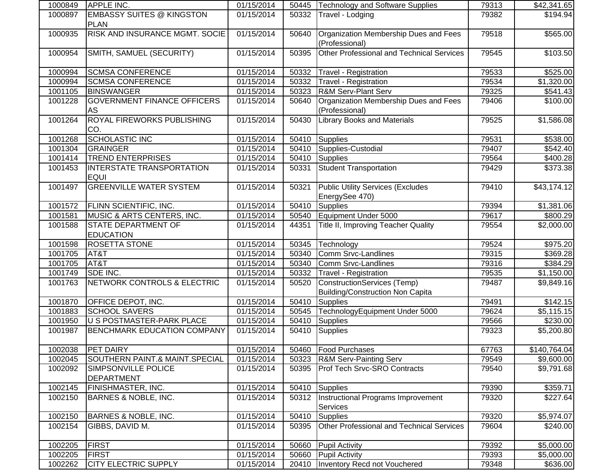| 1000849 | <b>APPLE INC.</b>                               | 01/15/2014 |       | 50445   Technology and Software Supplies                                      | 79313 | \$42,341.65            |
|---------|-------------------------------------------------|------------|-------|-------------------------------------------------------------------------------|-------|------------------------|
| 1000897 | <b>EMBASSY SUITES @ KINGSTON</b><br><b>PLAN</b> | 01/15/2014 | 50332 | Travel - Lodging                                                              | 79382 | \$194.94               |
| 1000935 | RISK AND INSURANCE MGMT. SOCIE                  | 01/15/2014 | 50640 | Organization Membership Dues and Fees<br>(Professional)                       | 79518 | \$565.00               |
| 1000954 | SMITH, SAMUEL (SECURITY)                        | 01/15/2014 | 50395 | Other Professional and Technical Services                                     | 79545 | \$103.50               |
| 1000994 | <b>SCMSA CONFERENCE</b>                         | 01/15/2014 | 50332 | Travel - Registration                                                         | 79533 | \$525.00               |
| 1000994 | <b>SCMSA CONFERENCE</b>                         | 01/15/2014 | 50332 | Travel - Registration                                                         | 79534 | $\overline{1,320.00}$  |
| 1001105 | <b>BINSWANGER</b>                               | 01/15/2014 | 50323 | <b>R&amp;M Serv-Plant Serv</b>                                                | 79325 | \$541.43]              |
| 1001228 | <b>GOVERNMENT FINANCE OFFICERS</b><br>AS        | 01/15/2014 | 50640 | Organization Membership Dues and Fees<br>(Professional)                       | 79406 | \$100.00               |
| 1001264 | ROYAL FIREWORKS PUBLISHING<br>CO.               | 01/15/2014 | 50430 | <b>Library Books and Materials</b>                                            | 79525 | \$1,586.08             |
| 1001268 | <b>SCHOLASTIC INC</b>                           | 01/15/2014 | 50410 | Supplies                                                                      | 79531 | \$538.00               |
| 1001304 | <b>GRAINGER</b>                                 | 01/15/2014 | 50410 | Supplies-Custodial                                                            | 79407 | \$542.40               |
| 1001414 | <b>TREND ENTERPRISES</b>                        | 01/15/2014 | 50410 | Supplies                                                                      | 79564 | $\overline{$}400.28$   |
| 1001453 | <b>INTERSTATE TRANSPORTATION</b><br><b>EQUI</b> | 01/15/2014 | 50331 | <b>Student Transportation</b>                                                 | 79429 | \$373.38               |
| 1001497 | <b>GREENVILLE WATER SYSTEM</b>                  | 01/15/2014 | 50321 | <b>Public Utility Services (Excludes</b><br>EnergySee 470)                    | 79410 | \$43,174.12            |
| 1001572 | FLINN SCIENTIFIC, INC.                          | 01/15/2014 | 50410 | Supplies                                                                      | 79394 | \$1,381.06             |
| 1001581 | <b>MUSIC &amp; ARTS CENTERS, INC.</b>           | 01/15/2014 | 50540 | Equipment Under 5000                                                          | 79617 | \$800.29               |
| 1001588 | <b>STATE DEPARTMENT OF</b><br><b>EDUCATION</b>  | 01/15/2014 | 44351 | Title II, Improving Teacher Quality                                           | 79554 | $\overline{$2,000.00}$ |
| 1001598 | ROSETTA STONE                                   | 01/15/2014 | 50345 | Technology                                                                    | 79524 | \$975.20               |
| 1001705 | AT&T                                            | 01/15/2014 | 50340 | Comm Srvc-Landlines                                                           | 79315 | 369.28                 |
| 1001705 | AT&T                                            | 01/15/2014 | 50340 | Comm Srvc-Landlines                                                           | 79316 | \$384.29               |
| 1001749 | SDE INC.                                        | 01/15/2014 | 50332 | <b>Travel - Registration</b>                                                  | 79535 | \$1,150.00             |
| 1001763 | NETWORK CONTROLS & ELECTRIC                     | 01/15/2014 | 50520 | <b>ConstructionServices (Temp)</b><br><b>Building/Construction Non Capita</b> | 79487 | \$9,849.16             |
| 1001870 | OFFICE DEPOT, INC.                              | 01/15/2014 | 50410 | Supplies                                                                      | 79491 | \$142.15               |
| 1001883 | <b>SCHOOL SAVERS</b>                            | 01/15/2014 | 50545 | TechnologyEquipment Under 5000                                                | 79624 | \$5,115.15             |
| 1001950 | <b>U S POSTMASTER-PARK PLACE</b>                | 01/15/2014 | 50410 | Supplies                                                                      | 79566 | \$230.00               |
| 1001987 | <b>BENCHMARK EDUCATION COMPANY</b>              | 01/15/2014 | 50410 | Supplies                                                                      | 79323 | \$5,200.80             |
| 1002038 | PET DAIRY                                       | 01/15/2014 |       | 50460   Food Purchases                                                        | 67763 | \$140,764.04           |
| 1002045 | SOUTHERN PAINT.& MAINT.SPECIAL                  | 01/15/2014 | 50323 | <b>R&amp;M Serv-Painting Serv</b>                                             | 79549 | \$9,600.00             |
| 1002092 | SIMPSONVILLE POLICE<br><b>DEPARTMENT</b>        | 01/15/2014 | 50395 | <b>Prof Tech Srvc-SRO Contracts</b>                                           | 79540 | \$9,791.68             |
| 1002145 | FINISHMASTER, INC.                              | 01/15/2014 | 50410 | Supplies                                                                      | 79390 | \$359.71               |
| 1002150 | <b>BARNES &amp; NOBLE, INC.</b>                 | 01/15/2014 | 50312 | Instructional Programs Improvement<br><b>Services</b>                         | 79320 | \$227.64]              |
| 1002150 | <b>BARNES &amp; NOBLE, INC.</b>                 | 01/15/2014 | 50410 | Supplies                                                                      | 79320 | \$5,974.07             |
| 1002154 | GIBBS, DAVID M.                                 | 01/15/2014 | 50395 | <b>Other Professional and Technical Services</b>                              | 79604 | \$240.00               |
| 1002205 | <b>FIRST</b>                                    | 01/15/2014 | 50660 | <b>Pupil Activity</b>                                                         | 79392 | \$5,000.00             |
| 1002205 | <b>FIRST</b>                                    | 01/15/2014 | 50660 | <b>Pupil Activity</b>                                                         | 79393 | \$5,000.00             |
| 1002262 | <b>CITY ELECTRIC SUPPLY</b>                     | 01/15/2014 | 20410 | <b>Inventory Recd not Vouchered</b>                                           | 79348 | \$636.00               |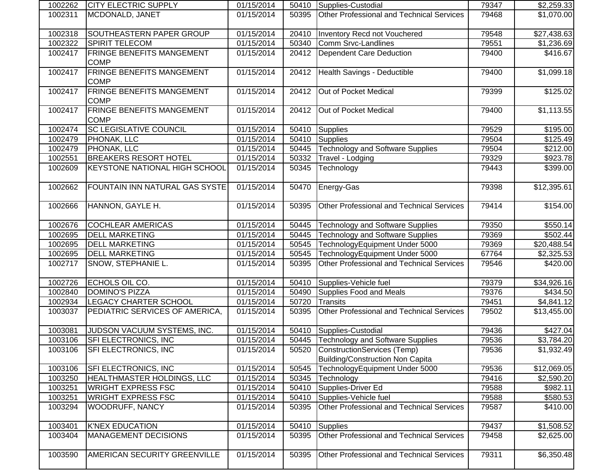| 1002262 | CITY ELECTRIC SUPPLY                            | 01/15/2014 |       | 50410   Supplies-Custodial                                            | 79347 | \$2,259.33           |
|---------|-------------------------------------------------|------------|-------|-----------------------------------------------------------------------|-------|----------------------|
| 1002311 | MCDONALD, JANET                                 | 01/15/2014 | 50395 | Other Professional and Technical Services                             | 79468 | \$1,070.00           |
| 1002318 | SOUTHEASTERN PAPER GROUP                        | 01/15/2014 | 20410 | Inventory Recd not Vouchered                                          | 79548 | \$27,438.63          |
| 1002322 | SPIRIT TELECOM                                  | 01/15/2014 | 50340 | Comm Srvc-Landlines                                                   | 79551 | \$1,236.69           |
| 1002417 | <b>FRINGE BENEFITS MANGEMENT</b><br><b>COMP</b> | 01/15/2014 | 20412 | Dependent Care Deduction                                              | 79400 | \$416.67             |
| 1002417 | <b>FRINGE BENEFITS MANGEMENT</b><br><b>COMP</b> | 01/15/2014 | 20412 | Health Savings - Deductible                                           | 79400 | \$1,099.18           |
| 1002417 | <b>FRINGE BENEFITS MANGEMENT</b><br><b>COMP</b> | 01/15/2014 | 20412 | Out of Pocket Medical                                                 | 79399 | \$125.02             |
| 1002417 | FRINGE BENEFITS MANGEMENT<br><b>COMP</b>        | 01/15/2014 | 20412 | Out of Pocket Medical                                                 | 79400 | \$1,113.55           |
| 1002474 | SC LEGISLATIVE COUNCIL                          | 01/15/2014 | 50410 | Supplies                                                              | 79529 | \$195.00             |
| 1002479 | PHONAK, LLC                                     | 01/15/2014 | 50410 | Supplies                                                              | 79504 | \$125.49             |
| 1002479 | PHONAK, LLC                                     | 01/15/2014 | 50445 | <b>Technology and Software Supplies</b>                               | 79504 | \$212.00             |
| 1002551 | <b>BREAKERS RESORT HOTEL</b>                    | 01/15/2014 | 50332 | Travel - Lodging                                                      | 79329 | \$923.78             |
| 1002609 | <b>KEYSTONE NATIONAL HIGH SCHOOL</b>            | 01/15/2014 | 50345 | Technology                                                            | 79443 | \$399.00             |
| 1002662 | FOUNTAIN INN NATURAL GAS SYSTE                  | 01/15/2014 | 50470 | Energy-Gas                                                            | 79398 | \$12,395.61          |
| 1002666 | HANNON, GAYLE H.                                | 01/15/2014 | 50395 | Other Professional and Technical Services                             | 79414 | \$154.00             |
| 1002676 | <b>COCHLEAR AMERICAS</b>                        | 01/15/2014 | 50445 | <b>Technology and Software Supplies</b>                               | 79350 | \$550.14             |
| 1002695 | <b>DELL MARKETING</b>                           | 01/15/2014 | 50445 | <b>Technology and Software Supplies</b>                               | 79369 | \$502.44             |
| 1002695 | <b>DELL MARKETING</b>                           | 01/15/2014 | 50545 | TechnologyEquipment Under 5000                                        | 79369 | \$20,488.54          |
| 1002695 | <b>DELL MARKETING</b>                           | 01/15/2014 | 50545 | TechnologyEquipment Under 5000                                        | 67764 | \$2,325.53           |
| 1002717 | SNOW, STEPHANIE L.                              | 01/15/2014 | 50395 | <b>Other Professional and Technical Services</b>                      | 79546 | $\overline{$}420.00$ |
| 1002726 | ECHOLS OIL CO.                                  | 01/15/2014 | 50410 | Supplies-Vehicle fuel                                                 | 79379 | \$34,926.16          |
| 1002840 | <b>DOMINO'S PIZZA</b>                           | 01/15/2014 | 50490 | Supplies Food and Meals                                               | 79376 | \$434.50             |
| 1002934 | LEGACY CHARTER SCHOOL                           | 01/15/2014 | 50720 | Transits                                                              | 79451 | \$4,841.12           |
| 1003037 | PEDIATRIC SERVICES OF AMERICA,                  | 01/15/2014 | 50395 | Other Professional and Technical Services                             | 79502 | \$13,455.00          |
| 1003081 | JUDSON VACUUM SYSTEMS, INC.                     | 01/15/2014 | 50410 | Supplies-Custodial                                                    | 79436 | \$427.04             |
| 1003106 | SFI ELECTRONICS, INC                            | 01/15/2014 |       | 50445 Technology and Software Supplies                                | 79536 | \$3,784.20           |
| 1003106 | SFI ELECTRONICS, INC                            | 01/15/2014 |       | 50520 ConstructionServices (Temp)<br>Building/Construction Non Capita | 79536 | \$1,932.49           |
| 1003106 | SFI ELECTRONICS, INC                            | 01/15/2014 | 50545 | TechnologyEquipment Under 5000                                        | 79536 | \$12,069.05          |
| 1003250 | HEALTHMASTER HOLDINGS, LLC                      | 01/15/2014 | 50345 | Technology                                                            | 79416 | \$2,590.20           |
| 1003251 | <b>WRIGHT EXPRESS FSC</b>                       | 01/15/2014 | 50410 | Supplies-Driver Ed                                                    | 79588 | \$982.11             |
| 1003251 | <b>WRIGHT EXPRESS FSC</b>                       | 01/15/2014 | 50410 | Supplies-Vehicle fuel                                                 | 79588 | \$580.53             |
| 1003294 | WOODRUFF, NANCY                                 | 01/15/2014 | 50395 | Other Professional and Technical Services                             | 79587 | \$410.00             |
| 1003401 | <b>K'NEX EDUCATION</b>                          | 01/15/2014 | 50410 | <b>Supplies</b>                                                       | 79437 | \$1,508.52           |
| 1003404 | <b>MANAGEMENT DECISIONS</b>                     | 01/15/2014 | 50395 | Other Professional and Technical Services                             | 79458 | \$2,625.00           |
| 1003590 | AMERICAN SECURITY GREENVILLE                    | 01/15/2014 | 50395 | Other Professional and Technical Services                             | 79311 | \$6,350.48           |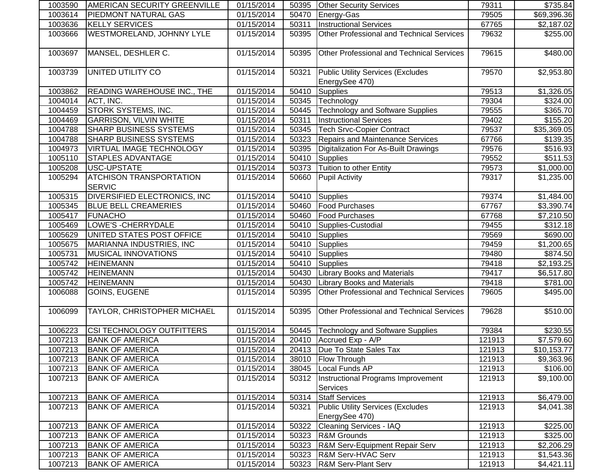| 1003590 | AMERICAN SECURITY GREENVILLE                    | 01/15/2014 | 50395 | <b>Other Security Services</b>                             | 79311  | \$735.84               |
|---------|-------------------------------------------------|------------|-------|------------------------------------------------------------|--------|------------------------|
| 1003614 | PIEDMONT NATURAL GAS                            | 01/15/2014 | 50470 | Energy-Gas                                                 | 79505  | \$69,396.36            |
| 1003636 | <b>KELLY SERVICES</b>                           | 01/15/2014 | 50311 | <b>Instructional Services</b>                              | 67765  | \$2,187.02             |
| 1003666 | WESTMORELAND, JOHNNY LYLE                       | 01/15/2014 | 50395 | Other Professional and Technical Services                  | 79632  | \$255.00               |
| 1003697 | MANSEL, DESHLER C.                              | 01/15/2014 | 50395 | Other Professional and Technical Services                  | 79615  | \$480.00               |
| 1003739 | UNITED UTILITY CO                               | 01/15/2014 | 50321 | <b>Public Utility Services (Excludes</b><br>EnergySee 470) | 79570  | \$2,953.80             |
| 1003862 | <b>READING WAREHOUSE INC., THE</b>              | 01/15/2014 | 50410 | Supplies                                                   | 79513  | \$1,326.05             |
| 1004014 | ACT, INC.                                       | 01/15/2014 | 50345 | Technology                                                 | 79304  | \$324.00               |
| 1004459 | STORK SYSTEMS, INC.                             | 01/15/2014 | 50445 | Technology and Software Supplies                           | 79555  | \$365.70               |
| 1004469 | <b>GARRISON, VILVIN WHITE</b>                   | 01/15/2014 | 50311 | <b>Instructional Services</b>                              | 79402  | \$155.20               |
| 1004788 | SHARP BUSINESS SYSTEMS                          | 01/15/2014 | 50345 | <b>Tech Srvc-Copier Contract</b>                           | 79537  | \$35,369.05            |
| 1004788 | <b>SHARP BUSINESS SYSTEMS</b>                   | 01/15/2014 | 50323 | <b>Repairs and Maintenance Services</b>                    | 67766  | \$139.35               |
| 1004973 | VIRTUAL IMAGE TECHNOLOGY                        | 01/15/2014 | 50395 | Digitalization For As-Built Drawings                       | 79576  | $\overline{$}516.93$   |
| 1005110 | <b>STAPLES ADVANTAGE</b>                        | 01/15/2014 | 50410 | Supplies                                                   | 79552  | \$511.53               |
| 1005208 | USC-UPSTATE                                     | 01/15/2014 | 50373 | Tuition to other Entity                                    | 79573  | \$1,000.00]            |
| 1005294 | <b>ATCHISON TRANSPORTATION</b><br><b>SERVIC</b> | 01/15/2014 | 50660 | <b>Pupil Activity</b>                                      | 79317  | \$1,235.00             |
| 1005315 | <b>DIVERSIFIED ELECTRONICS, INC</b>             | 01/15/2014 | 50410 | Supplies                                                   | 79374  | \$1,484.00             |
| 1005345 | <b>BLUE BELL CREAMERIES</b>                     | 01/15/2014 | 50460 | <b>Food Purchases</b>                                      | 67767  | $\overline{$3,390.74}$ |
| 1005417 | <b>FUNACHO</b>                                  | 01/15/2014 | 50460 | <b>Food Purchases</b>                                      | 67768  | \$7,210.50             |
| 1005469 | LOWE'S - CHERRYDALE                             | 01/15/2014 | 50410 | Supplies-Custodial                                         | 79455  | \$312.18               |
| 1005629 | UNITED STATES POST OFFICE                       | 01/15/2014 | 50410 | Supplies                                                   | 79569  | \$690.00               |
| 1005675 | MARIANNA INDUSTRIES, INC                        | 01/15/2014 | 50410 | Supplies                                                   | 79459  | \$1,200.65             |
| 1005731 | <b>MUSICAL INNOVATIONS</b>                      | 01/15/2014 | 50410 | Supplies                                                   | 79480  | \$874.50               |
| 1005742 | <b>HEINEMANN</b>                                | 01/15/2014 | 50410 | <b>Supplies</b>                                            | 79418  | \$2,193.25             |
| 1005742 | <b>HEINEMANN</b>                                | 01/15/2014 | 50430 | <b>Library Books and Materials</b>                         | 79417  | \$6,517.80             |
| 1005742 | <b>HEINEMANN</b>                                | 01/15/2014 | 50430 | <b>Library Books and Materials</b>                         | 79418  | \$781.00               |
| 1006088 | GOINS, EUGENE                                   | 01/15/2014 | 50395 | Other Professional and Technical Services                  | 79605  | \$495.00               |
| 1006099 | TAYLOR, CHRISTOPHER MICHAEL                     | 01/15/2014 | 50395 | <b>Other Professional and Technical Services</b>           | 79628  | \$510.00               |
| 1006223 | CSI TECHNOLOGY OUTFITTERS                       | 01/15/2014 | 50445 | Technology and Software Supplies                           | 79384  | \$230.55               |
| 1007213 | <b>BANK OF AMERICA</b>                          | 01/15/2014 |       | 20410 Accrued Exp - A/P                                    | 121913 | \$7,579.60             |
| 1007213 | <b>BANK OF AMERICA</b>                          | 01/15/2014 |       | 20413   Due To State Sales Tax                             | 121913 | \$10,153.77            |
| 1007213 | <b>BANK OF AMERICA</b>                          | 01/15/2014 | 38010 | <b>Flow Through</b>                                        | 121913 | \$9,363.96             |
| 1007213 | <b>BANK OF AMERICA</b>                          | 01/15/2014 | 38045 | Local Funds AP                                             | 121913 | \$106.00               |
| 1007213 | <b>BANK OF AMERICA</b>                          | 01/15/2014 | 50312 | Instructional Programs Improvement<br>Services             | 121913 | \$9,100.00             |
| 1007213 | <b>BANK OF AMERICA</b>                          | 01/15/2014 | 50314 | <b>Staff Services</b>                                      | 121913 | \$6,479.00             |
| 1007213 | <b>BANK OF AMERICA</b>                          | 01/15/2014 | 50321 | <b>Public Utility Services (Excludes</b>                   | 121913 | \$4,041.38             |
|         |                                                 |            |       | EnergySee 470)                                             |        |                        |
| 1007213 | <b>BANK OF AMERICA</b>                          | 01/15/2014 | 50322 | <b>Cleaning Services - IAQ</b>                             | 121913 | \$225.00               |
| 1007213 | <b>BANK OF AMERICA</b>                          | 01/15/2014 | 50323 | R&M Grounds                                                | 121913 | \$325.00               |
| 1007213 | <b>BANK OF AMERICA</b>                          | 01/15/2014 | 50323 | R&M Serv-Equipment Repair Serv                             | 121913 | \$2,206.29             |
| 1007213 | <b>BANK OF AMERICA</b>                          | 01/15/2014 | 50323 | <b>R&amp;M Serv-HVAC Serv</b>                              | 121913 | \$1,543.36             |
| 1007213 | <b>BANK OF AMERICA</b>                          | 01/15/2014 | 50323 | <b>R&amp;M Serv-Plant Serv</b>                             | 121913 | \$4,421.11             |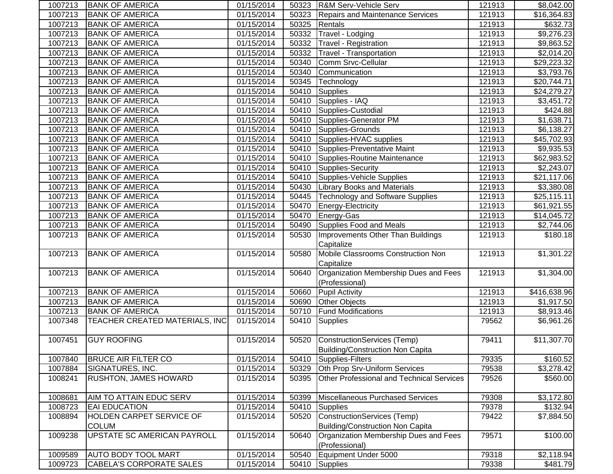| 1007213 | <b> BANK OF AMERICA</b>         | 01/15/2014 | 50323 | <b>R&amp;M Serv-Vehicle Serv</b>          | 121913 | \$8,042.00              |
|---------|---------------------------------|------------|-------|-------------------------------------------|--------|-------------------------|
| 1007213 | <b>BANK OF AMERICA</b>          | 01/15/2014 | 50323 | <b>Repairs and Maintenance Services</b>   | 121913 | \$16,364.83             |
| 1007213 | <b>BANK OF AMERICA</b>          | 01/15/2014 | 50325 | Rentals                                   | 121913 | \$632.73                |
| 1007213 | <b>BANK OF AMERICA</b>          | 01/15/2014 | 50332 | Travel - Lodging                          | 121913 | $\overline{$9,276.23}$  |
| 1007213 | <b>BANK OF AMERICA</b>          | 01/15/2014 | 50332 | <b>Travel - Registration</b>              | 121913 | \$9,863.52              |
| 1007213 | <b>BANK OF AMERICA</b>          | 01/15/2014 | 50332 | <b>Travel - Transportation</b>            | 121913 | \$2,014.20              |
| 1007213 | <b>BANK OF AMERICA</b>          | 01/15/2014 | 50340 | Comm Srvc-Cellular                        | 121913 | \$29,223.32             |
| 1007213 | <b>BANK OF AMERICA</b>          | 01/15/2014 | 50340 | Communication                             | 121913 | \$3,793.76              |
| 1007213 | <b>BANK OF AMERICA</b>          | 01/15/2014 | 50345 | Technology                                | 121913 | \$20,744.71             |
| 1007213 | <b>BANK OF AMERICA</b>          | 01/15/2014 | 50410 | Supplies                                  | 121913 | \$24,279.27             |
| 1007213 | <b>BANK OF AMERICA</b>          | 01/15/2014 | 50410 | Supplies - IAQ                            | 121913 | \$3,451.72              |
| 1007213 | <b>BANK OF AMERICA</b>          | 01/15/2014 | 50410 | Supplies-Custodial                        | 121913 | \$424.88                |
| 1007213 | <b>BANK OF AMERICA</b>          | 01/15/2014 | 50410 | Supplies-Generator PM                     | 121913 | \$1,638.71              |
| 1007213 | <b>BANK OF AMERICA</b>          | 01/15/2014 | 50410 | Supplies-Grounds                          | 121913 | \$6,138.27              |
| 1007213 | <b>BANK OF AMERICA</b>          | 01/15/2014 | 50410 | Supplies-HVAC supplies                    | 121913 | \$45,702.93             |
| 1007213 | <b>BANK OF AMERICA</b>          | 01/15/2014 | 50410 | Supplies-Preventative Maint               | 121913 | \$9,935.53              |
| 1007213 | <b>BANK OF AMERICA</b>          | 01/15/2014 | 50410 | Supplies-Routine Maintenance              | 121913 | \$62,983.52             |
| 1007213 | <b>BANK OF AMERICA</b>          | 01/15/2014 | 50410 | Supplies-Security                         | 121913 | \$2,243.07              |
| 1007213 | <b>BANK OF AMERICA</b>          | 01/15/2014 | 50410 | Supplies-Vehicle Supplies                 | 121913 | \$21,117.06             |
| 1007213 | <b>BANK OF AMERICA</b>          | 01/15/2014 | 50430 | <b>Library Books and Materials</b>        | 121913 | \$3,380.08              |
| 1007213 | <b>BANK OF AMERICA</b>          | 01/15/2014 | 50445 | <b>Technology and Software Supplies</b>   | 121913 | \$25,115.11             |
| 1007213 | <b>BANK OF AMERICA</b>          | 01/15/2014 | 50470 | Energy-Electricity                        | 121913 | \$61,921.55             |
| 1007213 | <b>BANK OF AMERICA</b>          | 01/15/2014 | 50470 | Energy-Gas                                | 121913 | \$14,045.72             |
| 1007213 | <b>BANK OF AMERICA</b>          | 01/15/2014 | 50490 | Supplies Food and Meals                   | 121913 | \$2,744.06              |
| 1007213 | <b>BANK OF AMERICA</b>          | 01/15/2014 | 50530 | Improvements Other Than Buildings         | 121913 | \$180.18                |
|         |                                 |            |       | Capitalize                                |        |                         |
| 1007213 | <b>BANK OF AMERICA</b>          | 01/15/2014 | 50580 | Mobile Classrooms Construction Non        | 121913 | \$1,301.22              |
|         |                                 |            |       | Capitalize                                |        |                         |
| 1007213 | <b>BANK OF AMERICA</b>          | 01/15/2014 | 50640 | Organization Membership Dues and Fees     | 121913 | $\overline{\$1,304.00}$ |
|         |                                 |            |       | (Professional)                            |        |                         |
| 1007213 | <b>BANK OF AMERICA</b>          | 01/15/2014 | 50660 | <b>Pupil Activity</b>                     | 121913 | \$416,638.96            |
| 1007213 | <b>BANK OF AMERICA</b>          | 01/15/2014 | 50690 | Other Objects                             | 121913 | \$1,917.50              |
| 1007213 | <b>BANK OF AMERICA</b>          | 01/15/2014 | 50710 | <b>Fund Modifications</b>                 | 121913 | \$8,913.46              |
| 1007348 | TEACHER CREATED MATERIALS, INC  | 01/15/2014 | 50410 | Supplies                                  | 79562  | \$6,961.26              |
|         |                                 |            |       |                                           |        |                         |
| 1007451 | <b>GUY ROOFING</b>              | 01/15/2014 | 50520 | ConstructionServices (Temp)               | 79411  | \$11,307.70             |
|         |                                 |            |       | Building/Construction Non Capita          |        |                         |
| 1007840 | <b>BRUCE AIR FILTER CO</b>      | 01/15/2014 | 50410 | Supplies-Filters                          | 79335  | \$160.52                |
| 1007884 | SIGNATURES, INC.                | 01/15/2014 | 50329 | Oth Prop Srv-Uniform Services             | 79538  | \$3,278.42              |
| 1008241 | RUSHTON, JAMES HOWARD           | 01/15/2014 | 50395 | Other Professional and Technical Services | 79526  | \$560.00                |
| 1008681 | AIM TO ATTAIN EDUC SERV         | 01/15/2014 | 50399 | Miscellaneous Purchased Services          | 79308  | \$3,172.80              |
| 1008723 | <b>EAI EDUCATION</b>            | 01/15/2014 | 50410 | <b>Supplies</b>                           | 79378  | \$132.94                |
| 1008894 | HOLDEN CARPET SERVICE OF        | 01/15/2014 | 50520 | ConstructionServices (Temp)               | 79422  | \$7,884.50              |
|         | <b>COLUM</b>                    |            |       | Building/Construction Non Capita          |        |                         |
| 1009238 | UPSTATE SC AMERICAN PAYROLL     | 01/15/2014 | 50640 | Organization Membership Dues and Fees     | 79571  | \$100.00                |
|         |                                 |            |       | (Professional)                            |        |                         |
| 1009589 | <b>AUTO BODY TOOL MART</b>      | 01/15/2014 | 50540 | Equipment Under 5000                      | 79318  | \$2,118.94              |
| 1009723 | <b>CABELA'S CORPORATE SALES</b> | 01/15/2014 | 50410 | Supplies                                  | 79338  | \$481.79                |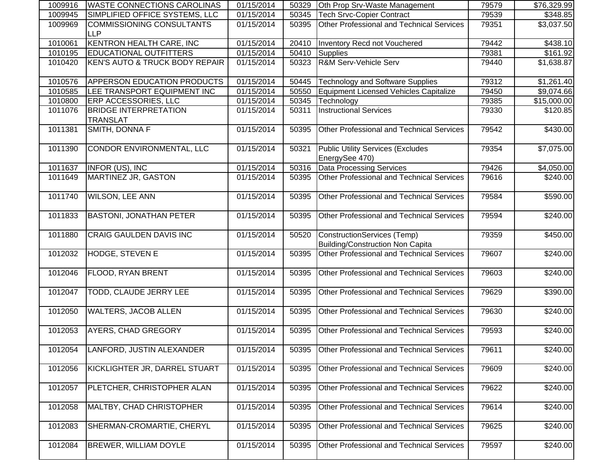| 1009916 | <b>WASTE CONNECTIONS CAROLINAS</b>              | 01/15/2014 | 50329 | Oth Prop Srv-Waste Management                                          | 79579 | \$76,329.99            |
|---------|-------------------------------------------------|------------|-------|------------------------------------------------------------------------|-------|------------------------|
| 1009945 | SIMPLIFIED OFFICE SYSTEMS, LLC                  | 01/15/2014 | 50345 | Tech Srvc-Copier Contract                                              | 79539 | \$348.85               |
| 1009969 | <b>COMMISSIONING CONSULTANTS</b><br><b>LLP</b>  | 01/15/2014 | 50395 | Other Professional and Technical Services                              | 79351 | $\overline{$3,037.50}$ |
| 1010061 | <b>KENTRON HEALTH CARE, INC</b>                 | 01/15/2014 | 20410 | Inventory Recd not Vouchered                                           | 79442 | \$438.10               |
| 1010195 | <b>EDUCATIONAL OUTFITTERS</b>                   | 01/15/2014 | 50410 | Supplies                                                               | 79381 | \$161.92               |
| 1010420 | <b>KEN'S AUTO &amp; TRUCK BODY REPAIR</b>       | 01/15/2014 | 50323 | R&M Serv-Vehicle Serv                                                  | 79440 | \$1,638.87             |
| 1010576 | APPERSON EDUCATION PRODUCTS                     | 01/15/2014 | 50445 | <b>Technology and Software Supplies</b>                                | 79312 | \$1,261.40             |
| 1010585 | LEE TRANSPORT EQUIPMENT INC                     | 01/15/2014 | 50550 | Equipment Licensed Vehicles Capitalize                                 | 79450 | \$9,074.66             |
| 1010800 | ERP ACCESSORIES, LLC                            | 01/15/2014 | 50345 | Technology                                                             | 79385 | \$15,000.00            |
| 1011076 | <b>BRIDGE INTERPRETATION</b><br><b>TRANSLAT</b> | 01/15/2014 | 50311 | <b>Instructional Services</b>                                          | 79330 | \$120.85               |
| 1011381 | SMITH, DONNA F                                  | 01/15/2014 | 50395 | Other Professional and Technical Services                              | 79542 | \$430.00               |
| 1011390 | CONDOR ENVIRONMENTAL, LLC                       | 01/15/2014 | 50321 | <b>Public Utility Services (Excludes</b><br>EnergySee 470)             | 79354 | \$7,075.00             |
| 1011637 | INFOR (US), INC                                 | 01/15/2014 | 50316 | Data Processing Services                                               | 79426 | \$4,050.00             |
| 1011649 | <b>MARTINEZ JR, GASTON</b>                      | 01/15/2014 | 50395 | Other Professional and Technical Services                              | 79616 | \$240.00               |
| 1011740 | <b>WILSON, LEE ANN</b>                          | 01/15/2014 | 50395 | Other Professional and Technical Services                              | 79584 | \$590.00               |
| 1011833 | <b>BASTONI, JONATHAN PETER</b>                  | 01/15/2014 | 50395 | Other Professional and Technical Services                              | 79594 | \$240.00               |
| 1011880 | CRAIG GAULDEN DAVIS INC                         | 01/15/2014 | 50520 | ConstructionServices (Temp)<br><b>Building/Construction Non Capita</b> | 79359 | $\sqrt{$450.00}$       |
| 1012032 | HODGE, STEVEN E                                 | 01/15/2014 | 50395 | <b>Other Professional and Technical Services</b>                       | 79607 | $\sqrt{$240.00}$       |
| 1012046 | FLOOD, RYAN BRENT                               | 01/15/2014 | 50395 | Other Professional and Technical Services                              | 79603 | $\sqrt{$240.00}$       |
| 1012047 | TODD, CLAUDE JERRY LEE                          | 01/15/2014 | 50395 | Other Professional and Technical Services                              | 79629 | $\overline{$}390.00$   |
| 1012050 | <b>WALTERS, JACOB ALLEN</b>                     | 01/15/2014 | 50395 | Other Professional and Technical Services                              | 79630 | $\overline{$}240.00$   |
| 1012053 | AYERS, CHAD GREGORY                             | 01/15/2014 | 50395 | Other Professional and Technical Services                              | 79593 | $\sqrt{240.00}$        |
|         | 1012054 LANFORD, JUSTIN ALEXANDER               | 01/15/2014 |       | 50395 Other Professional and Technical Services                        | 79611 | \$240.00               |
| 1012056 | KICKLIGHTER JR, DARREL STUART                   | 01/15/2014 | 50395 | Other Professional and Technical Services                              | 79609 | \$240.00               |
| 1012057 | PLETCHER, CHRISTOPHER ALAN                      | 01/15/2014 | 50395 | <b>Other Professional and Technical Services</b>                       | 79622 | \$240.00               |
| 1012058 | MALTBY, CHAD CHRISTOPHER                        | 01/15/2014 | 50395 | Other Professional and Technical Services                              | 79614 | \$240.00               |
| 1012083 | SHERMAN-CROMARTIE, CHERYL                       | 01/15/2014 | 50395 | Other Professional and Technical Services                              | 79625 | \$240.00               |
| 1012084 | BREWER, WILLIAM DOYLE                           | 01/15/2014 | 50395 | Other Professional and Technical Services                              | 79597 | \$240.00               |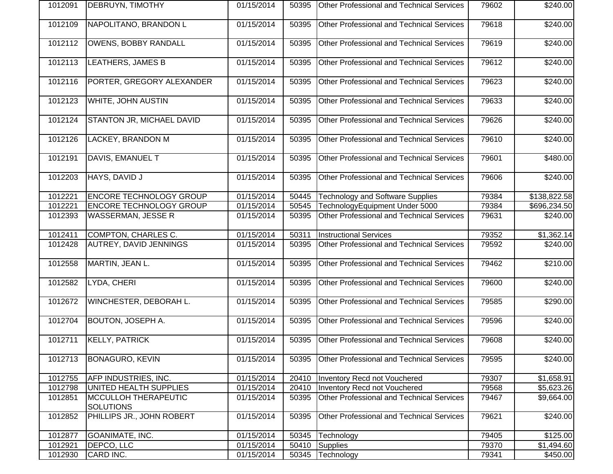| 1012091 | DEBRUYN, TIMOTHY                         | 01/15/2014 | 50395 | <b>Other Professional and Technical Services</b> | 79602 | \$240.00         |
|---------|------------------------------------------|------------|-------|--------------------------------------------------|-------|------------------|
| 1012109 | NAPOLITANO, BRANDON L                    | 01/15/2014 | 50395 | Other Professional and Technical Services        | 79618 | \$240.00         |
| 1012112 | <b>OWENS, BOBBY RANDALL</b>              | 01/15/2014 | 50395 | Other Professional and Technical Services        | 79619 | \$240.00         |
| 1012113 | LEATHERS, JAMES B                        | 01/15/2014 | 50395 | <b>Other Professional and Technical Services</b> | 79612 | \$240.00         |
| 1012116 | PORTER, GREGORY ALEXANDER                | 01/15/2014 | 50395 | <b>Other Professional and Technical Services</b> | 79623 | \$240.00         |
| 1012123 | WHITE, JOHN AUSTIN                       | 01/15/2014 | 50395 | Other Professional and Technical Services        | 79633 | \$240.00         |
| 1012124 | STANTON JR, MICHAEL DAVID                | 01/15/2014 | 50395 | Other Professional and Technical Services        | 79626 | \$240.00         |
| 1012126 | LACKEY, BRANDON M                        | 01/15/2014 | 50395 | <b>Other Professional and Technical Services</b> | 79610 | \$240.00         |
| 1012191 | DAVIS, EMANUEL T                         | 01/15/2014 | 50395 | Other Professional and Technical Services        | 79601 | \$480.00         |
| 1012203 | HAYS, DAVID J                            | 01/15/2014 | 50395 | Other Professional and Technical Services        | 79606 | \$240.00         |
| 1012221 | ENCORE TECHNOLOGY GROUP                  | 01/15/2014 | 50445 | <b>Technology and Software Supplies</b>          | 79384 | \$138,822.58     |
| 1012221 | <b>ENCORE TECHNOLOGY GROUP</b>           | 01/15/2014 | 50545 | TechnologyEquipment Under 5000                   | 79384 | \$696,234.50     |
| 1012393 | <b>WASSERMAN, JESSE R</b>                | 01/15/2014 | 50395 | <b>Other Professional and Technical Services</b> | 79631 | \$240.00         |
| 1012411 | COMPTON, CHARLES C.                      | 01/15/2014 | 50311 | <b>Instructional Services</b>                    | 79352 | \$1,362.14       |
| 1012428 | AUTREY, DAVID JENNINGS                   | 01/15/2014 | 50395 | <b>Other Professional and Technical Services</b> | 79592 | \$240.00         |
| 1012558 | MARTIN, JEAN L.                          | 01/15/2014 | 50395 | Other Professional and Technical Services        | 79462 | \$210.00         |
| 1012582 | LYDA, CHERI                              | 01/15/2014 | 50395 | Other Professional and Technical Services        | 79600 | \$240.00         |
| 1012672 | WINCHESTER, DEBORAH L.                   | 01/15/2014 | 50395 | <b>Other Professional and Technical Services</b> | 79585 | \$290.00         |
| 1012704 | BOUTON, JOSEPH A.                        | 01/15/2014 | 50395 | Other Professional and Technical Services        | 79596 | \$240.00         |
| 1012711 | <b>KELLY, PATRICK</b>                    | 01/15/2014 | 50395 | Other Professional and Technical Services        | 79608 | $\sqrt{$240.00}$ |
| 1012713 | <b>BONAGURO, KEVIN</b>                   | 01/15/2014 | 50395 | <b>Other Professional and Technical Services</b> | 79595 | \$240.00         |
| 1012755 | AFP INDUSTRIES, INC.                     | 01/15/2014 | 20410 | Inventory Recd not Vouchered                     | 79307 | \$1,658.91       |
| 1012798 | UNITED HEALTH SUPPLIES                   | 01/15/2014 | 20410 | <b>Inventory Recd not Vouchered</b>              | 79568 | \$5,623.26       |
| 1012851 | MCCULLOH THERAPEUTIC<br><b>SOLUTIONS</b> | 01/15/2014 | 50395 | Other Professional and Technical Services        | 79467 | \$9,664.00       |
| 1012852 | PHILLIPS JR., JOHN ROBERT                | 01/15/2014 | 50395 | Other Professional and Technical Services        | 79621 | \$240.00         |
| 1012877 | GOANIMATE, INC.                          | 01/15/2014 | 50345 | Technology                                       | 79405 | \$125.00         |
| 1012921 | DEPCO, LLC                               | 01/15/2014 | 50410 | Supplies                                         | 79370 | \$1,494.60       |
| 1012930 | CARD INC.                                | 01/15/2014 | 50345 | Technology                                       | 79341 | \$450.00         |
|         |                                          |            |       |                                                  |       |                  |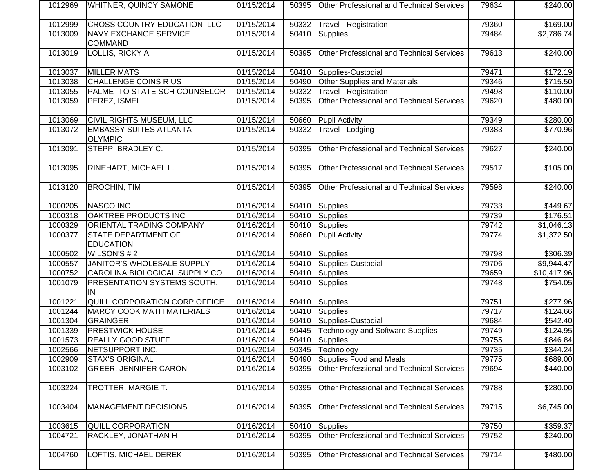| 1012969 | <b>IWHITNER, QUINCY SAMONE</b>                  | 01/15/2014 | 50395 | <b>Other Professional and Technical Services</b> | 79634 | \$240.00           |
|---------|-------------------------------------------------|------------|-------|--------------------------------------------------|-------|--------------------|
| 1012999 | CROSS COUNTRY EDUCATION, LLC                    | 01/15/2014 | 50332 | Travel - Registration                            | 79360 | \$169.00           |
| 1013009 | <b>NAVY EXCHANGE SERVICE</b><br><b>COMMAND</b>  | 01/15/2014 | 50410 | <b>Supplies</b>                                  | 79484 | $\sqrt{$2,786.74}$ |
| 1013019 | LOLLIS, RICKY A.                                | 01/15/2014 | 50395 | <b>Other Professional and Technical Services</b> | 79613 | \$240.00           |
| 1013037 | <b>MILLER MATS</b>                              | 01/15/2014 | 50410 | Supplies-Custodial                               | 79471 | \$172.19           |
| 1013038 | <b>CHALLENGE COINS R US</b>                     | 01/15/2014 | 50490 | <b>Other Supplies and Materials</b>              | 79346 | \$715.50           |
| 1013055 | PALMETTO STATE SCH COUNSELOR                    | 01/15/2014 | 50332 | Travel - Registration                            | 79498 | \$110.00           |
| 1013059 | PEREZ, ISMEL                                    | 01/15/2014 | 50395 | Other Professional and Technical Services        | 79620 | \$480.00           |
| 1013069 | <b>CIVIL RIGHTS MUSEUM, LLC</b>                 | 01/15/2014 | 50660 | <b>Pupil Activity</b>                            | 79349 | \$280.00           |
| 1013072 | <b>EMBASSY SUITES ATLANTA</b><br><b>OLYMPIC</b> | 01/15/2014 | 50332 | Travel - Lodging                                 | 79383 | \$770.96           |
| 1013091 | STEPP, BRADLEY C.                               | 01/15/2014 | 50395 | <b>Other Professional and Technical Services</b> | 79627 | \$240.00           |
| 1013095 | RINEHART, MICHAEL L.                            | 01/15/2014 | 50395 | <b>Other Professional and Technical Services</b> | 79517 | \$105.00           |
| 1013120 | <b>BROCHIN, TIM</b>                             | 01/15/2014 | 50395 | <b>Other Professional and Technical Services</b> | 79598 | \$240.00           |
| 1000205 | <b>NASCO INC</b>                                | 01/16/2014 | 50410 | <b>Supplies</b>                                  | 79733 | \$449.67           |
| 1000318 | OAKTREE PRODUCTS INC                            | 01/16/2014 | 50410 | <b>Supplies</b>                                  | 79739 | \$176.51           |
| 1000329 | ORIENTAL TRADING COMPANY                        | 01/16/2014 | 50410 | Supplies                                         | 79742 | \$1,046.13         |
| 1000377 | STATE DEPARTMENT OF<br><b>EDUCATION</b>         | 01/16/2014 | 50660 | <b>Pupil Activity</b>                            | 79774 | \$1,372.50         |
| 1000502 | WILSON'S #2                                     | 01/16/2014 | 50410 | <b>Supplies</b>                                  | 79798 | \$306.39           |
| 1000557 | JANITOR'S WHOLESALE SUPPLY                      | 01/16/2014 | 50410 | Supplies-Custodial                               | 79706 | \$9,944.47         |
| 1000752 | CAROLINA BIOLOGICAL SUPPLY CO                   | 01/16/2014 | 50410 | <b>Supplies</b>                                  | 79659 | \$10,417.96        |
| 1001079 | PRESENTATION SYSTEMS SOUTH,<br>IN               | 01/16/2014 | 50410 | <b>Supplies</b>                                  | 79748 | \$754.05           |
| 1001221 | QUILL CORPORATION CORP OFFICE                   | 01/16/2014 | 50410 | Supplies                                         | 79751 | 3277.96            |
| 1001244 | <b>MARCY COOK MATH MATERIALS</b>                | 01/16/2014 | 50410 | Supplies                                         | 79717 | \$124.66           |
| 1001304 | <b>GRAINGER</b>                                 | 01/16/2014 | 50410 | Supplies-Custodial                               | 79684 | \$542.40           |
| 1001339 | <b>PRESTWICK HOUSE</b>                          | 01/16/2014 | 50445 | Technology and Software Supplies                 | 79749 | \$124.95           |
| 1001573 | <b>REALLY GOOD STUFF</b>                        | 01/16/2014 | 50410 | Supplies                                         | 79755 | \$846.84           |
| 1002566 | NETSUPPORT INC.                                 | 01/16/2014 |       | 50345 Technology                                 | 79735 | \$344.24           |
| 1002909 | <b>STAX'S ORIGINAL</b>                          | 01/16/2014 | 50490 | Supplies Food and Meals                          | 79775 | \$689.00           |
| 1003102 | <b>GREER, JENNIFER CARON</b>                    | 01/16/2014 | 50395 | <b>Other Professional and Technical Services</b> | 79694 | \$440.00           |
| 1003224 | TROTTER, MARGIE T.                              | 01/16/2014 | 50395 | <b>Other Professional and Technical Services</b> | 79788 | \$280.00           |
| 1003404 | <b>MANAGEMENT DECISIONS</b>                     | 01/16/2014 | 50395 | Other Professional and Technical Services        | 79715 | \$6,745.00         |
| 1003615 | <b>QUILL CORPORATION</b>                        | 01/16/2014 | 50410 | <b>Supplies</b>                                  | 79750 | \$359.37           |
| 1004721 | RACKLEY, JONATHAN H                             | 01/16/2014 | 50395 | <b>Other Professional and Technical Services</b> | 79752 | \$240.00           |
| 1004760 | LOFTIS, MICHAEL DEREK                           | 01/16/2014 | 50395 | Other Professional and Technical Services        | 79714 | \$480.00           |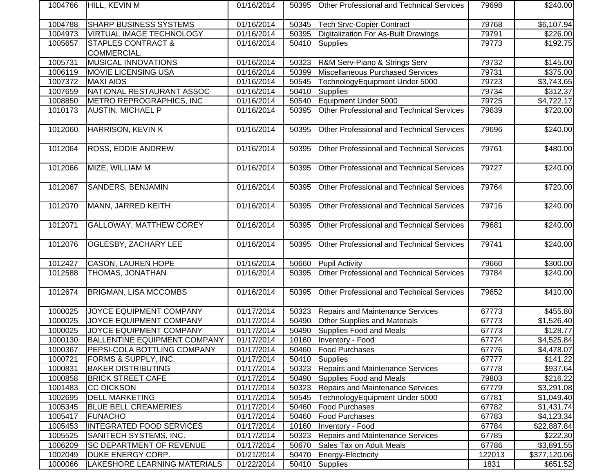| 1004766 | <b>HILL, KEVIN M</b>                         | 01/16/2014 | 50395 | <b>Other Professional and Technical Services</b> | 79698  | \$240.00         |
|---------|----------------------------------------------|------------|-------|--------------------------------------------------|--------|------------------|
| 1004788 | SHARP BUSINESS SYSTEMS                       | 01/16/2014 | 50345 | <b>Tech Srvc-Copier Contract</b>                 | 79768  | \$6,107.94       |
| 1004973 | VIRTUAL IMAGE TECHNOLOGY                     | 01/16/2014 | 50395 | Digitalization For As-Built Drawings             | 79791  | \$226.00         |
| 1005657 | <b>STAPLES CONTRACT &amp;</b><br>COMMERCIAL, | 01/16/2014 | 50410 | Supplies                                         | 79773  | \$192.75         |
| 1005731 | <b>MUSICAL INNOVATIONS</b>                   | 01/16/2014 | 50323 | R&M Serv-Piano & Strings Serv                    | 79732  | \$145.00         |
| 1006119 | <b>MOVIE LICENSING USA</b>                   | 01/16/2014 | 50399 | Miscellaneous Purchased Services                 | 79731  | \$375.00         |
| 1007372 | <b>MAXI AIDS</b>                             | 01/16/2014 | 50545 | TechnologyEquipment Under 5000                   | 79723  | \$3,743.65       |
| 1007659 | NATIONAL RESTAURANT ASSOC                    | 01/16/2014 | 50410 | <b>Supplies</b>                                  | 79734  | \$312.37         |
| 1008850 | METRO REPROGRAPHICS, INC                     | 01/16/2014 | 50540 | Equipment Under 5000                             | 79725  | \$4,722.17       |
| 1010173 | <b>AUSTIN, MICHAEL P</b>                     | 01/16/2014 | 50395 | Other Professional and Technical Services        | 79639  | \$720.00         |
| 1012060 | HARRISON, KEVIN K                            | 01/16/2014 | 50395 | <b>Other Professional and Technical Services</b> | 79696  | \$240.00         |
| 1012064 | ROSS, EDDIE ANDREW                           | 01/16/2014 | 50395 | Other Professional and Technical Services        | 79761  | \$480.00         |
| 1012066 | MIZE, WILLIAM M                              | 01/16/2014 | 50395 | Other Professional and Technical Services        | 79727  | \$240.00         |
| 1012067 | <b>SANDERS, BENJAMIN</b>                     | 01/16/2014 | 50395 | Other Professional and Technical Services        | 79764  | \$720.00         |
| 1012070 | <b>MANN, JARRED KEITH</b>                    | 01/16/2014 | 50395 | Other Professional and Technical Services        | 79716  | \$240.00         |
| 1012071 | <b>GALLOWAY, MATTHEW COREY</b>               | 01/16/2014 | 50395 | Other Professional and Technical Services        | 79681  | \$240.00         |
| 1012076 | OGLESBY, ZACHARY LEE                         | 01/16/2014 | 50395 | Other Professional and Technical Services        | 79741  | $\sqrt{$240.00}$ |
| 1012427 | <b>CASON, LAUREN HOPE</b>                    | 01/16/2014 | 50660 | <b>Pupil Activity</b>                            | 79660  | \$300.00         |
| 1012588 | THOMAS, JONATHAN                             | 01/16/2014 | 50395 | Other Professional and Technical Services        | 79784  | \$240.00         |
| 1012674 | <b>BRIGMAN, LISA MCCOMBS</b>                 | 01/16/2014 | 50395 | Other Professional and Technical Services        | 79652  | $\sqrt{3410.00}$ |
| 1000025 | JOYCE EQUIPMENT COMPANY                      | 01/17/2014 | 50323 | <b>Repairs and Maintenance Services</b>          | 67773  | \$455.80         |
| 1000025 | JOYCE EQUIPMENT COMPANY                      | 01/17/2014 | 50490 | <b>Other Supplies and Materials</b>              | 67773  | \$1,526.40       |
| 1000025 | JOYCE EQUIPMENT COMPANY                      | 01/17/2014 | 50490 | Supplies Food and Meals                          | 67773  | \$128.77         |
| 1000130 | <b>BALLENTINE EQUIPMENT COMPANY</b>          | 01/17/2014 | 10160 | Inventory - Food                                 | 67774  | \$4,525.84       |
| 1000367 | PEPSI-COLA BOTTLING COMPANY                  | 01/17/2014 |       | 50460   Food Purchases                           | 67776  | \$4,478.07       |
| 1000721 | FORMS & SUPPLY, INC.                         | 01/17/2014 | 50410 | Supplies                                         | 67777  | \$141.22         |
| 1000831 | <b>BAKER DISTRIBUTING</b>                    | 01/17/2014 | 50323 | Repairs and Maintenance Services                 | 67778  | \$937.64         |
| 1000858 | <b>BRICK STREET CAFE</b>                     | 01/17/2014 | 50490 | Supplies Food and Meals                          | 79803  | \$216.22         |
| 1001483 | <b>CC DICKSON</b>                            | 01/17/2014 | 50323 | Repairs and Maintenance Services                 | 67779  | \$3,291.08       |
| 1002695 | <b>DELL MARKETING</b>                        | 01/17/2014 | 50545 | TechnologyEquipment Under 5000                   | 67781  | \$1,049.40       |
| 1005345 | <b>BLUE BELL CREAMERIES</b>                  | 01/17/2014 | 50460 | <b>Food Purchases</b>                            | 67782  | \$1,431.74       |
| 1005417 | <b>FUNACHO</b>                               | 01/17/2014 | 50460 | <b>Food Purchases</b>                            | 67783  | \$4,123.34       |
| 1005453 | <b>INTEGRATED FOOD SERVICES</b>              | 01/17/2014 | 10160 | <b>Inventory - Food</b>                          | 67784  | \$22,887.84      |
| 1005525 | SANITECH SYSTEMS, INC.                       | 01/17/2014 | 50323 | Repairs and Maintenance Services                 | 67785  | \$222.30         |
| 1006209 | <b>SC DEPARTMENT OF REVENUE</b>              | 01/17/2014 | 50670 | Sales Tax on Adult Meals                         | 67786  | \$3,891.55       |
| 1002049 | DUKE ENERGY CORP.                            | 01/21/2014 | 50470 | Energy-Electricity                               | 122013 | \$377,120.06     |
| 1000066 | LAKESHORE LEARNING MATERIALS                 | 01/22/2014 | 50410 | Supplies                                         | 1831   | \$651.52         |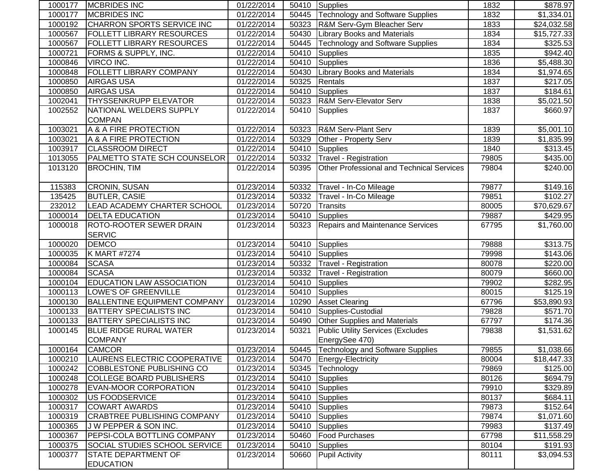| 1000177 | <b>IMCBRIDES INC</b>                | 01/22/2014 |       | 50410 Supplies                                   | 1832  | \$878.97               |
|---------|-------------------------------------|------------|-------|--------------------------------------------------|-------|------------------------|
| 1000177 | <b>MCBRIDES INC</b>                 | 01/22/2014 | 50445 | Technology and Software Supplies                 | 1832  | \$1,334.01             |
| 1000192 | CHARRON SPORTS SERVICE INC          | 01/22/2014 | 50323 | R&M Serv-Gym Bleacher Serv                       | 1833  | \$24,032.58            |
| 1000567 | <b>FOLLETT LIBRARY RESOURCES</b>    | 01/22/2014 | 50430 | <b>Library Books and Materials</b>               | 1834  | \$15,727.33            |
| 1000567 | <b>FOLLETT LIBRARY RESOURCES</b>    | 01/22/2014 | 50445 | Technology and Software Supplies                 | 1834  | \$325.53               |
| 1000721 | FORMS & SUPPLY, INC.                | 01/22/2014 | 50410 | Supplies                                         | 1835  | \$942.40               |
| 1000846 | <b>VIRCO INC.</b>                   | 01/22/2014 | 50410 | Supplies                                         | 1836  | \$5,488.30             |
| 1000848 | FOLLETT LIBRARY COMPANY             | 01/22/2014 | 50430 | <b>Library Books and Materials</b>               | 1834  | \$1,974.65             |
| 1000850 | <b>AIRGAS USA</b>                   | 01/22/2014 | 50325 | Rentals                                          | 1837  | \$217.05               |
| 1000850 | <b>AIRGAS USA</b>                   | 01/22/2014 | 50410 | Supplies                                         | 1837  | \$184.61               |
| 1002041 | THYSSENKRUPP ELEVATOR               | 01/22/2014 | 50323 | <b>R&amp;M Serv-Elevator Serv</b>                | 1838  | \$5,021.50             |
| 1002552 | NATIONAL WELDERS SUPPLY             | 01/22/2014 | 50410 | <b>Supplies</b>                                  | 1837  | \$660.97               |
|         | <b>COMPAN</b>                       |            |       |                                                  |       |                        |
| 1003021 | A & A FIRE PROTECTION               | 01/22/2014 | 50323 | <b>R&amp;M Serv-Plant Serv</b>                   | 1839  | \$5,001.10             |
| 1003021 | A & A FIRE PROTECTION               | 01/22/2014 | 50329 | Other - Property Serv                            | 1839  | \$1,835.99             |
| 1003917 | <b>CLASSROOM DIRECT</b>             | 01/22/2014 | 50410 | Supplies                                         | 1840  | \$313.45               |
| 1013055 | <b>PALMETTO STATE SCH COUNSELOR</b> | 01/22/2014 | 50332 | Travel - Registration                            | 79805 | \$435.00               |
| 1013120 | <b>BROCHIN, TIM</b>                 | 01/22/2014 | 50395 | <b>Other Professional and Technical Services</b> | 79804 | \$240.00               |
|         |                                     |            |       |                                                  |       |                        |
| 115383  | <b>CRONIN, SUSAN</b>                | 01/23/2014 | 50332 | Travel - In-Co Mileage                           | 79877 | $\overline{$}149.16$   |
| 135425  | <b>BUTLER, CASIE</b>                | 01/23/2014 | 50332 | Travel - In-Co Mileage                           | 79851 | \$102.27               |
| 232012  | LEAD ACADEMY CHARTER SCHOOL         | 01/23/2014 | 50720 | <b>Transits</b>                                  | 80005 | \$70,629.67            |
| 1000014 | <b>DELTA EDUCATION</b>              | 01/23/2014 | 50410 | Supplies                                         | 79887 | \$429.95               |
| 1000018 | ROTO-ROOTER SEWER DRAIN             | 01/23/2014 | 50323 | Repairs and Maintenance Services                 | 67795 | \$1,760.00             |
|         | <b>SERVIC</b>                       |            |       |                                                  |       |                        |
| 1000020 | <b>DEMCO</b>                        | 01/23/2014 | 50410 | Supplies                                         | 79888 | $\overline{$}313.75$   |
| 1000035 | K MART #7274                        | 01/23/2014 | 50410 | Supplies                                         | 79998 | $\overline{$}143.06$   |
| 1000084 | <b>SCASA</b>                        | 01/23/2014 | 50332 | Travel - Registration                            | 80078 | $\overline{$}220.00$   |
| 1000084 | <b>SCASA</b>                        | 01/23/2014 | 50332 | <b>Travel - Registration</b>                     | 80079 | \$660.00               |
| 1000104 | <b>EDUCATION LAW ASSOCIATION</b>    | 01/23/2014 | 50410 | <b>Supplies</b>                                  | 79902 | $\overline{$}282.95$   |
| 1000113 | LOWE'S OF GREENVILLE                | 01/23/2014 | 50410 | <b>Supplies</b>                                  | 80015 | \$125.19               |
| 1000130 | <b>BALLENTINE EQUIPMENT COMPANY</b> | 01/23/2014 | 10290 | <b>Asset Clearing</b>                            | 67796 | \$53,890.93            |
| 1000133 | <b>BATTERY SPECIALISTS INC</b>      | 01/23/2014 | 50410 | Supplies-Custodial                               | 79828 | \$571.70               |
| 1000133 | <b>BATTERY SPECIALISTS INC</b>      | 01/23/2014 | 50490 | <b>Other Supplies and Materials</b>              | 67797 | \$174.36               |
| 1000145 | <b>BLUE RIDGE RURAL WATER</b>       | 01/23/2014 | 50321 | <b>Public Utility Services (Excludes</b>         | 79838 | \$1,531.62             |
|         | <b>COMPANY</b>                      |            |       | EnergySee 470)                                   |       |                        |
| 1000164 | <b>CAMCOR</b>                       | 01/23/2014 |       | 50445 Technology and Software Supplies           | 79855 | \$1,038.66             |
| 1000210 | LAURENS ELECTRIC COOPERATIVE        | 01/23/2014 |       | 50470 Energy-Electricity                         | 80004 | \$18,447.33            |
| 1000242 | COBBLESTONE PUBLISHING CO           | 01/23/2014 | 50345 | Technology                                       | 79869 | \$125.00               |
| 1000248 | <b>COLLEGE BOARD PUBLISHERS</b>     | 01/23/2014 | 50410 | Supplies                                         | 80126 | \$694.79               |
| 1000278 | <b>EVAN-MOOR CORPORATION</b>        | 01/23/2014 |       | 50410 Supplies                                   | 79910 | \$329.89               |
| 1000302 | <b>US FOODSERVICE</b>               | 01/23/2014 |       | 50410 Supplies                                   | 80137 | \$684.11               |
| 1000317 | <b>COWART AWARDS</b>                | 01/23/2014 | 50410 | Supplies                                         | 79873 | \$152.64               |
| 1000319 | <b>CRABTREE PUBLISHING COMPANY</b>  | 01/23/2014 | 50410 | Supplies                                         | 79874 | \$1,071.60             |
| 1000365 | J W PEPPER & SON INC.               | 01/23/2014 | 50410 | Supplies                                         | 79983 | \$137.49               |
| 1000367 | PEPSI-COLA BOTTLING COMPANY         | 01/23/2014 | 50460 | <b>Food Purchases</b>                            | 67798 | \$11,558.29            |
|         |                                     |            |       |                                                  |       |                        |
| 1000375 | SOCIAL STUDIES SCHOOL SERVICE       | 01/23/2014 | 50410 | <b>Supplies</b>                                  | 80104 |                        |
| 1000377 | STATE DEPARTMENT OF                 | 01/23/2014 | 50660 | <b>Pupil Activity</b>                            | 80111 | \$191.93<br>\$3,094.53 |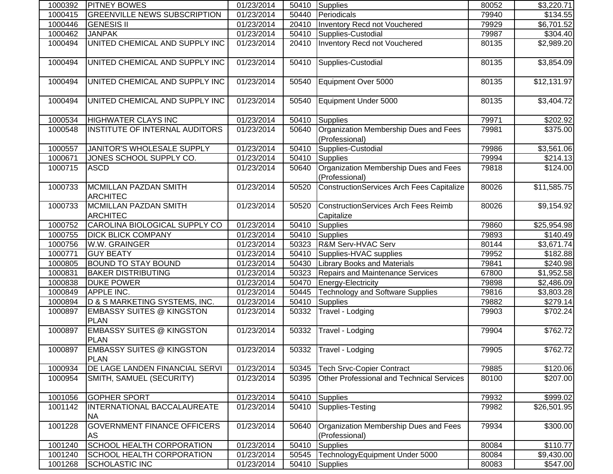| 1000392 | <b>PITNEY BOWES</b>                             | 01/23/2014 |       | 50410 Supplies                                          | 80052 | \$3,220.71  |
|---------|-------------------------------------------------|------------|-------|---------------------------------------------------------|-------|-------------|
| 1000415 | <b>GREENVILLE NEWS SUBSCRIPTION</b>             | 01/23/2014 | 50440 | Periodicals                                             | 79940 | \$134.55    |
| 1000446 | <b>GENESIS II</b>                               | 01/23/2014 | 20410 | Inventory Recd not Vouchered                            | 79929 | \$6,701.52  |
| 1000462 | <b>JANPAK</b>                                   | 01/23/2014 | 50410 | Supplies-Custodial                                      | 79987 | \$304.40    |
| 1000494 | UNITED CHEMICAL AND SUPPLY INC                  | 01/23/2014 | 20410 | <b>Inventory Recd not Vouchered</b>                     | 80135 | \$2,989.20  |
| 1000494 | UNITED CHEMICAL AND SUPPLY INC                  | 01/23/2014 | 50410 | Supplies-Custodial                                      | 80135 | \$3,854.09  |
| 1000494 | UNITED CHEMICAL AND SUPPLY INC                  | 01/23/2014 | 50540 | Equipment Over 5000                                     | 80135 | \$12,131.97 |
| 1000494 | UNITED CHEMICAL AND SUPPLY INC                  | 01/23/2014 | 50540 | Equipment Under 5000                                    | 80135 | \$3,404.72  |
| 1000534 | <b>HIGHWATER CLAYS INC</b>                      | 01/23/2014 | 50410 | <b>Supplies</b>                                         | 79971 | \$202.92    |
| 1000548 | INSTITUTE OF INTERNAL AUDITORS                  | 01/23/2014 | 50640 | Organization Membership Dues and Fees<br>(Professional) | 79981 | \$375.00    |
| 1000557 | JANITOR'S WHOLESALE SUPPLY                      | 01/23/2014 | 50410 | Supplies-Custodial                                      | 79986 | \$3,561.06  |
| 1000671 | JONES SCHOOL SUPPLY CO.                         | 01/23/2014 | 50410 | Supplies                                                | 79994 | \$214.13    |
| 1000715 | <b>ASCD</b>                                     | 01/23/2014 | 50640 | Organization Membership Dues and Fees<br>(Professional) | 79818 | \$124.00    |
| 1000733 | <b>MCMILLAN PAZDAN SMITH</b><br><b>ARCHITEC</b> | 01/23/2014 | 50520 | ConstructionServices Arch Fees Capitalize               | 80026 | \$11,585.75 |
| 1000733 | <b>MCMILLAN PAZDAN SMITH</b><br><b>ARCHITEC</b> | 01/23/2014 | 50520 | ConstructionServices Arch Fees Reimb<br>Capitalize      | 80026 | \$9,154.92  |
| 1000752 | CAROLINA BIOLOGICAL SUPPLY CO                   | 01/23/2014 | 50410 | Supplies                                                | 79860 | \$25,954.98 |
| 1000755 | <b>DICK BLICK COMPANY</b>                       | 01/23/2014 | 50410 | Supplies                                                | 79893 | \$140.49    |
| 1000756 | W.W. GRAINGER                                   | 01/23/2014 | 50323 | R&M Serv-HVAC Serv                                      | 80144 | \$3,671.74  |
| 1000771 | <b>GUY BEATY</b>                                | 01/23/2014 | 50410 | Supplies-HVAC supplies                                  | 79952 | \$182.88    |
| 1000805 | <b>BOUND TO STAY BOUND</b>                      | 01/23/2014 | 50430 | <b>Library Books and Materials</b>                      | 79841 | \$240.98    |
| 1000831 | <b>BAKER DISTRIBUTING</b>                       | 01/23/2014 | 50323 | <b>Repairs and Maintenance Services</b>                 | 67800 | \$1,952.58  |
| 1000838 | <b>DUKE POWER</b>                               | 01/23/2014 | 50470 | Energy-Electricity                                      | 79898 | \$2,486.09  |
| 1000849 | APPLE INC.                                      | 01/23/2014 | 50445 | <b>Technology and Software Supplies</b>                 | 79816 | \$3,803.28  |
| 1000894 | D & S MARKETING SYSTEMS, INC.                   | 01/23/2014 | 50410 | Supplies                                                | 79882 | \$279.14]   |
| 1000897 | <b>EMBASSY SUITES @ KINGSTON</b><br><b>PLAN</b> | 01/23/2014 | 50332 | Travel - Lodging                                        | 79903 | \$702.24    |
| 1000897 | <b>EMBASSY SUITES @ KINGSTON</b><br><b>PLAN</b> | 01/23/2014 | 50332 | Travel - Lodging                                        | 79904 | \$762.72    |
| 1000897 | <b>EMBASSY SUITES @ KINGSTON</b><br><b>PLAN</b> | 01/23/2014 |       | 50332 Travel - Lodging                                  | 79905 | \$762.72    |
| 1000934 | DE LAGE LANDEN FINANCIAL SERVI                  | 01/23/2014 | 50345 | <b>Tech Srvc-Copier Contract</b>                        | 79885 | \$120.06    |
| 1000954 | SMITH, SAMUEL (SECURITY)                        | 01/23/2014 | 50395 | Other Professional and Technical Services               | 80100 | \$207.00    |
| 1001056 | <b>GOPHER SPORT</b>                             | 01/23/2014 | 50410 | Supplies                                                | 79932 | \$999.02    |
| 1001142 | INTERNATIONAL BACCALAUREATE<br><b>NA</b>        | 01/23/2014 | 50410 | Supplies-Testing                                        | 79982 | \$26,501.95 |
| 1001228 | <b>GOVERNMENT FINANCE OFFICERS</b><br>AS        | 01/23/2014 | 50640 | Organization Membership Dues and Fees<br>(Professional) | 79934 | \$300.00    |
| 1001240 | <b>SCHOOL HEALTH CORPORATION</b>                | 01/23/2014 | 50410 | <b>Supplies</b>                                         | 80084 | \$110.77    |
| 1001240 | <b>SCHOOL HEALTH CORPORATION</b>                | 01/23/2014 | 50545 | TechnologyEquipment Under 5000                          | 80084 | \$9,430.00  |
| 1001268 | <b>SCHOLASTIC INC</b>                           | 01/23/2014 | 50410 | Supplies                                                | 80083 | \$547.00    |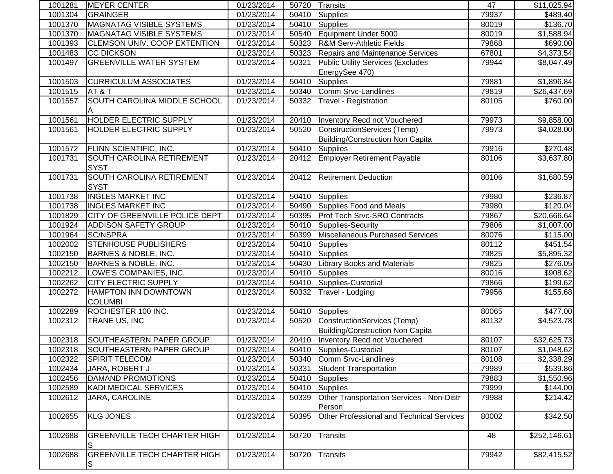| 1001281 | <b>IMEYER CENTER</b>                     | 01/23/2014              | 50720 | <b>Transits</b>                                     | 47    | \$11,025.94            |
|---------|------------------------------------------|-------------------------|-------|-----------------------------------------------------|-------|------------------------|
| 1001304 | <b>GRAINGER</b>                          | 01/23/2014              | 50410 | <b>Supplies</b>                                     | 79937 | \$489.40               |
| 1001370 | <b>MAGNATAG VISIBLE SYSTEMS</b>          | 01/23/2014              | 50410 | Supplies                                            | 80019 | \$136.70               |
| 1001370 | <b>MAGNATAG VISIBLE SYSTEMS</b>          | 01/23/2014              | 50540 | Equipment Under 5000                                | 80019 | $\overline{$1,588.94}$ |
| 1001393 | <b>CLEMSON UNIV. COOP EXTENTION</b>      | $\overline{01/23}/2014$ | 50323 | <b>R&amp;M Serv-Athletic Fields</b>                 | 79868 | \$690.00               |
| 1001483 | <b>CC DICKSON</b>                        | 01/23/2014              | 50323 | <b>Repairs and Maintenance Services</b>             | 67801 | \$4,373.54             |
| 1001497 | <b>GREENVILLE WATER SYSTEM</b>           | 01/23/2014              | 50321 | <b>Public Utility Services (Excludes</b>            | 79944 | \$8,047.49             |
|         |                                          |                         |       | EnergySee 470)                                      |       |                        |
| 1001503 | <b>CURRICULUM ASSOCIATES</b>             | 01/23/2014              | 50410 | <b>Supplies</b>                                     | 79881 | \$1,896.84             |
| 1001515 | AT&T                                     | 01/23/2014              | 50340 | Comm Srvc-Landlines                                 | 79819 | \$26,437.69            |
| 1001557 | SOUTH CAROLINA MIDDLE SCHOOL             | 01/23/2014              | 50332 | Travel - Registration                               | 80105 | \$760.00               |
| 1001561 | HOLDER ELECTRIC SUPPLY                   | 01/23/2014              | 20410 | Inventory Recd not Vouchered                        | 79973 | \$9,858.00             |
| 1001561 | HOLDER ELECTRIC SUPPLY                   | 01/23/2014              | 50520 | ConstructionServices (Temp)                         | 79973 | \$4,028.00             |
|         |                                          |                         |       | Building/Construction Non Capita                    |       |                        |
| 1001572 | FLINN SCIENTIFIC, INC.                   | 01/23/2014              | 50410 | Supplies                                            | 79916 | \$270.48               |
| 1001731 | <b>SOUTH CAROLINA RETIREMENT</b>         | 01/23/2014              | 20412 | <b>Employer Retirement Payable</b>                  | 80106 | \$3,637.80             |
|         | <b>SYST</b>                              |                         |       |                                                     |       |                        |
| 1001731 | SOUTH CAROLINA RETIREMENT                | 01/23/2014              | 20412 | <b>Retirement Deduction</b>                         | 80106 | \$1,680.59             |
|         | <b>SYST</b>                              |                         |       |                                                     |       |                        |
| 1001738 | <b>INGLES MARKET INC</b>                 | 01/23/2014              | 50410 | Supplies                                            | 79980 | \$236.87               |
| 1001738 | <b>INGLES MARKET INC</b>                 | 01/23/2014              | 50490 | Supplies Food and Meals                             | 79980 | \$120.04               |
| 1001829 | CITY OF GREENVILLE POLICE DEPT           | 01/23/2014              | 50395 | <b>Prof Tech Srvc-SRO Contracts</b>                 | 79867 | \$20,666.64            |
| 1001924 | <b>ADDISON SAFETY GROUP</b>              | 01/23/2014              | 50410 | Supplies-Security                                   | 79806 | \$1,007.00             |
| 1001964 | <b>SC/NSPRA</b>                          | 01/23/2014              | 50399 | Miscellaneous Purchased Services                    | 80076 | \$115.00               |
| 1002002 | STENHOUSE PUBLISHERS                     | 01/23/2014              | 50410 | Supplies                                            | 80112 | \$451.54               |
| 1002150 | <b>BARNES &amp; NOBLE, INC.</b>          | 01/23/2014              | 50410 | Supplies                                            | 79825 | \$5,895.32             |
| 1002150 | <b>BARNES &amp; NOBLE, INC.</b>          | 01/23/2014              | 50430 | <b>Library Books and Materials</b>                  | 79825 | \$276.05               |
| 1002212 | LOWE'S COMPANIES, INC.                   | 01/23/2014              | 50410 | <b>Supplies</b>                                     | 80016 | \$908.62               |
| 1002262 | <b>CITY ELECTRIC SUPPLY</b>              | 01/23/2014              | 50410 | Supplies-Custodial                                  | 79866 | \$199.62               |
| 1002272 | HAMPTON INN DOWNTOWN                     | 01/23/2014              | 50332 | Travel - Lodging                                    | 79956 | \$155.68               |
|         | <b>COLUMBI</b>                           |                         |       |                                                     |       |                        |
| 1002289 | ROCHESTER 100 INC.                       | 01/23/2014              | 50410 | Supplies                                            | 80065 | \$477.00               |
| 1002312 | TRANE US, INC                            | 01/23/2014              | 50520 | ConstructionServices (Temp)                         | 80132 | \$4,523.78             |
|         |                                          |                         |       | Building/Construction Non Capita                    |       |                        |
| 1002318 | SOUTHEASTERN PAPER GROUP                 | 01/23/2014              | 20410 | Inventory Recd not Vouchered                        | 80107 | \$32,625.73            |
| 1002318 | SOUTHEASTERN PAPER GROUP                 | 01/23/2014              |       | 50410 Supplies-Custodial                            | 80107 | \$1,048.62             |
| 1002322 | <b>SPIRIT TELECOM</b>                    | 01/23/2014              | 50340 | Comm Srvc-Landlines                                 | 80108 | \$2,338.29             |
| 1002434 | JARA, ROBERT J                           | 01/23/2014              | 50331 | <b>Student Transportation</b>                       | 79989 | \$539.86               |
| 1002456 | DAMAND PROMOTIONS                        | 01/23/2014              | 50410 | Supplies                                            | 79883 | \$1,550.96             |
| 1002589 | <b>KADI MEDICAL SERVICES</b>             | 01/23/2014              | 50410 | Supplies                                            | 79999 | \$144.00               |
| 1002612 | JARA, CAROLINE                           | 01/23/2014              | 50339 | Other Transportation Services - Non-Distr<br>Person | 79988 | \$214.42               |
| 1002655 | <b>KLG JONES</b>                         | 01/23/2014              | 50395 | Other Professional and Technical Services           | 80002 | \$342.50               |
| 1002688 | <b>GREENVILLE TECH CHARTER HIGH</b><br>S | 01/23/2014              | 50720 | <b>Transits</b>                                     | 48    | \$252,146.61           |
| 1002688 | <b>GREENVILLE TECH CHARTER HIGH</b><br>S | 01/23/2014              | 50720 | <b>Transits</b>                                     | 79942 | \$82,415.52            |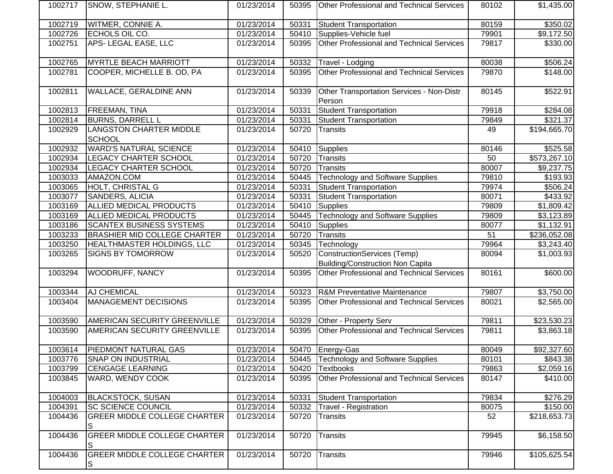| 1002717 | SNOW, STEPHANIE L.                       | 01/23/2014              | 50395 | <b>Other Professional and Technical Services</b>                       | 80102           | \$1,435.00               |
|---------|------------------------------------------|-------------------------|-------|------------------------------------------------------------------------|-----------------|--------------------------|
| 1002719 | WITMER, CONNIE A.                        | 01/23/2014              | 50331 | <b>Student Transportation</b>                                          | 80159           | \$350.02                 |
| 1002726 | ECHOLS OIL CO.                           | 01/23/2014              | 50410 | Supplies-Vehicle fuel                                                  | 79901           | $\overline{$9,172.50}$   |
| 1002751 | APS-LEGAL EASE, LLC                      | 01/23/2014              | 50395 | Other Professional and Technical Services                              | 79817           | \$330.00                 |
| 1002765 | <b>MYRTLE BEACH MARRIOTT</b>             | 01/23/2014              | 50332 | Travel - Lodging                                                       | 80038           | \$506.24                 |
| 1002781 | COOPER, MICHELLE B. OD, PA               | 01/23/2014              | 50395 | Other Professional and Technical Services                              | 79870           | \$148.00                 |
| 1002811 | WALLACE, GERALDINE ANN                   | 01/23/2014              | 50339 | Other Transportation Services - Non-Distr<br>Person                    | 80145           | \$522.91                 |
| 1002813 | <b>FREEMAN, TINA</b>                     | 01/23/2014              | 50331 | <b>Student Transportation</b>                                          | 79918           | \$284.08                 |
| 1002814 | <b>BURNS, DARRELL L</b>                  | 01/23/2014              | 50331 | <b>Student Transportation</b>                                          | 79849           | \$321.37                 |
| 1002929 | LANGSTON CHARTER MIDDLE<br><b>SCHOOL</b> | 01/23/2014              | 50720 | Transits                                                               | 49              | \$194,665.70             |
| 1002932 | <b>WARD'S NATURAL SCIENCE</b>            | 01/23/2014              | 50410 | Supplies                                                               | 80146           | \$525.58                 |
| 1002934 | LEGACY CHARTER SCHOOL                    | 01/23/2014              | 50720 | Transits                                                               | 50              | $\overline{$}573,267.10$ |
| 1002934 | LEGACY CHARTER SCHOOL                    | 01/23/2014              | 50720 | Transits                                                               | 80007           | \$9,237.75               |
| 1003033 | AMAZON.COM                               | 01/23/2014              | 50445 | <b>Technology and Software Supplies</b>                                | 79810           | \$193.93                 |
| 1003065 | HOLT, CHRISTAL G                         | 01/23/2014              | 50331 | <b>Student Transportation</b>                                          | 79974           | \$506.24                 |
| 1003077 | SANDERS, ALICIA                          | $\overline{01}/23/2014$ | 50331 | <b>Student Transportation</b>                                          | 80071           | \$433.92                 |
| 1003169 | <b>ALLIED MEDICAL PRODUCTS</b>           | 01/23/2014              | 50410 | <b>Supplies</b>                                                        | 79809           | \$1,809.42               |
| 1003169 | ALLIED MEDICAL PRODUCTS                  | 01/23/2014              | 50445 | <b>Technology and Software Supplies</b>                                | 79809           | \$3,123.89               |
| 1003186 | <b>SCANTEX BUSINESS SYSTEMS</b>          | 01/23/2014              | 50410 | Supplies                                                               | 80077           | \$1,132.91               |
| 1003233 | <b>BRASHIER MID COLLEGE CHARTER</b>      | 01/23/2014              | 50720 | Transits                                                               | $\overline{51}$ | \$236,052.08             |
| 1003250 | HEALTHMASTER HOLDINGS, LLC               | 01/23/2014              | 50345 | Technology                                                             | 79964           | \$3,243.40               |
| 1003265 | <b>SIGNS BY TOMORROW</b>                 | 01/23/2014              | 50520 | ConstructionServices (Temp)<br><b>Building/Construction Non Capita</b> | 80094           | \$1,003.93               |
| 1003294 | WOODRUFF, NANCY                          | 01/23/2014              | 50395 | Other Professional and Technical Services                              | 80161           | \$600.00                 |
| 1003344 | AJ CHEMICAL                              | 01/23/2014              | 50323 | <b>R&amp;M Preventative Maintenance</b>                                | 79807           | \$3,750.00               |
| 1003404 | <b>MANAGEMENT DECISIONS</b>              | 01/23/2014              | 50395 | Other Professional and Technical Services                              | 80021           | \$2,565.00               |
| 1003590 | AMERICAN SECURITY GREENVILLE             | $\overline{01/2}3/2014$ | 50329 | Other - Property Serv                                                  | 79811           | \$23,530.23              |
| 1003590 | AMERICAN SECURITY GREENVILLE             | 01/23/2014              | 50395 | Other Professional and Technical Services                              | 79811           | \$3,863.18               |
| 1003614 | PIEDMONT NATURAL GAS                     | 01/23/2014              |       | 50470 Energy-Gas                                                       | 80049           | \$92,327.60              |
| 1003776 | <b>SNAP ON INDUSTRIAL</b>                | 01/23/2014              | 50445 | Technology and Software Supplies                                       | 80101           | \$843.38                 |
| 1003799 | <b>CENGAGE LEARNING</b>                  | 01/23/2014              | 50420 | <b>Textbooks</b>                                                       | 79863           | \$2,059.16               |
| 1003845 | WARD, WENDY COOK                         | 01/23/2014              | 50395 | Other Professional and Technical Services                              | 80147           | \$410.00                 |
| 1004003 | <b>BLACKSTOCK, SUSAN</b>                 | 01/23/2014              | 50331 | Student Transportation                                                 | 79834           | \$276.29                 |
| 1004391 | SC SCIENCE COUNCIL                       | 01/23/2014              | 50332 | Travel - Registration                                                  | 80075           | \$150.00                 |
| 1004436 | <b>GREER MIDDLE COLLEGE CHARTER</b>      | 01/23/2014              | 50720 | Transits                                                               | 52              | \$218,653.73             |
| 1004436 | <b>GREER MIDDLE COLLEGE CHARTER</b><br>S | 01/23/2014              | 50720 | Transits                                                               | 79945           | \$6,158.50               |
| 1004436 | <b>GREER MIDDLE COLLEGE CHARTER</b><br>S | 01/23/2014              | 50720 | Transits                                                               | 79946           | \$105,625.54             |
|         |                                          |                         |       |                                                                        |                 |                          |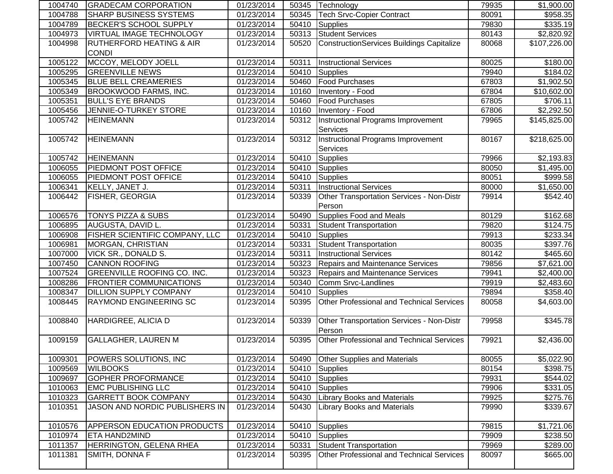| 1004740 | <b>GRADECAM CORPORATION</b>         | 01/23/2014 | 50345 | Technology                                       | 79935 | \$1,900.00             |
|---------|-------------------------------------|------------|-------|--------------------------------------------------|-------|------------------------|
| 1004788 | <b>SHARP BUSINESS SYSTEMS</b>       | 01/23/2014 | 50345 | <b>Tech Srvc-Copier Contract</b>                 | 80091 | \$958.35               |
| 1004789 | <b>BECKER'S SCHOOL SUPPLY</b>       | 01/23/2014 | 50410 | Supplies                                         | 79830 | \$335.19               |
| 1004973 | VIRTUAL IMAGE TECHNOLOGY            | 01/23/2014 | 50313 | <b>Student Services</b>                          | 80143 | $\overline{$2,820.92}$ |
| 1004998 | <b>RUTHERFORD HEATING &amp; AIR</b> | 01/23/2014 | 50520 | <b>ConstructionServices Buildings Capitalize</b> | 80068 | \$107,226.00           |
|         | <b>CONDI</b>                        |            |       |                                                  |       |                        |
| 1005122 | MCCOY, MELODY JOELL                 | 01/23/2014 | 50311 | <b>Instructional Services</b>                    | 80025 | \$180.00               |
| 1005295 | <b>GREENVILLE NEWS</b>              | 01/23/2014 | 50410 | Supplies                                         | 79940 | \$184.02               |
| 1005345 | <b>BLUE BELL CREAMERIES</b>         | 01/23/2014 | 50460 | <b>Food Purchases</b>                            | 67803 | \$1,902.50             |
| 1005349 | <b>BROOKWOOD FARMS, INC.</b>        | 01/23/2014 | 10160 | Inventory - Food                                 | 67804 | \$10,602.00            |
| 1005351 | <b>BULL'S EYE BRANDS</b>            | 01/23/2014 | 50460 | <b>Food Purchases</b>                            | 67805 | \$706.11               |
| 1005456 | JENNIE-O-TURKEY STORE               | 01/23/2014 | 10160 | Inventory - Food                                 | 67806 | \$2,292.50             |
| 1005742 | <b>HEINEMANN</b>                    | 01/23/2014 | 50312 | Instructional Programs Improvement               | 79965 | \$145,825.00           |
|         |                                     |            |       | <b>Services</b>                                  |       |                        |
| 1005742 | <b>HEINEMANN</b>                    | 01/23/2014 | 50312 | <b>Instructional Programs Improvement</b>        | 80167 | \$218,625.00           |
|         |                                     |            |       | <b>Services</b>                                  |       |                        |
| 1005742 | <b>HEINEMANN</b>                    | 01/23/2014 | 50410 | Supplies                                         | 79966 | \$2,193.83             |
| 1006055 | PIEDMONT POST OFFICE                | 01/23/2014 | 50410 | Supplies                                         | 80050 | \$1,495.00             |
| 1006055 | PIEDMONT POST OFFICE                | 01/23/2014 | 50410 | Supplies                                         | 80051 | \$999.58               |
| 1006341 | KELLY, JANET J.                     | 01/23/2014 | 50311 | <b>Instructional Services</b>                    | 80000 | \$1,650.00             |
| 1006442 | <b>FISHER, GEORGIA</b>              | 01/23/2014 | 50339 | Other Transportation Services - Non-Distr        | 79914 | \$542.40               |
|         |                                     |            |       | Person                                           |       |                        |
| 1006576 | <b>TONYS PIZZA &amp; SUBS</b>       | 01/23/2014 | 50490 | Supplies Food and Meals                          | 80129 | \$162.68               |
| 1006895 | AUGUSTA, DAVID L.                   | 01/23/2014 | 50331 | <b>Student Transportation</b>                    | 79820 | \$124.75               |
| 1006908 | FISHER SCIENTIFIC COMPANY, LLC      | 01/23/2014 | 50410 | Supplies                                         | 79913 | \$233.34               |
| 1006981 | MORGAN, CHRISTIAN                   | 01/23/2014 | 50331 | <b>Student Transportation</b>                    | 80035 | \$397.76               |
| 1007000 | VICK SR., DONALD S.                 | 01/23/2014 | 50311 | <b>Instructional Services</b>                    | 80142 | \$465.60               |
| 1007450 | <b>CANNON ROOFING</b>               | 01/23/2014 | 50323 | <b>Repairs and Maintenance Services</b>          | 79856 | $\overline{$7,621.00}$ |
| 1007524 | <b>GREENVILLE ROOFING CO. INC.</b>  | 01/23/2014 | 50323 | Repairs and Maintenance Services                 | 79941 | \$2,400.00             |
| 1008286 | <b>FRONTIER COMMUNICATIONS</b>      | 01/23/2014 | 50340 | Comm Srvc-Landlines                              | 79919 | \$2,483.60             |
| 1008347 | <b>DILLION SUPPLY COMPANY</b>       | 01/23/2014 | 50410 | <b>Supplies</b>                                  | 79894 | \$358.40               |
| 1008445 | RAYMOND ENGINEERING SC              | 01/23/2014 | 50395 | Other Professional and Technical Services        | 80058 | \$4,603.00             |
|         |                                     |            |       |                                                  |       |                        |
| 1008840 | HARDIGREE, ALICIA D                 | 01/23/2014 | 50339 | Other Transportation Services - Non-Distr        | 79958 | \$345.78               |
|         |                                     |            |       | Person                                           |       |                        |
| 1009159 | <b>GALLAGHER, LAUREN M</b>          | 01/23/2014 | 50395 | Other Professional and Technical Services        | 79921 | \$2,436.00             |
|         |                                     |            |       |                                                  |       |                        |
| 1009301 | POWERS SOLUTIONS, INC               | 01/23/2014 | 50490 | <b>Other Supplies and Materials</b>              | 80055 | \$5,022.90             |
| 1009569 | <b>WILBOOKS</b>                     | 01/23/2014 | 50410 | Supplies                                         | 80154 | \$398.75               |
| 1009697 | <b>GOPHER PROFORMANCE</b>           | 01/23/2014 | 50410 | Supplies                                         | 79931 | \$544.02               |
| 1010063 | <b>EMC PUBLISHING LLC</b>           | 01/23/2014 | 50410 | Supplies                                         | 79906 | \$331.05               |
| 1010323 | <b>GARRETT BOOK COMPANY</b>         | 01/23/2014 | 50430 | <b>Library Books and Materials</b>               | 79925 | \$275.76               |
| 1010351 | JASON AND NORDIC PUBLISHERS IN      | 01/23/2014 | 50430 | <b>Library Books and Materials</b>               | 79990 | \$339.67               |
|         |                                     |            |       |                                                  |       |                        |
| 1010576 | APPERSON EDUCATION PRODUCTS         | 01/23/2014 | 50410 | Supplies                                         | 79815 | \$1,721.06             |
| 1010974 | ETA HAND2MIND                       | 01/23/2014 | 50410 | Supplies                                         | 79909 | \$238.50               |
| 1011357 | HERRINGTON, GELENA RHEA             | 01/23/2014 | 50331 | Student Transportation                           | 79969 | \$289.00               |
| 1011381 | SMITH, DONNA F                      | 01/23/2014 | 50395 | Other Professional and Technical Services        | 80097 | \$665.00               |
|         |                                     |            |       |                                                  |       |                        |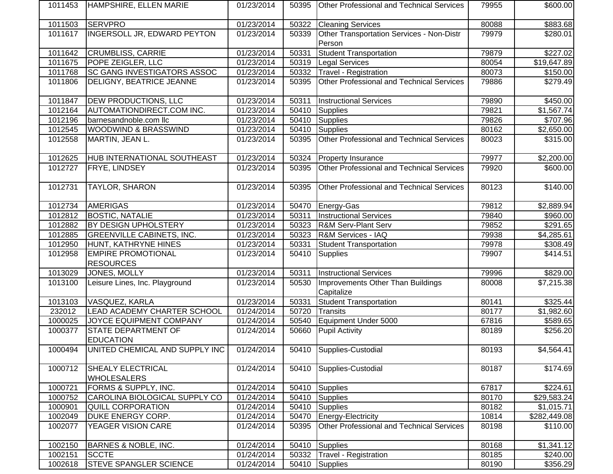| 1011453 | HAMPSHIRE, ELLEN MARIE                        | 01/23/2014 | 50395 | <b>Other Professional and Technical Services</b>    | 79955 | \$600.00             |
|---------|-----------------------------------------------|------------|-------|-----------------------------------------------------|-------|----------------------|
| 1011503 | <b>SERVPRO</b>                                | 01/23/2014 | 50322 | <b>Cleaning Services</b>                            | 80088 | \$883.68             |
| 1011617 | <b>INGERSOLL JR, EDWARD PEYTON</b>            | 01/23/2014 | 50339 | Other Transportation Services - Non-Distr<br>Person | 79979 | $\overline{$}280.01$ |
| 1011642 | <b>CRUMBLISS, CARRIE</b>                      | 01/23/2014 | 50331 | <b>Student Transportation</b>                       | 79879 | \$227.02             |
| 1011675 | POPE ZEIGLER, LLC                             | 01/23/2014 | 50319 | <b>Legal Services</b>                               | 80054 | \$19,647.89          |
| 1011768 | SC GANG INVESTIGATORS ASSOC                   | 01/23/2014 | 50332 | Travel - Registration                               | 80073 | \$150.00             |
| 1011806 | DELIGNY, BEATRICE JEANNE                      | 01/23/2014 | 50395 | Other Professional and Technical Services           | 79886 | \$279.49             |
| 1011847 | DEW PRODUCTIONS, LLC                          | 01/23/2014 | 50311 | <b>Instructional Services</b>                       | 79890 | \$450.00             |
| 1012164 | AUTOMATIONDIRECT.COM INC.                     | 01/23/2014 | 50410 | <b>Supplies</b>                                     | 79821 | \$1,567.74           |
| 1012196 | barnesandnoble.com llc                        | 01/23/2014 | 50410 | Supplies                                            | 79826 | \$707.96             |
| 1012545 | WOODWIND & BRASSWIND                          | 01/23/2014 | 50410 | <b>Supplies</b>                                     | 80162 | \$2,650.00           |
| 1012558 | MARTIN, JEAN L.                               | 01/23/2014 | 50395 | Other Professional and Technical Services           | 80023 | \$315.00             |
| 1012625 | HUB INTERNATIONAL SOUTHEAST                   | 01/23/2014 | 50324 | <b>Property Insurance</b>                           | 79977 | \$2,200.00           |
| 1012727 | <b>FRYE, LINDSEY</b>                          | 01/23/2014 | 50395 | Other Professional and Technical Services           | 79920 | \$600.00             |
| 1012731 | TAYLOR, SHARON                                | 01/23/2014 | 50395 | Other Professional and Technical Services           | 80123 | \$140.00             |
| 1012734 | <b>AMERIGAS</b>                               | 01/23/2014 | 50470 | Energy-Gas                                          | 79812 | \$2,889.94           |
| 1012812 | <b>BOSTIC, NATALIE</b>                        | 01/23/2014 | 50311 | <b>Instructional Services</b>                       | 79840 | \$960.00             |
| 1012882 | BY DESIGN UPHOLSTERY                          | 01/23/2014 | 50323 | <b>R&amp;M Serv-Plant Serv</b>                      | 79852 | \$291.65             |
| 1012885 | <b>GREENVILLE CABINETS, INC.</b>              | 01/23/2014 | 50323 | R&M Services - IAQ                                  | 79938 | \$4,285.61           |
| 1012950 | HUNT, KATHRYNE HINES                          | 01/23/2014 | 50331 | Student Transportation                              | 79978 | \$308.49             |
| 1012958 | <b>EMPIRE PROMOTIONAL</b><br><b>RESOURCES</b> | 01/23/2014 | 50410 | <b>Supplies</b>                                     | 79907 | \$414.51             |
| 1013029 | JONES, MOLLY                                  | 01/23/2014 | 50311 | <b>Instructional Services</b>                       | 79996 | \$829.00             |
| 1013100 | Leisure Lines, Inc. Playground                | 01/23/2014 | 50530 | Improvements Other Than Buildings<br>Capitalize     | 80008 | \$7,215.38           |
| 1013103 | VASQUEZ, KARLA                                | 01/23/2014 | 50331 | <b>Student Transportation</b>                       | 80141 | \$325.44]            |
| 232012  | LEAD ACADEMY CHARTER SCHOOL                   | 01/24/2014 | 50720 | Transits                                            | 80177 | \$1,982.60           |
| 1000025 | JOYCE EQUIPMENT COMPANY                       | 01/24/2014 | 50540 | Equipment Under 5000                                | 67816 | \$589.65             |
| 1000377 | STATE DEPARTMENT OF<br><b>EDUCATION</b>       | 01/24/2014 | 50660 | <b>Pupil Activity</b>                               | 80189 | \$256.20             |
| 1000494 | UNITED CHEMICAL AND SUPPLY INC                | 01/24/2014 |       | 50410 Supplies-Custodial                            | 80193 | \$4,564.41           |
| 1000712 | SHEALY ELECTRICAL<br><b>WHOLESALERS</b>       | 01/24/2014 | 50410 | Supplies-Custodial                                  | 80187 | \$174.69             |
| 1000721 | FORMS & SUPPLY, INC.                          | 01/24/2014 | 50410 | Supplies                                            | 67817 | \$224.61             |
| 1000752 | CAROLINA BIOLOGICAL SUPPLY CO                 | 01/24/2014 | 50410 | Supplies                                            | 80170 | \$29,583.24          |
| 1000901 | QUILL CORPORATION                             | 01/24/2014 | 50410 | Supplies                                            | 80182 | \$1,015.71           |
| 1002049 | DUKE ENERGY CORP.                             | 01/24/2014 | 50470 | Energy-Electricity                                  | 10814 | \$282,449.08         |
| 1002077 | YEAGER VISION CARE                            | 01/24/2014 | 50395 | Other Professional and Technical Services           | 80198 | \$110.00             |
| 1002150 | BARNES & NOBLE, INC.                          | 01/24/2014 | 50410 | <b>Supplies</b>                                     | 80168 | \$1,341.12           |
| 1002151 | <b>SCCTE</b>                                  | 01/24/2014 | 50332 | Travel - Registration                               | 80185 | \$240.00             |
| 1002618 | <b>STEVE SPANGLER SCIENCE</b>                 | 01/24/2014 | 50410 | Supplies                                            | 80190 | \$356.29             |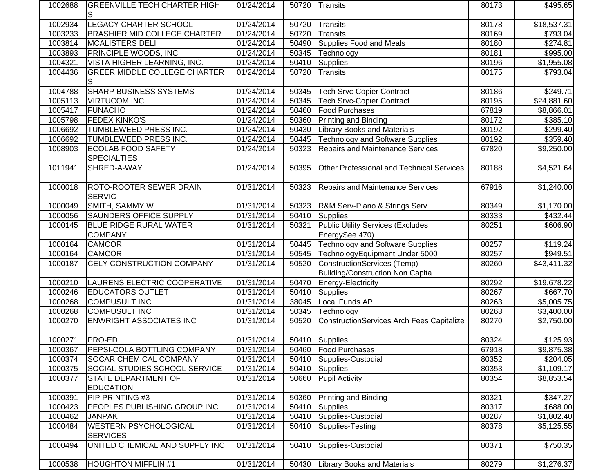| 1002688 | IGREENVILLE TECH CHARTER HIGH<br>S       | 01/24/2014              | 50720 | <b>Transits</b>                                  | 80173 | \$495.65                |
|---------|------------------------------------------|-------------------------|-------|--------------------------------------------------|-------|-------------------------|
| 1002934 | <b>LEGACY CHARTER SCHOOL</b>             | 01/24/2014              | 50720 | Transits                                         | 80178 | \$18,537.31             |
| 1003233 | <b>BRASHIER MID COLLEGE CHARTER</b>      | 01/24/2014              | 50720 | Transits                                         | 80169 | \$793.04                |
| 1003814 | <b>MCALISTERS DELI</b>                   | $\overline{01}/24/2014$ | 50490 | Supplies Food and Meals                          | 80180 | \$274.81                |
| 1003893 | PRINCIPLE WOODS, INC                     | 01/24/2014              | 50345 | Technology                                       | 80181 | \$995.00                |
| 1004321 | VISTA HIGHER LEARNING, INC.              | 01/24/2014              | 50410 | Supplies                                         | 80196 | \$1,955.08              |
| 1004436 | <b>GREER MIDDLE COLLEGE CHARTER</b>      | 01/24/2014              | 50720 | Transits                                         | 80175 | \$793.04                |
|         | S                                        |                         |       |                                                  |       |                         |
| 1004788 | <b>SHARP BUSINESS SYSTEMS</b>            | 01/24/2014              | 50345 | Tech Srvc-Copier Contract                        | 80186 | \$249.71                |
| 1005113 | VIRTUCOM INC.                            | 01/24/2014              | 50345 | <b>Tech Srvc-Copier Contract</b>                 | 80195 | \$24,881.60             |
| 1005417 | <b>FUNACHO</b>                           | 01/24/2014              | 50460 | <b>Food Purchases</b>                            | 67819 | \$8,866.01              |
| 1005798 | <b>FEDEX KINKO'S</b>                     | 01/24/2014              | 50360 | <b>Printing and Binding</b>                      | 80172 | \$385.10                |
| 1006692 | TUMBLEWEED PRESS INC.                    | 01/24/2014              | 50430 | <b>Library Books and Materials</b>               | 80192 | \$299.40                |
| 1006692 | TUMBLEWEED PRESS INC.                    | 01/24/2014              | 50445 | <b>Technology and Software Supplies</b>          | 80192 | \$359.40                |
| 1008903 | <b>ECOLAB FOOD SAFETY</b>                | 01/24/2014              | 50323 | Repairs and Maintenance Services                 | 67820 | \$9,250.00              |
|         | <b>SPECIALTIES</b>                       |                         |       |                                                  |       |                         |
| 1011941 | SHRED-A-WAY                              | 01/24/2014              | 50395 | <b>Other Professional and Technical Services</b> | 80188 | \$4,521.64              |
| 1000018 | ROTO-ROOTER SEWER DRAIN<br><b>SERVIC</b> | 01/31/2014              | 50323 | Repairs and Maintenance Services                 | 67916 | \$1,240.00              |
| 1000049 | SMITH, SAMMY W                           | 01/31/2014              | 50323 | R&M Serv-Piano & Strings Serv                    | 80349 | \$1,170.00              |
| 1000056 | <b>SAUNDERS OFFICE SUPPLY</b>            | 01/31/2014              | 50410 | Supplies                                         | 80333 | \$432.44                |
| 1000145 | <b>BLUE RIDGE RURAL WATER</b>            | 01/31/2014              | 50321 | <b>Public Utility Services (Excludes</b>         | 80251 | \$606.90                |
|         | <b>COMPANY</b>                           |                         |       | EnergySee 470)                                   |       |                         |
| 1000164 | <b>CAMCOR</b>                            | 01/31/2014              | 50445 | <b>Technology and Software Supplies</b>          | 80257 | \$119.24                |
| 1000164 | <b>CAMCOR</b>                            | 01/31/2014              | 50545 | TechnologyEquipment Under 5000                   | 80257 | \$949.51                |
| 1000187 | CELY CONSTRUCTION COMPANY                | 01/31/2014              | 50520 | <b>ConstructionServices (Temp)</b>               | 80260 | $$43,411.\overline{32}$ |
|         |                                          |                         |       | Building/Construction Non Capita                 |       |                         |
| 1000210 | LAURENS ELECTRIC COOPERATIVE             | 01/31/2014              | 50470 | Energy-Electricity                               | 80292 | \$19,678.22             |
| 1000246 | <b>EDUCATORS OUTLET</b>                  | 01/31/2014              | 50410 | Supplies                                         | 80267 | \$667.70                |
| 1000268 | <b>COMPUSULT INC</b>                     | 01/31/2014              | 38045 | Local Funds AP                                   | 80263 | \$5,005.75              |
| 1000268 | <b>COMPUSULT INC</b>                     | 01/31/2014              | 50345 | Technology                                       | 80263 | \$3,400.00              |
| 1000270 | <b>ENWRIGHT ASSOCIATES INC</b>           | 01/31/2014              | 50520 | ConstructionServices Arch Fees Capitalize        | 80270 | \$2,750.00              |
| 1000271 | PRO-ED                                   | $\overline{01/31}/2014$ |       | 50410 Supplies                                   | 80324 | \$125.93                |
| 1000367 | PEPSI-COLA BOTTLING COMPANY              | 01/31/2014              |       | 50460   Food Purchases                           | 67918 | \$9,875.38              |
| 1000374 | <b>SOCAR CHEMICAL COMPANY</b>            | 01/31/2014              | 50410 | Supplies-Custodial                               | 80352 | \$204.05                |
| 1000375 | <b>SOCIAL STUDIES SCHOOL SERVICE</b>     | 01/31/2014              | 50410 | Supplies                                         | 80353 | \$1,109.17              |
| 1000377 | <b>STATE DEPARTMENT OF</b>               | 01/31/2014              | 50660 | Pupil Activity                                   | 80354 | \$8,853.54              |
|         | <b>EDUCATION</b>                         |                         |       |                                                  |       |                         |
| 1000391 | PIP PRINTING #3                          | 01/31/2014              | 50360 | <b>Printing and Binding</b>                      | 80321 | \$347.27                |
| 1000423 | PEOPLES PUBLISHING GROUP INC             | 01/31/2014              | 50410 | Supplies                                         | 80317 | \$688.00                |
| 1000462 | <b>JANPAK</b>                            | 01/31/2014              | 50410 | Supplies-Custodial                               | 80287 | \$1,802.40              |
| 1000484 | <b>WESTERN PSYCHOLOGICAL</b>             | 01/31/2014              | 50410 | Supplies-Testing                                 | 80378 | \$5,125.55              |
|         | <b>SERVICES</b>                          |                         |       |                                                  |       |                         |
| 1000494 | UNITED CHEMICAL AND SUPPLY INC           | 01/31/2014              | 50410 | Supplies-Custodial                               | 80371 | \$750.35                |
| 1000538 | <b>HOUGHTON MIFFLIN #1</b>               | 01/31/2014              | 50430 | <b>Library Books and Materials</b>               | 80279 | \$1,276.37              |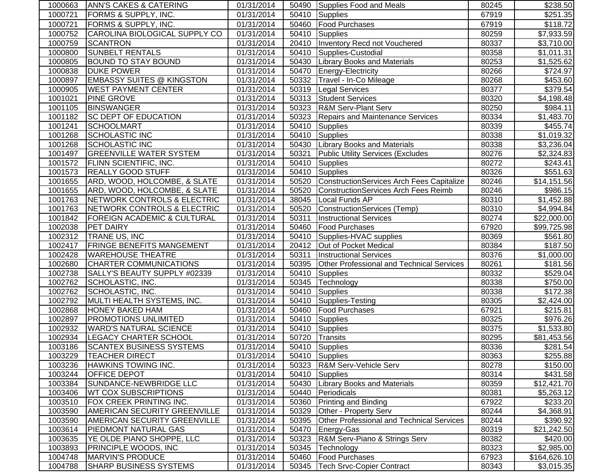| 1000663 | ANN'S CAKES & CATERING                 | 01/31/2014              |       | 50490 Supplies Food and Meals                    | 80245 | \$238.50               |
|---------|----------------------------------------|-------------------------|-------|--------------------------------------------------|-------|------------------------|
| 1000721 | FORMS & SUPPLY, INC.                   | 01/31/2014              | 50410 | <b>Supplies</b>                                  | 67919 | $\overline{$}251.35$   |
| 1000721 | FORMS & SUPPLY, INC.                   | 01/31/2014              | 50460 | <b>Food Purchases</b>                            | 67919 | \$118.72               |
| 1000752 | CAROLINA BIOLOGICAL SUPPLY CO          | 01/31/2014              | 50410 | Supplies                                         | 80259 | $\overline{$7,933.59}$ |
| 1000759 | <b>SCANTRON</b>                        | 01/31/2014              | 20410 | Inventory Recd not Vouchered                     | 80337 | \$3,710.00             |
| 1000800 | <b>SUNBELT RENTALS</b>                 | 01/31/2014              | 50410 | Supplies-Custodial                               | 80358 | \$1,011.31             |
| 1000805 | <b>BOUND TO STAY BOUND</b>             | 01/31/2014              | 50430 | <b>Library Books and Materials</b>               | 80253 | \$1,525.62             |
| 1000838 | <b>DUKE POWER</b>                      | $\overline{01/31}/2014$ | 50470 | Energy-Electricity                               | 80266 | \$724.97               |
| 1000897 | <b>EMBASSY SUITES @ KINGSTON</b>       | 01/31/2014              | 50332 | Travel - In-Co Mileage                           | 80268 | \$453.60               |
| 1000905 | <b>WEST PAYMENT CENTER</b>             | 01/31/2014              | 50319 | <b>Legal Services</b>                            | 80377 | \$379.54               |
| 1001021 | <b>PINE GROVE</b>                      | 01/31/2014              | 50313 | <b>Student Services</b>                          | 80320 | \$4,198.48             |
| 1001105 | <b>BINSWANGER</b>                      | 01/31/2014              | 50323 | <b>R&amp;M Serv-Plant Serv</b>                   | 80250 | \$984.11               |
| 1001182 | <b>SC DEPT OF EDUCATION</b>            | 01/31/2014              | 50323 | <b>Repairs and Maintenance Services</b>          | 80334 | \$1,483.70             |
| 1001241 | <b>SCHOOLMART</b>                      | 01/31/2014              | 50410 | <b>Supplies</b>                                  | 80339 | \$455.74               |
| 1001268 | SCHOLASTIC INC                         | 01/31/2014              | 50410 | <b>Supplies</b>                                  | 80338 | \$1,019.32             |
| 1001268 | <b>SCHOLASTIC INC</b>                  | 01/31/2014              | 50430 | <b>Library Books and Materials</b>               | 80338 | \$3,236.04             |
| 1001497 | <b>GREENVILLE WATER SYSTEM</b>         | 01/31/2014              | 50321 | <b>Public Utility Services (Excludes</b>         | 80276 | \$2,324.83             |
| 1001572 | <b>FLINN SCIENTIFIC, INC.</b>          | 01/31/2014              | 50410 | Supplies                                         | 80272 | \$243.41               |
| 1001573 | <b>REALLY GOOD STUFF</b>               | 01/31/2014              | 50410 | Supplies                                         | 80326 | \$551.63               |
| 1001655 | ARD, WOOD, HOLCOMBE, & SLATE           | 01/31/2014              | 50520 | ConstructionServices Arch Fees Capitalize        | 80246 | \$14,151.56            |
| 1001655 | ARD, WOOD, HOLCOMBE, & SLATE           | 01/31/2014              | 50520 | ConstructionServices Arch Fees Reimb             | 80246 | \$986.15               |
| 1001763 | NETWORK CONTROLS & ELECTRIC            | 01/31/2014              | 38045 | Local Funds AP                                   | 80310 | \$1,452.88             |
| 1001763 | NETWORK CONTROLS & ELECTRIC            | 01/31/2014              | 50520 | ConstructionServices (Temp)                      | 80310 | \$4,994.84             |
| 1001842 | <b>FOREIGN ACADEMIC &amp; CULTURAL</b> | 01/31/2014              | 50311 | <b>Instructional Services</b>                    | 80274 | \$22,000.00            |
| 1002038 | <b>PET DAIRY</b>                       | 01/31/2014              | 50460 | <b>Food Purchases</b>                            | 67920 | \$99,725.98            |
| 1002312 | TRANE US, INC                          | 01/31/2014              | 50410 | Supplies-HVAC supplies                           | 80369 | \$561.80               |
| 1002417 | <b>FRINGE BENEFITS MANGEMENT</b>       | 01/31/2014              | 20412 | Out of Pocket Medical                            | 80384 | \$187.50               |
| 1002428 | <b>WAREHOUSE THEATRE</b>               | 01/31/2014              | 50311 | <b>Instructional Services</b>                    | 80376 | \$1,000.00             |
| 1002680 | <b>CHARTER COMMUNICATIONS</b>          | 01/31/2014              | 50395 | Other Professional and Technical Services        | 80261 | \$181.56               |
| 1002738 | SALLY'S BEAUTY SUPPLY #02339           | 01/31/2014              | 50410 | <b>Supplies</b>                                  | 80332 | \$529.04               |
| 1002762 | SCHOLASTIC, INC.                       | 01/31/2014              | 50345 | Technology                                       | 80338 | \$750.00               |
| 1002762 | SCHOLASTIC, INC.                       | 01/31/2014              | 50410 | <b>Supplies</b>                                  | 80338 | \$172.38               |
| 1002792 | MULTI HEALTH SYSTEMS, INC.             | 01/31/2014              | 50410 | Supplies-Testing                                 | 80305 | \$2,424.00             |
| 1002868 | HONEY BAKED HAM                        | 01/31/2014              | 50460 | <b>Food Purchases</b>                            | 67921 | \$215.81               |
| 1002897 | PROMOTIONS UNLIMITED                   | 01/31/2014              | 50410 | <b>Supplies</b>                                  | 80325 | \$976.26               |
| 1002932 | <b>WARD'S NATURAL SCIENCE</b>          | 01/31/2014              | 50410 | <b>Supplies</b>                                  | 80375 | \$1,533.80             |
| 1002934 | <b>LEGACY CHARTER SCHOOL</b>           | 01/31/2014              | 50720 | Transits                                         | 80295 | \$81,453.56            |
| 1003186 | <b>SCANTEX BUSINESS SYSTEMS</b>        | 01/31/2014              |       | 50410 Supplies                                   | 80336 | \$281.54               |
| 1003229 | <b>TEACHER DIRECT</b>                  | 01/31/2014              | 50410 | Supplies                                         | 80363 | \$255.88               |
| 1003236 | HAWKINS TOWING INC.                    | 01/31/2014              | 50323 | R&M Serv-Vehicle Serv                            | 80278 | \$150.00               |
| 1003244 | <b>OFFICE DEPOT</b>                    | 01/31/2014              | 50410 | Supplies                                         | 80314 | \$431.58               |
| 1003384 | SUNDANCE-NEWBRIDGE LLC                 | 01/31/2014              | 50430 | <b>Library Books and Materials</b>               | 80359 | \$12,421.70            |
| 1003406 | <b>WT COX SUBSCRIPTIONS</b>            | 01/31/2014              | 50440 | Periodicals                                      | 80381 | \$5,263.12             |
| 1003510 | FOX CREEK PRINTING INC.                | 01/31/2014              | 50360 | <b>Printing and Binding</b>                      | 67922 | \$233.20               |
| 1003590 | AMERICAN SECURITY GREENVILLE           | 01/31/2014              | 50329 | Other - Property Serv                            | 80244 | \$4,368.91             |
| 1003590 | <b>AMERICAN SECURITY GREENVILLE</b>    | 01/31/2014              | 50395 | <b>Other Professional and Technical Services</b> | 80244 | \$390.92               |
| 1003614 | PIEDMONT NATURAL GAS                   | 01/31/2014              | 50470 | Energy-Gas                                       | 80319 | \$21,242.50            |
| 1003635 | YE OLDE PIANO SHOPPE, LLC              | 01/31/2014              | 50323 | R&M Serv-Piano & Strings Serv                    | 80382 | \$420.00               |
| 1003893 | PRINCIPLE WOODS, INC                   | 01/31/2014              | 50345 | Technology                                       | 80323 | \$2,985.00             |
| 1004748 | <b>MARVIN'S PRODUCE</b>                | 01/31/2014              | 50460 | <b>Food Purchases</b>                            | 67923 | \$164,626.10           |
| 1004788 | SHARP BUSINESS SYSTEMS                 | 01/31/2014              | 50345 | Tech Srvc-Copier Contract                        | 80343 | \$3,015.35             |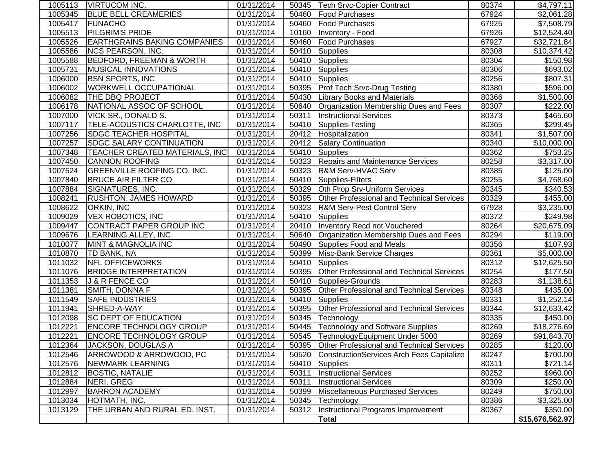| 1005113 | <b>IVIRTUCOM INC.</b>                 | 01/31/2014 |       | 50345   Tech Srvc-Copier Contract                | 80374 | \$4,797.11      |
|---------|---------------------------------------|------------|-------|--------------------------------------------------|-------|-----------------|
| 1005345 | <b>BLUE BELL CREAMERIES</b>           | 01/31/2014 | 50460 | Food Purchases                                   | 67924 | \$2,061.28      |
| 1005417 | FUNACHO                               | 01/31/2014 | 50460 | <b>Food Purchases</b>                            | 67925 | \$7,508.79      |
| 1005513 | <b>PILGRIM'S PRIDE</b>                | 01/31/2014 | 10160 | Inventory - Food                                 | 67926 | \$12,524.40     |
| 1005526 | <b>EARTHGRAINS BAKING COMPANIES</b>   | 01/31/2014 | 50460 | <b>Food Purchases</b>                            | 67927 | \$32,721.84     |
| 1005586 | <b>NCS PEARSON, INC.</b>              | 01/31/2014 | 50410 | Supplies                                         | 80308 | \$10,374.42     |
| 1005588 | <b>BEDFORD, FREEMAN &amp; WORTH</b>   | 01/31/2014 | 50410 | Supplies                                         | 80304 | \$150.98        |
| 1005731 | <b>MUSICAL INNOVATIONS</b>            | 01/31/2014 | 50410 | Supplies                                         | 80306 | \$693.02        |
| 1006000 | <b>BSN SPORTS, INC</b>                | 01/31/2014 | 50410 | Supplies                                         | 80256 | \$807.31        |
| 1006002 | <b>WORKWELL OCCUPATIONAL</b>          | 01/31/2014 | 50395 | <b>Prof Tech Srvc-Drug Testing</b>               | 80380 | \$596.00        |
| 1006082 | THE DBQ PROJECT                       | 01/31/2014 | 50430 | <b>Library Books and Materials</b>               | 80366 | \$1,500.00      |
| 1006178 | NATIONAL ASSOC OF SCHOOL              | 01/31/2014 | 50640 | Organization Membership Dues and Fees            | 80307 | \$222.00        |
| 1007000 | VICK SR., DONALD S.                   | 01/31/2014 | 50311 | <b>Instructional Services</b>                    | 80373 | \$465.60        |
| 1007117 | TELE-ACOUSTICS CHARLOTTE, INC         | 01/31/2014 | 50410 | Supplies-Testing                                 | 80365 | \$299.45        |
| 1007256 | <b>SDGC TEACHER HOSPITAL</b>          | 01/31/2014 | 20412 | Hospitalization                                  | 80341 | \$1,507.00      |
| 1007257 | <b>SDGC SALARY CONTINUATION</b>       | 01/31/2014 | 20412 | <b>Salary Continuation</b>                       | 80340 | \$10,000.00     |
| 1007348 | <b>TEACHER CREATED MATERIALS, INC</b> | 01/31/2014 | 50410 | <b>Supplies</b>                                  | 80362 | \$753.25        |
| 1007450 | <b>CANNON ROOFING</b>                 | 01/31/2014 | 50323 | <b>Repairs and Maintenance Services</b>          | 80258 | \$3,317.00      |
| 1007524 | <b>GREENVILLE ROOFING CO. INC.</b>    | 01/31/2014 | 50323 | <b>R&amp;M Serv-HVAC Serv</b>                    | 80385 | \$125.00        |
| 1007840 | <b>BRUCE AIR FILTER CO</b>            | 01/31/2014 | 50410 | Supplies-Filters                                 | 80255 | \$4,768.60      |
| 1007884 | SIGNATURES, INC.                      | 01/31/2014 | 50329 | Oth Prop Srv-Uniform Services                    | 80345 | \$340.53        |
| 1008241 | <b>RUSHTON, JAMES HOWARD</b>          | 01/31/2014 | 50395 | Other Professional and Technical Services        | 80329 | \$455.00        |
| 1008622 | ORKIN, INC                            | 01/31/2014 | 50323 | <b>R&amp;M Serv-Pest Control Serv</b>            | 67928 | \$3,235.00      |
| 1009029 | <b>VEX ROBOTICS, INC</b>              | 01/31/2014 | 50410 | <b>Supplies</b>                                  | 80372 | \$249.98        |
| 1009447 | CONTRACT PAPER GROUP INC              | 01/31/2014 | 20410 | <b>Inventory Recd not Vouchered</b>              | 80264 | \$20,675.09     |
| 1009676 | LEARNING ALLEY, INC                   | 01/31/2014 | 50640 | Organization Membership Dues and Fees            | 80294 | \$119.00        |
| 1010077 | <b>MINT &amp; MAGNOLIA INC</b>        | 01/31/2014 | 50490 | Supplies Food and Meals                          | 80356 | \$107.93        |
| 1010870 | TD BANK, NA                           | 01/31/2014 | 50399 | Misc-Bank Service Charges                        | 80361 | \$5,000.00      |
| 1011032 | <b>NFL OFFICEWORKS</b>                | 01/31/2014 | 50410 | Supplies                                         | 80312 | \$12,625.50     |
| 1011076 | <b>BRIDGE INTERPRETATION</b>          | 01/31/2014 | 50395 | Other Professional and Technical Services        | 80254 | \$177.50        |
| 1011353 | J & R FENCE CO                        | 01/31/2014 | 50410 | Supplies-Grounds                                 | 80283 | \$1,138.61      |
| 1011381 | SMITH, DONNA F                        | 01/31/2014 | 50395 | Other Professional and Technical Services        | 80348 | \$435.00        |
| 1011549 | <b>SAFE INDUSTRIES</b>                | 01/31/2014 | 50410 | Supplies                                         | 80331 | \$1,252.14      |
| 1011941 | SHRED-A-WAY                           | 01/31/2014 | 50395 | Other Professional and Technical Services        | 80344 | \$12,633.42     |
| 1012098 | SC DEPT OF EDUCATION                  | 01/31/2014 | 50345 | Technology                                       | 80335 | \$450.00        |
| 1012221 | <b>ENCORE TECHNOLOGY GROUP</b>        | 01/31/2014 | 50445 | Technology and Software Supplies                 | 80269 | \$18,276.69     |
| 1012221 | <b>ENCORE TECHNOLOGY GROUP</b>        | 01/31/2014 | 50545 | TechnologyEquipment Under 5000                   | 80269 | \$91,843.70     |
| 1012364 | JACKSON, DOUGLAS A                    | 01/31/2014 | 50395 | <b>Other Professional and Technical Services</b> | 80285 | \$120.00        |
| 1012546 | ARROWOOD & ARROWOOD, PC               | 01/31/2014 | 50520 | ConstructionServices Arch Fees Capitalize        | 80247 | \$700.00        |
| 1012576 | NEWMARK LEARNING                      | 01/31/2014 | 50410 | Supplies                                         | 80311 | \$721.14        |
| 1012812 | <b>BOSTIC, NATALIE</b>                | 01/31/2014 | 50311 | <b>Instructional Services</b>                    | 80252 | \$960.00        |
| 1012884 | NERI, GREG                            | 01/31/2014 | 50311 | <b>Instructional Services</b>                    | 80309 | \$250.00        |
| 1012997 | <b>BARRON ACADEMY</b>                 | 01/31/2014 | 50399 | Miscellaneous Purchased Services                 | 80249 | \$750.00        |
| 1013034 | HOTMATH, INC.                         | 01/31/2014 | 50345 | Technology                                       | 80386 | \$3,325.00      |
| 1013129 | THE URBAN AND RURAL ED. INST.         | 01/31/2014 | 50312 | Instructional Programs Improvement               | 80367 | \$350.00        |
|         |                                       |            |       | Total                                            |       | \$15,676,562.97 |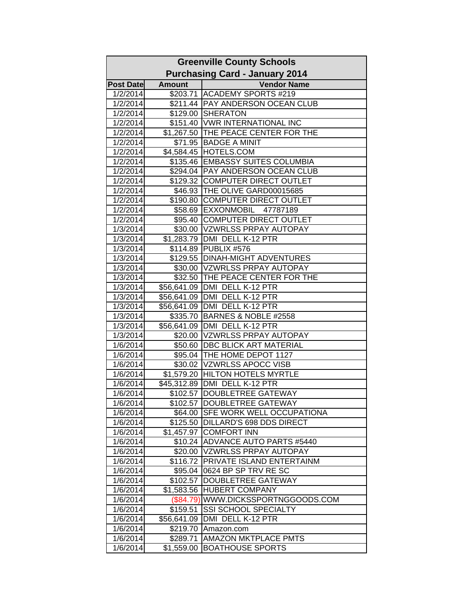| <b>Greenville County Schools</b> |               |                                       |
|----------------------------------|---------------|---------------------------------------|
|                                  |               | <b>Purchasing Card - January 2014</b> |
| <b>Post Date</b>                 | <b>Amount</b> | <b>Vendor Name</b>                    |
| 1/2/2014                         |               | \$203.71 ACADEMY SPORTS #219          |
| 1/2/2014                         |               | \$211.44 PAY ANDERSON OCEAN CLUB      |
| 1/2/2014                         |               | \$129.00 SHERATON                     |
| 1/2/2014                         |               | \$151.40 VWR INTERNATIONAL INC        |
| 1/2/2014                         |               | \$1,267.50 THE PEACE CENTER FOR THE   |
| 1/2/2014                         | \$71.95       | <b>BADGE A MINIT</b>                  |
| 1/2/2014                         |               | \$4,584.45 HOTELS.COM                 |
| 1/2/2014                         |               | \$135.46 EMBASSY SUITES COLUMBIA      |
| 1/2/2014                         |               | \$294.04   PAY ANDERSON OCEAN CLUB    |
| 1/2/2014                         |               | \$129.32 COMPUTER DIRECT OUTLET       |
| 1/2/2014                         |               | \$46.93 THE OLIVE GARD00015685        |
| 1/2/2014                         |               | \$190.80 COMPUTER DIRECT OUTLET       |
| 1/2/2014                         |               | \$58.69 EXXONMOBIL 47787189           |
| 1/2/2014                         |               | \$95.40 COMPUTER DIRECT OUTLET        |
| 1/3/2014                         |               | \$30.00 VZWRLSS PRPAY AUTOPAY         |
| 1/3/2014                         |               | \$1,283.79 DMI DELL K-12 PTR          |
| 1/3/2014                         | \$114.89      | PUBLIX #576                           |
| 1/3/2014                         |               | \$129.55   DINAH-MIGHT ADVENTURES     |
| 1/3/2014                         |               | \$30.00 VZWRLSS PRPAY AUTOPAY         |
| 1/3/2014                         |               | \$32.50 THE PEACE CENTER FOR THE      |
| 1/3/2014                         |               | \$56,641.09 DMI DELL K-12 PTR         |
| 1/3/2014                         |               | \$56,641.09 DMI DELL K-12 PTR         |
| 1/3/2014                         |               | \$56,641.09 DMI DELL K-12 PTR         |
| 1/3/2014                         | \$335.70      | BARNES & NOBLE #2558                  |
| 1/3/2014                         |               | \$56,641.09 DMI DELL K-12 PTR         |
| 1/3/2014                         |               | \$20.00 VZWRLSS PRPAY AUTOPAY         |
| 1/6/2014                         |               | \$50.60 DBC BLICK ART MATERIAL        |
| 1/6/2014                         |               | \$95.04 THE HOME DEPOT 1127           |
| 1/6/2014                         |               | \$30.02 VZWRLSS APOCC VISB            |
| 1/6/2014                         | \$1,579.20    | <b>HILTON HOTELS MYRTLE</b>           |
| 1/6/2014                         | \$45,312.89   | DMI DELL K-12 PTR                     |
| 1/6/2014                         | \$102.57      | <b>DOUBLETREE GATEWAY</b>             |
| 1/6/2014                         |               | \$102.57 DOUBLETREE GATEWAY           |
| 1/6/2014                         | \$64.00       | <b>SFE WORK WELL OCCUPATIONA</b>      |
| 1/6/2014                         | \$125.50      | <b>IDILLARD'S 698 DDS DIRECT</b>      |
| 1/6/2014                         | \$1,457.97    | <b>COMFORT INN</b>                    |
| 1/6/2014                         |               | \$10.24 ADVANCE AUTO PARTS #5440      |
| 1/6/2014                         |               | \$20.00   VZWRLSS PRPAY AUTOPAY       |
| 1/6/2014                         | \$116.72      | <b>PRIVATE ISLAND ENTERTAINM</b>      |
| 1/6/2014                         | \$95.04       | 0624 BP SP TRV RE SC                  |
| 1/6/2014                         | \$102.57      | DOUBLETREE GATEWAY                    |
| 1/6/2014                         | \$1,583.56    | <b>HUBERT COMPANY</b>                 |
| 1/6/2014                         | $(\$84.79)$   | WWW.DICKSSPORTNGGOODS.COM             |
| 1/6/2014                         | \$159.51      | <b>SSI SCHOOL SPECIALTY</b>           |
| 1/6/2014                         | \$56,641.09   | DMI DELL K-12 PTR                     |
| 1/6/2014                         | \$219.70      | Amazon.com                            |
| 1/6/2014                         | \$289.71      | <b>AMAZON MKTPLACE PMTS</b>           |
| 1/6/2014                         | \$1,559.00    | <b>BOATHOUSE SPORTS</b>               |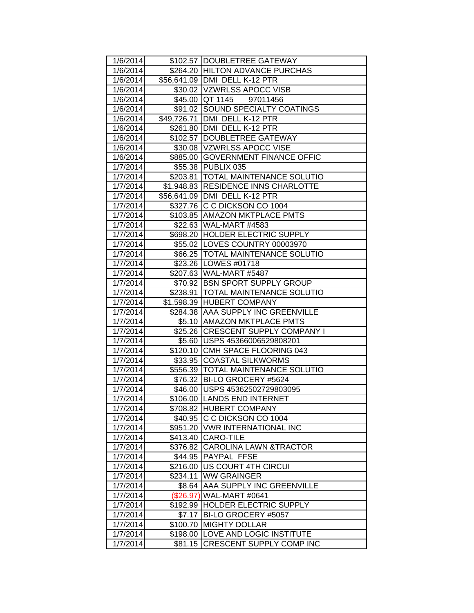| 1/6/2014 |          | \$102.57 DOUBLETREE GATEWAY          |
|----------|----------|--------------------------------------|
| 1/6/2014 |          | \$264.20 HILTON ADVANCE PURCHAS      |
| 1/6/2014 |          | \$56,641.09 DMI DELL K-12 PTR        |
| 1/6/2014 |          | \$30.02 VZWRLSS APOCC VISB           |
| 1/6/2014 |          | \$45.00 QT 1145 97011456             |
| 1/6/2014 |          | \$91.02 SOUND SPECIALTY COATINGS     |
| 1/6/2014 |          | \$49,726.71 DMI DELL K-12 PTR        |
| 1/6/2014 |          | \$261.80 DMI DELL K-12 PTR           |
| 1/6/2014 |          | \$102.57 DOUBLETREE GATEWAY          |
| 1/6/2014 |          | \$30.08  VZWRLSS APOCC VISE          |
| 1/6/2014 |          | \$885.00 GOVERNMENT FINANCE OFFIC    |
| 1/7/2014 |          | \$55.38 PUBLIX 035                   |
| 1/7/2014 |          | \$203.81   TOTAL MAINTENANCE SOLUTIO |
| 1/7/2014 |          | \$1,948.83 RESIDENCE INNS CHARLOTTE  |
| 1/7/2014 |          | \$56,641.09 DMI DELL K-12 PTR        |
| 1/7/2014 |          | \$327.76 C C DICKSON CO 1004         |
| 1/7/2014 |          | \$103.85 AMAZON MKTPLACE PMTS        |
| 1/7/2014 |          | \$22.63 WAL-MART #4583               |
| 1/7/2014 |          | \$698.20 HOLDER ELECTRIC SUPPLY      |
| 1/7/2014 |          | \$55.02 LOVES COUNTRY 00003970       |
| 1/7/2014 |          | \$66.25   TOTAL MAINTENANCE SOLUTIO  |
| 1/7/2014 |          | \$23.26   LOWES #01718               |
| 1/7/2014 |          | \$207.63 WAL-MART #5487              |
| 1/7/2014 |          | \$70.92 BSN SPORT SUPPLY GROUP       |
| 1/7/2014 |          | \$238.91   TOTAL MAINTENANCE SOLUTIO |
| 1/7/2014 |          | \$1,598.39 HUBERT COMPANY            |
| 1/7/2014 |          | \$284.38 AAA SUPPLY INC GREENVILLE   |
| 1/7/2014 |          | \$5.10 AMAZON MKTPLACE PMTS          |
| 1/7/2014 |          | \$25.26 CRESCENT SUPPLY COMPANY I    |
| 1/7/2014 |          | \$5.60 USPS 45366006529808201        |
| 1/7/2014 |          | \$120.10 CMH SPACE FLOORING 043      |
| 1/7/2014 |          | \$33.95 COASTAL SILKWORMS            |
| 1/7/2014 |          | \$556.39 TOTAL MAINTENANCE SOLUTIO   |
| 1/7/2014 |          | \$76.32   BI-LO GROCERY #5624        |
| 1/7/2014 |          | \$46.00 USPS 45362502729803095       |
| 1/7/2014 |          | \$106.00 LANDS END INTERNET          |
| 1/7/2014 |          | \$708.82 HUBERT COMPANY              |
| 1/7/2014 | \$40.95  | C C DICKSON CO 1004                  |
| 1/7/2014 |          | \$951.20 VWR INTERNATIONAL INC       |
| 1/7/2014 | \$413.40 | <b>CARO-TILE</b>                     |
| 1/7/2014 | \$376.82 | <b>CAROLINA LAWN &amp;TRACTOR</b>    |
| 1/7/2014 | \$44.95  | <b>PAYPAL FFSE</b>                   |
| 1/7/2014 |          | \$216.00   US COURT 4TH CIRCUI       |
| 1/7/2014 | \$234.11 | <b>WW GRAINGER</b>                   |
| 1/7/2014 | \$8.64   | <b>AAA SUPPLY INC GREENVILLE</b>     |
| 1/7/2014 |          | (\$26.97) WAL-MART #0641             |
| 1/7/2014 | \$192.99 | <b>HOLDER ELECTRIC SUPPLY</b>        |
| 1/7/2014 | \$7.17   | BI-LO GROCERY #5057                  |
| 1/7/2014 | \$100.70 | <b>MIGHTY DOLLAR</b>                 |
| 1/7/2014 | \$198.00 | LOVE AND LOGIC INSTITUTE             |
| 1/7/2014 | \$81.15  | <b>CRESCENT SUPPLY COMP INC</b>      |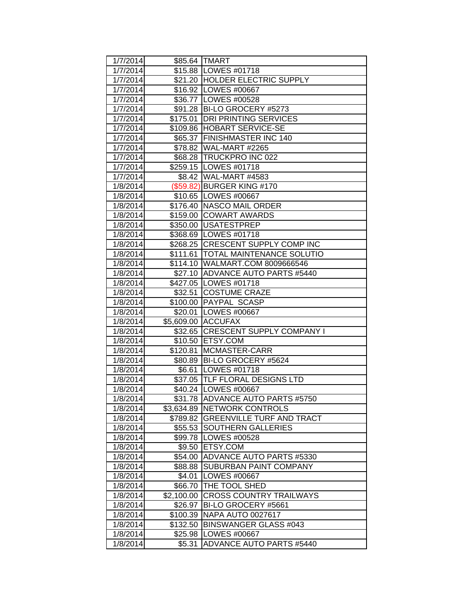| 1/7/2014 |            | \$85.64 TMART                        |
|----------|------------|--------------------------------------|
| 1/7/2014 |            | \$15.88   LOWES #01718               |
| 1/7/2014 |            | \$21.20 HOLDER ELECTRIC SUPPLY       |
| 1/7/2014 |            | \$16.92 LOWES #00667                 |
| 1/7/2014 |            | \$36.77 LOWES #00528                 |
| 1/7/2014 |            | \$91.28   BI-LO GROCERY #5273        |
| 1/7/2014 |            | \$175.01   DRI PRINTING SERVICES     |
| 1/7/2014 |            | \$109.86 HOBART SERVICE-SE           |
| 1/7/2014 |            | \$65.37 FINISHMASTER INC 140         |
| 1/7/2014 |            | \$78.82 WAL-MART #2265               |
| 1/7/2014 |            | \$68.28 TRUCKPRO INC 022             |
| 1/7/2014 |            | \$259.15   LOWES #01718              |
| 1/7/2014 |            | \$8.42 WAL-MART #4583                |
| 1/8/2014 |            | (\$59.82) BURGER KING #170           |
| 1/8/2014 |            | \$10.65 LOWES #00667                 |
| 1/8/2014 |            | \$176.40 NASCO MAIL ORDER            |
| 1/8/2014 |            | \$159.00 COWART AWARDS               |
| 1/8/2014 |            | \$350.00   USATESTPREP               |
| 1/8/2014 |            | \$368.69 LOWES #01718                |
| 1/8/2014 |            | \$268.25 CRESCENT SUPPLY COMP INC    |
| 1/8/2014 |            | \$111.61   TOTAL MAINTENANCE SOLUTIO |
| 1/8/2014 |            | \$114.10 WALMART.COM 8009666546      |
| 1/8/2014 |            | \$27.10 ADVANCE AUTO PARTS #5440     |
| 1/8/2014 |            | \$427.05   LOWES #01718              |
| 1/8/2014 |            | \$32.51 COSTUME CRAZE                |
| 1/8/2014 |            | \$100.00 PAYPAL SCASP                |
| 1/8/2014 |            | \$20.01  LOWES #00667                |
| 1/8/2014 |            | \$5,609.00 ACCUFAX                   |
| 1/8/2014 |            | \$32.65 CRESCENT SUPPLY COMPANY I    |
| 1/8/2014 |            | \$10.50 ETSY.COM                     |
| 1/8/2014 |            | \$120.81 MCMASTER-CARR               |
| 1/8/2014 |            | \$80.89 BI-LO GROCERY #5624          |
| 1/8/2014 |            | \$6.61 LOWES #01718                  |
| 1/8/2014 |            | \$37.05 TLF FLORAL DESIGNS LTD       |
| 1/8/2014 |            | \$40.24   LOWES #00667               |
| 1/8/2014 |            | \$31.78 ADVANCE AUTO PARTS #5750     |
| 1/8/2014 |            | \$3,634.89 NETWORK CONTROLS          |
| 1/8/2014 | \$789.82   | <b>GREENVILLE TURF AND TRACT</b>     |
| 1/8/2014 | \$55.53    | <b>SOUTHERN GALLERIES</b>            |
| 1/8/2014 |            | \$99.78  LOWES #00528                |
| 1/8/2014 | \$9.50     | <b>ETSY.COM</b>                      |
| 1/8/2014 | \$54.00    | <b>ADVANCE AUTO PARTS #5330</b>      |
| 1/8/2014 | \$88.88    | <b>SUBURBAN PAINT COMPANY</b>        |
| 1/8/2014 | \$4.01     | LOWES #00667                         |
| 1/8/2014 | \$66.70    | THE TOOL SHED                        |
| 1/8/2014 | \$2,100.00 | <b>CROSS COUNTRY TRAILWAYS</b>       |
| 1/8/2014 | \$26.97    | BI-LO GROCERY #5661                  |
| 1/8/2014 | \$100.39   | <b>NAPA AUTO 0027617</b>             |
| 1/8/2014 | \$132.50   | <b>BINSWANGER GLASS #043</b>         |
| 1/8/2014 | \$25.98    | LOWES #00667                         |
| 1/8/2014 | \$5.31     | <b>ADVANCE AUTO PARTS #5440</b>      |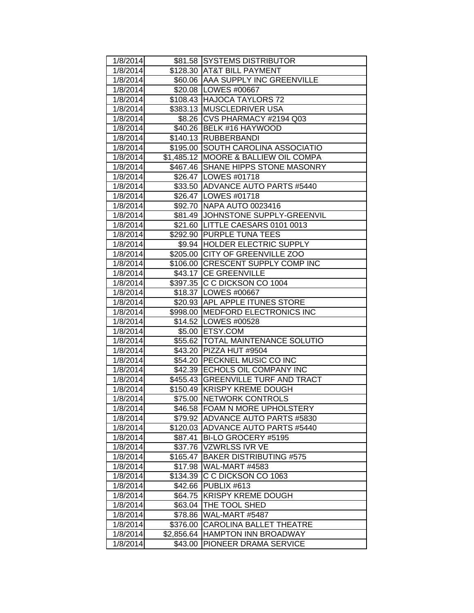| 1/8/2014 |            | \$81.58 SYSTEMS DISTRIBUTOR          |
|----------|------------|--------------------------------------|
| 1/8/2014 |            | \$128.30 AT&T BILL PAYMENT           |
| 1/8/2014 |            | \$60.06   AAA SUPPLY INC GREENVILLE  |
| 1/8/2014 |            | \$20.08 LOWES #00667                 |
| 1/8/2014 |            | \$108.43 HAJOCA TAYLORS 72           |
| 1/8/2014 |            | \$383.13 MUSCLEDRIVER USA            |
| 1/8/2014 |            | \$8.26 CVS PHARMACY #2194 Q03        |
| 1/8/2014 |            | \$40.26 BELK #16 HAYWOOD             |
| 1/8/2014 |            | \$140.13 RUBBERBANDI                 |
| 1/8/2014 |            | \$195.00 SOUTH CAROLINA ASSOCIATIO   |
| 1/8/2014 |            | \$1,485.12 MOORE & BALLIEW OIL COMPA |
| 1/8/2014 |            | \$467.46 SHANE HIPPS STONE MASONRY   |
| 1/8/2014 |            | \$26.47   LOWES #01718               |
| 1/8/2014 |            | \$33.50 ADVANCE AUTO PARTS #5440     |
| 1/8/2014 |            | \$26.47   LOWES #01718               |
| 1/8/2014 |            | \$92.70 NAPA AUTO 0023416            |
| 1/8/2014 |            | \$81.49 JOHNSTONE SUPPLY-GREENVIL    |
| 1/8/2014 |            | \$21.60 LITTLE CAESARS 0101 0013     |
| 1/8/2014 |            | \$292.90 PURPLE TUNA TEES            |
| 1/8/2014 |            | \$9.94 HOLDER ELECTRIC SUPPLY        |
| 1/8/2014 |            | \$205.00 CITY OF GREENVILLE ZOO      |
| 1/8/2014 |            | \$106.00 CRESCENT SUPPLY COMP INC    |
| 1/8/2014 |            | \$43.17 CE GREENVILLE                |
| 1/8/2014 |            | \$397.35 C C DICKSON CO 1004         |
| 1/8/2014 |            | \$18.37 LOWES #00667                 |
| 1/8/2014 |            | \$20.93 APL APPLE ITUNES STORE       |
| 1/8/2014 |            | \$998.00 MEDFORD ELECTRONICS INC     |
| 1/8/2014 |            | \$14.52   LOWES #00528               |
| 1/8/2014 |            | \$5.00 ETSY.COM                      |
| 1/8/2014 |            | \$55.62 TOTAL MAINTENANCE SOLUTIO    |
| 1/8/2014 |            | \$43.20 PIZZA HUT #9504              |
| 1/8/2014 |            | \$54.20 PECKNEL MUSIC CO INC         |
| 1/8/2014 |            | \$42.39 ECHOLS OIL COMPANY INC       |
| 1/8/2014 |            | \$455.43 GREENVILLE TURF AND TRACT   |
| 1/8/2014 |            | \$150.49 KRISPY KREME DOUGH          |
| 1/8/2014 |            | \$75.00 NETWORK CONTROLS             |
| 1/8/2014 |            | \$46.58 FOAM N MORE UPHOLSTERY       |
| 1/8/2014 | \$79.92    | ADVANCE AUTO PARTS #5830             |
| 1/8/2014 | \$120.03   | <b>ADVANCE AUTO PARTS #5440</b>      |
| 1/8/2014 | \$87.41    | BI-LO GROCERY #5195                  |
| 1/8/2014 | \$37.76    | <b>VZWRLSS IVR VE</b>                |
| 1/8/2014 | \$165.47   | <b>BAKER DISTRIBUTING #575</b>       |
| 1/8/2014 | \$17.98    | WAL-MART #4583                       |
| 1/8/2014 | \$134.39   | C C DICKSON CO 1063                  |
| 1/8/2014 | \$42.66    | PUBLIX #613                          |
| 1/8/2014 | \$64.75    | <b>KRISPY KREME DOUGH</b>            |
| 1/8/2014 | \$63.04    | THE TOOL SHED                        |
| 1/8/2014 | \$78.86    | WAL-MART #5487                       |
| 1/8/2014 | \$376.00   | <b>CAROLINA BALLET THEATRE</b>       |
| 1/8/2014 | \$2,856.64 | <b>HAMPTON INN BROADWAY</b>          |
| 1/8/2014 | \$43.00    | PIONEER DRAMA SERVICE                |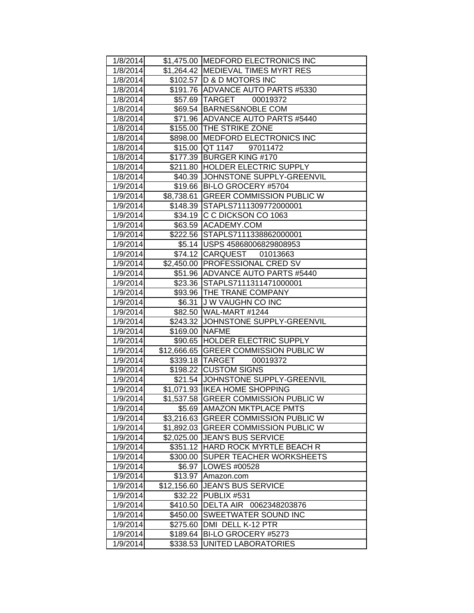| 1/8/2014 |                | \$1,475.00 MEDFORD ELECTRONICS INC    |
|----------|----------------|---------------------------------------|
| 1/8/2014 |                | \$1,264.42 MEDIEVAL TIMES MYRT RES    |
| 1/8/2014 |                | \$102.57 D & D MOTORS INC             |
| 1/8/2014 |                | \$191.76 ADVANCE AUTO PARTS #5330     |
| 1/8/2014 |                | \$57.69 TARGET 00019372               |
| 1/8/2014 |                | \$69.54 BARNES&NOBLE COM              |
| 1/8/2014 |                | \$71.96 ADVANCE AUTO PARTS #5440      |
| 1/8/2014 |                | \$155.00 THE STRIKE ZONE              |
| 1/8/2014 |                | \$898.00 MEDFORD ELECTRONICS INC      |
| 1/8/2014 |                | \$15.00 QT 1147<br>97011472           |
| 1/8/2014 |                | \$177.39 BURGER KING #170             |
| 1/8/2014 |                | \$211.80 HOLDER ELECTRIC SUPPLY       |
| 1/8/2014 |                | \$40.39 JJOHNSTONE SUPPLY-GREENVIL    |
| 1/9/2014 |                | \$19.66 BI-LO GROCERY #5704           |
| 1/9/2014 | \$8,738.61     | <b>GREER COMMISSION PUBLIC W</b>      |
| 1/9/2014 |                | \$148.39 STAPLS7111309772000001       |
| 1/9/2014 |                | \$34.19 C C DICKSON CO 1063           |
| 1/9/2014 |                | \$63.59 ACADEMY.COM                   |
| 1/9/2014 |                | \$222.56 STAPLS7111338862000001       |
| 1/9/2014 |                | \$5.14 USPS 45868006829808953         |
| 1/9/2014 |                | \$74.12 CARQUEST 01013663             |
| 1/9/2014 |                | \$2,450.00 PROFESSIONAL CRED SV       |
| 1/9/2014 |                | \$51.96 ADVANCE AUTO PARTS #5440      |
| 1/9/2014 |                | \$23.36 STAPLS7111311471000001        |
| 1/9/2014 |                | \$93.96   THE TRANE COMPANY           |
| 1/9/2014 |                | \$6.31 J W VAUGHN CO INC              |
| 1/9/2014 |                | \$82.50 WAL-MART #1244                |
| 1/9/2014 |                | \$243.32 JJOHNSTONE SUPPLY-GREENVIL   |
| 1/9/2014 | \$169.00 NAFME |                                       |
| 1/9/2014 |                | \$90.65 HOLDER ELECTRIC SUPPLY        |
| 1/9/2014 |                | \$12,666.65 GREER COMMISSION PUBLIC W |
| 1/9/2014 |                | \$339.18 TARGET 00019372              |
| 1/9/2014 |                | \$198.22 CUSTOM SIGNS                 |
| 1/9/2014 |                | \$21.54 JOHNSTONE SUPPLY-GREENVIL     |
| 1/9/2014 |                | \$1,071.93   IKEA HOME SHOPPING       |
| 1/9/2014 |                | \$1,537.58 GREER COMMISSION PUBLIC W  |
| 1/9/2014 |                | \$5.69   AMAZON MKTPLACE PMTS         |
| 1/9/2014 | \$3,216.63     | <b>GREER COMMISSION PUBLIC W</b>      |
| 1/9/2014 | \$1,892.03     | <b>GREER COMMISSION PUBLIC W</b>      |
| 1/9/2014 | \$2,025.00     | <b>JEAN'S BUS SERVICE</b>             |
| 1/9/2014 | \$351.12       | HARD ROCK MYRTLE BEACH R              |
| 1/9/2014 | \$300.00       | <b>SUPER TEACHER WORKSHEETS</b>       |
| 1/9/2014 | \$6.97         | LOWES #00528                          |
| 1/9/2014 | \$13.97        | Amazon.com                            |
| 1/9/2014 | \$12,156.60    | <b>JEAN'S BUS SERVICE</b>             |
| 1/9/2014 | \$32.22        | PUBLIX #531                           |
| 1/9/2014 | \$410.50       | DELTA AIR 0062348203876               |
| 1/9/2014 | \$450.00       | <b>SWEETWATER SOUND INC</b>           |
| 1/9/2014 | \$275.60       | DMI DELL K-12 PTR                     |
| 1/9/2014 | \$189.64       | BI-LO GROCERY #5273                   |
| 1/9/2014 | \$338.53       | UNITED LABORATORIES                   |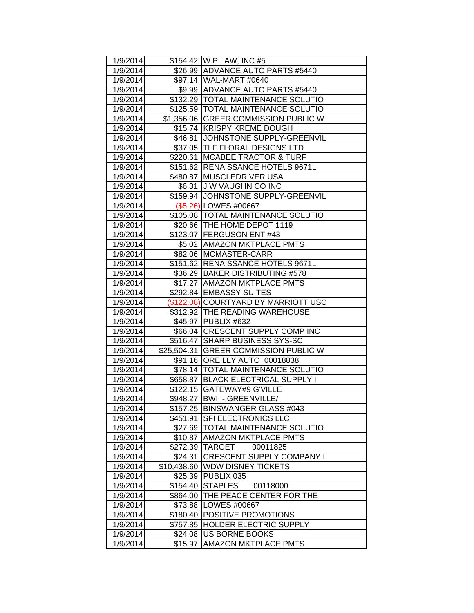| 1/9/2014 |             | \$154.42 W.P.LAW, INC #5              |
|----------|-------------|---------------------------------------|
| 1/9/2014 |             | \$26.99 ADVANCE AUTO PARTS #5440      |
| 1/9/2014 |             | \$97.14 WAL-MART #0640                |
| 1/9/2014 |             | \$9.99 ADVANCE AUTO PARTS #5440       |
| 1/9/2014 |             | \$132.29  TOTAL MAINTENANCE SOLUTIO   |
| 1/9/2014 |             | \$125.59 TOTAL MAINTENANCE SOLUTIO    |
| 1/9/2014 |             | \$1,356.06 GREER COMMISSION PUBLIC W  |
| 1/9/2014 |             | \$15.74 KRISPY KREME DOUGH            |
| 1/9/2014 |             | \$46.81 JOHNSTONE SUPPLY-GREENVIL     |
| 1/9/2014 |             | \$37.05  TLF FLORAL DESIGNS LTD       |
| 1/9/2014 | \$220.61    | <b>MCABEE TRACTOR &amp; TURF</b>      |
| 1/9/2014 |             | \$151.62 RENAISSANCE HOTELS 9671L     |
| 1/9/2014 |             | \$480.87 MUSCLEDRIVER USA             |
| 1/9/2014 |             | \$6.31 J W VAUGHN CO INC              |
| 1/9/2014 |             | \$159.94 JOHNSTONE SUPPLY-GREENVIL    |
| 1/9/2014 |             | (\$5.26) LOWES #00667                 |
| 1/9/2014 |             | \$105.08 TOTAL MAINTENANCE SOLUTIO    |
| 1/9/2014 |             | \$20.66 THE HOME DEPOT 1119           |
| 1/9/2014 |             | \$123.07 FERGUSON ENT #43             |
| 1/9/2014 |             | \$5.02 AMAZON MKTPLACE PMTS           |
| 1/9/2014 |             | \$82.06 MCMASTER-CARR                 |
| 1/9/2014 |             | \$151.62 RENAISSANCE HOTELS 9671L     |
| 1/9/2014 |             | \$36.29 BAKER DISTRIBUTING #578       |
| 1/9/2014 |             | \$17.27 AMAZON MKTPLACE PMTS          |
| 1/9/2014 |             | \$292.84   EMBASSY SUITES             |
| 1/9/2014 |             | (\$122.08) COURTYARD BY MARRIOTT USC  |
| 1/9/2014 |             | \$312.92  THE READING WAREHOUSE       |
| 1/9/2014 |             | \$45.97 PUBLIX #632                   |
| 1/9/2014 |             | \$66.04 CRESCENT SUPPLY COMP INC      |
| 1/9/2014 |             | \$516.47 SHARP BUSINESS SYS-SC        |
| 1/9/2014 |             | \$25,504.31 GREER COMMISSION PUBLIC W |
| 1/9/2014 |             | \$91.16 OREILLY AUTO 00018838         |
| 1/9/2014 |             | \$78.14   TOTAL MAINTENANCE SOLUTIO   |
| 1/9/2014 |             | \$658.87 BLACK ELECTRICAL SUPPLY I    |
| 1/9/2014 |             | \$122.15 GATEWAY#9 G'VILLE            |
| 1/9/2014 |             | \$948.27   BWI - GREENVILLE/          |
| 1/9/2014 | \$157.25    | <b>BINSWANGER GLASS #043</b>          |
| 1/9/2014 | \$451.91    | <b>SFI ELECTRONICS LLC</b>            |
| 1/9/2014 | \$27.69     | <b>TOTAL MAINTENANCE SOLUTIO</b>      |
| 1/9/2014 | \$10.87     | <b>AMAZON MKTPLACE PMTS</b>           |
| 1/9/2014 | \$272.39    | 00011825<br><b>TARGET</b>             |
| 1/9/2014 | \$24.31     | CRESCENT SUPPLY COMPANY I             |
| 1/9/2014 | \$10,438.60 | <b>WDW DISNEY TICKETS</b>             |
| 1/9/2014 | \$25.39     | PUBLIX 035                            |
| 1/9/2014 | \$154.40    | <b>STAPLES</b><br>00118000            |
| 1/9/2014 | \$864.00    | THE PEACE CENTER FOR THE              |
| 1/9/2014 | \$73.88     | LOWES #00667                          |
| 1/9/2014 | \$180.40    | POSITIVE PROMOTIONS                   |
| 1/9/2014 | \$757.85    | <b>HOLDER ELECTRIC SUPPLY</b>         |
| 1/9/2014 | \$24.08     | US BORNE BOOKS                        |
| 1/9/2014 | \$15.97     | <b>AMAZON MKTPLACE PMTS</b>           |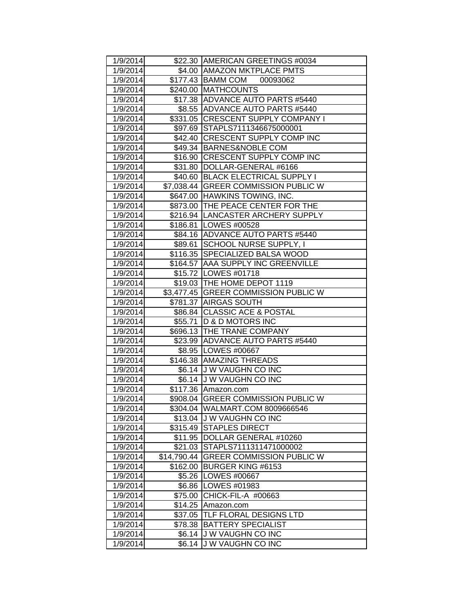| 1/9/2014 |             | \$22.30 AMERICAN GREETINGS #0034     |
|----------|-------------|--------------------------------------|
| 1/9/2014 |             | \$4.00 AMAZON MKTPLACE PMTS          |
| 1/9/2014 |             | \$177.43 BAMM COM 00093062           |
| 1/9/2014 |             | \$240.00 MATHCOUNTS                  |
| 1/9/2014 |             | \$17.38 ADVANCE AUTO PARTS #5440     |
| 1/9/2014 |             | \$8.55 ADVANCE AUTO PARTS #5440      |
| 1/9/2014 |             | \$331.05 CRESCENT SUPPLY COMPANY I   |
| 1/9/2014 |             | \$97.69 STAPLS7111346675000001       |
| 1/9/2014 |             | \$42.40 CRESCENT SUPPLY COMP INC     |
| 1/9/2014 |             | \$49.34 BARNES&NOBLE COM             |
| 1/9/2014 |             | \$16.90 CRESCENT SUPPLY COMP INC     |
| 1/9/2014 |             | \$31.80  DOLLAR-GENERAL #6166        |
| 1/9/2014 |             | \$40.60 BLACK ELECTRICAL SUPPLY I    |
| 1/9/2014 |             | \$7,038.44 GREER COMMISSION PUBLIC W |
| 1/9/2014 |             | \$647.00 HAWKINS TOWING, INC.        |
| 1/9/2014 |             | \$873.00   THE PEACE CENTER FOR THE  |
| 1/9/2014 |             | \$216.94   LANCASTER ARCHERY SUPPLY  |
| 1/9/2014 |             | \$186.81 LOWES #00528                |
| 1/9/2014 |             | \$84.16 ADVANCE AUTO PARTS #5440     |
| 1/9/2014 |             | \$89.61 SCHOOL NURSE SUPPLY, I       |
| 1/9/2014 |             | \$116.35 SPECIALIZED BALSA WOOD      |
| 1/9/2014 |             | \$164.57 AAA SUPPLY INC GREENVILLE   |
| 1/9/2014 |             | \$15.72   LOWES #01718               |
| 1/9/2014 |             | \$19.03 THE HOME DEPOT 1119          |
| 1/9/2014 |             | \$3,477.45 GREER COMMISSION PUBLIC W |
| 1/9/2014 |             | \$781.37 AIRGAS SOUTH                |
| 1/9/2014 |             | \$86.84 CLASSIC ACE & POSTAL         |
| 1/9/2014 |             | \$55.71   D & D MOTORS INC           |
| 1/9/2014 |             | \$696.13 THE TRANE COMPANY           |
| 1/9/2014 |             | \$23.99 ADVANCE AUTO PARTS #5440     |
| 1/9/2014 |             | \$8.95 LOWES #00667                  |
| 1/9/2014 |             | \$146.38 AMAZING THREADS             |
| 1/9/2014 |             | \$6.14 J W VAUGHN CO INC             |
| 1/9/2014 |             | \$6.14 J W VAUGHN CO INC             |
| 1/9/2014 |             | \$117.36 Amazon.com                  |
| 1/9/2014 |             | \$908.04 GREER COMMISSION PUBLIC W   |
| 1/9/2014 |             | \$304.04   WALMART.COM 8009666546    |
| 1/9/2014 |             | \$13.04 J W VAUGHN CO INC            |
| 1/9/2014 |             | \$315.49 STAPLES DIRECT              |
| 1/9/2014 |             | \$11.95  DOLLAR GENERAL #10260       |
| 1/9/2014 | \$21.03     | STAPLS7111311471000002               |
| 1/9/2014 | \$14,790.44 | <b>GREER COMMISSION PUBLIC W</b>     |
| 1/9/2014 | \$162.00    | <b>BURGER KING #6153</b>             |
| 1/9/2014 | \$5.26      | LOWES #00667                         |
| 1/9/2014 | \$6.86      | LOWES #01983                         |
| 1/9/2014 | \$75.00     | CHICK-FIL-A #00663                   |
| 1/9/2014 | \$14.25     | Amazon.com                           |
| 1/9/2014 | \$37.05     | <b>TLF FLORAL DESIGNS LTD</b>        |
| 1/9/2014 | \$78.38     | <b>BATTERY SPECIALIST</b>            |
| 1/9/2014 | \$6.14      | J W VAUGHN CO INC                    |
| 1/9/2014 | \$6.14      | <b>JW VAUGHN CO INC</b>              |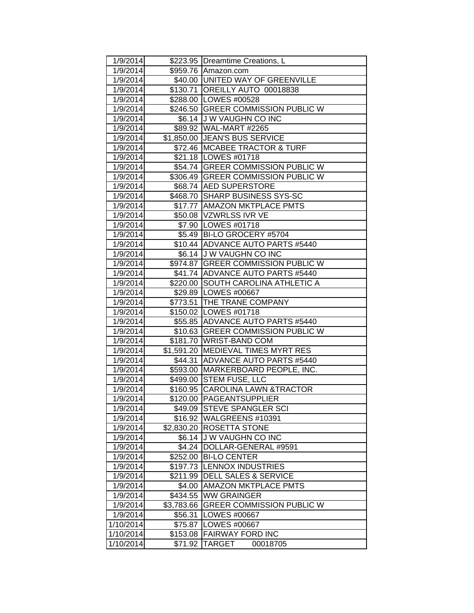| 1/9/2014  |            | \$223.95   Dreamtime Creations, L                       |
|-----------|------------|---------------------------------------------------------|
|           |            |                                                         |
| 1/9/2014  |            | \$959.76 Amazon.com<br>\$40.00 UNITED WAY OF GREENVILLE |
| 1/9/2014  |            |                                                         |
| 1/9/2014  |            | \$130.71 OREILLY AUTO 00018838                          |
| 1/9/2014  |            | \$288.00 LOWES #00528                                   |
| 1/9/2014  |            | \$246.50 GREER COMMISSION PUBLIC W                      |
| 1/9/2014  |            | \$6.14 J W VAUGHN CO INC                                |
| 1/9/2014  |            | \$89.92 WAL-MART #2265                                  |
| 1/9/2014  |            | \$1,850.00 JEAN'S BUS SERVICE                           |
| 1/9/2014  |            | \$72.46   MCABEE TRACTOR & TURF                         |
| 1/9/2014  |            | \$21.18   LOWES #01718                                  |
| 1/9/2014  |            | \$54.74 GREER COMMISSION PUBLIC W                       |
| 1/9/2014  |            | \$306.49 GREER COMMISSION PUBLIC W                      |
| 1/9/2014  |            | \$68.74 AED SUPERSTORE                                  |
| 1/9/2014  |            | \$468.70 SHARP BUSINESS SYS-SC                          |
| 1/9/2014  |            | \$17.77   AMAZON MKTPLACE PMTS                          |
| 1/9/2014  |            | \$50.08 VZWRLSS IVR VE                                  |
| 1/9/2014  |            | \$7.90 LOWES #01718                                     |
| 1/9/2014  |            | \$5.49 BI-LO GROCERY #5704                              |
| 1/9/2014  |            | \$10.44 ADVANCE AUTO PARTS #5440                        |
| 1/9/2014  |            | \$6.14 J W VAUGHN CO INC                                |
| 1/9/2014  |            | \$974.87 GREER COMMISSION PUBLIC W                      |
| 1/9/2014  |            | \$41.74 ADVANCE AUTO PARTS #5440                        |
| 1/9/2014  |            | \$220.00 SOUTH CAROLINA ATHLETIC A                      |
| 1/9/2014  |            | \$29.89   LOWES #00667                                  |
| 1/9/2014  |            | \$773.51 THE TRANE COMPANY                              |
| 1/9/2014  |            | \$150.02 LOWES #01718                                   |
| 1/9/2014  |            | \$55.85 ADVANCE AUTO PARTS #5440                        |
| 1/9/2014  |            | \$10.63 GREER COMMISSION PUBLIC W                       |
| 1/9/2014  |            | \$181.70 WRIST-BAND COM                                 |
| 1/9/2014  |            | \$1,591.20 MEDIEVAL TIMES MYRT RES                      |
| 1/9/2014  |            | \$44.31 ADVANCE AUTO PARTS #5440                        |
| 1/9/2014  |            | \$593.00 MARKERBOARD PEOPLE, INC.                       |
| 1/9/2014  |            | \$499.00 STEM FUSE, LLC                                 |
| 1/9/2014  |            | \$160.95 CAROLINA LAWN & TRACTOR                        |
| 1/9/2014  |            | \$120.00 PAGEANTSUPPLIER                                |
| 1/9/2014  |            | \$49.09 STEVE SPANGLER SCI                              |
| 1/9/2014  | \$16.92    | WALGREENS #10391                                        |
| 1/9/2014  | \$2,830.20 | <b>ROSETTA STONE</b>                                    |
| 1/9/2014  | \$6.14     | <b>JW VAUGHN CO INC</b>                                 |
| 1/9/2014  | \$4.24     | DOLLAR-GENERAL #9591                                    |
| 1/9/2014  | \$252.00   | <b>BI-LO CENTER</b>                                     |
| 1/9/2014  | \$197.73   | <b>LENNOX INDUSTRIES</b>                                |
| 1/9/2014  | \$211.99   | <b>DELL SALES &amp; SERVICE</b>                         |
| 1/9/2014  | \$4.00     | <b>AMAZON MKTPLACE PMTS</b>                             |
| 1/9/2014  | \$434.55   | <b>WW GRAINGER</b>                                      |
| 1/9/2014  | \$3,783.66 | <b>GREER COMMISSION PUBLIC W</b>                        |
| 1/9/2014  | \$56.31    | LOWES #00667                                            |
| 1/10/2014 | \$75.87    | LOWES #00667                                            |
| 1/10/2014 | \$153.08   | <b>FAIRWAY FORD INC</b>                                 |
| 1/10/2014 | \$71.92    | <b>TARGET</b><br>00018705                               |
|           |            |                                                         |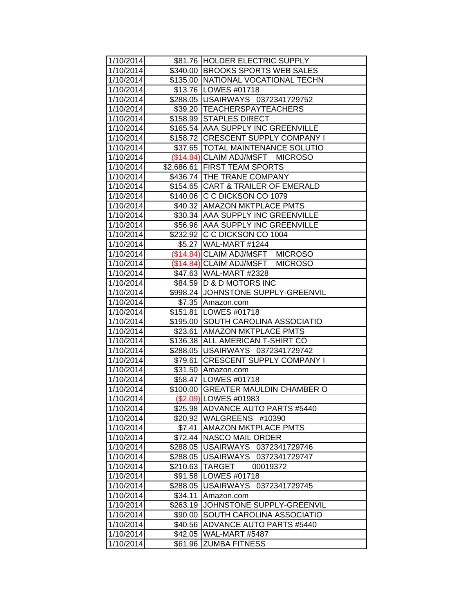| 1/10/2014              |                   | \$81.76 HOLDER ELECTRIC SUPPLY                               |
|------------------------|-------------------|--------------------------------------------------------------|
| 1/10/2014              |                   | \$340.00 BROOKS SPORTS WEB SALES                             |
| 1/10/2014              |                   | \$135.00 NATIONAL VOCATIONAL TECHN                           |
| 1/10/2014              |                   | \$13.76   LOWES #01718                                       |
| 1/10/2014              |                   | \$288.05   USAIRWAYS 0372341729752                           |
| 1/10/2014              |                   | \$39.20 TEACHERSPAYTEACHERS                                  |
| 1/10/2014              |                   | \$158.99 STAPLES DIRECT                                      |
| 1/10/2014              |                   | \$165.54 AAA SUPPLY INC GREENVILLE                           |
| 1/10/2014              |                   | \$158.72 CRESCENT SUPPLY COMPANY I                           |
| 1/10/2014              |                   | \$37.65  TOTAL MAINTENANCE SOLUTIO                           |
| 1/10/2014              |                   | (\$14.84) CLAIM ADJ/MSFT MICROSO                             |
| 1/10/2014              |                   | \$2,686.61 FIRST TEAM SPORTS                                 |
| 1/10/2014              |                   | \$436.74 THE TRANE COMPANY                                   |
| 1/10/2014              |                   | \$154.65 CART & TRAILER OF EMERALD                           |
| 1/10/2014              |                   | \$140.06 C C DICKSON CO 1079                                 |
| 1/10/2014              |                   | \$40.32 AMAZON MKTPLACE PMTS                                 |
| 1/10/2014              |                   | \$30.34 AAA SUPPLY INC GREENVILLE                            |
| 1/10/2014              |                   | \$56.96 AAA SUPPLY INC GREENVILLE                            |
| 1/10/2014              |                   | \$232.92 C C DICKSON CO 1004                                 |
| 1/10/2014              |                   | \$5.27 WAL-MART #1244                                        |
| 1/10/2014              |                   | (\$14.84) CLAIM ADJ/MSFT MICROSO                             |
| 1/10/2014              |                   | (\$14.84) CLAIM ADJ/MSFT<br><b>MICROSO</b>                   |
| 1/10/2014              |                   | \$47.63 WAL-MART #2328                                       |
| 1/10/2014              |                   | \$84.59   D & D MOTORS INC                                   |
| 1/10/2014              |                   | \$998.24 JJOHNSTONE SUPPLY-GREENVIL                          |
| 1/10/2014              |                   | \$7.35 Amazon.com                                            |
| 1/10/2014              |                   | \$151.81   LOWES #01718                                      |
| 1/10/2014              |                   | \$195.00 SOUTH CAROLINA ASSOCIATIO                           |
| 1/10/2014              | \$23.61           | <b>AMAZON MKTPLACE PMTS</b>                                  |
| 1/10/2014              |                   | \$136.38 ALL AMERICAN T-SHIRT CO                             |
| 1/10/2014              | \$288.05          | USAIRWAYS 0372341729742                                      |
| 1/10/2014              | \$79.61           | <b>CRESCENT SUPPLY COMPANY I</b>                             |
| 1/10/2014              |                   | \$31.50 Amazon.com                                           |
| 1/10/2014              |                   | \$58.47   LOWES #01718                                       |
| 1/10/2014              |                   | \$100.00 GREATER MAULDIN CHAMBER O                           |
| 1/10/2014              |                   | (\$2.09) LOWES #01983                                        |
| 1/10/2014              |                   | \$25.98 ADVANCE AUTO PARTS #5440<br>\$20.92 WALGREENS #10390 |
| 1/10/2014              |                   | <b>AMAZON MKTPLACE PMTS</b>                                  |
| 1/10/2014<br>1/10/2014 | \$7.41<br>\$72.44 | NASCO MAIL ORDER                                             |
| 1/10/2014              | \$288.05          | USAIRWAYS 0372341729746                                      |
| 1/10/2014              | \$288.05          | USAIRWAYS 0372341729747                                      |
| 1/10/2014              | \$210.63          | <b>TARGET</b><br>00019372                                    |
| 1/10/2014              | \$91.58           | LOWES #01718                                                 |
| 1/10/2014              | \$288.05          | USAIRWAYS 0372341729745                                      |
| 1/10/2014              | \$34.11           | Amazon.com                                                   |
| 1/10/2014              | \$263.19          | JOHNSTONE SUPPLY-GREENVIL                                    |
| 1/10/2014              | \$90.00           | SOUTH CAROLINA ASSOCIATIO                                    |
| 1/10/2014              | \$40.56           | <b>ADVANCE AUTO PARTS #5440</b>                              |
| 1/10/2014              | \$42.05           | WAL-MART #5487                                               |
| 1/10/2014              | \$61.96           | <b>ZUMBA FITNESS</b>                                         |
|                        |                   |                                                              |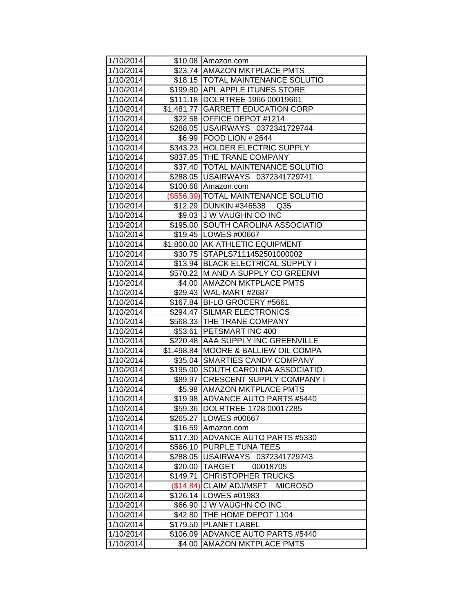| 1/10/2014 |            | \$10.08 Amazon.com                        |
|-----------|------------|-------------------------------------------|
| 1/10/2014 |            | \$23.74 AMAZON MKTPLACE PMTS              |
| 1/10/2014 |            | \$18.15 TOTAL MAINTENANCE SOLUTIO         |
| 1/10/2014 |            | \$199.80 APL APPLE ITUNES STORE           |
| 1/10/2014 |            | \$111.18  DOLRTREE 1966 00019661          |
| 1/10/2014 |            | \$1,481.77 GARRETT EDUCATION CORP         |
| 1/10/2014 |            | \$22.58 OFFICE DEPOT #1214                |
| 1/10/2014 |            | \$288.05 USAIRWAYS 0372341729744          |
| 1/10/2014 |            | \$6.99 FOOD LION # 2644                   |
| 1/10/2014 |            | \$343.23 HOLDER ELECTRIC SUPPLY           |
| 1/10/2014 |            | \$837.85 THE TRANE COMPANY                |
| 1/10/2014 |            | \$37.40  TOTAL MAINTENANCE SOLUTIO        |
| 1/10/2014 |            | \$288.05   USAIRWAYS 0372341729741        |
| 1/10/2014 |            | \$100.68 Amazon.com                       |
| 1/10/2014 |            | (\$556.39) TOTAL MAINTENANCE SOLUTIO      |
| 1/10/2014 |            | \$12.29 DUNKIN #346538<br>Q <sub>35</sub> |
| 1/10/2014 |            | \$9.03 J W VAUGHN CO INC                  |
| 1/10/2014 | \$195.00   | SOUTH CAROLINA ASSOCIATIO                 |
| 1/10/2014 |            | \$19.45   LOWES #00667                    |
| 1/10/2014 |            | \$1,800.00 AK ATHLETIC EQUIPMENT          |
| 1/10/2014 |            | \$30.75 STAPLS7111452501000002            |
| 1/10/2014 |            | \$13.94 BLACK ELECTRICAL SUPPLY I         |
| 1/10/2014 |            | \$570.22 M AND A SUPPLY CO GREENVI        |
| 1/10/2014 |            | \$4.00 AMAZON MKTPLACE PMTS               |
| 1/10/2014 |            | \$29.43 WAL-MART #2687                    |
| 1/10/2014 |            | \$167.84 BI-LO GROCERY #5661              |
| 1/10/2014 |            | \$294.47 SILMAR ELECTRONICS               |
| 1/10/2014 |            | \$568.33 THE TRANE COMPANY                |
| 1/10/2014 | \$53.61    | <b>PETSMART INC 400</b>                   |
| 1/10/2014 |            | \$220.48 AAA SUPPLY INC GREENVILLE        |
| 1/10/2014 | \$1,498.84 | MOORE & BALLIEW OIL COMPA                 |
| 1/10/2014 | \$35.04    | <b>SMARTIES CANDY COMPANY</b>             |
| 1/10/2014 |            | \$195.00 SOUTH CAROLINA ASSOCIATIO        |
| 1/10/2014 |            | \$89.97 CRESCENT SUPPLY COMPANY I         |
| 1/10/2014 |            | \$5.98 AMAZON MKTPLACE PMTS               |
| 1/10/2014 |            | \$19.98 ADVANCE AUTO PARTS #5440          |
| 1/10/2014 |            | \$59.36 DOLRTREE 1728 00017285            |
| 1/10/2014 |            | \$265.27 LOWES #00667                     |
| 1/10/2014 |            | \$16.59 Amazon.com                        |
| 1/10/2014 |            | \$117.30 ADVANCE AUTO PARTS #5330         |
| 1/10/2014 | \$566.10   | <b>PURPLE TUNA TEES</b>                   |
| 1/10/2014 | \$288.05   | USAIRWAYS 0372341729743                   |
| 1/10/2014 | \$20.00    | <b>TARGET</b><br>00018705                 |
| 1/10/2014 | \$149.71   | <b>CHRISTOPHER TRUCKS</b>                 |
| 1/10/2014 | (\$14.84)  | <b>CLAIM ADJ/MSFT</b><br><b>MICROSO</b>   |
| 1/10/2014 |            | \$126.14   LOWES #01983                   |
| 1/10/2014 | \$66.90    | <b>J W VAUGHN CO INC</b>                  |
| 1/10/2014 | \$42.80    | THE HOME DEPOT 1104                       |
| 1/10/2014 | \$179.50   | <b>PLANET LABEL</b>                       |
| 1/10/2014 | \$106.09   | ADVANCE AUTO PARTS #5440                  |
| 1/10/2014 | \$4.00     | <b>AMAZON MKTPLACE PMTS</b>               |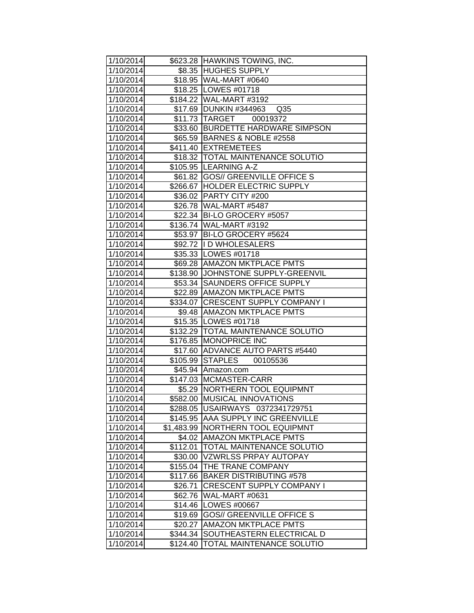| 1/10/2014 |                      | \$623.28 HAWKINS TOWING, INC.        |
|-----------|----------------------|--------------------------------------|
| 1/10/2014 |                      | \$8.35 HUGHES SUPPLY                 |
| 1/10/2014 |                      | \$18.95 WAL-MART #0640               |
| 1/10/2014 |                      | \$18.25 LOWES #01718                 |
| 1/10/2014 |                      | \$184.22 WAL-MART #3192              |
| 1/10/2014 |                      | \$17.69 DUNKIN #344963 Q35           |
| 1/10/2014 |                      | \$11.73 TARGET 00019372              |
| 1/10/2014 |                      | \$33.60 BURDETTE HARDWARE SIMPSON    |
| 1/10/2014 |                      | \$65.59 BARNES & NOBLE #2558         |
| 1/10/2014 |                      | \$411.40 EXTREMETEES                 |
| 1/10/2014 |                      | \$18.32   TOTAL MAINTENANCE SOLUTIO  |
| 1/10/2014 |                      | \$105.95 LEARNING A-Z                |
| 1/10/2014 |                      | \$61.82 GOS// GREENVILLE OFFICE S    |
| 1/10/2014 |                      | \$266.67 HOLDER ELECTRIC SUPPLY      |
| 1/10/2014 |                      | \$36.02 PARTY CITY #200              |
| 1/10/2014 |                      | \$26.78 WAL-MART #5487               |
| 1/10/2014 |                      | \$22.34 BI-LO GROCERY #5057          |
| 1/10/2014 |                      | \$136.74 WAL-MART #3192              |
| 1/10/2014 |                      | \$53.97 BI-LO GROCERY #5624          |
| 1/10/2014 |                      | \$92.72  I D WHOLESALERS             |
| 1/10/2014 |                      | \$35.33 LOWES #01718                 |
| 1/10/2014 |                      | \$69.28 AMAZON MKTPLACE PMTS         |
| 1/10/2014 |                      | \$138.90 JJOHNSTONE SUPPLY-GREENVIL  |
| 1/10/2014 |                      | \$53.34 SAUNDERS OFFICE SUPPLY       |
| 1/10/2014 |                      | \$22.89 AMAZON MKTPLACE PMTS         |
| 1/10/2014 |                      | \$334.07 CRESCENT SUPPLY COMPANY I   |
| 1/10/2014 |                      | \$9.48 AMAZON MKTPLACE PMTS          |
| 1/10/2014 |                      | \$15.35   LOWES #01718               |
| 1/10/2014 |                      | \$132.29   TOTAL MAINTENANCE SOLUTIO |
| 1/10/2014 | \$176.85             | <b>MONOPRICE INC</b>                 |
| 1/10/2014 |                      | \$17.60 ADVANCE AUTO PARTS #5440     |
| 1/10/2014 | \$105.99             | STAPLES 00105536                     |
| 1/10/2014 |                      | \$45.94 Amazon.com                   |
| 1/10/2014 |                      | \$147.03 MCMASTER-CARR               |
| 1/10/2014 | \$5.29               | <b>NORTHERN TOOL EQUIPMNT</b>        |
| 1/10/2014 |                      | \$582.00 MUSICAL INNOVATIONS         |
| 1/10/2014 |                      | \$288.05   USAIRWAYS 0372341729751   |
| 1/10/2014 | \$145.95             | <b>AAA SUPPLY INC GREENVILLE</b>     |
| 1/10/2014 | \$1,483.99           | <b>NORTHERN TOOL EQUIPMNT</b>        |
| 1/10/2014 |                      | \$4.02 AMAZON MKTPLACE PMTS          |
| 1/10/2014 | $\overline{$}112.01$ | TOTAL MAINTENANCE SOLUTIO            |
| 1/10/2014 | \$30.00              | <b>VZWRLSS PRPAY AUTOPAY</b>         |
| 1/10/2014 | \$155.04             | THE TRANE COMPANY                    |
| 1/10/2014 | \$117.66             | <b>BAKER DISTRIBUTING #578</b>       |
| 1/10/2014 | \$26.71              | <b>CRESCENT SUPPLY COMPANY I</b>     |
| 1/10/2014 | \$62.76              | WAL-MART #0631                       |
| 1/10/2014 | \$14.46              | LOWES #00667                         |
| 1/10/2014 | \$19.69              | <b>GOS// GREENVILLE OFFICE S</b>     |
| 1/10/2014 | \$20.27              | <b>AMAZON MKTPLACE PMTS</b>          |
| 1/10/2014 | \$344.34             | SOUTHEASTERN ELECTRICAL D            |
| 1/10/2014 | \$124.40             | <b>TOTAL MAINTENANCE SOLUTIO</b>     |
|           |                      |                                      |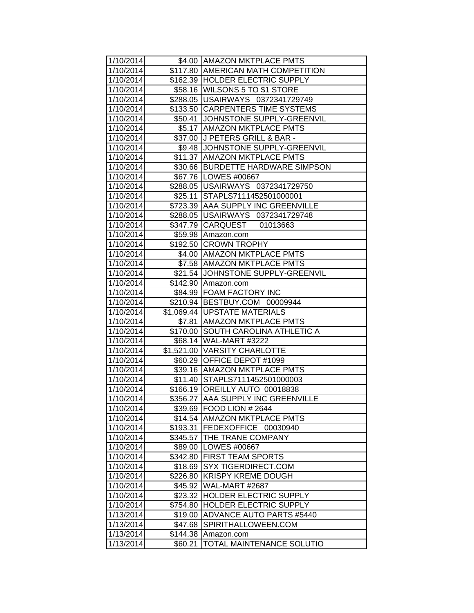| 1/10/2014              |                     | \$4.00   AMAZON MKTPLACE PMTS                    |
|------------------------|---------------------|--------------------------------------------------|
| 1/10/2014              |                     | \$117.80 AMERICAN MATH COMPETITION               |
| 1/10/2014              |                     | \$162.39 HOLDER ELECTRIC SUPPLY                  |
| 1/10/2014              |                     | \$58.16 WILSONS 5 TO \$1 STORE                   |
| 1/10/2014              |                     | \$288.05   USAIRWAYS 0372341729749               |
| 1/10/2014              |                     | \$133.50 CARPENTERS TIME SYSTEMS                 |
| 1/10/2014              |                     | \$50.41 JOHNSTONE SUPPLY-GREENVIL                |
| 1/10/2014              |                     | \$5.17 AMAZON MKTPLACE PMTS                      |
| 1/10/2014              |                     | \$37.00 J PETERS GRILL & BAR -                   |
| 1/10/2014              |                     | \$9.48 JJOHNSTONE SUPPLY-GREENVIL                |
| 1/10/2014              |                     | \$11.37 AMAZON MKTPLACE PMTS                     |
| 1/10/2014              |                     | \$30.66 BURDETTE HARDWARE SIMPSON                |
| 1/10/2014              |                     | \$67.76   LOWES #00667                           |
| 1/10/2014              |                     | \$288.05   USAIRWAYS 0372341729750               |
| 1/10/2014              |                     | \$25.11 STAPLS7111452501000001                   |
| 1/10/2014              |                     | \$723.39 AAA SUPPLY INC GREENVILLE               |
| 1/10/2014              |                     | \$288.05   USAIRWAYS 0372341729748               |
| 1/10/2014              |                     | \$347.79 CARQUEST 01013663                       |
| 1/10/2014              | \$59.98             | Amazon.com                                       |
| 1/10/2014              |                     | \$192.50 CROWN TROPHY                            |
| 1/10/2014              |                     | \$4.00 AMAZON MKTPLACE PMTS                      |
| 1/10/2014              |                     | \$7.58 AMAZON MKTPLACE PMTS                      |
| 1/10/2014              |                     | \$21.54 JOHNSTONE SUPPLY-GREENVIL                |
| 1/10/2014              |                     | \$142.90 Amazon.com                              |
| 1/10/2014              |                     | \$84.99 FOAM FACTORY INC                         |
| 1/10/2014              |                     | \$210.94 BESTBUY.COM 00009944                    |
| 1/10/2014              |                     | \$1,069.44   UPSTATE MATERIALS                   |
| 1/10/2014              |                     | \$7.81   AMAZON MKTPLACE PMTS                    |
| 1/10/2014              |                     | \$170.00 SOUTH CAROLINA ATHLETIC A               |
| 1/10/2014              |                     | \$68.14 WAL-MART #3222                           |
| 1/10/2014              |                     | \$1,521.00 VARSITY CHARLOTTE                     |
| 1/10/2014              |                     | \$60.29 OFFICE DEPOT #1099                       |
| 1/10/2014              |                     | \$39.16 AMAZON MKTPLACE PMTS                     |
| 1/10/2014              |                     | \$11.40 STAPLS7111452501000003                   |
| 1/10/2014              |                     | \$166.19 OREILLY AUTO 00018838                   |
| 1/10/2014              |                     | \$356.27 AAA SUPPLY INC GREENVILLE               |
| 1/10/2014              | \$39.69             | <b>FOOD LION #2644</b>                           |
| 1/10/2014              | \$14.54             | <b>AMAZON MKTPLACE PMTS</b>                      |
| 1/10/2014              | \$193.31            | <b>FEDEXOFFICE</b><br>00030940                   |
| 1/10/2014              | \$345.57            | <b>THE TRANE COMPANY</b><br><b>LOWES #00667</b>  |
| 1/10/2014<br>1/10/2014 | \$89.00             | <b>FIRST TEAM SPORTS</b>                         |
|                        | \$342.80            |                                                  |
| 1/10/2014              | \$18.69             | SYX TIGERDIRECT.COM<br><b>KRISPY KREME DOUGH</b> |
| 1/10/2014<br>1/10/2014 | \$226.80<br>\$45.92 | WAL-MART #2687                                   |
| 1/10/2014              | \$23.32             | <b>HOLDER ELECTRIC SUPPLY</b>                    |
| 1/10/2014              | \$754.80            | <b>HOLDER ELECTRIC SUPPLY</b>                    |
| 1/13/2014              | \$19.00             | <b>ADVANCE AUTO PARTS #5440</b>                  |
| 1/13/2014              | \$47.68             | SPIRITHALLOWEEN.COM                              |
| 1/13/2014              | \$144.38            | Amazon.com                                       |
| 1/13/2014              | \$60.21             | TOTAL MAINTENANCE SOLUTIO                        |
|                        |                     |                                                  |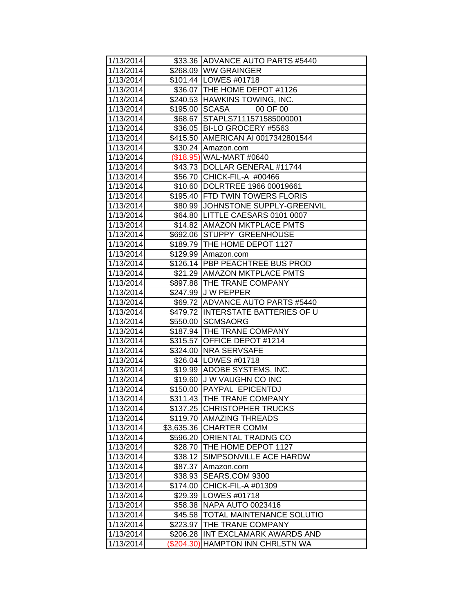| 1/13/2014              |                    | \$33.36 ADVANCE AUTO PARTS #5440     |
|------------------------|--------------------|--------------------------------------|
| 1/13/2014              |                    | \$268.09 WW GRAINGER                 |
| 1/13/2014              |                    | \$101.44   LOWES #01718              |
| 1/13/2014              |                    | \$36.07 THE HOME DEPOT #1126         |
| 1/13/2014              |                    | \$240.53 HAWKINS TOWING, INC.        |
| 1/13/2014              |                    | \$195.00 SCASA<br>00 OF 00           |
| 1/13/2014              | \$68.67            | STAPLS7111571585000001               |
| 1/13/2014              |                    | \$36.05 BI-LO GROCERY #5563          |
| 1/13/2014              |                    | \$415.50 AMERICAN AI 0017342801544   |
| 1/13/2014              |                    | \$30.24 Amazon.com                   |
| 1/13/2014              |                    | (\$18.95) WAL-MART #0640             |
| 1/13/2014              |                    | \$43.73 DOLLAR GENERAL #11744        |
| 1/13/2014              |                    | \$56.70 CHICK-FIL-A #00466           |
| 1/13/2014              |                    | \$10.60  DOLRTREE 1966 00019661      |
| 1/13/2014              |                    | \$195.40 FTD TWIN TOWERS FLORIS      |
| 1/13/2014              |                    | \$80.99 JJOHNSTONE SUPPLY-GREENVIL   |
| 1/13/2014              |                    | \$64.80   LITTLE CAESARS 0101 0007   |
| 1/13/2014              |                    | \$14.82 AMAZON MKTPLACE PMTS         |
| 1/13/2014              |                    | \$692.06 STUPPY GREENHOUSE           |
| 1/13/2014              |                    | \$189.79 THE HOME DEPOT 1127         |
| 1/13/2014              |                    | \$129.99 Amazon.com                  |
| 1/13/2014              |                    | \$126.14 PBP PEACHTREE BUS PROD      |
| 1/13/2014              |                    | \$21.29 AMAZON MKTPLACE PMTS         |
| 1/13/2014              |                    | \$897.88   THE TRANE COMPANY         |
| 1/13/2014              |                    | \$247.99 J W PEPPER                  |
| 1/13/2014              |                    | \$69.72 ADVANCE AUTO PARTS #5440     |
| 1/13/2014              |                    | \$479.72 INTERSTATE BATTERIES OF U   |
| 1/13/2014              |                    | \$550.00 SCMSAORG                    |
| 1/13/2014              |                    | \$187.94 THE TRANE COMPANY           |
| 1/13/2014              |                    | \$315.57 OFFICE DEPOT #1214          |
| 1/13/2014              |                    | \$324.00 NRA SERVSAFE                |
| 1/13/2014              |                    | \$26.04   LOWES #01718               |
| 1/13/2014              |                    | \$19.99 ADOBE SYSTEMS, INC.          |
| 1/13/2014              |                    | \$19.60 J W VAUGHN CO INC            |
| 1/13/2014              |                    | \$150.00 PAYPAL EPICENTDJ            |
| 1/13/2014              |                    | \$311.43 THE TRANE COMPANY           |
| 1/13/2014              |                    | \$137.25 CHRISTOPHER TRUCKS          |
| 1/13/2014              |                    | \$119.70 AMAZING THREADS             |
| 1/13/2014              | \$3,635.36         | <b>CHARTER COMM</b>                  |
| 1/13/2014              |                    | \$596.20 ORIENTAL TRADNG CO          |
| 1/13/2014              |                    | \$28.70   THE HOME DEPOT 1127        |
| 1/13/2014              | \$38.12            | SIMPSONVILLE ACE HARDW               |
| 1/13/2014              | \$87.37            | Amazon.com                           |
| 1/13/2014              | \$38.93            | SEARS.COM 9300<br>CHICK-FIL-A #01309 |
| 1/13/2014<br>1/13/2014 | \$174.00           | LOWES #01718                         |
| 1/13/2014              | \$29.39<br>\$58.38 | <b>NAPA AUTO 0023416</b>             |
| 1/13/2014              | \$45.58            | TOTAL MAINTENANCE SOLUTIO            |
| 1/13/2014              | \$223.97           | THE TRANE COMPANY                    |
| 1/13/2014              | \$206.28           | INT EXCLAMARK AWARDS AND             |
| 1/13/2014              | (\$204.30)         | <b>HAMPTON INN CHRLSTN WA</b>        |
|                        |                    |                                      |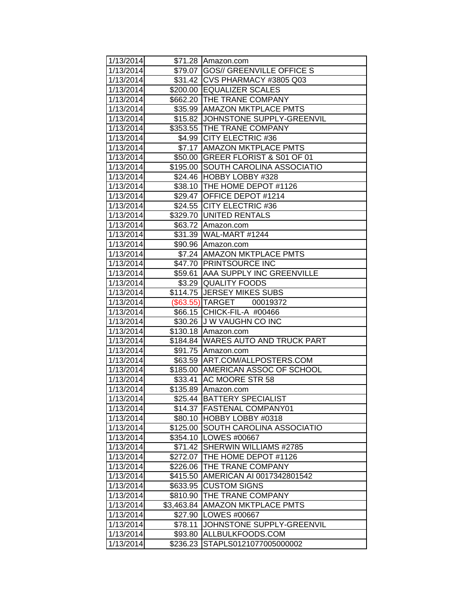| 1/13/2014 |            | \$71.28 Amazon.com                  |
|-----------|------------|-------------------------------------|
| 1/13/2014 |            | \$79.07 GOS// GREENVILLE OFFICE S   |
| 1/13/2014 |            | \$31.42   CVS PHARMACY #3805 Q03    |
| 1/13/2014 |            | \$200.00 EQUALIZER SCALES           |
| 1/13/2014 |            | \$662.20 THE TRANE COMPANY          |
| 1/13/2014 |            | \$35.99 AMAZON MKTPLACE PMTS        |
| 1/13/2014 |            | \$15.82 JOHNSTONE SUPPLY-GREENVIL   |
| 1/13/2014 |            | \$353.55 THE TRANE COMPANY          |
| 1/13/2014 |            | \$4.99 CITY ELECTRIC #36            |
| 1/13/2014 |            | \$7.17 AMAZON MKTPLACE PMTS         |
| 1/13/2014 |            | \$50.00 GREER FLORIST & S01 OF 01   |
| 1/13/2014 |            | \$195.00 SOUTH CAROLINA ASSOCIATIO  |
| 1/13/2014 |            | \$24.46 HOBBY LOBBY #328            |
| 1/13/2014 |            | \$38.10   THE HOME DEPOT #1126      |
| 1/13/2014 |            | \$29.47 OFFICE DEPOT #1214          |
| 1/13/2014 |            | \$24.55 CITY ELECTRIC #36           |
| 1/13/2014 |            | \$329.70 UNITED RENTALS             |
| 1/13/2014 |            | \$63.72 Amazon.com                  |
| 1/13/2014 |            | \$31.39 WAL-MART #1244              |
| 1/13/2014 |            | \$90.96 Amazon.com                  |
| 1/13/2014 |            | \$7.24 AMAZON MKTPLACE PMTS         |
| 1/13/2014 |            | \$47.70 PRINTSOURCE INC             |
| 1/13/2014 |            | \$59.61   AAA SUPPLY INC GREENVILLE |
| 1/13/2014 |            | \$3.29 QUALITY FOODS                |
| 1/13/2014 |            | \$114.75 JERSEY MIKES SUBS          |
| 1/13/2014 |            | (\$63.55) TARGET 00019372           |
| 1/13/2014 |            | \$66.15 CHICK-FIL-A #00466          |
| 1/13/2014 |            | \$30.26 J W VAUGHN CO INC           |
| 1/13/2014 | \$130.18   | Amazon.com                          |
| 1/13/2014 |            | \$184.84 WARES AUTO AND TRUCK PART  |
| 1/13/2014 |            | \$91.75 Amazon.com                  |
| 1/13/2014 | \$63.59    | ART.COM/ALLPOSTERS.COM              |
| 1/13/2014 |            | \$185.00 AMERICAN ASSOC OF SCHOOL   |
| 1/13/2014 |            | \$33.41 AC MOORE STR 58             |
| 1/13/2014 |            | \$135.89 Amazon.com                 |
| 1/13/2014 |            | \$25.44 BATTERY SPECIALIST          |
| 1/13/2014 |            | \$14.37   FASTENAL COMPANY01        |
| 1/13/2014 | \$80.10    | <b>HOBBY LOBBY #0318</b>            |
| 1/13/2014 | \$125.00   | <b>SOUTH CAROLINA ASSOCIATIO</b>    |
| 1/13/2014 | \$354.10   | LOWES #00667                        |
| 1/13/2014 | \$71.42    | SHERWIN WILLIAMS #2785              |
| 1/13/2014 | \$272.07   | THE HOME DEPOT #1126                |
| 1/13/2014 | \$226.06   | THE TRANE COMPANY                   |
| 1/13/2014 | \$415.50   | AMERICAN AI 0017342801542           |
| 1/13/2014 | \$633.95   | <b>CUSTOM SIGNS</b>                 |
| 1/13/2014 | \$810.90   | THE TRANE COMPANY                   |
| 1/13/2014 | \$3,463.84 | <b>AMAZON MKTPLACE PMTS</b>         |
| 1/13/2014 | \$27.90    | LOWES #00667                        |
| 1/13/2014 | \$78.11    | JOHNSTONE SUPPLY-GREENVIL           |
| 1/13/2014 | \$93.80    | ALLBULKFOODS.COM                    |
| 1/13/2014 | \$236.23   | STAPLS0121077005000002              |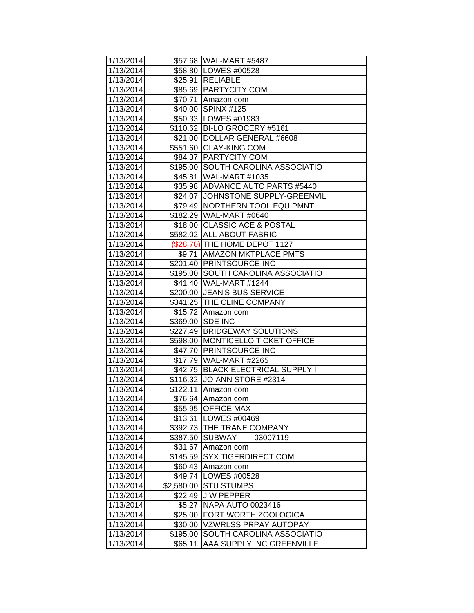| 1/13/2014 |            | \$57.68 WAL-MART #5487             |
|-----------|------------|------------------------------------|
| 1/13/2014 |            | \$58.80   LOWES #00528             |
| 1/13/2014 |            | \$25.91 RELIABLE                   |
| 1/13/2014 |            | \$85.69 PARTYCITY.COM              |
| 1/13/2014 | \$70.71    | Amazon.com                         |
| 1/13/2014 | \$40.00    | SPINX #125                         |
| 1/13/2014 |            | \$50.33   LOWES #01983             |
| 1/13/2014 |            | \$110.62 BI-LO GROCERY #5161       |
| 1/13/2014 |            | \$21.00 DOLLAR GENERAL #6608       |
| 1/13/2014 |            | \$551.60 CLAY-KING.COM             |
| 1/13/2014 |            | \$84.37 PARTYCITY.COM              |
| 1/13/2014 |            | \$195.00 SOUTH CAROLINA ASSOCIATIO |
| 1/13/2014 | \$45.81    | <b>WAL-MART #1035</b>              |
| 1/13/2014 |            | \$35.98 ADVANCE AUTO PARTS #5440   |
| 1/13/2014 | \$24.07    | JOHNSTONE SUPPLY-GREENVIL          |
| 1/13/2014 | \$79.49    | <b>NORTHERN TOOL EQUIPMNT</b>      |
| 1/13/2014 | \$182.29   | WAL-MART #0640                     |
| 1/13/2014 | \$18.00    | <b>CLASSIC ACE &amp; POSTAL</b>    |
| 1/13/2014 | \$582.02   | <b>ALL ABOUT FABRIC</b>            |
| 1/13/2014 |            | (\$28.70) THE HOME DEPOT 1127      |
| 1/13/2014 |            | \$9.71 AMAZON MKTPLACE PMTS        |
| 1/13/2014 |            | \$201.40 PRINTSOURCE INC           |
| 1/13/2014 |            | \$195.00 SOUTH CAROLINA ASSOCIATIO |
| 1/13/2014 |            | \$41.40 WAL-MART #1244             |
| 1/13/2014 |            | \$200.00 JEAN'S BUS SERVICE        |
| 1/13/2014 |            | \$341.25 THE CLINE COMPANY         |
| 1/13/2014 |            | \$15.72 Amazon.com                 |
| 1/13/2014 |            | \$369.00 SDE INC                   |
| 1/13/2014 | \$227.49   | <b>BRIDGEWAY SOLUTIONS</b>         |
| 1/13/2014 | \$598.00   | <b>MONTICELLO TICKET OFFICE</b>    |
| 1/13/2014 | \$47.70    | <b>PRINTSOURCE INC</b>             |
| 1/13/2014 | \$17.79    | WAL-MART #2265                     |
| 1/13/2014 | \$42.75    | <b>BLACK ELECTRICAL SUPPLY I</b>   |
| 1/13/2014 |            | \$116.32 JO-ANN STORE #2314        |
| 1/13/2014 | \$122.11   | Amazon.com                         |
| 1/13/2014 | \$76.64    | Amazon.com                         |
| 1/13/2014 | \$55.95    | <b>OFFICE MAX</b>                  |
| 1/13/2014 | \$13.61    | LOWES #00469                       |
| 1/13/2014 | \$392.73   | THE TRANE COMPANY                  |
| 1/13/2014 | \$387.50   | <b>SUBWAY</b><br>03007119          |
| 1/13/2014 | \$31.67    | Amazon.com                         |
| 1/13/2014 | \$145.59   | <b>SYX TIGERDIRECT.COM</b>         |
| 1/13/2014 | \$60.43    | Amazon.com                         |
| 1/13/2014 | \$49.74    | LOWES #00528                       |
| 1/13/2014 | \$2,580.00 | <b>STU STUMPS</b>                  |
| 1/13/2014 | \$22.49    | <b>JW PEPPER</b>                   |
| 1/13/2014 | \$5.27     | <b>NAPA AUTO 0023416</b>           |
| 1/13/2014 | \$25.00    | FORT WORTH ZOOLOGICA               |
| 1/13/2014 | \$30.00    | <b>VZWRLSS PRPAY AUTOPAY</b>       |
| 1/13/2014 | \$195.00   | SOUTH CAROLINA ASSOCIATIO          |
| 1/13/2014 | \$65.11    | AAA SUPPLY INC GREENVILLE          |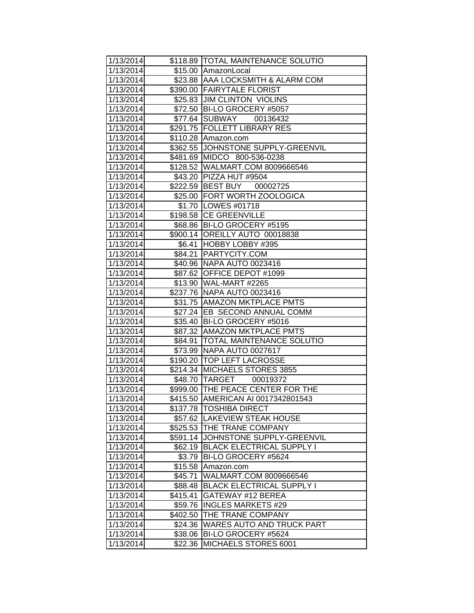| 1/13/2014 |          | \$118.89  TOTAL MAINTENANCE SOLUTIO |
|-----------|----------|-------------------------------------|
| 1/13/2014 |          | \$15.00 AmazonLocal                 |
| 1/13/2014 |          | \$23.88 AAA LOCKSMITH & ALARM COM   |
| 1/13/2014 |          | \$390.00 FAIRYTALE FLORIST          |
| 1/13/2014 |          | \$25.83 JJIM CLINTON VIOLINS        |
| 1/13/2014 | \$72.50  | BI-LO GROCERY #5057                 |
| 1/13/2014 | \$77.64  | <b>SUBWAY</b><br>00136432           |
| 1/13/2014 | \$291.75 | <b>FOLLETT LIBRARY RES</b>          |
| 1/13/2014 | \$110.28 | Amazon.com                          |
| 1/13/2014 |          | \$362.55 JJOHNSTONE SUPPLY-GREENVIL |
| 1/13/2014 | \$481.69 | MIDCO 800-536-0238                  |
| 1/13/2014 |          | \$128.52 WALMART.COM 8009666546     |
| 1/13/2014 |          | \$43.20 PIZZA HUT #9504             |
| 1/13/2014 |          | \$222.59 BEST BUY<br>00002725       |
| 1/13/2014 |          | \$25.00 FORT WORTH ZOOLOGICA        |
| 1/13/2014 |          | \$1.70   LOWES #01718               |
| 1/13/2014 |          | \$198.58 CE GREENVILLE              |
| 1/13/2014 | \$68.86  | BI-LO GROCERY #5195                 |
| 1/13/2014 | \$900.14 | OREILLY AUTO 00018838               |
| 1/13/2014 | \$6.41   | HOBBY LOBBY #395                    |
| 1/13/2014 | \$84.21  | <b>PARTYCITY.COM</b>                |
| 1/13/2014 |          | \$40.96 NAPA AUTO 0023416           |
| 1/13/2014 |          | \$87.62 OFFICE DEPOT #1099          |
| 1/13/2014 |          | \$13.90 WAL-MART #2265              |
| 1/13/2014 |          | \$237.76 NAPA AUTO 0023416          |
| 1/13/2014 |          | \$31.75 AMAZON MKTPLACE PMTS        |
| 1/13/2014 |          | \$27.24  EB SECOND ANNUAL COMM      |
| 1/13/2014 |          | \$35.40   BI-LO GROCERY #5016       |
| 1/13/2014 |          | \$87.32 AMAZON MKTPLACE PMTS        |
| 1/13/2014 | \$84.91  | <b>TOTAL MAINTENANCE SOLUTIO</b>    |
| 1/13/2014 | \$73.99  | NAPA AUTO 0027617                   |
| 1/13/2014 | \$190.20 | <b>TOP LEFT LACROSSE</b>            |
| 1/13/2014 | \$214.34 | <b>MICHAELS STORES 3855</b>         |
| 1/13/2014 |          | \$48.70 TARGET<br>00019372          |
| 1/13/2014 |          | \$999.00 THE PEACE CENTER FOR THE   |
| 1/13/2014 |          | \$415.50 AMERICAN AI 0017342801543  |
| 1/13/2014 | \$137.78 | <b>TOSHIBA DIRECT</b>               |
| 1/13/2014 | \$57.62  | <b>LAKEVIEW STEAK HOUSE</b>         |
| 1/13/2014 | \$525.53 | <b>THE TRANE COMPANY</b>            |
| 1/13/2014 | \$591.14 | JOHNSTONE SUPPLY-GREENVIL           |
| 1/13/2014 | \$62.19  | <b>BLACK ELECTRICAL SUPPLY I</b>    |
| 1/13/2014 | \$3.79   | BI-LO GROCERY #5624                 |
| 1/13/2014 | \$15.58  | Amazon.com                          |
| 1/13/2014 | \$45.71  | WALMART.COM 8009666546              |
| 1/13/2014 | \$88.48  | <b>BLACK ELECTRICAL SUPPLY I</b>    |
| 1/13/2014 | \$415.41 | GATEWAY #12 BEREA                   |
| 1/13/2014 | \$59.76  | <b>INGLES MARKETS #29</b>           |
| 1/13/2014 | \$402.50 | THE TRANE COMPANY                   |
| 1/13/2014 | \$24.36  | <b>WARES AUTO AND TRUCK PART</b>    |
| 1/13/2014 | \$38.06  | BI-LO GROCERY #5624                 |
| 1/13/2014 | \$22.36  | MICHAELS STORES 6001                |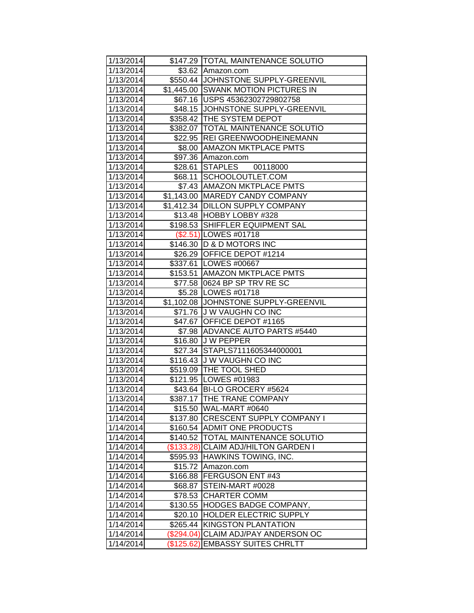| 1/13/2014 |            | \$147.29 TOTAL MAINTENANCE SOLUTIO    |
|-----------|------------|---------------------------------------|
| 1/13/2014 |            | \$3.62 Amazon.com                     |
| 1/13/2014 |            | \$550.44 JOHNSTONE SUPPLY-GREENVIL    |
| 1/13/2014 |            | \$1,445.00 SWANK MOTION PICTURES IN   |
| 1/13/2014 |            | \$67.16   USPS 45362302729802758      |
| 1/13/2014 |            | \$48.15 JOHNSTONE SUPPLY-GREENVIL     |
| 1/13/2014 |            | \$358.42 THE SYSTEM DEPOT             |
| 1/13/2014 |            | \$382.07   TOTAL MAINTENANCE SOLUTIO  |
| 1/13/2014 |            | \$22.95 REI GREENWOODHEINEMANN        |
| 1/13/2014 |            | \$8.00 AMAZON MKTPLACE PMTS           |
| 1/13/2014 |            | \$97.36 Amazon.com                    |
| 1/13/2014 |            | \$28.61 STAPLES 00118000              |
| 1/13/2014 |            | \$68.11 SCHOOLOUTLET.COM              |
| 1/13/2014 |            | \$7.43 AMAZON MKTPLACE PMTS           |
| 1/13/2014 |            | \$1,143.00 MAREDY CANDY COMPANY       |
| 1/13/2014 |            | \$1,412.34 DILLON SUPPLY COMPANY      |
| 1/13/2014 |            | \$13.48 HOBBY LOBBY #328              |
| 1/13/2014 |            | \$198.53 SHIFFLER EQUIPMENT SAL       |
| 1/13/2014 |            | (\$2.51) LOWES #01718                 |
| 1/13/2014 |            | \$146.30   D & D MOTORS INC           |
| 1/13/2014 |            | \$26.29 OFFICE DEPOT #1214            |
| 1/13/2014 |            | \$337.61 LOWES #00667                 |
| 1/13/2014 |            | \$153.51 AMAZON MKTPLACE PMTS         |
| 1/13/2014 |            | \$77.58 0624 BP SP TRV RE SC          |
| 1/13/2014 |            | \$5.28   LOWES #01718                 |
| 1/13/2014 |            | \$1,102.08 JJOHNSTONE SUPPLY-GREENVIL |
| 1/13/2014 |            | \$71.76 J W VAUGHN CO INC             |
| 1/13/2014 |            | \$47.67 OFFICE DEPOT #1165            |
| 1/13/2014 |            | \$7.98 ADVANCE AUTO PARTS #5440       |
| 1/13/2014 |            | \$16.80 J W PEPPER                    |
| 1/13/2014 |            | \$27.34 STAPLS7111605344000001        |
| 1/13/2014 |            | \$116.43 J W VAUGHN CO INC            |
| 1/13/2014 |            | \$519.09 THE TOOL SHED                |
| 1/13/2014 |            | \$121.95 LOWES #01983                 |
| 1/13/2014 |            | \$43.64 BI-LO GROCERY #5624           |
| 1/13/2014 |            | \$387.17 THE TRANE COMPANY            |
| 1/14/2014 |            | \$15.50 WAL-MART #0640                |
| 1/14/2014 |            | \$137.80 CRESCENT SUPPLY COMPANY I    |
| 1/14/2014 |            | \$160.54 ADMIT ONE PRODUCTS           |
| 1/14/2014 |            | \$140.52  TOTAL MAINTENANCE SOLUTIO   |
| 1/14/2014 |            | (\$133.28) CLAIM ADJ/HILTON GARDEN I  |
| 1/14/2014 | \$595.93   | <b>HAWKINS TOWING, INC.</b>           |
| 1/14/2014 | \$15.72    | Amazon.com                            |
| 1/14/2014 | \$166.88   | FERGUSON ENT #43                      |
| 1/14/2014 | \$68.87    | STEIN-MART #0028                      |
| 1/14/2014 | \$78.53    | <b>CHARTER COMM</b>                   |
| 1/14/2014 | \$130.55   | HODGES BADGE COMPANY,                 |
| 1/14/2014 | \$20.10    | <b>HOLDER ELECTRIC SUPPLY</b>         |
| 1/14/2014 | \$265.44   | <b>KINGSTON PLANTATION</b>            |
| 1/14/2014 | (\$294.04) | CLAIM ADJ/PAY ANDERSON OC             |
| 1/14/2014 | (\$125.62) | <b>EMBASSY SUITES CHRLTT</b>          |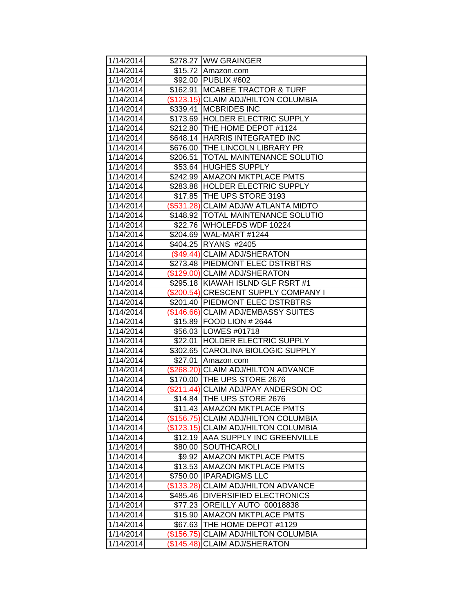| 1/14/2014 |                      | \$278.27 WW GRAINGER                 |
|-----------|----------------------|--------------------------------------|
| 1/14/2014 |                      | \$15.72 Amazon.com                   |
| 1/14/2014 |                      | \$92.00 PUBLIX #602                  |
| 1/14/2014 | $\overline{$}162.91$ | <b>MCABEE TRACTOR &amp; TURF</b>     |
| 1/14/2014 |                      | (\$123.15) CLAIM ADJ/HILTON COLUMBIA |
| 1/14/2014 | \$339.41             | <b>MCBRIDES INC</b>                  |
| 1/14/2014 |                      | \$173.69 HOLDER ELECTRIC SUPPLY      |
| 1/14/2014 |                      | \$212.80 THE HOME DEPOT #1124        |
| 1/14/2014 |                      | \$648.14 HARRIS INTEGRATED INC       |
| 1/14/2014 |                      | \$676.00 THE LINCOLN LIBRARY PR      |
| 1/14/2014 |                      | \$206.51   TOTAL MAINTENANCE SOLUTIO |
| 1/14/2014 |                      | \$53.64 HUGHES SUPPLY                |
| 1/14/2014 |                      | \$242.99 AMAZON MKTPLACE PMTS        |
| 1/14/2014 |                      | \$283.88 HOLDER ELECTRIC SUPPLY      |
| 1/14/2014 |                      | \$17.85 THE UPS STORE 3193           |
| 1/14/2014 |                      | (\$531.28) CLAIM ADJ/W ATLANTA MIDTO |
| 1/14/2014 |                      | \$148.92 TOTAL MAINTENANCE SOLUTIO   |
| 1/14/2014 |                      | \$22.76 WHOLEFDS WDF 10224           |
| 1/14/2014 |                      | \$204.69 WAL-MART #1244              |
| 1/14/2014 | \$404.25             | <b>RYANS #2405</b>                   |
| 1/14/2014 |                      | (\$49.44) CLAIM ADJ/SHERATON         |
| 1/14/2014 |                      | \$273.48 PIEDMONT ELEC DSTRBTRS      |
| 1/14/2014 |                      | (\$129.00) CLAIM ADJ/SHERATON        |
| 1/14/2014 |                      | \$295.18 KIAWAH ISLND GLF RSRT #1    |
| 1/14/2014 |                      | (\$200.54) CRESCENT SUPPLY COMPANY I |
| 1/14/2014 |                      | \$201.40 PIEDMONT ELEC DSTRBTRS      |
| 1/14/2014 |                      | (\$146.66) CLAIM ADJ/EMBASSY SUITES  |
| 1/14/2014 |                      | \$15.89 FOOD LION # 2644             |
| 1/14/2014 |                      | \$56.03 LOWES #01718                 |
| 1/14/2014 | \$22.01              | <b>HOLDER ELECTRIC SUPPLY</b>        |
| 1/14/2014 |                      | \$302.65 CAROLINA BIOLOGIC SUPPLY    |
| 1/14/2014 | \$27.01              | Amazon.com                           |
| 1/14/2014 |                      | (\$268.20) CLAIM ADJ/HILTON ADVANCE  |
| 1/14/2014 |                      | \$170.00 THE UPS STORE 2676          |
| 1/14/2014 |                      | (\$211.44) CLAIM ADJ/PAY ANDERSON OC |
| 1/14/2014 |                      | \$14.84 THE UPS STORE 2676           |
| 1/14/2014 | \$11.43              | <b>AMAZON MKTPLACE PMTS</b>          |
| 1/14/2014 |                      | (\$156.75) CLAIM ADJ/HILTON COLUMBIA |
| 1/14/2014 | (\$123.15)           | <b>CLAIM ADJ/HILTON COLUMBIA</b>     |
| 1/14/2014 |                      | \$12.19   AAA SUPPLY INC GREENVILLE  |
| 1/14/2014 | \$80.00              | <b>SOUTHCAROLI</b>                   |
| 1/14/2014 | \$9.92               | <b>AMAZON MKTPLACE PMTS</b>          |
| 1/14/2014 | \$13.53              | <b>AMAZON MKTPLACE PMTS</b>          |
| 1/14/2014 | \$750.00             | <b>IPARADIGMS LLC</b>                |
| 1/14/2014 | (\$133.28)           | CLAIM ADJ/HILTON ADVANCE             |
| 1/14/2014 | \$485.46             | <b>DIVERSIFIED ELECTRONICS</b>       |
| 1/14/2014 | \$77.23              | OREILLY AUTO 00018838                |
| 1/14/2014 | \$15.90              | <b>AMAZON MKTPLACE PMTS</b>          |
| 1/14/2014 | \$67.63              | THE HOME DEPOT #1129                 |
| 1/14/2014 | (\$156.75)           | CLAIM ADJ/HILTON COLUMBIA            |
| 1/14/2014 | (\$145.48)           | <b>CLAIM ADJ/SHERATON</b>            |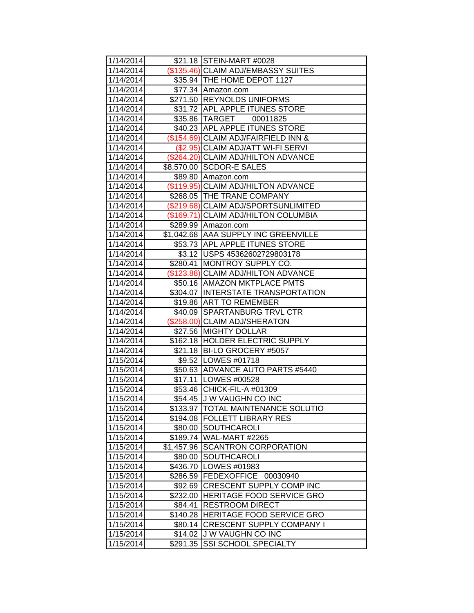| 1/14/2014 |            | \$21.18 STEIN-MART #0028             |
|-----------|------------|--------------------------------------|
| 1/14/2014 |            | (\$135.46) CLAIM ADJ/EMBASSY SUITES  |
| 1/14/2014 |            | \$35.94   THE HOME DEPOT 1127        |
| 1/14/2014 |            | \$77.34 Amazon.com                   |
| 1/14/2014 | \$271.50   | <b>REYNOLDS UNIFORMS</b>             |
| 1/14/2014 | \$31.72    | <b>APL APPLE ITUNES STORE</b>        |
| 1/14/2014 |            | \$35.86 TARGET 00011825              |
| 1/14/2014 |            | \$40.23 APL APPLE ITUNES STORE       |
| 1/14/2014 |            | (\$154.69) CLAIM ADJ/FAIRFIELD INN & |
| 1/14/2014 |            | (\$2.95) CLAIM ADJ/ATT WI-FI SERVI   |
| 1/14/2014 |            | (\$264.20) CLAIM ADJ/HILTON ADVANCE  |
| 1/14/2014 |            | \$8,570.00 SCDOR-E SALES             |
| 1/14/2014 |            | \$89.80 Amazon.com                   |
| 1/14/2014 |            | (\$119.95) CLAIM ADJ/HILTON ADVANCE  |
| 1/14/2014 |            | \$268.05 THE TRANE COMPANY           |
| 1/14/2014 |            | (\$219.68) CLAIM ADJ/SPORTSUNLIMITED |
| 1/14/2014 |            | (\$169.71) CLAIM ADJ/HILTON COLUMBIA |
| 1/14/2014 | \$289.99   | Amazon.com                           |
| 1/14/2014 |            | \$1,042.68 AAA SUPPLY INC GREENVILLE |
| 1/14/2014 |            | \$53.73 APL APPLE ITUNES STORE       |
| 1/14/2014 |            | \$3.12 USPS 45362602729803178        |
| 1/14/2014 | \$280.41   | <b>MONTROY SUPPLY CO.</b>            |
| 1/14/2014 |            | (\$123.88) CLAIM ADJ/HILTON ADVANCE  |
| 1/14/2014 |            | \$50.16 AMAZON MKTPLACE PMTS         |
| 1/14/2014 |            | \$304.07 INTERSTATE TRANSPORTATION   |
| 1/14/2014 |            | \$19.86 ART TO REMEMBER              |
| 1/14/2014 |            | \$40.09 SPARTANBURG TRVL CTR         |
| 1/14/2014 |            | (\$258.00) CLAIM ADJ/SHERATON        |
| 1/14/2014 | \$27.56    | <b>MIGHTY DOLLAR</b>                 |
| 1/14/2014 | \$162.18   | <b>HOLDER ELECTRIC SUPPLY</b>        |
| 1/14/2014 | \$21.18    | <b>BI-LO GROCERY #5057</b>           |
| 1/15/2014 |            | \$9.52   LOWES #01718                |
| 1/15/2014 |            | \$50.63 ADVANCE AUTO PARTS #5440     |
| 1/15/2014 |            | \$17.11   LOWES #00528               |
| 1/15/2014 |            | \$53.46 CHICK-FIL-A #01309           |
| 1/15/2014 |            | \$54.45 J W VAUGHN CO INC            |
| 1/15/2014 | \$133.97   | <b>TOTAL MAINTENANCE SOLUTIO</b>     |
| 1/15/2014 | \$194.08   | <b>FOLLETT LIBRARY RES</b>           |
| 1/15/2014 | \$80.00    | <b>SOUTHCAROLI</b>                   |
| 1/15/2014 | \$189.74   | WAL-MART #2265                       |
| 1/15/2014 | \$1,457.96 | <b>SCANTRON CORPORATION</b>          |
| 1/15/2014 | \$80.00    | SOUTHCAROLI                          |
| 1/15/2014 | \$436.70   | LOWES #01983                         |
| 1/15/2014 | \$286.59   | FEDEXOFFICE 00030940                 |
| 1/15/2014 | \$92.69    | CRESCENT SUPPLY COMP INC             |
| 1/15/2014 | \$232.00   | HERITAGE FOOD SERVICE GRO            |
| 1/15/2014 | \$84.41    | <b>RESTROOM DIRECT</b>               |
| 1/15/2014 | \$140.28   | HERITAGE FOOD SERVICE GRO            |
| 1/15/2014 | \$80.14    | <b>CRESCENT SUPPLY COMPANY I</b>     |
| 1/15/2014 | \$14.02    | J W VAUGHN CO INC                    |
| 1/15/2014 | \$291.35   | <b>SSI SCHOOL SPECIALTY</b>          |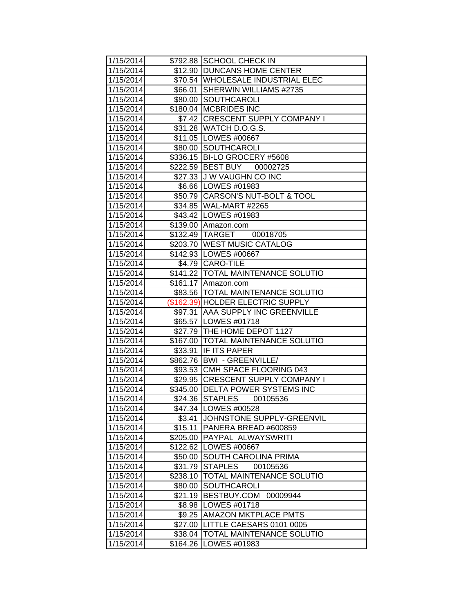| 1/15/2014 |          | \$792.88 SCHOOL CHECK IN             |
|-----------|----------|--------------------------------------|
| 1/15/2014 |          | \$12.90 DUNCANS HOME CENTER          |
| 1/15/2014 |          | \$70.54   WHOLESALE INDUSTRIAL ELEC  |
| 1/15/2014 | \$66.01  | SHERWIN WILLIAMS #2735               |
| 1/15/2014 | \$80.00  | SOUTHCAROLI                          |
| 1/15/2014 |          | \$180.04   MCBRIDES INC              |
| 1/15/2014 |          | \$7.42 CRESCENT SUPPLY COMPANY I     |
| 1/15/2014 |          | \$31.28 WATCH D.O.G.S.               |
| 1/15/2014 |          | \$11.05   LOWES #00667               |
| 1/15/2014 |          | \$80.00 SOUTHCAROLI                  |
| 1/15/2014 |          | \$336.15 BI-LO GROCERY #5608         |
| 1/15/2014 |          | \$222.59 BEST BUY<br>00002725        |
| 1/15/2014 |          | \$27.33 J W VAUGHN CO INC            |
| 1/15/2014 |          | \$6.66   LOWES #01983                |
| 1/15/2014 |          | \$50.79 CARSON'S NUT-BOLT & TOOL     |
| 1/15/2014 |          | \$34.85 WAL-MART #2265               |
| 1/15/2014 |          | \$43.42 LOWES #01983                 |
| 1/15/2014 |          | \$139.00 Amazon.com                  |
| 1/15/2014 |          | \$132.49 TARGET<br>00018705          |
| 1/15/2014 |          | \$203.70 WEST MUSIC CATALOG          |
| 1/15/2014 |          | \$142.93 LOWES #00667                |
| 1/15/2014 |          | \$4.79 CARO-TILE                     |
| 1/15/2014 |          | \$141.22  TOTAL MAINTENANCE SOLUTIO  |
| 1/15/2014 |          | \$161.17 Amazon.com                  |
| 1/15/2014 |          | \$83.56   TOTAL MAINTENANCE SOLUTIO  |
| 1/15/2014 |          | (\$162.39) HOLDER ELECTRIC SUPPLY    |
| 1/15/2014 |          | \$97.31 AAA SUPPLY INC GREENVILLE    |
| 1/15/2014 |          | \$65.57   LOWES #01718               |
| 1/15/2014 |          | \$27.79 THE HOME DEPOT 1127          |
| 1/15/2014 |          | \$167.00   TOTAL MAINTENANCE SOLUTIO |
| 1/15/2014 | \$33.91  | <b>IF ITS PAPER</b>                  |
| 1/15/2014 |          | \$862.76   BWI - GREENVILLE/         |
| 1/15/2014 |          | \$93.53 CMH SPACE FLOORING 043       |
| 1/15/2014 |          | \$29.95 CRESCENT SUPPLY COMPANY I    |
| 1/15/2014 |          | \$345.00 DELTA POWER SYSTEMS INC     |
| 1/15/2014 |          | \$24.36 STAPLES<br>00105536          |
| 1/15/2014 |          | \$47.34   LOWES #00528               |
| 1/15/2014 | \$3.41   | JOHNSTONE SUPPLY-GREENVIL            |
| 1/15/2014 | \$15.11  | PANERA BREAD #600859                 |
| 1/15/2014 | \$205.00 | <b>PAYPAL ALWAYSWRITI</b>            |
| 1/15/2014 | \$122.62 | <b>LOWES #00667</b>                  |
| 1/15/2014 | \$50.00  | SOUTH CAROLINA PRIMA                 |
| 1/15/2014 | \$31.79  | <b>STAPLES</b><br>00105536           |
| 1/15/2014 | \$238.10 | <b>TOTAL MAINTENANCE SOLUTIO</b>     |
| 1/15/2014 | \$80.00  | SOUTHCAROLI                          |
| 1/15/2014 | \$21.19  | BESTBUY.COM<br>00009944              |
| 1/15/2014 | \$8.98   | LOWES #01718                         |
| 1/15/2014 | \$9.25   | <b>AMAZON MKTPLACE PMTS</b>          |
| 1/15/2014 | \$27.00  | LITTLE CAESARS 0101 0005             |
| 1/15/2014 | \$38.04  | TOTAL MAINTENANCE SOLUTIO            |
| 1/15/2014 | \$164.26 | LOWES #01983                         |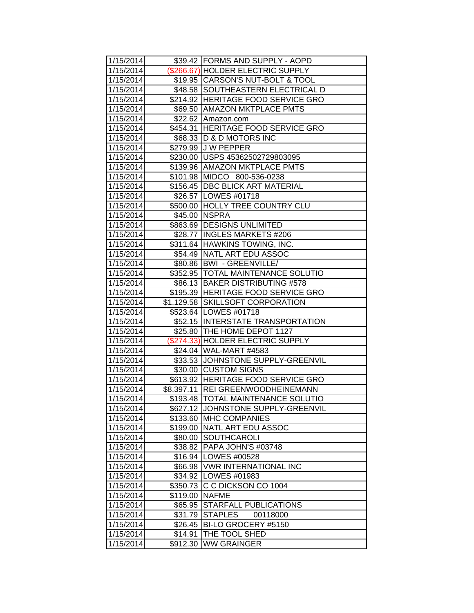| 1/15/2014 |          | \$39.42 FORMS AND SUPPLY - AOPD     |
|-----------|----------|-------------------------------------|
| 1/15/2014 |          | (\$266.67) HOLDER ELECTRIC SUPPLY   |
| 1/15/2014 |          | \$19.95 CARSON'S NUT-BOLT & TOOL    |
| 1/15/2014 |          | \$48.58 SOUTHEASTERN ELECTRICAL D   |
| 1/15/2014 |          | \$214.92 HERITAGE FOOD SERVICE GRO  |
| 1/15/2014 |          | \$69.50 AMAZON MKTPLACE PMTS        |
| 1/15/2014 |          | \$22.62 Amazon.com                  |
| 1/15/2014 |          | \$454.31 HERITAGE FOOD SERVICE GRO  |
| 1/15/2014 |          | \$68.33  D & D MOTORS INC           |
| 1/15/2014 |          | \$279.99 J W PEPPER                 |
| 1/15/2014 |          | \$230.00 USPS 45362502729803095     |
| 1/15/2014 |          | \$139.96   AMAZON MKTPLACE PMTS     |
| 1/15/2014 |          | \$101.98 MIDCO 800-536-0238         |
| 1/15/2014 |          | \$156.45   DBC BLICK ART MATERIAL   |
| 1/15/2014 |          | \$26.57   LOWES #01718              |
| 1/15/2014 |          | \$500.00 HOLLY TREE COUNTRY CLU     |
| 1/15/2014 |          | \$45.00   NSPRA                     |
| 1/15/2014 |          | \$863.69 DESIGNS UNLIMITED          |
| 1/15/2014 | \$28.77  | <b>INGLES MARKETS #206</b>          |
| 1/15/2014 |          | \$311.64 HAWKINS TOWING, INC.       |
| 1/15/2014 |          | \$54.49 NATL ART EDU ASSOC          |
| 1/15/2014 |          | \$80.86  BWI - GREENVILLE/          |
| 1/15/2014 |          | \$352.95  TOTAL MAINTENANCE SOLUTIO |
| 1/15/2014 |          | \$86.13 BAKER DISTRIBUTING #578     |
| 1/15/2014 |          | \$195.39 HERITAGE FOOD SERVICE GRO  |
| 1/15/2014 |          | \$1,129.58 SKILLSOFT CORPORATION    |
| 1/15/2014 |          | \$523.64 LOWES #01718               |
| 1/15/2014 |          | \$52.15 INTERSTATE TRANSPORTATION   |
| 1/15/2014 |          | \$25.80 THE HOME DEPOT 1127         |
| 1/15/2014 |          | (\$274.33) HOLDER ELECTRIC SUPPLY   |
| 1/15/2014 |          | \$24.04 WAL-MART #4583              |
| 1/15/2014 |          | \$33.53 JJOHNSTONE SUPPLY-GREENVIL  |
| 1/15/2014 |          | \$30.00 CUSTOM SIGNS                |
| 1/15/2014 |          | \$613.92 HERITAGE FOOD SERVICE GRO  |
| 1/15/2014 |          | \$8,397.11 REI GREENWOODHEINEMANN   |
| 1/15/2014 |          | \$193.48  TOTAL MAINTENANCE SOLUTIO |
| 1/15/2014 |          | \$627.12 JOHNSTONE SUPPLY-GREENVIL  |
| 1/15/2014 | \$133.60 | <b>IMHC COMPANIES</b>               |
| 1/15/2014 | \$199.00 | NATL ART EDU ASSOC                  |
| 1/15/2014 | \$80.00  | SOUTHCAROLI                         |
| 1/15/2014 | \$38.82  | PAPA JOHN'S #03748                  |
| 1/15/2014 | \$16.94  | LOWES #00528                        |
| 1/15/2014 | \$66.98  | <b>VWR INTERNATIONAL INC</b>        |
| 1/15/2014 | \$34.92  | LOWES #01983                        |
| 1/15/2014 | \$350.73 | C C DICKSON CO 1004                 |
| 1/15/2014 | \$119.00 | <b>NAFME</b>                        |
| 1/15/2014 | \$65.95  | <b>STARFALL PUBLICATIONS</b>        |
| 1/15/2014 | \$31.79  | <b>STAPLES</b><br>00118000          |
| 1/15/2014 | \$26.45  | BI-LO GROCERY #5150                 |
| 1/15/2014 | \$14.91  | THE TOOL SHED                       |
| 1/15/2014 | \$912.30 | <b>WW GRAINGER</b>                  |
|           |          |                                     |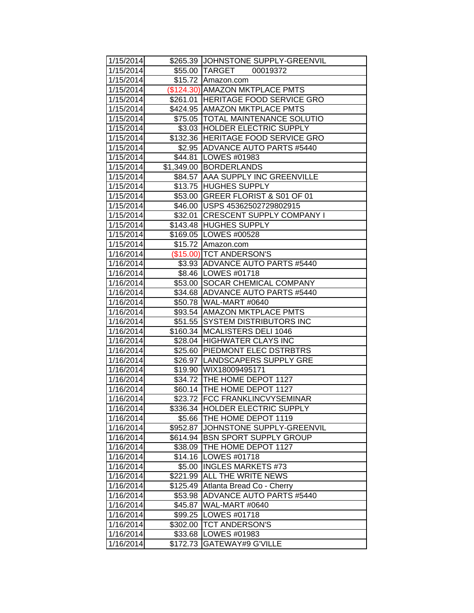| 1/15/2014 |          | \$265.39 JOHNSTONE SUPPLY-GREENVIL  |
|-----------|----------|-------------------------------------|
| 1/15/2014 |          | \$55.00 TARGET 00019372             |
| 1/15/2014 |          | \$15.72 Amazon.com                  |
| 1/15/2014 |          | (\$124.30) AMAZON MKTPLACE PMTS     |
| 1/15/2014 |          | \$261.01 HERITAGE FOOD SERVICE GRO  |
| 1/15/2014 |          | \$424.95 AMAZON MKTPLACE PMTS       |
| 1/15/2014 |          | \$75.05   TOTAL MAINTENANCE SOLUTIO |
| 1/15/2014 |          | \$3.03 HOLDER ELECTRIC SUPPLY       |
| 1/15/2014 |          | \$132.36 HERITAGE FOOD SERVICE GRO  |
| 1/15/2014 |          | \$2.95 ADVANCE AUTO PARTS #5440     |
| 1/15/2014 |          | \$44.81   LOWES #01983              |
| 1/15/2014 |          | \$1,349.00 BORDERLANDS              |
| 1/15/2014 |          | \$84.57   AAA SUPPLY INC GREENVILLE |
| 1/15/2014 |          | \$13.75 HUGHES SUPPLY               |
| 1/15/2014 |          | \$53.00 GREER FLORIST & S01 OF 01   |
| 1/15/2014 |          | \$46.00   USPS 45362502729802915    |
| 1/15/2014 | \$32.01  | <b>CRESCENT SUPPLY COMPANY I</b>    |
| 1/15/2014 |          | \$143.48 HUGHES SUPPLY              |
| 1/15/2014 |          | \$169.05   LOWES #00528             |
| 1/15/2014 |          | \$15.72 Amazon.com                  |
| 1/16/2014 |          | (\$15.00) TCT ANDERSON'S            |
| 1/16/2014 |          | \$3.93 ADVANCE AUTO PARTS #5440     |
| 1/16/2014 |          | \$8.46   LOWES #01718               |
| 1/16/2014 | \$53.00  | SOCAR CHEMICAL COMPANY              |
| 1/16/2014 |          | \$34.68 ADVANCE AUTO PARTS #5440    |
| 1/16/2014 |          | \$50.78 WAL-MART #0640              |
| 1/16/2014 |          | \$93.54 AMAZON MKTPLACE PMTS        |
| 1/16/2014 |          | \$51.55 SYSTEM DISTRIBUTORS INC     |
| 1/16/2014 | \$160.34 | MCALISTERS DELI 1046                |
| 1/16/2014 | \$28.04  | <b>HIGHWATER CLAYS INC</b>          |
| 1/16/2014 |          | \$25.60 PIEDMONT ELEC DSTRBTRS      |
| 1/16/2014 |          | \$26.97 LANDSCAPERS SUPPLY GRE      |
| 1/16/2014 |          | \$19.90 WIX18009495171              |
| 1/16/2014 |          | \$34.72 THE HOME DEPOT 1127         |
| 1/16/2014 |          | \$60.14   THE HOME DEPOT 1127       |
| 1/16/2014 |          | \$23.72 FCC FRANKLINCVYSEMINAR      |
| 1/16/2014 |          | \$336.34 HOLDER ELECTRIC SUPPLY     |
| 1/16/2014 | \$5.66   | THE HOME DEPOT 1119                 |
| 1/16/2014 | \$952.87 | JOHNSTONE SUPPLY-GREENVIL           |
| 1/16/2014 |          | \$614.94 BSN SPORT SUPPLY GROUP     |
| 1/16/2014 | \$38.09  | THE HOME DEPOT 1127                 |
| 1/16/2014 | \$14.16  | LOWES #01718                        |
| 1/16/2014 | \$5.00   | <b>INGLES MARKETS #73</b>           |
| 1/16/2014 | \$221.99 | <b>ALL THE WRITE NEWS</b>           |
| 1/16/2014 | \$125.49 | Atlanta Bread Co - Cherry           |
| 1/16/2014 | \$53.98  | <b>ADVANCE AUTO PARTS #5440</b>     |
| 1/16/2014 | \$45.87  | WAL-MART #0640                      |
| 1/16/2014 | \$99.25  | LOWES #01718                        |
| 1/16/2014 | \$302.00 | <b>TCT ANDERSON'S</b>               |
| 1/16/2014 | \$33.68  | LOWES #01983                        |
| 1/16/2014 | \$172.73 | GATEWAY#9 G'VILLE                   |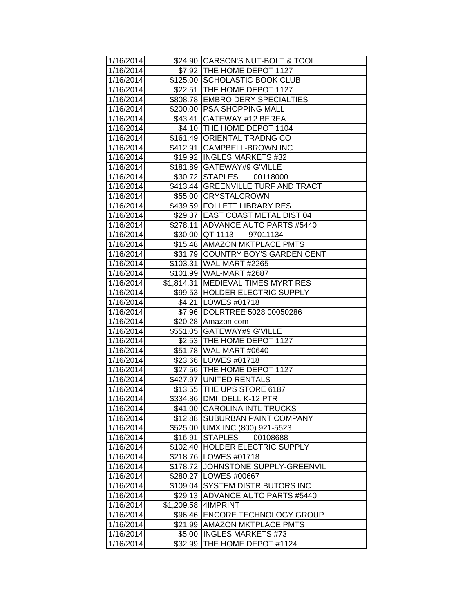| 1/16/2014 |            | \$24.90 CARSON'S NUT-BOLT & TOOL     |
|-----------|------------|--------------------------------------|
| 1/16/2014 |            | \$7.92 THE HOME DEPOT 1127           |
| 1/16/2014 |            | \$125.00 SCHOLASTIC BOOK CLUB        |
| 1/16/2014 |            | \$22.51 THE HOME DEPOT 1127          |
| 1/16/2014 |            | \$808.78 EMBROIDERY SPECIALTIES      |
| 1/16/2014 |            | \$200.00 PSA SHOPPING MALL           |
| 1/16/2014 |            | \$43.41 GATEWAY #12 BEREA            |
| 1/16/2014 |            | \$4.10 THE HOME DEPOT 1104           |
| 1/16/2014 |            | \$161.49 ORIENTAL TRADNG CO          |
| 1/16/2014 |            | \$412.91 CAMPBELL-BROWN INC          |
| 1/16/2014 |            | \$19.92 INGLES MARKETS #32           |
| 1/16/2014 |            | \$181.89 GATEWAY#9 G'VILLE           |
| 1/16/2014 |            | \$30.72 STAPLES<br>00118000          |
| 1/16/2014 |            | \$413.44   GREENVILLE TURF AND TRACT |
| 1/16/2014 |            | \$55.00 CRYSTALCROWN                 |
| 1/16/2014 |            | \$439.59 FOLLETT LIBRARY RES         |
| 1/16/2014 |            | \$29.37 EAST COAST METAL DIST 04     |
| 1/16/2014 | \$278.11   | ADVANCE AUTO PARTS #5440             |
| 1/16/2014 | \$30.00    | <b>QT 1113</b><br>97011134           |
| 1/16/2014 |            | \$15.48 AMAZON MKTPLACE PMTS         |
| 1/16/2014 |            | \$31.79 COUNTRY BOY'S GARDEN CENT    |
| 1/16/2014 | \$103.31   | WAL-MART #2265                       |
| 1/16/2014 |            | \$101.99   WAL-MART #2687            |
| 1/16/2014 | \$1,814.31 | MEDIEVAL TIMES MYRT RES              |
| 1/16/2014 |            | \$99.53 HOLDER ELECTRIC SUPPLY       |
| 1/16/2014 |            | \$4.21   LOWES #01718                |
| 1/16/2014 |            | \$7.96 DOLRTREE 5028 00050286        |
| 1/16/2014 |            | \$20.28 Amazon.com                   |
| 1/16/2014 |            | \$551.05 GATEWAY#9 G'VILLE           |
| 1/16/2014 |            | \$2.53 THE HOME DEPOT 1127           |
| 1/16/2014 |            | \$51.78 WAL-MART #0640               |
| 1/16/2014 |            | \$23.66 LOWES #01718                 |
| 1/16/2014 |            | \$27.56 THE HOME DEPOT 1127          |
| 1/16/2014 |            | \$427.97 UNITED RENTALS              |
| 1/16/2014 |            | \$13.55 THE UPS STORE 6187           |
| 1/16/2014 |            | \$334.86 DMI DELL K-12 PTR           |
| 1/16/2014 |            | \$41.00 CAROLINA INTL TRUCKS         |
| 1/16/2014 | \$12.88    | <b>SUBURBAN PAINT COMPANY</b>        |
| 1/16/2014 | \$525.00   | UMX INC (800) 921-5523               |
| 1/16/2014 | \$16.91    | <b>STAPLES</b><br>00108688           |
| 1/16/2014 | \$102.40   | <b>HOLDER ELECTRIC SUPPLY</b>        |
| 1/16/2014 | \$218.76   | LOWES #01718                         |
| 1/16/2014 | \$178.72   | JOHNSTONE SUPPLY-GREENVIL            |
| 1/16/2014 | \$280.27   | <b>LOWES #00667</b>                  |
| 1/16/2014 | \$109.04   | <b>SYSTEM DISTRIBUTORS INC</b>       |
| 1/16/2014 | \$29.13    | <b>ADVANCE AUTO PARTS #5440</b>      |
| 1/16/2014 | \$1,209.58 | 4IMPRINT                             |
| 1/16/2014 | \$96.46    | <b>ENCORE TECHNOLOGY GROUP</b>       |
| 1/16/2014 | \$21.99    | <b>AMAZON MKTPLACE PMTS</b>          |
| 1/16/2014 | \$5.00     | <b>INGLES MARKETS #73</b>            |
| 1/16/2014 | \$32.99    | THE HOME DEPOT #1124                 |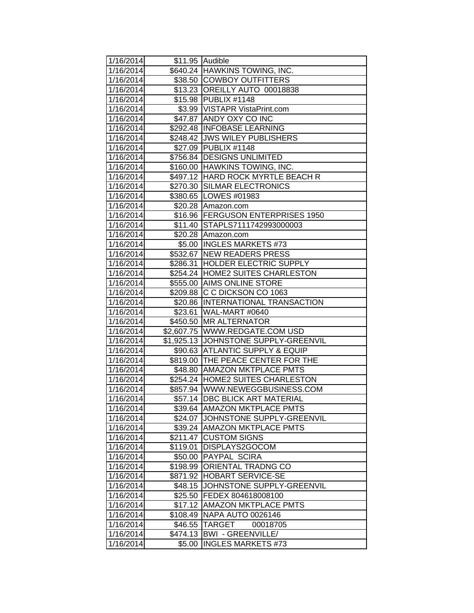| 1/16/2014 |          | \$11.95 Audible                      |
|-----------|----------|--------------------------------------|
| 1/16/2014 |          | \$640.24 HAWKINS TOWING, INC.        |
| 1/16/2014 |          | \$38.50 COWBOY OUTFITTERS            |
| 1/16/2014 |          | \$13.23 OREILLY AUTO 00018838        |
| 1/16/2014 |          | \$15.98 PUBLIX #1148                 |
| 1/16/2014 |          | \$3.99   VISTAPR VistaPrint.com      |
| 1/16/2014 |          | \$47.87 ANDY OXY CO INC              |
| 1/16/2014 |          | \$292.48 INFOBASE LEARNING           |
| 1/16/2014 |          | \$248.42 JWS WILEY PUBLISHERS        |
| 1/16/2014 |          | \$27.09 PUBLIX #1148                 |
| 1/16/2014 |          | \$756.84 DESIGNS UNLIMITED           |
| 1/16/2014 |          | \$160.00 HAWKINS TOWING, INC.        |
| 1/16/2014 |          | \$497.12 HARD ROCK MYRTLE BEACH R    |
| 1/16/2014 |          | \$270.30 SILMAR ELECTRONICS          |
| 1/16/2014 |          | \$380.65 LOWES #01983                |
| 1/16/2014 | \$20.28  | Amazon.com                           |
| 1/16/2014 | \$16.96  | <b>FERGUSON ENTERPRISES 1950</b>     |
| 1/16/2014 | \$11.40  | STAPLS7111742993000003               |
| 1/16/2014 | \$20.28  | Amazon.com                           |
| 1/16/2014 | \$5.00   | <b>INGLES MARKETS #73</b>            |
| 1/16/2014 |          | \$532.67 NEW READERS PRESS           |
| 1/16/2014 | \$286.31 | <b>HOLDER ELECTRIC SUPPLY</b>        |
| 1/16/2014 |          | \$254.24  HOME2 SUITES CHARLESTON    |
| 1/16/2014 |          | \$555.00 AIMS ONLINE STORE           |
| 1/16/2014 |          | \$209.88 C C DICKSON CO 1063         |
| 1/16/2014 |          | \$20.86 INTERNATIONAL TRANSACTION    |
| 1/16/2014 |          | \$23.61 WAL-MART #0640               |
| 1/16/2014 |          | \$450.50 MR ALTERNATOR               |
| 1/16/2014 |          | \$2,607.75 WWW.REDGATE.COM USD       |
| 1/16/2014 |          | \$1,925.13 JOHNSTONE SUPPLY-GREENVIL |
| 1/16/2014 |          | \$90.63 ATLANTIC SUPPLY & EQUIP      |
| 1/16/2014 |          | \$819.00 THE PEACE CENTER FOR THE    |
| 1/16/2014 |          | \$48.80 AMAZON MKTPLACE PMTS         |
| 1/16/2014 |          | \$254.24 HOME2 SUITES CHARLESTON     |
| 1/16/2014 |          | \$857.94 WWW.NEWEGGBUSINESS.COM      |
| 1/16/2014 |          | \$57.14   DBC BLICK ART MATERIAL     |
| 1/16/2014 |          | \$39.64 AMAZON MKTPLACE PMTS         |
| 1/16/2014 | \$24.07  | JOHNSTONE SUPPLY-GREENVIL            |
| 1/16/2014 |          | \$39.24   AMAZON MKTPLACE PMTS       |
| 1/16/2014 | \$211.47 | <b>CUSTOM SIGNS</b>                  |
| 1/16/2014 | \$119.01 | <b>DISPLAYS2GOCOM</b>                |
| 1/16/2014 | \$50.00  | <b>PAYPAL SCIRA</b>                  |
| 1/16/2014 | \$198.99 | <b>ORIENTAL TRADNG CO</b>            |
| 1/16/2014 | \$871.92 | <b>HOBART SERVICE-SE</b>             |
| 1/16/2014 | \$48.15  | JOHNSTONE SUPPLY-GREENVIL            |
| 1/16/2014 |          | \$25.50 FEDEX 804618008100           |
| 1/16/2014 | \$17.12  | <b>AMAZON MKTPLACE PMTS</b>          |
| 1/16/2014 | \$108.49 | <b>NAPA AUTO 0026146</b>             |
| 1/16/2014 | \$46.55  | <b>TARGET</b><br>00018705            |
| 1/16/2014 | \$474.13 | <b>BWI - GREENVILLE/</b>             |
| 1/16/2014 | \$5.00   | <b>INGLES MARKETS #73</b>            |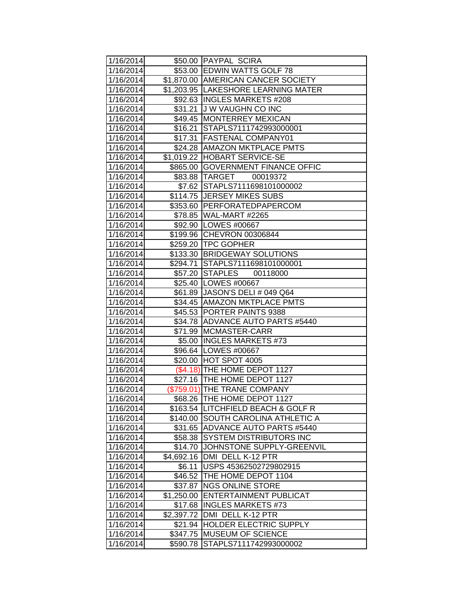| 1/16/2014 |            | \$50.00 PAYPAL SCIRA                |
|-----------|------------|-------------------------------------|
| 1/16/2014 |            | \$53.00 EDWIN WATTS GOLF 78         |
| 1/16/2014 |            | \$1,870.00 AMERICAN CANCER SOCIETY  |
| 1/16/2014 |            | \$1,203.95 LAKESHORE LEARNING MATER |
| 1/16/2014 |            | \$92.63  INGLES MARKETS #208        |
| 1/16/2014 | \$31.21    | J W VAUGHN CO INC                   |
| 1/16/2014 |            | \$49.45   MONTERREY MEXICAN         |
| 1/16/2014 | \$16.21    | STAPLS7111742993000001              |
| 1/16/2014 | \$17.31    | <b>FASTENAL COMPANY01</b>           |
| 1/16/2014 |            | \$24.28 AMAZON MKTPLACE PMTS        |
| 1/16/2014 |            | \$1,019.22 HOBART SERVICE-SE        |
| 1/16/2014 |            | \$865.00 GOVERNMENT FINANCE OFFIC   |
| 1/16/2014 |            | \$83.88 TARGET<br>00019372          |
| 1/16/2014 |            | \$7.62 STAPLS7111698101000002       |
| 1/16/2014 |            | \$114.75 JERSEY MIKES SUBS          |
| 1/16/2014 |            | \$353.60 PERFORATEDPAPERCOM         |
| 1/16/2014 |            | \$78.85 WAL-MART #2265              |
| 1/16/2014 |            | \$92.90 LOWES #00667                |
| 1/16/2014 | \$199.96   | <b>CHEVRON 00306844</b>             |
| 1/16/2014 |            | \$259.20 TPC GOPHER                 |
| 1/16/2014 |            | \$133.30 BRIDGEWAY SOLUTIONS        |
| 1/16/2014 |            | \$294.71 STAPLS7111698101000001     |
| 1/16/2014 |            | \$57.20 STAPLES 00118000            |
| 1/16/2014 |            | \$25.40   LOWES #00667              |
| 1/16/2014 |            | \$61.89 JASON'S DELI # 049 Q64      |
| 1/16/2014 |            | \$34.45 AMAZON MKTPLACE PMTS        |
| 1/16/2014 |            | \$45.53 PORTER PAINTS 9388          |
| 1/16/2014 |            | \$34.78 ADVANCE AUTO PARTS #5440    |
| 1/16/2014 | \$71.99    | MCMASTER-CARR                       |
| 1/16/2014 | \$5.00     | <b>INGLES MARKETS #73</b>           |
| 1/16/2014 |            | \$96.64   LOWES #00667              |
| 1/16/2014 |            | \$20.00 HOT SPOT 4005               |
| 1/16/2014 |            | (\$4.18) THE HOME DEPOT 1127        |
| 1/16/2014 |            | \$27.16 THE HOME DEPOT 1127         |
| 1/16/2014 |            | (\$759.01) THE TRANE COMPANY        |
| 1/16/2014 |            | \$68.26 THE HOME DEPOT 1127         |
| 1/16/2014 |            | \$163.54 LITCHFIELD BEACH & GOLF R  |
| 1/16/2014 | \$140.00   | ISOUTH CAROLINA ATHLETIC A          |
| 1/16/2014 | \$31.65    | <b>ADVANCE AUTO PARTS #5440</b>     |
| 1/16/2014 | \$58.38    | <b>SYSTEM DISTRIBUTORS INC</b>      |
| 1/16/2014 | \$14.70    | JOHNSTONE SUPPLY-GREENVIL           |
| 1/16/2014 | \$4,692.16 | DMI DELL K-12 PTR                   |
| 1/16/2014 | \$6.11     | USPS 45362502729802915              |
| 1/16/2014 | \$46.52    | THE HOME DEPOT 1104                 |
| 1/16/2014 | \$37.87    | <b>NGS ONLINE STORE</b>             |
| 1/16/2014 | \$1,250.00 | <b>ENTERTAINMENT PUBLICAT</b>       |
| 1/16/2014 | \$17.68    | <b>INGLES MARKETS #73</b>           |
| 1/16/2014 | \$2,397.72 | DMI DELL K-12 PTR                   |
| 1/16/2014 | \$21.94    | <b>HOLDER ELECTRIC SUPPLY</b>       |
| 1/16/2014 | \$347.75   | <b>MUSEUM OF SCIENCE</b>            |
| 1/16/2014 | \$590.78   | STAPLS7111742993000002              |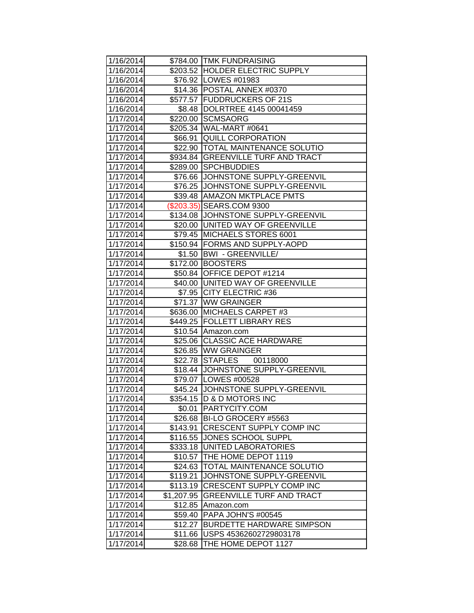| 1/16/2014              |            | \$784.00 TMK FUNDRAISING            |
|------------------------|------------|-------------------------------------|
| 1/16/2014              |            | \$203.52 HOLDER ELECTRIC SUPPLY     |
| 1/16/2014              |            | \$76.92 LOWES #01983                |
| 1/16/2014              |            | \$14.36 POSTAL ANNEX #0370          |
| 1/16/2014              |            | \$577.57 FUDDRUCKERS OF 21S         |
| 1/16/2014              |            | \$8.48  DOLRTREE 4145 00041459      |
| 1/17/2014              | \$220.00   | <b>SCMSAORG</b>                     |
| $\overline{1/17/2014}$ |            | \$205.34 WAL-MART #0641             |
| 1/17/2014              |            | \$66.91 QUILL CORPORATION           |
| 1/17/2014              |            | \$22.90  TOTAL MAINTENANCE SOLUTIO  |
| 1/17/2014              |            | \$934.84 GREENVILLE TURF AND TRACT  |
| 1/17/2014              |            | \$289.00 SPCHBUDDIES                |
| 1/17/2014              |            | \$76.66 JJOHNSTONE SUPPLY-GREENVIL  |
| 1/17/2014              |            | \$76.25 JJOHNSTONE SUPPLY-GREENVIL  |
| 1/17/2014              |            | \$39.48 AMAZON MKTPLACE PMTS        |
| 1/17/2014              |            | (\$203.35) SEARS.COM 9300           |
| 1/17/2014              |            | \$134.08 JJOHNSTONE SUPPLY-GREENVIL |
| 1/17/2014              |            | \$20.00 UNITED WAY OF GREENVILLE    |
| 1/17/2014              | \$79.45    | MICHAELS STORES 6001                |
| 1/17/2014              |            | \$150.94 FORMS AND SUPPLY-AOPD      |
| 1/17/2014              |            | \$1.50   BWI - GREENVILLE/          |
| 1/17/2014              |            | \$172.00 BOOSTERS                   |
| 1/17/2014              |            | \$50.84 OFFICE DEPOT #1214          |
| 1/17/2014              |            | \$40.00 UNITED WAY OF GREENVILLE    |
| 1/17/2014              |            | \$7.95 CITY ELECTRIC #36            |
| 1/17/2014              |            | \$71.37 WW GRAINGER                 |
| 1/17/2014              |            | \$636.00 MICHAELS CARPET #3         |
| 1/17/2014              |            | \$449.25 FOLLETT LIBRARY RES        |
| 1/17/2014              | \$10.54    | Amazon.com                          |
| 1/17/2014              |            | \$25.06 CLASSIC ACE HARDWARE        |
| 1/17/2014              |            | \$26.85 WW GRAINGER                 |
| 1/17/2014              |            | \$22.78 STAPLES 00118000            |
| 1/17/2014              |            | \$18.44 JOHNSTONE SUPPLY-GREENVIL   |
| 1/17/2014              |            | \$79.07 LOWES #00528                |
| 1/17/2014              |            | \$45.24 JOHNSTONE SUPPLY-GREENVIL   |
| 1/17/2014              |            | \$354.15  D & D MOTORS INC          |
| 1/17/2014              | \$0.01     | <b>PARTYCITY.COM</b>                |
| 1/17/2014              |            | \$26.68 BI-LO GROCERY #5563         |
| 1/17/2014              | \$143.91   | <b>CRESCENT SUPPLY COMP INC</b>     |
| 1/17/2014              | \$116.55   | <b>JONES SCHOOL SUPPL</b>           |
| 1/17/2014              | \$333.18   | UNITED LABORATORIES                 |
| 1/17/2014              | \$10.57    | THE HOME DEPOT 1119                 |
| 1/17/2014              | \$24.63    | <b>TOTAL MAINTENANCE SOLUTIO</b>    |
| 1/17/2014              | \$119.21   | JOHNSTONE SUPPLY-GREENVIL           |
| 1/17/2014              | \$113.19   | <b>CRESCENT SUPPLY COMP INC</b>     |
| 1/17/2014              | \$1,207.95 | <b>GREENVILLE TURF AND TRACT</b>    |
| 1/17/2014              | \$12.85    | Amazon.com                          |
| 1/17/2014              | \$59.40    | PAPA JOHN'S #00545                  |
| 1/17/2014              | \$12.27    | <b>BURDETTE HARDWARE SIMPSON</b>    |
| 1/17/2014              | \$11.66    | USPS 45362602729803178              |
| 1/17/2014              | \$28.68    | THE HOME DEPOT 1127                 |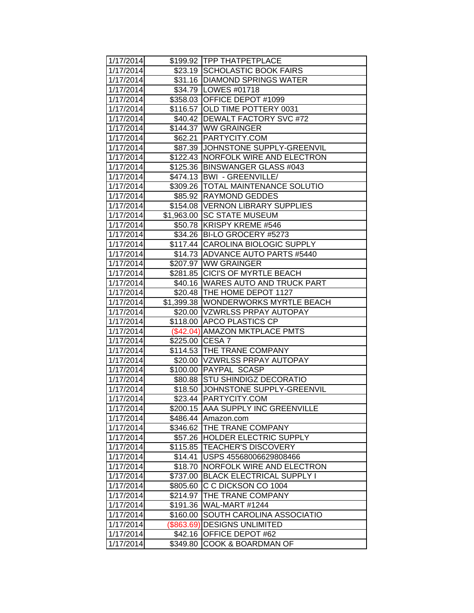| 1/17/2014 |                 | \$199.92 TPP THATPETPLACE            |
|-----------|-----------------|--------------------------------------|
| 1/17/2014 |                 | \$23.19 SCHOLASTIC BOOK FAIRS        |
| 1/17/2014 |                 | \$31.16 DIAMOND SPRINGS WATER        |
| 1/17/2014 |                 | \$34.79 LOWES #01718                 |
| 1/17/2014 |                 | \$358.03 OFFICE DEPOT #1099          |
| 1/17/2014 |                 | \$116.57 OLD TIME POTTERY 0031       |
| 1/17/2014 |                 | \$40.42   DEWALT FACTORY SVC #72     |
| 1/17/2014 |                 | \$144.37 WW GRAINGER                 |
| 1/17/2014 |                 | \$62.21   PARTYCITY.COM              |
| 1/17/2014 |                 | \$87.39 JJOHNSTONE SUPPLY-GREENVIL   |
| 1/17/2014 |                 | \$122.43 NORFOLK WIRE AND ELECTRON   |
| 1/17/2014 | \$125.36        | <b>BINSWANGER GLASS #043</b>         |
| 1/17/2014 |                 | \$474.13   BWI - GREENVILLE          |
| 1/17/2014 |                 | \$309.26   TOTAL MAINTENANCE SOLUTIO |
| 1/17/2014 | \$85.92         | <b>RAYMOND GEDDES</b>                |
| 1/17/2014 | \$154.08        | <b>VERNON LIBRARY SUPPLIES</b>       |
| 1/17/2014 | \$1,963.00      | <b>SC STATE MUSEUM</b>               |
| 1/17/2014 | \$50.78         | KRISPY KREME #546                    |
| 1/17/2014 | \$34.26         | BI-LO GROCERY #5273                  |
| 1/17/2014 |                 | \$117.44 CAROLINA BIOLOGIC SUPPLY    |
| 1/17/2014 |                 | \$14.73 ADVANCE AUTO PARTS #5440     |
| 1/17/2014 |                 | \$207.97 WW GRAINGER                 |
| 1/17/2014 |                 | \$281.85 CICI'S OF MYRTLE BEACH      |
| 1/17/2014 |                 | \$40.16   WARES AUTO AND TRUCK PART  |
| 1/17/2014 |                 | \$20.48  THE HOME DEPOT 1127         |
| 1/17/2014 |                 | \$1,399.38 WONDERWORKS MYRTLE BEACH  |
| 1/17/2014 |                 | \$20.00 VZWRLSS PRPAY AUTOPAY        |
| 1/17/2014 |                 | \$118.00 APCO PLASTICS CP            |
| 1/17/2014 |                 | (\$42.04) AMAZON MKTPLACE PMTS       |
| 1/17/2014 | \$225.00 CESA 7 |                                      |
| 1/17/2014 |                 | \$114.53 THE TRANE COMPANY           |
| 1/17/2014 |                 | \$20.00   VZWRLSS PRPAY AUTOPAY      |
| 1/17/2014 |                 | \$100.00 PAYPAL SCASP                |
| 1/17/2014 |                 | \$80.88 STU SHINDIGZ DECORATIO       |
| 1/17/2014 |                 | \$18.50 JJOHNSTONE SUPPLY-GREENVIL   |
| 1/17/2014 |                 | \$23.44 PARTYCITY.COM                |
| 1/17/2014 |                 | \$200.15   AAA SUPPLY INC GREENVILLE |
| 1/17/2014 | \$486.44        | Amazon.com                           |
| 1/17/2014 | \$346.62        | <b>THE TRANE COMPANY</b>             |
| 1/17/2014 | \$57.26         | <b>HOLDER ELECTRIC SUPPLY</b>        |
| 1/17/2014 | \$115.85        | <b>TEACHER'S DISCOVERY</b>           |
| 1/17/2014 | \$14.41         | USPS 45568006629808466               |
| 1/17/2014 | \$18.70         | NORFOLK WIRE AND ELECTRON            |
| 1/17/2014 | \$737.00        | <b>BLACK ELECTRICAL SUPPLY I</b>     |
| 1/17/2014 | \$805.60        | C C DICKSON CO 1004                  |
| 1/17/2014 | \$214.97        | THE TRANE COMPANY                    |
| 1/17/2014 | \$191.36        | WAL-MART #1244                       |
| 1/17/2014 | \$160.00        | SOUTH CAROLINA ASSOCIATIO            |
| 1/17/2014 | (\$863.69)      | <b>DESIGNS UNLIMITED</b>             |
| 1/17/2014 | \$42.16         | OFFICE DEPOT #62                     |
| 1/17/2014 | \$349.80        | <b>COOK &amp; BOARDMAN OF</b>        |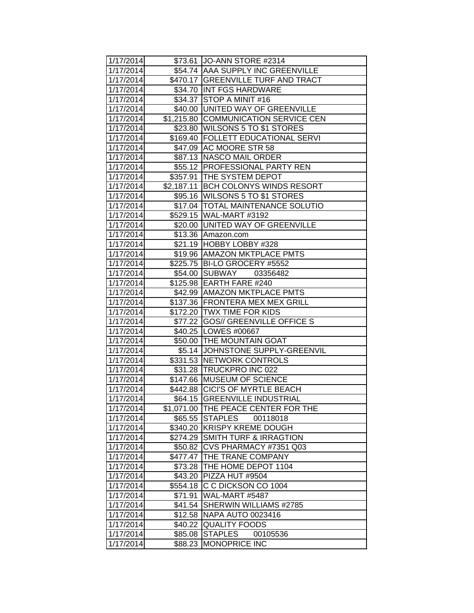| 1/17/2014 |          | \$73.61 JO-ANN STORE #2314           |
|-----------|----------|--------------------------------------|
| 1/17/2014 |          | \$54.74   AAA SUPPLY INC GREENVILLE  |
| 1/17/2014 |          | \$470.17 GREENVILLE TURF AND TRACT   |
| 1/17/2014 |          | \$34.70 INT FGS HARDWARE             |
| 1/17/2014 |          | \$34.37 STOP A MINIT #16             |
| 1/17/2014 |          | \$40.00 UNITED WAY OF GREENVILLE     |
| 1/17/2014 |          | \$1,215.80 COMMUNICATION SERVICE CEN |
| 1/17/2014 |          | \$23.80 WILSONS 5 TO \$1 STORES      |
| 1/17/2014 |          | \$169.40   FOLLETT EDUCATIONAL SERVI |
| 1/17/2014 |          | \$47.09 AC MOORE STR 58              |
| 1/17/2014 |          | \$87.13 NASCO MAIL ORDER             |
| 1/17/2014 |          | \$55.12   PROFESSIONAL PARTY REN     |
| 1/17/2014 |          | \$357.91 THE SYSTEM DEPOT            |
| 1/17/2014 |          | \$2,187.11 BCH COLONYS WINDS RESORT  |
| 1/17/2014 |          | \$95.16 WILSONS 5 TO \$1 STORES      |
| 1/17/2014 |          | \$17.04   TOTAL MAINTENANCE SOLUTIO  |
| 1/17/2014 |          | \$529.15   WAL-MART #3192            |
| 1/17/2014 |          | \$20.00 UNITED WAY OF GREENVILLE     |
| 1/17/2014 |          | \$13.36 Amazon.com                   |
| 1/17/2014 |          | \$21.19 HOBBY LOBBY #328             |
| 1/17/2014 |          | \$19.96   AMAZON MKTPLACE PMTS       |
| 1/17/2014 |          | \$225.75   BI-LO GROCERY #5552       |
| 1/17/2014 |          | \$54.00 SUBWAY<br>03356482           |
| 1/17/2014 |          | \$125.98 EARTH FARE #240             |
| 1/17/2014 |          | \$42.99   AMAZON MKTPLACE PMTS       |
| 1/17/2014 |          | \$137.36 FRONTERA MEX MEX GRILL      |
| 1/17/2014 |          | \$172.20 TWX TIME FOR KIDS           |
| 1/17/2014 |          | \$77.22 GOS// GREENVILLE OFFICE S    |
| 1/17/2014 |          | \$40.25 LOWES #00667                 |
| 1/17/2014 |          | \$50.00 THE MOUNTAIN GOAT            |
| 1/17/2014 |          | \$5.14 JOHNSTONE SUPPLY-GREENVIL     |
| 1/17/2014 |          | \$331.53 NETWORK CONTROLS            |
| 1/17/2014 |          | \$31.28 TRUCKPRO INC 022             |
| 1/17/2014 |          | \$147.66 MUSEUM OF SCIENCE           |
| 1/17/2014 |          | \$442.88 CICI'S OF MYRTLE BEACH      |
| 1/17/2014 |          | \$64.15 GREENVILLE INDUSTRIAL        |
| 1/17/2014 |          | \$1,071.00 THE PEACE CENTER FOR THE  |
| 1/17/2014 | \$65.55  | <b>STAPLES</b><br>00118018           |
| 1/17/2014 | \$340.20 | <b>KRISPY KREME DOUGH</b>            |
| 1/17/2014 | \$274.29 | <b>SMITH TURF &amp; IRRAGTION</b>    |
| 1/17/2014 | \$50.82  | CVS PHARMACY #7351 Q03               |
| 1/17/2014 | \$477.47 | THE TRANE COMPANY                    |
| 1/17/2014 | \$73.28  | THE HOME DEPOT 1104                  |
| 1/17/2014 | \$43.20  | PIZZA HUT #9504                      |
| 1/17/2014 | \$554.18 | C C DICKSON CO 1004                  |
| 1/17/2014 | \$71.91  | WAL-MART #5487                       |
| 1/17/2014 | \$41.54  | SHERWIN WILLIAMS #2785               |
| 1/17/2014 | \$12.58  | <b>NAPA AUTO 0023416</b>             |
| 1/17/2014 | \$40.22  | <b>QUALITY FOODS</b>                 |
| 1/17/2014 | \$85.08  | <b>STAPLES</b><br>00105536           |
| 1/17/2014 | \$88.23  | <b>MONOPRICE INC</b>                 |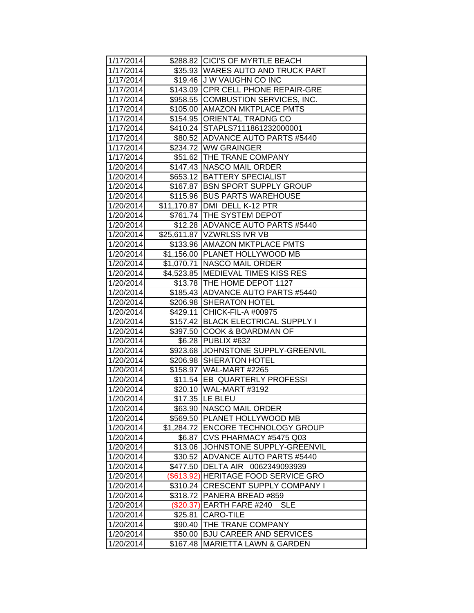| 1/17/2014 |             | \$288.82 CICI'S OF MYRTLE BEACH      |
|-----------|-------------|--------------------------------------|
| 1/17/2014 |             | \$35.93 WARES AUTO AND TRUCK PART    |
| 1/17/2014 |             | \$19.46 J W VAUGHN CO INC            |
| 1/17/2014 |             | \$143.09 CPR CELL PHONE REPAIR-GRE   |
| 1/17/2014 |             | \$958.55 COMBUSTION SERVICES, INC.   |
| 1/17/2014 |             | \$105.00 AMAZON MKTPLACE PMTS        |
| 1/17/2014 |             | \$154.95 ORIENTAL TRADNG CO          |
| 1/17/2014 |             | \$410.24 STAPLS7111861232000001      |
| 1/17/2014 |             | \$80.52 ADVANCE AUTO PARTS #5440     |
| 1/17/2014 |             | \$234.72 WW GRAINGER                 |
| 1/17/2014 |             | \$51.62 THE TRANE COMPANY            |
| 1/20/2014 |             | \$147.43 NASCO MAIL ORDER            |
| 1/20/2014 |             | \$653.12 BATTERY SPECIALIST          |
| 1/20/2014 |             | \$167.87 BSN SPORT SUPPLY GROUP      |
| 1/20/2014 |             | \$115.96 BUS PARTS WAREHOUSE         |
| 1/20/2014 | \$11,170.87 | DMI DELL K-12 PTR                    |
| 1/20/2014 |             | \$761.74   THE SYSTEM DEPOT          |
| 1/20/2014 |             | \$12.28 ADVANCE AUTO PARTS #5440     |
| 1/20/2014 |             | \$25,611.87   VZWRLSS IVR VB         |
| 1/20/2014 | \$133.96    | <b>AMAZON MKTPLACE PMTS</b>          |
| 1/20/2014 |             | \$1,156.00 PLANET HOLLYWOOD MB       |
| 1/20/2014 | \$1,070.71  | NASCO MAIL ORDER                     |
| 1/20/2014 |             | \$4,523.85   MEDIEVAL TIMES KISS RES |
| 1/20/2014 |             | \$13.78 THE HOME DEPOT 1127          |
| 1/20/2014 |             | \$185.43   ADVANCE AUTO PARTS #5440  |
| 1/20/2014 |             | \$206.98 SHERATON HOTEL              |
| 1/20/2014 |             | \$429.11 CHICK-FIL-A #00975          |
| 1/20/2014 |             | \$157.42 BLACK ELECTRICAL SUPPLY I   |
| 1/20/2014 |             | \$397.50 COOK & BOARDMAN OF          |
| 1/20/2014 | \$6.28      | PUBLIX #632                          |
| 1/20/2014 |             | \$923.68 JJOHNSTONE SUPPLY-GREENVIL  |
| 1/20/2014 | \$206.98    | <b>SHERATON HOTEL</b>                |
| 1/20/2014 |             | \$158.97 WAL-MART #2265              |
| 1/20/2014 |             | \$11.54 EB QUARTERLY PROFESSI        |
| 1/20/2014 |             | \$20.10 WAL-MART #3192               |
| 1/20/2014 |             | \$17.35 LE BLEU                      |
| 1/20/2014 |             | \$63.90 NASCO MAIL ORDER             |
| 1/20/2014 |             | \$569.50 PLANET HOLLYWOOD MB         |
| 1/20/2014 |             | \$1,284.72 ENCORE TECHNOLOGY GROUP   |
| 1/20/2014 | \$6.87      | CVS PHARMACY #5475 Q03               |
| 1/20/2014 | \$13.06     | JOHNSTONE SUPPLY-GREENVIL            |
| 1/20/2014 | \$30.52     | ADVANCE AUTO PARTS #5440             |
| 1/20/2014 | \$477.50    | DELTA AIR 0062349093939              |
| 1/20/2014 | (\$613.92)  | <b>HERITAGE FOOD SERVICE GRO</b>     |
| 1/20/2014 | \$310.24    | <b>CRESCENT SUPPLY COMPANY I</b>     |
| 1/20/2014 | \$318.72    | <b>PANERA BREAD #859</b>             |
| 1/20/2014 | (\$20.37)   | <b>EARTH FARE #240</b><br>SLE        |
| 1/20/2014 | \$25.81     | CARO-TILE                            |
| 1/20/2014 | \$90.40     | THE TRANE COMPANY                    |
| 1/20/2014 | \$50.00     | <b>BJU CAREER AND SERVICES</b>       |
| 1/20/2014 | \$167.48    | <b>MARIETTA LAWN &amp; GARDEN</b>    |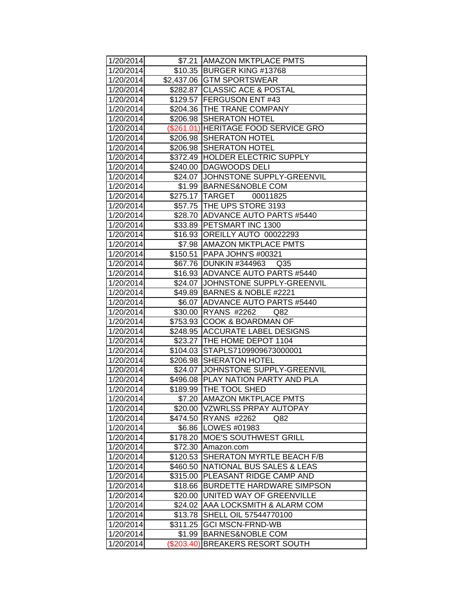| 1/20/2014 |          | \$7.21 JAMAZON MKTPLACE PMTS         |
|-----------|----------|--------------------------------------|
| 1/20/2014 |          | \$10.35 BURGER KING #13768           |
| 1/20/2014 |          | \$2,437.06 GTM SPORTSWEAR            |
| 1/20/2014 |          | \$282.87 CLASSIC ACE & POSTAL        |
| 1/20/2014 |          | \$129.57 FERGUSON ENT #43            |
| 1/20/2014 |          | \$204.36 THE TRANE COMPANY           |
| 1/20/2014 |          | \$206.98 SHERATON HOTEL              |
| 1/20/2014 |          | (\$261.01) HERITAGE FOOD SERVICE GRO |
| 1/20/2014 |          | \$206.98 SHERATON HOTEL              |
| 1/20/2014 |          | \$206.98 SHERATON HOTEL              |
| 1/20/2014 |          | \$372.49 HOLDER ELECTRIC SUPPLY      |
| 1/20/2014 |          | \$240.00 DAGWOODS DELI               |
| 1/20/2014 |          | \$24.07 JJOHNSTONE SUPPLY-GREENVIL   |
| 1/20/2014 |          | \$1.99 BARNES&NOBLE COM              |
| 1/20/2014 |          | \$275.17 TARGET 00011825             |
| 1/20/2014 |          | \$57.75 THE UPS STORE 3193           |
| 1/20/2014 |          | \$28.70 ADVANCE AUTO PARTS #5440     |
| 1/20/2014 | \$33.89  | <b>PETSMART INC 1300</b>             |
| 1/20/2014 | \$16.93  | OREILLY AUTO 00022293                |
| 1/20/2014 | \$7.98   | <b>AMAZON MKTPLACE PMTS</b>          |
| 1/20/2014 |          | \$150.51 PAPA JOHN'S #00321          |
| 1/20/2014 |          | \$67.76 DUNKIN #344963 Q35           |
| 1/20/2014 |          | \$16.93 ADVANCE AUTO PARTS #5440     |
| 1/20/2014 |          | \$24.07 JJOHNSTONE SUPPLY-GREENVIL   |
| 1/20/2014 |          | \$49.89 BARNES & NOBLE #2221         |
| 1/20/2014 |          | \$6.07 ADVANCE AUTO PARTS #5440      |
| 1/20/2014 |          | \$30.00 RYANS #2262<br>Q82           |
| 1/20/2014 |          | \$753.93 COOK & BOARDMAN OF          |
| 1/20/2014 |          | \$248.95 ACCURATE LABEL DESIGNS      |
| 1/20/2014 |          | \$23.27 THE HOME DEPOT 1104          |
| 1/20/2014 |          | \$104.03 STAPLS7109909673000001      |
| 1/20/2014 | \$206.98 | <b>SHERATON HOTEL</b>                |
| 1/20/2014 |          | \$24.07 JOHNSTONE SUPPLY-GREENVIL    |
| 1/20/2014 |          | \$496.08   PLAY NATION PARTY AND PLA |
| 1/20/2014 |          | \$189.99 THE TOOL SHED               |
| 1/20/2014 |          | \$7.20 AMAZON MKTPLACE PMTS          |
| 1/20/2014 |          | \$20.00 VZWRLSS PRPAY AUTOPAY        |
| 1/20/2014 |          | \$474.50 RYANS #2262<br>Q82          |
| 1/20/2014 |          | \$6.86   LOWES #01983                |
| 1/20/2014 |          | \$178.20 MOE'S SOUTHWEST GRILL       |
| 1/20/2014 | \$72.30  | Amazon.com                           |
| 1/20/2014 | \$120.53 | <b>SHERATON MYRTLE BEACH F/B</b>     |
| 1/20/2014 | \$460.50 | NATIONAL BUS SALES & LEAS            |
| 1/20/2014 | \$315.00 | PLEASANT RIDGE CAMP AND              |
| 1/20/2014 | \$18.66  | <b>BURDETTE HARDWARE SIMPSON</b>     |
| 1/20/2014 | \$20.00  | UNITED WAY OF GREENVILLE             |
| 1/20/2014 | \$24.02  | <b>AAA LOCKSMITH &amp; ALARM COM</b> |
| 1/20/2014 | \$13.78  | SHELL OIL 57544770100                |
| 1/20/2014 | \$311.25 | <b>GCI MSCN-FRND-WB</b>              |
| 1/20/2014 | \$1.99   | <b>BARNES&amp;NOBLE COM</b>          |
| 1/20/2014 |          | (\$203.40) BREAKERS RESORT SOUTH     |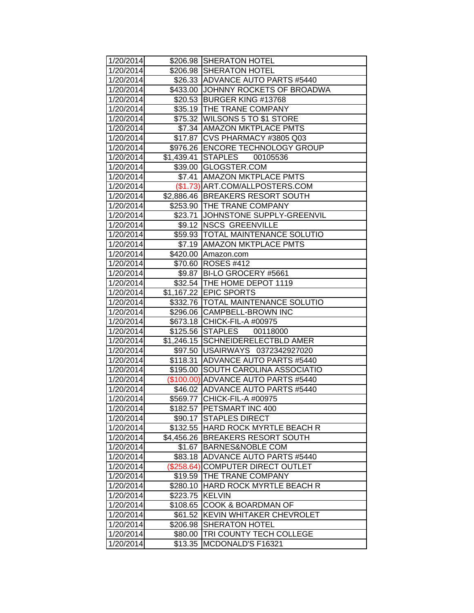| 1/20/2014 |            | \$206.98 SHERATON HOTEL              |
|-----------|------------|--------------------------------------|
| 1/20/2014 |            | \$206.98 SHERATON HOTEL              |
| 1/20/2014 |            | \$26.33 ADVANCE AUTO PARTS #5440     |
| 1/20/2014 |            | \$433.00 JJOHNNY ROCKETS OF BROADWA  |
| 1/20/2014 | \$20.53    | <b>BURGER KING #13768</b>            |
| 1/20/2014 |            | \$35.19  THE TRANE COMPANY           |
| 1/20/2014 |            | \$75.32   WILSONS 5 TO \$1 STORE     |
| 1/20/2014 |            | \$7.34 AMAZON MKTPLACE PMTS          |
| 1/20/2014 |            | \$17.87   CVS PHARMACY #3805 Q03     |
| 1/20/2014 |            | \$976.26   ENCORE TECHNOLOGY GROUP   |
| 1/20/2014 |            | \$1,439.41 STAPLES<br>00105536       |
| 1/20/2014 |            | \$39.00 GLOGSTER.COM                 |
| 1/20/2014 |            | \$7.41 AMAZON MKTPLACE PMTS          |
| 1/20/2014 |            | (\$1.73) ART.COM/ALLPOSTERS.COM      |
| 1/20/2014 |            | \$2,886.46 BREAKERS RESORT SOUTH     |
| 1/20/2014 |            | \$253.90 THE TRANE COMPANY           |
| 1/20/2014 |            | \$23.71 JOHNSTONE SUPPLY-GREENVIL    |
| 1/20/2014 |            | \$9.12 NSCS GREENVILLE               |
| 1/20/2014 |            | \$59.93   TOTAL MAINTENANCE SOLUTIO  |
| 1/20/2014 |            | \$7.19 AMAZON MKTPLACE PMTS          |
| 1/20/2014 |            | \$420.00 Amazon.com                  |
| 1/20/2014 |            | \$70.60 ROSES #412                   |
| 1/20/2014 |            | \$9.87 BI-LO GROCERY #5661           |
| 1/20/2014 |            | \$32.54   THE HOME DEPOT 1119        |
| 1/20/2014 |            | \$1,167.22 EPIC SPORTS               |
| 1/20/2014 |            | \$332.76   TOTAL MAINTENANCE SOLUTIO |
| 1/20/2014 |            | \$296.06 CAMPBELL-BROWN INC          |
| 1/20/2014 |            | \$673.18 CHICK-FIL-A #00975          |
| 1/20/2014 |            | \$125.56 STAPLES 00118000            |
| 1/20/2014 |            | \$1,246.15 SCHNEIDERELECTBLD AMER    |
| 1/20/2014 |            | \$97.50 USAIRWAYS 0372342927020      |
| 1/20/2014 |            | \$118.31 ADVANCE AUTO PARTS #5440    |
| 1/20/2014 | \$195.00   | <b>SOUTH CAROLINA ASSOCIATIO</b>     |
| 1/20/2014 |            | (\$100.00) ADVANCE AUTO PARTS #5440  |
| 1/20/2014 |            | \$46.02 ADVANCE AUTO PARTS #5440     |
| 1/20/2014 |            | \$569.77 CHICK-FIL-A #00975          |
| 1/20/2014 |            | \$182.57 PETSMART INC 400            |
| 1/20/2014 |            | \$90.17 STAPLES DIRECT               |
| 1/20/2014 |            | \$132.55 HARD ROCK MYRTLE BEACH R    |
| 1/20/2014 | \$4,456.26 | <b>BREAKERS RESORT SOUTH</b>         |
| 1/20/2014 | \$1.67     | <b>BARNES&amp;NOBLE COM</b>          |
| 1/20/2014 | \$83.18    | <b>ADVANCE AUTO PARTS #5440</b>      |
| 1/20/2014 | (\$258.64) | COMPUTER DIRECT OUTLET               |
| 1/20/2014 | \$19.59    | THE TRANE COMPANY                    |
| 1/20/2014 | \$280.10   | HARD ROCK MYRTLE BEACH R             |
| 1/20/2014 | \$223.75   | <b>KELVIN</b>                        |
| 1/20/2014 | \$108.65   | <b>COOK &amp; BOARDMAN OF</b>        |
| 1/20/2014 | \$61.52    | <b>KEVIN WHITAKER CHEVROLET</b>      |
| 1/20/2014 | \$206.98   | <b>SHERATON HOTEL</b>                |
| 1/20/2014 | \$80.00    | TRI COUNTY TECH COLLEGE              |
| 1/20/2014 | \$13.35    | MCDONALD'S F16321                    |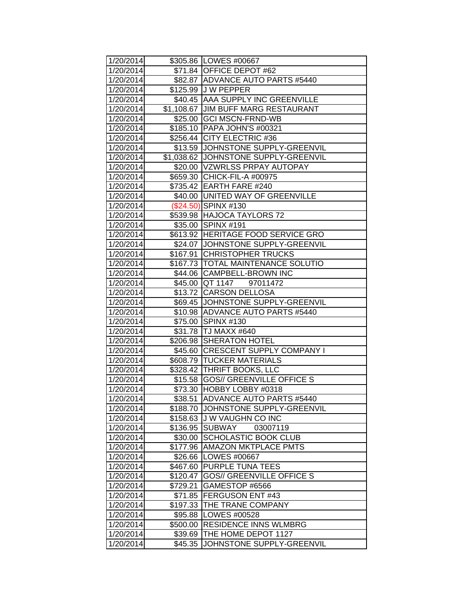| 1/20/2014 |          | \$305.86 LOWES #00667                |
|-----------|----------|--------------------------------------|
| 1/20/2014 |          | \$71.84 OFFICE DEPOT #62             |
| 1/20/2014 |          | \$82.87 ADVANCE AUTO PARTS #5440     |
| 1/20/2014 |          | \$125.99 J W PEPPER                  |
| 1/20/2014 |          | \$40.45 AAA SUPPLY INC GREENVILLE    |
| 1/20/2014 |          | \$1,108.67 JJIM BUFF MARG RESTAURANT |
| 1/20/2014 | \$25.00  | <b>GCI MSCN-FRND-WB</b>              |
| 1/20/2014 |          | \$185.10 PAPA JOHN'S #00321          |
| 1/20/2014 |          | \$256.44 CITY ELECTRIC #36           |
| 1/20/2014 |          | \$13.59 JJOHNSTONE SUPPLY-GREENVIL   |
| 1/20/2014 |          | \$1,038.62 JOHNSTONE SUPPLY-GREENVIL |
| 1/20/2014 |          | \$20.00   VZWRLSS PRPAY AUTOPAY      |
| 1/20/2014 |          | \$659.30 CHICK-FIL-A #00975          |
| 1/20/2014 |          | \$735.42 EARTH FARE #240             |
| 1/20/2014 |          | \$40.00 UNITED WAY OF GREENVILLE     |
| 1/20/2014 |          | (\$24.50) SPINX #130                 |
| 1/20/2014 |          | \$539.98 HAJOCA TAYLORS 72           |
| 1/20/2014 |          | \$35.00 SPINX #191                   |
| 1/20/2014 |          | \$613.92 HERITAGE FOOD SERVICE GRO   |
| 1/20/2014 |          | \$24.07 JJOHNSTONE SUPPLY-GREENVIL   |
| 1/20/2014 |          | \$167.91 CHRISTOPHER TRUCKS          |
| 1/20/2014 |          | \$167.73   TOTAL MAINTENANCE SOLUTIO |
| 1/20/2014 |          | \$44.06 CAMPBELL-BROWN INC           |
| 1/20/2014 |          | \$45.00 QT 1147<br>97011472          |
| 1/20/2014 |          | \$13.72 CARSON DELLOSA               |
| 1/20/2014 |          | \$69.45 JOHNSTONE SUPPLY-GREENVIL    |
| 1/20/2014 |          | \$10.98 ADVANCE AUTO PARTS #5440     |
| 1/20/2014 |          | \$75.00 SPINX #130                   |
| 1/20/2014 |          | \$31.78 TJ MAXX #640                 |
| 1/20/2014 | \$206.98 | <b>SHERATON HOTEL</b>                |
| 1/20/2014 | \$45.60  | <b>CRESCENT SUPPLY COMPANY I</b>     |
| 1/20/2014 |          | \$608.79 TUCKER MATERIALS            |
| 1/20/2014 |          | \$328.42 THRIFT BOOKS, LLC           |
| 1/20/2014 |          | \$15.58 GOS// GREENVILLE OFFICE S    |
| 1/20/2014 | \$73.30  | HOBBY LOBBY #0318                    |
| 1/20/2014 | \$38.51  | ADVANCE AUTO PARTS #5440             |
| 1/20/2014 | \$188.70 | JOHNSTONE SUPPLY-GREENVIL            |
| 1/20/2014 | \$158.63 | <b>JW VAUGHN CO INC</b>              |
| 1/20/2014 | \$136.95 | <b>SUBWAY</b><br>03007119            |
| 1/20/2014 | \$30.00  | <b>SCHOLASTIC BOOK CLUB</b>          |
| 1/20/2014 | \$177.96 | <b>AMAZON MKTPLACE PMTS</b>          |
| 1/20/2014 | \$26.66  | LOWES #00667                         |
| 1/20/2014 | \$467.60 | <b>PURPLE TUNA TEES</b>              |
| 1/20/2014 | \$120.47 | <b>GOS// GREENVILLE OFFICE S</b>     |
| 1/20/2014 | \$729.21 | GAMESTOP #6566                       |
| 1/20/2014 | \$71.85  | <b>FERGUSON ENT #43</b>              |
| 1/20/2014 | \$197.33 | THE TRANE COMPANY                    |
| 1/20/2014 | \$95.88  | LOWES #00528                         |
| 1/20/2014 | \$500.00 | <b>RESIDENCE INNS WLMBRG</b>         |
| 1/20/2014 | \$39.69  | THE HOME DEPOT 1127                  |
| 1/20/2014 | \$45.35  | JOHNSTONE SUPPLY-GREENVIL            |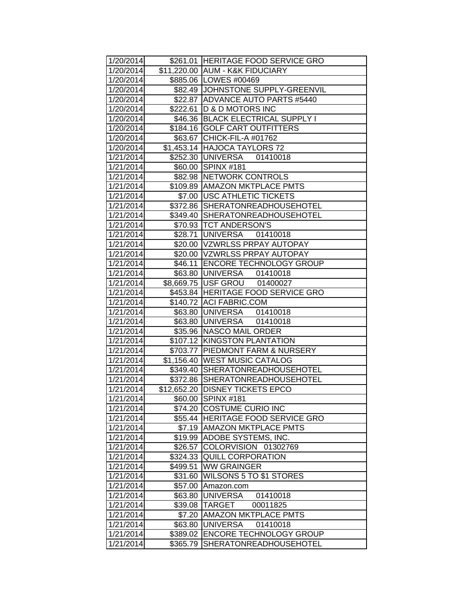| 1/20/2014 |             | \$261.01 HERITAGE FOOD SERVICE GRO |
|-----------|-------------|------------------------------------|
| 1/20/2014 |             | \$11,220.00 AUM - K&K FIDUCIARY    |
| 1/20/2014 |             | \$885.06 LOWES #00469              |
| 1/20/2014 |             | \$82.49 JOHNSTONE SUPPLY-GREENVIL  |
| 1/20/2014 | \$22.87     | ADVANCE AUTO PARTS #5440           |
| 1/20/2014 | \$222.61    | <b>D &amp; D MOTORS INC</b>        |
| 1/20/2014 | \$46.36     | <b>BLACK ELECTRICAL SUPPLY I</b>   |
| 1/20/2014 |             | \$184.16 GOLF CART OUTFITTERS      |
| 1/20/2014 |             | \$63.67 CHICK-FIL-A #01762         |
| 1/20/2014 |             | \$1,453.14 HAJOCA TAYLORS 72       |
| 1/21/2014 |             | \$252.30 UNIVERSA<br>01410018      |
| 1/21/2014 |             | \$60.00 SPINX #181                 |
| 1/21/2014 |             | \$82.98 NETWORK CONTROLS           |
| 1/21/2014 |             | \$109.89 AMAZON MKTPLACE PMTS      |
| 1/21/2014 | \$7.00      | <b>USC ATHLETIC TICKETS</b>        |
| 1/21/2014 | \$372.86    | <b>SHERATONREADHOUSEHOTEL</b>      |
| 1/21/2014 |             | \$349.40 SHERATONREADHOUSEHOTEL    |
| 1/21/2014 |             | \$70.93 TCT ANDERSON'S             |
| 1/21/2014 | \$28.71     | UNIVERSA 01410018                  |
| 1/21/2014 |             | \$20.00 VZWRLSS PRPAY AUTOPAY      |
| 1/21/2014 |             | \$20.00 VZWRLSS PRPAY AUTOPAY      |
| 1/21/2014 | \$46.11     | <b>ENCORE TECHNOLOGY GROUP</b>     |
| 1/21/2014 |             |                                    |
| 1/21/2014 |             | \$8,669.75 USF GROU 01400027       |
| 1/21/2014 |             | \$453.84 HERITAGE FOOD SERVICE GRO |
| 1/21/2014 |             | \$140.72 ACI FABRIC.COM            |
| 1/21/2014 |             | \$63.80 UNIVERSA 01410018          |
| 1/21/2014 |             | \$63.80 UNIVERSA 01410018          |
| 1/21/2014 | \$35.96     | NASCO MAIL ORDER                   |
| 1/21/2014 |             | \$107.12 KINGSTON PLANTATION       |
| 1/21/2014 | \$703.77    | <b>PIEDMONT FARM &amp; NURSERY</b> |
| 1/21/2014 | \$1,156.40  | <b>WEST MUSIC CATALOG</b>          |
| 1/21/2014 |             | \$349.40 SHERATONREADHOUSEHOTEL    |
| 1/21/2014 |             | \$372.86 SHERATONREADHOUSEHOTEL    |
| 1/21/2014 | \$12,652.20 | <b>DISNEY TICKETS EPCO</b>         |
| 1/21/2014 | \$60.00     | SPINX #181                         |
| 1/21/2014 |             | \$74.20 COSTUME CURIO INC          |
| 1/21/2014 |             | \$55.44 HERITAGE FOOD SERVICE GRO  |
| 1/21/2014 | \$7.19      | <b>AMAZON MKTPLACE PMTS</b>        |
| 1/21/2014 |             | \$19.99 ADOBE SYSTEMS, INC.        |
| 1/21/2014 | \$26.57     | COLORVISION 01302769               |
| 1/21/2014 | \$324.33    | <b>QUILL CORPORATION</b>           |
| 1/21/2014 | \$499.51    | <b>WW GRAINGER</b>                 |
| 1/21/2014 | \$31.60     | <b>WILSONS 5 TO \$1 STORES</b>     |
| 1/21/2014 | \$57.00     | Amazon.com                         |
| 1/21/2014 | \$63.80     | <b>UNIVERSA</b><br>01410018        |
| 1/21/2014 | \$39.08     | <b>TARGET</b><br>00011825          |
| 1/21/2014 | \$7.20      | <b>AMAZON MKTPLACE PMTS</b>        |
| 1/21/2014 | \$63.80     | <b>UNIVERSA</b><br>01410018        |
| 1/21/2014 | \$389.02    | <b>ENCORE TECHNOLOGY GROUP</b>     |
| 1/21/2014 | \$365.79    | SHERATONREADHOUSEHOTEL             |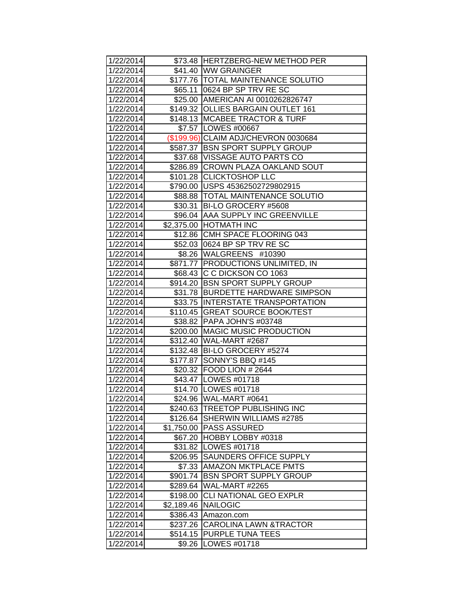| 1/22/2014 |            | \$73.48 HERTZBERG-NEW METHOD PER     |
|-----------|------------|--------------------------------------|
| 1/22/2014 |            | \$41.40 WW GRAINGER                  |
| 1/22/2014 |            | \$177.76 TOTAL MAINTENANCE SOLUTIO   |
| 1/22/2014 |            | \$65.11 0624 BP SP TRV RE SC         |
| 1/22/2014 |            | \$25.00 AMERICAN AI 0010262826747    |
| 1/22/2014 |            | \$149.32 OLLIES BARGAIN OUTLET 161   |
| 1/22/2014 |            | \$148.13   MCABEE TRACTOR & TURF     |
| 1/22/2014 |            | \$7.57 LOWES #00667                  |
| 1/22/2014 |            | (\$199.96) CLAIM ADJ/CHEVRON 0030684 |
| 1/22/2014 |            | \$587.37 BSN SPORT SUPPLY GROUP      |
| 1/22/2014 |            | \$37.68   VISSAGE AUTO PARTS CO      |
| 1/22/2014 |            | \$286.89 CROWN PLAZA OAKLAND SOUT    |
| 1/22/2014 |            | \$101.28 CLICKTOSHOP LLC             |
| 1/22/2014 |            | \$790.00 USPS 45362502729802915      |
| 1/22/2014 |            | \$88.88   TOTAL MAINTENANCE SOLUTIO  |
| 1/22/2014 | \$30.31    | BI-LO GROCERY #5608                  |
| 1/22/2014 | \$96.04    | <b>AAA SUPPLY INC GREENVILLE</b>     |
| 1/22/2014 |            | \$2,375.00 HOTMATH INC               |
| 1/22/2014 | \$12.86    | CMH SPACE FLOORING 043               |
| 1/22/2014 |            | \$52.03 0624 BP SP TRV RE SC         |
| 1/22/2014 |            | \$8.26   WALGREENS #10390            |
| 1/22/2014 |            | \$871.77   PRODUCTIONS UNLIMITED, IN |
| 1/22/2014 |            | \$68.43 C C DICKSON CO 1063          |
| 1/22/2014 |            | \$914.20 BSN SPORT SUPPLY GROUP      |
| 1/22/2014 |            | \$31.78 BURDETTE HARDWARE SIMPSON    |
| 1/22/2014 |            | \$33.75 INTERSTATE TRANSPORTATION    |
| 1/22/2014 |            | \$110.45 GREAT SOURCE BOOK/TEST      |
| 1/22/2014 |            | \$38.82 PAPA JOHN'S #03748           |
| 1/22/2014 | \$200.00   | MAGIC MUSIC PRODUCTION               |
| 1/22/2014 |            | \$312.40   WAL-MART #2687            |
| 1/22/2014 |            | \$132.48 BI-LO GROCERY #5274         |
| 1/22/2014 |            | \$177.87 SONNY'S BBQ #145            |
| 1/22/2014 |            | \$20.32   FOOD LION # 2644           |
| 1/22/2014 |            | \$43.47   LOWES #01718               |
| 1/22/2014 |            | \$14.70 LOWES #01718                 |
| 1/22/2014 |            | \$24.96 WAL-MART #0641               |
| 1/22/2014 | \$240.63   | <b>TREETOP PUBLISHING INC</b>        |
| 1/22/2014 | \$126.64   | SHERWIN WILLIAMS #2785               |
| 1/22/2014 | \$1,750.00 | <b>PASS ASSURED</b>                  |
| 1/22/2014 | \$67.20    | HOBBY LOBBY #0318                    |
| 1/22/2014 | \$31.82    | LOWES #01718                         |
| 1/22/2014 | \$206.95   | <b>SAUNDERS OFFICE SUPPLY</b>        |
| 1/22/2014 | \$7.33     | <b>AMAZON MKTPLACE PMTS</b>          |
| 1/22/2014 | \$901.74   | <b>BSN SPORT SUPPLY GROUP</b>        |
| 1/22/2014 | \$289.64   | WAL-MART #2265                       |
| 1/22/2014 | \$198.00   | <b>CLI NATIONAL GEO EXPLR</b>        |
| 1/22/2014 | \$2,189.46 | <b>NAILOGIC</b>                      |
| 1/22/2014 | \$386.43   | Amazon.com                           |
| 1/22/2014 | \$237.26   | CAROLINA LAWN &TRACTOR               |
| 1/22/2014 | \$514.15   | <b>PURPLE TUNA TEES</b>              |
| 1/22/2014 | \$9.26     | LOWES #01718                         |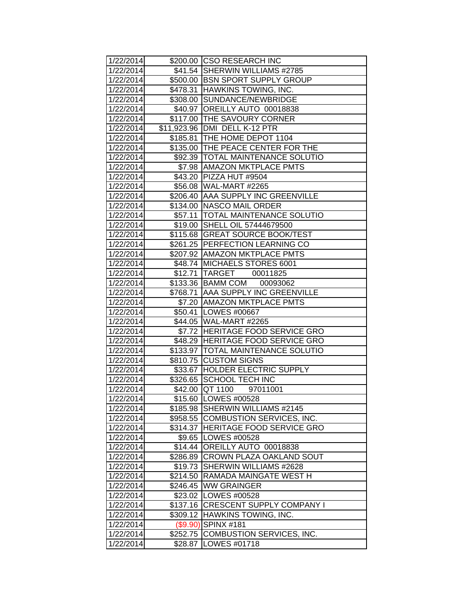| 1/22/2014 |          | \$200.00 CSO RESEARCH INC            |
|-----------|----------|--------------------------------------|
| 1/22/2014 |          | \$41.54 SHERWIN WILLIAMS #2785       |
| 1/22/2014 |          | \$500.00 BSN SPORT SUPPLY GROUP      |
| 1/22/2014 | \$478.31 | HAWKINS TOWING, INC.                 |
| 1/22/2014 | \$308.00 | SUNDANCE/NEWBRIDGE                   |
| 1/22/2014 | \$40.97  | OREILLY AUTO 00018838                |
| 1/22/2014 | \$117.00 | <b>THE SAVOURY CORNER</b>            |
| 1/22/2014 |          | \$11,923.96   DMI DELL K-12 PTR      |
| 1/22/2014 |          | \$185.81 THE HOME DEPOT 1104         |
| 1/22/2014 |          | \$135.00 THE PEACE CENTER FOR THE    |
| 1/22/2014 |          | \$92.39  TOTAL MAINTENANCE SOLUTIO   |
| 1/22/2014 |          | \$7.98 AMAZON MKTPLACE PMTS          |
| 1/22/2014 |          | \$43.20 PIZZA HUT #9504              |
| 1/22/2014 |          | \$56.08 WAL-MART #2265               |
| 1/22/2014 |          | \$206.40 AAA SUPPLY INC GREENVILLE   |
| 1/22/2014 | \$134.00 | NASCO MAIL ORDER                     |
| 1/22/2014 | \$57.11  | <b>TOTAL MAINTENANCE SOLUTIO</b>     |
| 1/22/2014 | \$19.00  | SHELL OIL 57444679500                |
| 1/22/2014 | \$115.68 | <b>GREAT SOURCE BOOK/TEST</b>        |
| 1/22/2014 | \$261.25 | <b>PERFECTION LEARNING CO</b>        |
| 1/22/2014 |          | \$207.92 AMAZON MKTPLACE PMTS        |
| 1/22/2014 |          | \$48.74 MICHAELS STORES 6001         |
| 1/22/2014 |          | \$12.71   TARGET 00011825            |
| 1/22/2014 |          | \$133.36 BAMM COM<br>00093062        |
| 1/22/2014 |          | \$768.71   AAA SUPPLY INC GREENVILLE |
| 1/22/2014 |          | \$7.20 AMAZON MKTPLACE PMTS          |
| 1/22/2014 |          | \$50.41   LOWES #00667               |
| 1/22/2014 |          | \$44.05 WAL-MART #2265               |
| 1/22/2014 |          | \$7.72 HERITAGE FOOD SERVICE GRO     |
| 1/22/2014 |          | \$48.29 HERITAGE FOOD SERVICE GRO    |
| 1/22/2014 |          | \$133.97   TOTAL MAINTENANCE SOLUTIO |
| 1/22/2014 | \$810.75 | <b>CUSTOM SIGNS</b>                  |
| 1/22/2014 |          | \$33.67 HOLDER ELECTRIC SUPPLY       |
| 1/22/2014 |          | \$326.65 SCHOOL TECH INC             |
| 1/22/2014 | \$42.00  | QT 1100<br>97011001                  |
| 1/22/2014 |          | \$15.60 LOWES #00528                 |
| 1/22/2014 |          | \$185.98 SHERWIN WILLIAMS #2145      |
| 1/22/2014 | \$958.55 | COMBUSTION SERVICES, INC.            |
| 1/22/2014 | \$314.37 | <b>HERITAGE FOOD SERVICE GRO</b>     |
| 1/22/2014 | \$9.65   | LOWES #00528                         |
| 1/22/2014 | \$14.44  | OREILLY AUTO 00018838                |
| 1/22/2014 | \$286.89 | <b>CROWN PLAZA OAKLAND SOUT</b>      |
| 1/22/2014 | \$19.73  | SHERWIN WILLIAMS #2628               |
| 1/22/2014 | \$214.50 | RAMADA MAINGATE WEST H               |
| 1/22/2014 | \$246.45 | <b>WW GRAINGER</b>                   |
| 1/22/2014 |          | \$23.02   LOWES #00528               |
| 1/22/2014 | \$137.16 | <b>CRESCENT SUPPLY COMPANY I</b>     |
| 1/22/2014 | \$309.12 | <b>HAWKINS TOWING, INC.</b>          |
| 1/22/2014 | (\$9.90) | SPINX <sub>#181</sub>                |
| 1/22/2014 | \$252.75 | COMBUSTION SERVICES, INC.            |
| 1/22/2014 | \$28.87  | LOWES #01718                         |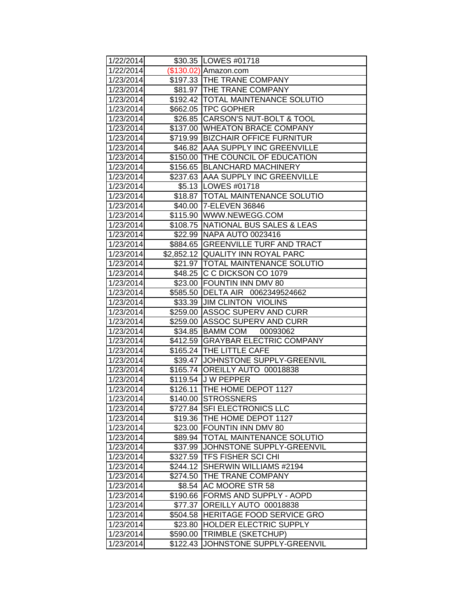| 1/22/2014              |                      | \$30.35   LOWES #01718                                                 |
|------------------------|----------------------|------------------------------------------------------------------------|
| 1/22/2014              |                      | $($130.02)$ Amazon.com                                                 |
| 1/23/2014              |                      | \$197.33 THE TRANE COMPANY                                             |
| 1/23/2014              |                      | \$81.97  THE TRANE COMPANY                                             |
| 1/23/2014              |                      | \$192.42 TOTAL MAINTENANCE SOLUTIO                                     |
| 1/23/2014              |                      | \$662.05 TPC GOPHER                                                    |
| 1/23/2014              |                      | \$26.85 CARSON'S NUT-BOLT & TOOL                                       |
| 1/23/2014              |                      | \$137.00 WHEATON BRACE COMPANY                                         |
| 1/23/2014              |                      | \$719.99 BIZCHAIR OFFICE FURNITUR                                      |
| 1/23/2014              |                      | \$46.82 AAA SUPPLY INC GREENVILLE                                      |
| 1/23/2014              |                      | \$150.00 THE COUNCIL OF EDUCATION                                      |
| 1/23/2014              |                      | \$156.65 BLANCHARD MACHINERY                                           |
| 1/23/2014              |                      | \$237.63 AAA SUPPLY INC GREENVILLE                                     |
| 1/23/2014              |                      | \$5.13   LOWES #01718                                                  |
| 1/23/2014              |                      | \$18.87   TOTAL MAINTENANCE SOLUTIO                                    |
| 1/23/2014              |                      | \$40.00 7-ELEVEN 36846                                                 |
| 1/23/2014              |                      | \$115.90 WWW.NEWEGG.COM                                                |
| 1/23/2014              |                      | \$108.75 NATIONAL BUS SALES & LEAS                                     |
| 1/23/2014              |                      | \$22.99 NAPA AUTO 0023416                                              |
| 1/23/2014              |                      | \$884.65 GREENVILLE TURF AND TRACT                                     |
| 1/23/2014              |                      | \$2,852.12 QUALITY INN ROYAL PARC                                      |
| 1/23/2014              |                      | \$21.97   TOTAL MAINTENANCE SOLUTIO                                    |
| 1/23/2014              |                      | \$48.25 C C DICKSON CO 1079                                            |
| 1/23/2014              |                      | \$23.00 FOUNTIN INN DMV 80                                             |
| 1/23/2014              |                      | \$585.50 DELTA AIR 0062349524662                                       |
| 1/23/2014              |                      | \$33.39 JJIM CLINTON VIOLINS                                           |
| 1/23/2014              |                      | \$259.00 ASSOC SUPERV AND CURR                                         |
| 1/23/2014              |                      | \$259.00   ASSOC SUPERV AND CURR                                       |
| 1/23/2014              |                      | \$34.85 BAMM COM 00093062                                              |
| 1/23/2014              |                      | \$412.59 GRAYBAR ELECTRIC COMPANY                                      |
| 1/23/2014              |                      | \$165.24 THE LITTLE CAFE                                               |
| 1/23/2014              |                      | \$39.47 JOHNSTONE SUPPLY-GREENVIL                                      |
| 1/23/2014              |                      | \$165.74 OREILLY AUTO 00018838                                         |
| 1/23/2014              |                      | \$119.54 J W PEPPER                                                    |
| 1/23/2014              |                      | \$126.11 THE HOME DEPOT 1127                                           |
| 1/23/2014              |                      | \$140.00 STROSSNERS                                                    |
| 1/23/2014              | \$727.84             | <b>SFI ELECTRONICS LLC</b>                                             |
| 1/23/2014              | \$19.36              | THE HOME DEPOT 1127                                                    |
| 1/23/2014              | \$23.00              | <b>FOUNTIN INN DMV 80</b>                                              |
| 1/23/2014              | \$89.94              | <b>TOTAL MAINTENANCE SOLUTIO</b><br>\$37.99 JJOHNSTONE SUPPLY-GREENVIL |
| 1/23/2014              |                      | <b>TFS FISHER SCI CHI</b>                                              |
| 1/23/2014<br>1/23/2014 | \$327.59<br>\$244.12 | SHERWIN WILLIAMS #2194                                                 |
| 1/23/2014              | \$274.50             | <b>THE TRANE COMPANY</b>                                               |
| 1/23/2014              | \$8.54               | <b>AC MOORE STR 58</b>                                                 |
| 1/23/2014              | \$190.66             | <b>FORMS AND SUPPLY - AOPD</b>                                         |
| 1/23/2014              | \$77.37              | OREILLY AUTO 00018838                                                  |
| 1/23/2014              | \$504.58             | <b>HERITAGE FOOD SERVICE GRO</b>                                       |
| 1/23/2014              | \$23.80              | <b>HOLDER ELECTRIC SUPPLY</b>                                          |
| 1/23/2014              | \$590.00             | <b>TRIMBLE (SKETCHUP)</b>                                              |
| 1/23/2014              | \$122.43             | JOHNSTONE SUPPLY-GREENVIL                                              |
|                        |                      |                                                                        |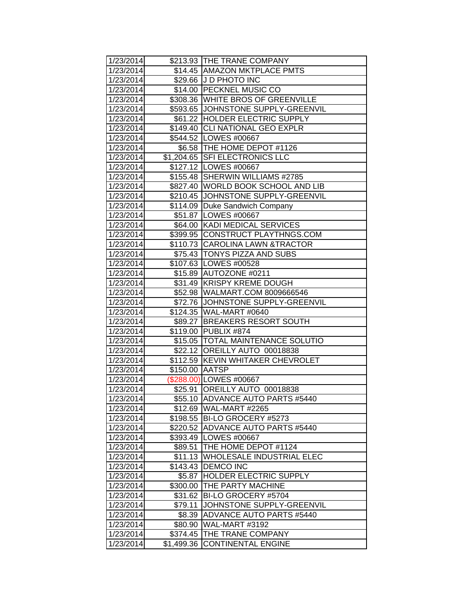| 1/23/2014 |                | \$213.93 THE TRANE COMPANY          |
|-----------|----------------|-------------------------------------|
| 1/23/2014 |                | \$14.45 AMAZON MKTPLACE PMTS        |
| 1/23/2014 |                | \$29.66 J D PHOTO INC               |
| 1/23/2014 |                | \$14.00 PECKNEL MUSIC CO            |
| 1/23/2014 |                | \$308.36 WHITE BROS OF GREENVILLE   |
| 1/23/2014 |                | \$593.65 JJOHNSTONE SUPPLY-GREENVIL |
| 1/23/2014 |                | \$61.22 HOLDER ELECTRIC SUPPLY      |
| 1/23/2014 |                | \$149.40 CLI NATIONAL GEO EXPLR     |
| 1/23/2014 |                | \$544.52 LOWES #00667               |
| 1/23/2014 |                | \$6.58 THE HOME DEPOT #1126         |
| 1/23/2014 |                | \$1,204.65 SFI ELECTRONICS LLC      |
| 1/23/2014 |                | \$127.12   LOWES #00667             |
| 1/23/2014 |                | \$155.48 SHERWIN WILLIAMS #2785     |
| 1/23/2014 |                | \$827.40 WORLD BOOK SCHOOL AND LIB  |
| 1/23/2014 |                | \$210.45 JJOHNSTONE SUPPLY-GREENVIL |
| 1/23/2014 | \$114.09       | Duke Sandwich Company               |
| 1/23/2014 |                | \$51.87 LOWES #00667                |
| 1/23/2014 |                | \$64.00 KADI MEDICAL SERVICES       |
| 1/23/2014 |                | \$399.95 CONSTRUCT PLAYTHNGS.COM    |
| 1/23/2014 |                | \$110.73 CAROLINA LAWN &TRACTOR     |
| 1/23/2014 |                | \$75.43 TONYS PIZZA AND SUBS        |
| 1/23/2014 |                | \$107.63 LOWES #00528               |
| 1/23/2014 |                | \$15.89 AUTOZONE #0211              |
| 1/23/2014 |                | \$31.49 KRISPY KREME DOUGH          |
| 1/23/2014 |                | \$52.98 WALMART.COM 8009666546      |
| 1/23/2014 |                | \$72.76 JJOHNSTONE SUPPLY-GREENVIL  |
| 1/23/2014 |                | \$124.35 WAL-MART #0640             |
| 1/23/2014 |                | \$89.27 BREAKERS RESORT SOUTH       |
| 1/23/2014 | \$119.00       | PUBLIX #874                         |
| 1/23/2014 |                | \$15.05  TOTAL MAINTENANCE SOLUTIO  |
| 1/23/2014 |                | \$22.12 OREILLY AUTO 00018838       |
| 1/23/2014 |                | \$112.59 KEVIN WHITAKER CHEVROLET   |
| 1/23/2014 | \$150.00 AATSP |                                     |
| 1/23/2014 |                | (\$288.00) LOWES #00667             |
| 1/23/2014 | \$25.91        | OREILLY AUTO 00018838               |
| 1/23/2014 |                | \$55.10 ADVANCE AUTO PARTS #5440    |
| 1/23/2014 |                | \$12.69 WAL-MART #2265              |
| 1/23/2014 |                | \$198.55 BI-LO GROCERY #5273        |
| 1/23/2014 |                | \$220.52 ADVANCE AUTO PARTS #5440   |
| 1/23/2014 |                | \$393.49 LOWES #00667               |
| 1/23/2014 | \$89.51        | THE HOME DEPOT #1124                |
| 1/23/2014 | \$11.13        | <b>WHOLESALE INDUSTRIAL ELEC</b>    |
| 1/23/2014 | \$143.43       | <b>DEMCO INC</b>                    |
| 1/23/2014 | \$5.87         | <b>HOLDER ELECTRIC SUPPLY</b>       |
| 1/23/2014 | \$300.00       | <b>THE PARTY MACHINE</b>            |
| 1/23/2014 | \$31.62        | BI-LO GROCERY #5704                 |
| 1/23/2014 | \$79.11        | JOHNSTONE SUPPLY-GREENVIL           |
| 1/23/2014 | \$8.39         | <b>ADVANCE AUTO PARTS #5440</b>     |
| 1/23/2014 | \$80.90        | WAL-MART #3192                      |
| 1/23/2014 | \$374.45       | THE TRANE COMPANY                   |
| 1/23/2014 | \$1,499.36     | <b>CONTINENTAL ENGINE</b>           |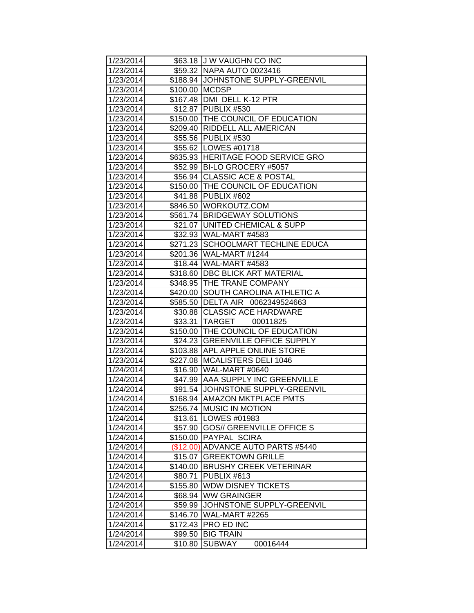| 1/23/2014 |                | \$63.18 J W VAUGHN CO INC           |
|-----------|----------------|-------------------------------------|
| 1/23/2014 |                | \$59.32 NAPA AUTO 0023416           |
| 1/23/2014 |                | \$188.94 JJOHNSTONE SUPPLY-GREENVIL |
| 1/23/2014 | \$100.00 MCDSP |                                     |
| 1/23/2014 |                | \$167.48   DMI DELL K-12 PTR        |
| 1/23/2014 |                | \$12.87 PUBLIX #530                 |
| 1/23/2014 |                | \$150.00 THE COUNCIL OF EDUCATION   |
| 1/23/2014 |                | \$209.40 RIDDELL ALL AMERICAN       |
| 1/23/2014 |                | \$55.56 PUBLIX #530                 |
| 1/23/2014 |                | \$55.62   LOWES #01718              |
| 1/23/2014 |                | \$635.93 HERITAGE FOOD SERVICE GRO  |
| 1/23/2014 |                | \$52.99   BI-LO GROCERY #5057       |
| 1/23/2014 |                | \$56.94 CLASSIC ACE & POSTAL        |
| 1/23/2014 |                | \$150.00 THE COUNCIL OF EDUCATION   |
| 1/23/2014 |                | \$41.88 PUBLIX #602                 |
| 1/23/2014 |                | \$846.50 WORKOUTZ.COM               |
| 1/23/2014 |                | \$561.74 BRIDGEWAY SOLUTIONS        |
| 1/23/2014 | \$21.07        | UNITED CHEMICAL & SUPP              |
| 1/23/2014 |                | \$32.93 WAL-MART #4583              |
| 1/23/2014 | \$271.23       | SCHOOLMART TECHLINE EDUCA           |
| 1/23/2014 |                | \$201.36 WAL-MART #1244             |
| 1/23/2014 |                | \$18.44 WAL-MART #4583              |
| 1/23/2014 |                | \$318.60   DBC BLICK ART MATERIAL   |
| 1/23/2014 |                | \$348.95 THE TRANE COMPANY          |
| 1/23/2014 | \$420.00       | SOUTH CAROLINA ATHLETIC A           |
| 1/23/2014 |                | \$585.50 DELTA AIR 0062349524663    |
| 1/23/2014 |                | \$30.88 CLASSIC ACE HARDWARE        |
| 1/23/2014 |                | \$33.31 TARGET<br>00011825          |
| 1/23/2014 |                | \$150.00 THE COUNCIL OF EDUCATION   |
| 1/23/2014 | \$24.23        | <b>GREENVILLE OFFICE SUPPLY</b>     |
| 1/23/2014 |                | \$103.88 APL APPLE ONLINE STORE     |
| 1/23/2014 | \$227.08       | <b>MCALISTERS DELI 1046</b>         |
| 1/24/2014 |                | \$16.90 WAL-MART #0640              |
| 1/24/2014 |                | \$47.99 AAA SUPPLY INC GREENVILLE   |
| 1/24/2014 |                | \$91.54 JOHNSTONE SUPPLY-GREENVIL   |
| 1/24/2014 |                | \$168.94 AMAZON MKTPLACE PMTS       |
| 1/24/2014 | \$256.74       | <b>MUSIC IN MOTION</b>              |
| 1/24/2014 | \$13.61        | LOWES #01983                        |
| 1/24/2014 | \$57.90        | <b>GOS// GREENVILLE OFFICE S</b>    |
| 1/24/2014 | \$150.00       | PAYPAL SCIRA                        |
| 1/24/2014 | (\$12.00)      | <b>ADVANCE AUTO PARTS #5440</b>     |
| 1/24/2014 | \$15.07        | <b>GREEKTOWN GRILLE</b>             |
| 1/24/2014 | \$140.00       | <b>BRUSHY CREEK VETERINAR</b>       |
| 1/24/2014 | \$80.71        | PUBLIX #613                         |
| 1/24/2014 | \$155.80       | <b>WDW DISNEY TICKETS</b>           |
| 1/24/2014 | \$68.94        | <b>WW GRAINGER</b>                  |
| 1/24/2014 | \$59.99        | JOHNSTONE SUPPLY-GREENVIL           |
| 1/24/2014 | \$146.70       | <b>WAL-MART #2265</b>               |
| 1/24/2014 | \$172.43       | PRO ED INC                          |
| 1/24/2014 | \$99.50        | <b>BIG TRAIN</b>                    |
| 1/24/2014 | \$10.80        | <b>SUBWAY</b><br>00016444           |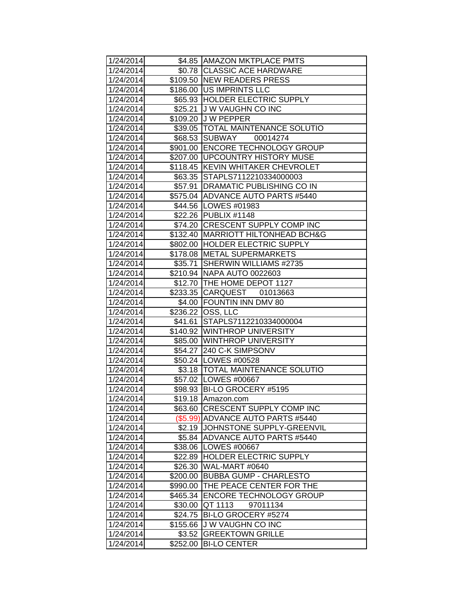| 1/24/2014 |          | \$4.85   AMAZON MKTPLACE PMTS        |
|-----------|----------|--------------------------------------|
| 1/24/2014 |          | \$0.78 CLASSIC ACE HARDWARE          |
| 1/24/2014 |          | \$109.50 NEW READERS PRESS           |
| 1/24/2014 |          | \$186.00 US IMPRINTS LLC             |
| 1/24/2014 |          | \$65.93 HOLDER ELECTRIC SUPPLY       |
| 1/24/2014 |          | \$25.21 J W VAUGHN CO INC            |
| 1/24/2014 |          | \$109.20 J W PEPPER                  |
| 1/24/2014 |          | \$39.05  TOTAL MAINTENANCE SOLUTIO   |
| 1/24/2014 |          | \$68.53 SUBWAY<br>00014274           |
| 1/24/2014 |          | \$901.00 ENCORE TECHNOLOGY GROUP     |
| 1/24/2014 |          | \$207.00   UPCOUNTRY HISTORY MUSE    |
| 1/24/2014 | \$118.45 | <b>KEVIN WHITAKER CHEVROLET</b>      |
| 1/24/2014 |          | \$63.35 STAPLS7112210334000003       |
| 1/24/2014 | \$57.91  | <b>DRAMATIC PUBLISHING CO IN</b>     |
| 1/24/2014 |          | \$575.04 ADVANCE AUTO PARTS #5440    |
| 1/24/2014 |          | \$44.56   LOWES #01983               |
| 1/24/2014 |          | \$22.26 PUBLIX #1148                 |
| 1/24/2014 | \$74.20  | <b>CRESCENT SUPPLY COMP INC</b>      |
| 1/24/2014 | \$132.40 | <b>MARRIOTT HILTONHEAD BCH&amp;G</b> |
| 1/24/2014 |          | \$802.00 HOLDER ELECTRIC SUPPLY      |
| 1/24/2014 |          | \$178.08 METAL SUPERMARKETS          |
| 1/24/2014 | \$35.71  | <b>ISHERWIN WILLIAMS #2735</b>       |
| 1/24/2014 |          | \$210.94 NAPA AUTO 0022603           |
| 1/24/2014 |          | \$12.70 THE HOME DEPOT 1127          |
| 1/24/2014 |          | \$233.35 CARQUEST 01013663           |
| 1/24/2014 |          | \$4.00 FOUNTIN INN DMV 80            |
| 1/24/2014 |          | \$236.22 OSS, LLC                    |
| 1/24/2014 | \$41.61  | STAPLS7112210334000004               |
| 1/24/2014 |          | \$140.92 WINTHROP UNIVERSITY         |
| 1/24/2014 |          | \$85.00 WINTHROP UNIVERSITY          |
| 1/24/2014 |          | \$54.27 240 C-K SIMPSONV             |
| 1/24/2014 |          | \$50.24   LOWES #00528               |
| 1/24/2014 |          | \$3.18   TOTAL MAINTENANCE SOLUTIO   |
| 1/24/2014 |          | \$57.02   LOWES #00667               |
| 1/24/2014 | \$98.93  | <b>IBI-LO GROCERY #5195</b>          |
| 1/24/2014 |          | \$19.18 Amazon.com                   |
| 1/24/2014 |          | \$63.60 CRESCENT SUPPLY COMP INC     |
| 1/24/2014 |          | (\$5.99) ADVANCE AUTO PARTS #5440    |
| 1/24/2014 | \$2.19   | JOHNSTONE SUPPLY-GREENVIL            |
| 1/24/2014 |          | \$5.84 ADVANCE AUTO PARTS #5440      |
| 1/24/2014 | \$38.06  | LOWES #00667                         |
| 1/24/2014 | \$22.89  | <b>HOLDER ELECTRIC SUPPLY</b>        |
| 1/24/2014 | \$26.30  | WAL-MART #0640                       |
| 1/24/2014 | \$200.00 | <b>BUBBA GUMP - CHARLESTO</b>        |
| 1/24/2014 | \$990.00 | THE PEACE CENTER FOR THE             |
| 1/24/2014 | \$465.34 | <b>ENCORE TECHNOLOGY GROUP</b>       |
| 1/24/2014 | \$30.00  | <b>QT 1113</b><br>97011134           |
| 1/24/2014 | \$24.75  | BI-LO GROCERY #5274                  |
| 1/24/2014 | \$155.66 | <b>JW VAUGHN CO INC</b>              |
| 1/24/2014 | \$3.52   | <b>GREEKTOWN GRILLE</b>              |
| 1/24/2014 | \$252.00 | <b>BI-LO CENTER</b>                  |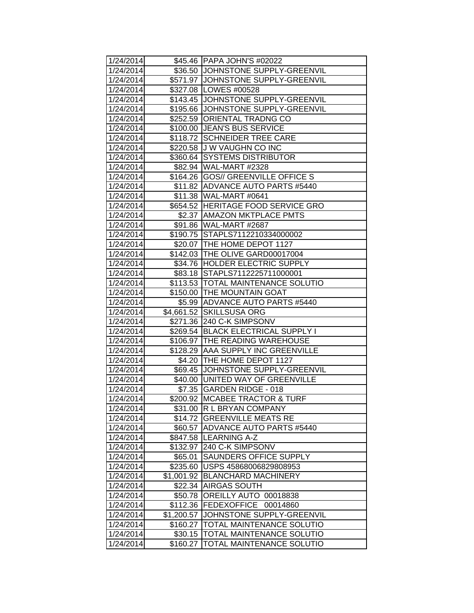| 1/24/2014              |                        | \$45.46   PAPA JOHN'S #02022                                |
|------------------------|------------------------|-------------------------------------------------------------|
| 1/24/2014              |                        | \$36.50 JJOHNSTONE SUPPLY-GREENVIL                          |
| 1/24/2014              |                        | \$571.97 JJOHNSTONE SUPPLY-GREENVIL                         |
| 1/24/2014              |                        | \$327.08 LOWES #00528                                       |
| 1/24/2014              |                        | \$143.45 JOHNSTONE SUPPLY-GREENVIL                          |
| 1/24/2014              |                        | \$195.66 JJOHNSTONE SUPPLY-GREENVIL                         |
| 1/24/2014              |                        | \$252.59 ORIENTAL TRADNG CO                                 |
| 1/24/2014              |                        | \$100.00 JEAN'S BUS SERVICE                                 |
| 1/24/2014              |                        | \$118.72 SCHNEIDER TREE CARE                                |
| 1/24/2014              |                        | \$220.58 J W VAUGHN CO INC                                  |
| 1/24/2014              |                        | \$360.64 SYSTEMS DISTRIBUTOR                                |
| 1/24/2014              |                        | \$82.94 WAL-MART #2328                                      |
| 1/24/2014              |                        | \$164.26   GOS// GREENVILLE OFFICE S                        |
| 1/24/2014              |                        | \$11.82 ADVANCE AUTO PARTS #5440                            |
| 1/24/2014              |                        | \$11.38 WAL-MART #0641                                      |
| 1/24/2014              |                        | \$654.52 HERITAGE FOOD SERVICE GRO                          |
| 1/24/2014              |                        | \$2.37 AMAZON MKTPLACE PMTS                                 |
| 1/24/2014              |                        | \$91.86 WAL-MART #2687                                      |
| 1/24/2014              |                        | \$190.75 STAPLS7112210334000002                             |
| 1/24/2014              |                        | \$20.07   THE HOME DEPOT 1127                               |
| 1/24/2014              |                        | \$142.03 THE OLIVE GARD00017004                             |
| 1/24/2014              |                        | \$34.76 HOLDER ELECTRIC SUPPLY                              |
| 1/24/2014              |                        | \$83.18 STAPLS7112225711000001                              |
| 1/24/2014              |                        | \$113.53 TOTAL MAINTENANCE SOLUTIO                          |
| 1/24/2014              |                        | \$150.00 THE MOUNTAIN GOAT                                  |
| 1/24/2014              |                        | \$5.99 ADVANCE AUTO PARTS #5440                             |
| 1/24/2014              |                        | \$4,661.52 SKILLSUSA ORG                                    |
| 1/24/2014              |                        | \$271.36 240 C-K SIMPSONV                                   |
| 1/24/2014              | \$269.54               | <b>BLACK ELECTRICAL SUPPLY I</b>                            |
| 1/24/2014              |                        | \$106.97  THE READING WAREHOUSE                             |
| 1/24/2014              |                        | \$128.29 AAA SUPPLY INC GREENVILLE                          |
| 1/24/2014              |                        | \$4.20 THE HOME DEPOT 1127                                  |
| 1/24/2014              |                        | \$69.45 JOHNSTONE SUPPLY-GREENVIL                           |
| 1/24/2014              |                        | \$40.00  UNITED WAY OF GREENVILLE                           |
| 1/24/2014              |                        | \$7.35 GARDEN RIDGE - 018                                   |
| 1/24/2014              |                        | \$200.92 MCABEE TRACTOR & TURF                              |
| 1/24/2014              |                        | \$31.00 R L BRYAN COMPANY                                   |
| 1/24/2014              | \$14.72                | <b>GREENVILLE MEATS RE</b>                                  |
| 1/24/2014              | \$60.57                | <b>ADVANCE AUTO PARTS #5440</b>                             |
| 1/24/2014              | \$847.58               | <b>LEARNING A-Z</b>                                         |
| 1/24/2014              | \$132.97               | 240 C-K SIMPSONV                                            |
| 1/24/2014              | \$65.01                | <b>SAUNDERS OFFICE SUPPLY</b>                               |
| 1/24/2014              | \$235.60               | USPS 45868006829808953                                      |
| 1/24/2014              | \$1,001.92             | <b>BLANCHARD MACHINERY</b>                                  |
| 1/24/2014              | \$22.34                | <b>AIRGAS SOUTH</b>                                         |
| 1/24/2014              | \$50.78                | OREILLY AUTO 00018838                                       |
| 1/24/2014              | \$112.36               | <b>FEDEXOFFICE</b><br>00014860<br>JOHNSTONE SUPPLY-GREENVIL |
| 1/24/2014<br>1/24/2014 | \$1,200.57<br>\$160.27 | TOTAL MAINTENANCE SOLUTIO                                   |
| 1/24/2014              | \$30.15                | TOTAL MAINTENANCE SOLUTIO                                   |
| 1/24/2014              |                        | TOTAL MAINTENANCE SOLUTIO                                   |
|                        | \$160.27               |                                                             |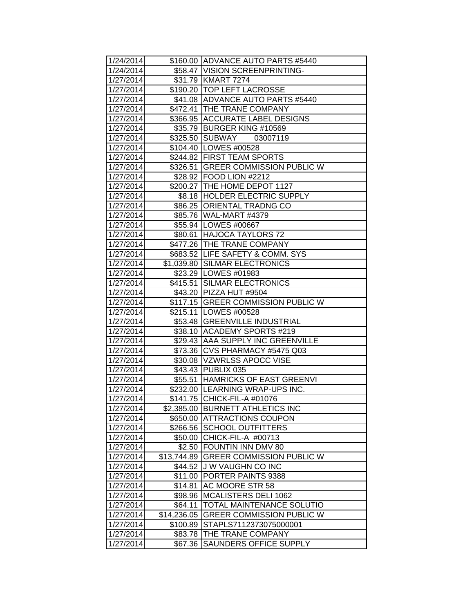| 1/24/2014 |             | \$160.00   ADVANCE AUTO PARTS #5440 |
|-----------|-------------|-------------------------------------|
| 1/24/2014 |             | \$58.47 VISION SCREENPRINTING-      |
| 1/27/2014 |             | \$31.79 KMART 7274                  |
| 1/27/2014 |             | \$190.20 TOP LEFT LACROSSE          |
| 1/27/2014 |             | \$41.08 ADVANCE AUTO PARTS #5440    |
| 1/27/2014 |             | \$472.41 THE TRANE COMPANY          |
| 1/27/2014 |             | \$366.95 ACCURATE LABEL DESIGNS     |
| 1/27/2014 |             | \$35.79 BURGER KING #10569          |
| 1/27/2014 |             | \$325.50 SUBWAY<br>03007119         |
| 1/27/2014 |             | \$104.40 LOWES #00528               |
| 1/27/2014 |             | \$244.82 FIRST TEAM SPORTS          |
| 1/27/2014 |             | \$326.51 GREER COMMISSION PUBLIC W  |
| 1/27/2014 |             | \$28.92   FOOD LION #2212           |
| 1/27/2014 |             | \$200.27 THE HOME DEPOT 1127        |
| 1/27/2014 |             | \$8.18  HOLDER ELECTRIC SUPPLY      |
| 1/27/2014 |             | \$86.25 ORIENTAL TRADNG CO          |
| 1/27/2014 |             | \$85.76 WAL-MART #4379              |
| 1/27/2014 |             | \$55.94 LOWES #00667                |
| 1/27/2014 |             | \$80.61 HAJOCA TAYLORS 72           |
| 1/27/2014 |             | \$477.26 THE TRANE COMPANY          |
| 1/27/2014 |             | \$683.52 LIFE SAFETY & COMM. SYS    |
| 1/27/2014 |             | \$1,039.80 SILMAR ELECTRONICS       |
| 1/27/2014 |             | \$23.29   LOWES #01983              |
| 1/27/2014 |             | \$415.51 SILMAR ELECTRONICS         |
| 1/27/2014 |             | \$43.20 PIZZA HUT #9504             |
| 1/27/2014 |             | \$117.15 GREER COMMISSION PUBLIC W  |
| 1/27/2014 |             | \$215.11   LOWES #00528             |
| 1/27/2014 |             | \$53.48 GREENVILLE INDUSTRIAL       |
| 1/27/2014 |             | \$38.10 ACADEMY SPORTS #219         |
| 1/27/2014 | \$29.43     | AAA SUPPLY INC GREENVILLE           |
| 1/27/2014 | \$73.36     | CVS PHARMACY #5475 Q03              |
| 1/27/2014 |             | \$30.08 VZWRLSS APOCC VISE          |
| 1/27/2014 |             | \$43.43 PUBLIX 035                  |
| 1/27/2014 |             | \$55.51 HAMRICKS OF EAST GREENVI    |
| 1/27/2014 |             | \$232.00 LEARNING WRAP-UPS INC.     |
| 1/27/2014 |             | \$141.75 CHICK-FIL-A #01076         |
| 1/27/2014 |             | \$2,385.00 BURNETT ATHLETICS INC    |
| 1/27/2014 | \$650.00    | <b>ATTRACTIONS COUPON</b>           |
| 1/27/2014 | \$266.56    | <b>SCHOOL OUTFITTERS</b>            |
| 1/27/2014 | \$50.00     | CHICK-FIL-A #00713                  |
| 1/27/2014 | \$2.50      | <b>FOUNTIN INN DMV 80</b>           |
| 1/27/2014 | \$13,744.89 | <b>GREER COMMISSION PUBLIC W</b>    |
| 1/27/2014 | \$44.52     | J W VAUGHN CO INC                   |
| 1/27/2014 | \$11.00     | PORTER PAINTS 9388                  |
| 1/27/2014 | \$14.81     | AC MOORE STR 58                     |
| 1/27/2014 | \$98.96     | MCALISTERS DELI 1062                |
| 1/27/2014 | \$64.11     | TOTAL MAINTENANCE SOLUTIO           |
| 1/27/2014 | \$14,236.05 | <b>GREER COMMISSION PUBLIC W</b>    |
| 1/27/2014 | \$100.89    | STAPLS7112373075000001              |
| 1/27/2014 | \$83.78     | THE TRANE COMPANY                   |
| 1/27/2014 | \$67.36     | <b>SAUNDERS OFFICE SUPPLY</b>       |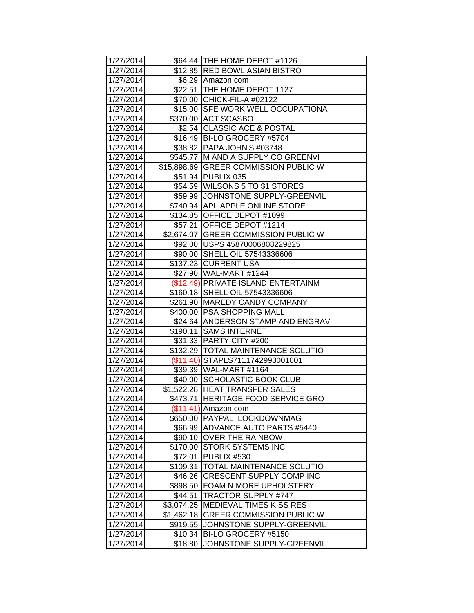| 1/27/2014 |            | \$64.44 THE HOME DEPOT #1126          |
|-----------|------------|---------------------------------------|
| 1/27/2014 |            | \$12.85 RED BOWL ASIAN BISTRO         |
| 1/27/2014 |            | \$6.29 Amazon.com                     |
| 1/27/2014 |            | \$22.51 THE HOME DEPOT 1127           |
| 1/27/2014 |            | \$70.00 CHICK-FIL-A #02122            |
| 1/27/2014 |            | \$15.00 SFE WORK WELL OCCUPATIONA     |
| 1/27/2014 |            | \$370.00 ACT SCASBO                   |
| 1/27/2014 |            | \$2.54 CLASSIC ACE & POSTAL           |
| 1/27/2014 |            | \$16.49 BI-LO GROCERY #5704           |
| 1/27/2014 |            | \$38.82   PAPA JOHN'S #03748          |
| 1/27/2014 |            | \$545.77 M AND A SUPPLY CO GREENVI    |
| 1/27/2014 |            | \$15,898.69 GREER COMMISSION PUBLIC W |
| 1/27/2014 |            | \$51.94 PUBLIX 035                    |
| 1/27/2014 |            | \$54.59   WILSONS 5 TO \$1 STORES     |
| 1/27/2014 |            | \$59.99 JJOHNSTONE SUPPLY-GREENVIL    |
| 1/27/2014 |            | \$740.94 APL APPLE ONLINE STORE       |
| 1/27/2014 |            | \$134.85 OFFICE DEPOT #1099           |
| 1/27/2014 |            | \$57.21 OFFICE DEPOT #1214            |
| 1/27/2014 |            | \$2,674.07 GREER COMMISSION PUBLIC W  |
| 1/27/2014 |            | \$92.00   USPS 45870006808229825      |
| 1/27/2014 |            | \$90.00 SHELL OIL 57543336606         |
| 1/27/2014 |            | \$137.23 CURRENT USA                  |
| 1/27/2014 |            | \$27.90 WAL-MART #1244                |
| 1/27/2014 |            | (\$12.49) PRIVATE ISLAND ENTERTAINM   |
| 1/27/2014 |            | \$160.18 SHELL OIL 57543336606        |
| 1/27/2014 |            | \$261.90   MAREDY CANDY COMPANY       |
| 1/27/2014 |            | \$400.00 PSA SHOPPING MALL            |
| 1/27/2014 |            | \$24.64 ANDERSON STAMP AND ENGRAV     |
| 1/27/2014 |            | \$190.11 SAMS INTERNET                |
| 1/27/2014 |            | \$31.33 PARTY CITY #200               |
| 1/27/2014 |            | \$132.29 TOTAL MAINTENANCE SOLUTIO    |
| 1/27/2014 | (\$11.40)  | STAPLS7111742993001001                |
| 1/27/2014 |            | \$39.39 WAL-MART #1164                |
| 1/27/2014 |            | \$40.00 SCHOLASTIC BOOK CLUB          |
| 1/27/2014 |            | \$1,522.28 HEAT TRANSFER SALES        |
| 1/27/2014 |            | \$473.71 HERITAGE FOOD SERVICE GRO    |
| 1/27/2014 |            | $($11.41)$ Amazon.com                 |
| 1/27/2014 |            | \$650.00 PAYPAL LOCKDOWNMAG           |
| 1/27/2014 |            | \$66.99   ADVANCE AUTO PARTS #5440    |
| 1/27/2014 | \$90.10    | <b>OVER THE RAINBOW</b>               |
| 1/27/2014 | \$170.00   | <b>STORK SYSTEMS INC</b>              |
| 1/27/2014 | \$72.01    | PUBLIX #530                           |
| 1/27/2014 | \$109.31   | <b>TOTAL MAINTENANCE SOLUTIO</b>      |
| 1/27/2014 | \$46.26    | <b>CRESCENT SUPPLY COMP INC</b>       |
| 1/27/2014 |            | \$898.50 FOAM N MORE UPHOLSTERY       |
| 1/27/2014 | \$44.51    | <b>TRACTOR SUPPLY #747</b>            |
| 1/27/2014 | \$3,074.25 | <b>MEDIEVAL TIMES KISS RES</b>        |
| 1/27/2014 | \$1,462.18 | <b>GREER COMMISSION PUBLIC W</b>      |
| 1/27/2014 | \$919.55   | JOHNSTONE SUPPLY-GREENVIL             |
| 1/27/2014 | \$10.34    | BI-LO GROCERY #5150                   |
| 1/27/2014 | \$18.80    | JOHNSTONE SUPPLY-GREENVIL             |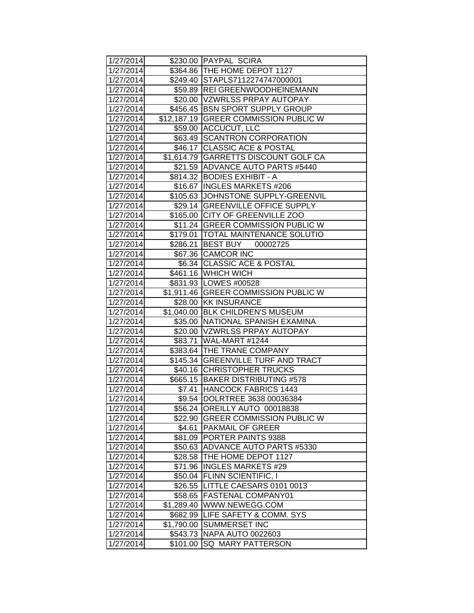| 1/27/2014 |            | \$230.00 PAYPAL SCIRA                 |
|-----------|------------|---------------------------------------|
| 1/27/2014 |            | \$364.86   THE HOME DEPOT 1127        |
| 1/27/2014 |            | \$249.40 STAPLS7112274747000001       |
| 1/27/2014 |            | \$59.89  REI GREENWOODHEINEMANN       |
| 1/27/2014 |            | \$20.00   VZWRLSS PRPAY AUTOPAY       |
| 1/27/2014 |            | \$456.45 BSN SPORT SUPPLY GROUP       |
| 1/27/2014 |            | \$12,187.19 GREER COMMISSION PUBLIC W |
| 1/27/2014 |            | \$59.00 ACCUCUT, LLC                  |
| 1/27/2014 |            | \$63.49 SCANTRON CORPORATION          |
| 1/27/2014 |            | \$46.17 CLASSIC ACE & POSTAL          |
| 1/27/2014 |            | \$1,614.79 GARRETTS DISCOUNT GOLF CA  |
| 1/27/2014 |            | \$21.59 ADVANCE AUTO PARTS #5440      |
| 1/27/2014 |            | \$814.32 BODIES EXHIBIT - A           |
| 1/27/2014 |            | \$16.67 INGLES MARKETS #206           |
| 1/27/2014 |            | \$105.63 JOHNSTONE SUPPLY-GREENVIL    |
| 1/27/2014 |            | \$29.14 GREENVILLE OFFICE SUPPLY      |
| 1/27/2014 |            | \$165.00 CITY OF GREENVILLE ZOO       |
| 1/27/2014 |            | \$11.24 GREER COMMISSION PUBLIC W     |
| 1/27/2014 |            | \$179.01   TOTAL MAINTENANCE SOLUTIO  |
| 1/27/2014 | \$286.21   | BEST BUY 00002725                     |
| 1/27/2014 |            | \$67.36 CAMCOR INC                    |
| 1/27/2014 |            | \$6.34 CLASSIC ACE & POSTAL           |
| 1/27/2014 |            | \$461.16 WHICH WICH                   |
| 1/27/2014 |            | \$831.93 LOWES #00528                 |
| 1/27/2014 |            | \$1,911.46 GREER COMMISSION PUBLIC W  |
| 1/27/2014 |            | \$28.00 KK INSURANCE                  |
| 1/27/2014 |            | \$1,040.00 BLK CHILDREN'S MUSEUM      |
| 1/27/2014 |            | \$35.00 NATIONAL SPANISH EXAMINA      |
| 1/27/2014 |            | \$20.00   VZWRLSS PRPAY AUTOPAY       |
| 1/27/2014 |            | \$83.71 WAL-MART #1244                |
| 1/27/2014 |            | \$383.64 THE TRANE COMPANY            |
| 1/27/2014 |            | \$145.34 GREENVILLE TURF AND TRACT    |
| 1/27/2014 |            | \$40.16 CHRISTOPHER TRUCKS            |
| 1/27/2014 |            | \$665.15 BAKER DISTRIBUTING #578      |
| 1/27/2014 | \$7.41     | <b>HANCOCK FABRICS 1443</b>           |
| 1/27/2014 |            | \$9.54 DOLRTREE 3638 00036384         |
| 1/27/2014 |            | \$56.24 OREILLY AUTO 00018838         |
| 1/27/2014 | \$22.90    | <b>GREER COMMISSION PUBLIC W</b>      |
| 1/27/2014 | \$4.61     | <b>PAKMAIL OF GREER</b>               |
| 1/27/2014 | \$81.09    | <b>PORTER PAINTS 9388</b>             |
| 1/27/2014 | \$50.63    | ADVANCE AUTO PARTS #5330              |
| 1/27/2014 | \$28.58    | THE HOME DEPOT 1127                   |
| 1/27/2014 | \$71.96    | <b>INGLES MARKETS #29</b>             |
| 1/27/2014 | \$50.04    | <b>FLINN SCIENTIFIC, I</b>            |
| 1/27/2014 | \$26.55    | LITTLE CAESARS 0101 0013              |
| 1/27/2014 | \$58.65    | <b>FASTENAL COMPANY01</b>             |
| 1/27/2014 | \$1,289.40 | WWW.NEWEGG.COM                        |
| 1/27/2014 | \$682.99   | LIFE SAFETY & COMM. SYS               |
| 1/27/2014 | \$1,790.00 | <b>SUMMERSET INC</b>                  |
| 1/27/2014 | \$543.73   | <b>NAPA AUTO 0022603</b>              |
| 1/27/2014 | \$101.00   | SQ MARY PATTERSON                     |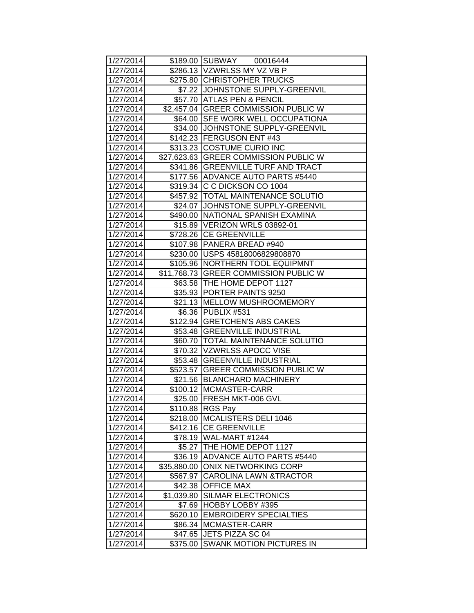| 1/27/2014 |             | \$189.00 SUBWAY 00016444              |
|-----------|-------------|---------------------------------------|
| 1/27/2014 |             | \$286.13  VZWRLSS MY VZ VB P          |
| 1/27/2014 |             | \$275.80 CHRISTOPHER TRUCKS           |
| 1/27/2014 |             | \$7.22 JOHNSTONE SUPPLY-GREENVIL      |
| 1/27/2014 |             | \$57.70 ATLAS PEN & PENCIL            |
| 1/27/2014 |             | \$2,457.04 GREER COMMISSION PUBLIC W  |
| 1/27/2014 |             | \$64.00 SFE WORK WELL OCCUPATIONA     |
| 1/27/2014 |             | \$34.00 JJOHNSTONE SUPPLY-GREENVIL    |
| 1/27/2014 |             | \$142.23 FERGUSON ENT #43             |
| 1/27/2014 |             | \$313.23 COSTUME CURIO INC            |
| 1/27/2014 |             | \$27,623.63 GREER COMMISSION PUBLIC W |
| 1/27/2014 |             | \$341.86 GREENVILLE TURF AND TRACT    |
| 1/27/2014 |             | \$177.56   ADVANCE AUTO PARTS #5440   |
| 1/27/2014 |             | \$319.34 C C DICKSON CO 1004          |
| 1/27/2014 |             | \$457.92 TOTAL MAINTENANCE SOLUTIO    |
| 1/27/2014 |             | \$24.07 JOHNSTONE SUPPLY-GREENVIL     |
| 1/27/2014 |             | \$490.00 NATIONAL SPANISH EXAMINA     |
| 1/27/2014 |             | \$15.89 VERIZON WRLS 03892-01         |
| 1/27/2014 |             | \$728.26 CE GREENVILLE                |
| 1/27/2014 | \$107.98    | <b>PANERA BREAD #940</b>              |
| 1/27/2014 |             | \$230.00  USPS 45818006829808870      |
| 1/27/2014 |             | \$105.96 NORTHERN TOOL EQUIPMNT       |
| 1/27/2014 |             | \$11,768.73 GREER COMMISSION PUBLIC W |
| 1/27/2014 |             | \$63.58 THE HOME DEPOT 1127           |
| 1/27/2014 |             | \$35.93 PORTER PAINTS 9250            |
| 1/27/2014 |             | \$21.13 MELLOW MUSHROOMEMORY          |
| 1/27/2014 |             | \$6.36 PUBLIX #531                    |
| 1/27/2014 |             | \$122.94 GRETCHEN'S ABS CAKES         |
| 1/27/2014 |             | \$53.48 GREENVILLE INDUSTRIAL         |
| 1/27/2014 |             | \$60.70   TOTAL MAINTENANCE SOLUTIO   |
| 1/27/2014 |             | \$70.32  VZWRLSS APOCC VISE           |
| 1/27/2014 |             | \$53.48 GREENVILLE INDUSTRIAL         |
| 1/27/2014 |             | \$523.57 GREER COMMISSION PUBLIC W    |
| 1/27/2014 |             | \$21.56 BLANCHARD MACHINERY           |
| 1/27/2014 |             | \$100.12 MCMASTER-CARR                |
| 1/27/2014 |             | \$25.00 FRESH MKT-006 GVL             |
| 1/27/2014 | \$110.88    | <b>RGS Pay</b>                        |
| 1/27/2014 | \$218.00    | MCALISTERS DELI 1046                  |
| 1/27/2014 | \$412.16    | <b>CE GREENVILLE</b>                  |
| 1/27/2014 |             | \$78.19   WAL-MART #1244              |
| 1/27/2014 | \$5.27      | THE HOME DEPOT 1127                   |
| 1/27/2014 | \$36.19     | <b>ADVANCE AUTO PARTS #5440</b>       |
| 1/27/2014 | \$35,880.00 | <b>ONIX NETWORKING CORP</b>           |
| 1/27/2014 | \$567.97    | <b>CAROLINA LAWN &amp;TRACTOR</b>     |
| 1/27/2014 | \$42.38     | <b>OFFICE MAX</b>                     |
| 1/27/2014 | \$1,039.80  | <b>SILMAR ELECTRONICS</b>             |
| 1/27/2014 | \$7.69      | <b>HOBBY LOBBY #395</b>               |
| 1/27/2014 | \$620.10    | <b>EMBROIDERY SPECIALTIES</b>         |
| 1/27/2014 | \$86.34     | MCMASTER-CARR                         |
| 1/27/2014 | \$47.65     | JETS PIZZA SC 04                      |
| 1/27/2014 | \$375.00    | SWANK MOTION PICTURES IN              |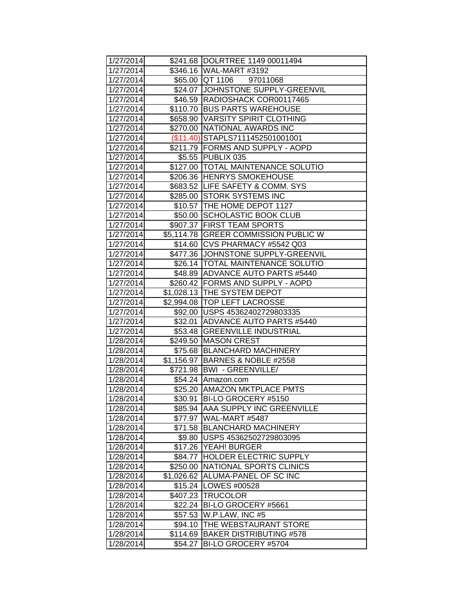| 1/27/2014 |            | \$241.68  DOLRTREE 1149 00011494     |
|-----------|------------|--------------------------------------|
| 1/27/2014 |            | \$346.16 WAL-MART #3192              |
| 1/27/2014 |            | \$65.00 QT 1106<br>97011068          |
| 1/27/2014 |            | \$24.07 JOHNSTONE SUPPLY-GREENVIL    |
| 1/27/2014 |            | \$46.59 RADIOSHACK COR00117465       |
| 1/27/2014 |            | \$110.70 BUS PARTS WAREHOUSE         |
| 1/27/2014 |            | \$658.90 VARSITY SPIRIT CLOTHING     |
| 1/27/2014 |            | \$270.00 NATIONAL AWARDS INC         |
| 1/27/2014 |            | (\$11.40) STAPLS7111452501001001     |
| 1/27/2014 |            | \$211.79   FORMS AND SUPPLY - AOPD   |
| 1/27/2014 |            | \$5.55 PUBLIX 035                    |
| 1/27/2014 |            | \$127.00 TOTAL MAINTENANCE SOLUTIO   |
| 1/27/2014 |            | \$206.36 HENRYS SMOKEHOUSE           |
| 1/27/2014 |            | \$683.52 LIFE SAFETY & COMM. SYS     |
| 1/27/2014 |            | \$285.00 STORK SYSTEMS INC           |
| 1/27/2014 |            | \$10.57  THE HOME DEPOT 1127         |
| 1/27/2014 |            | \$50.00 SCHOLASTIC BOOK CLUB         |
| 1/27/2014 |            | \$907.37 FIRST TEAM SPORTS           |
| 1/27/2014 |            | \$5,114.78 GREER COMMISSION PUBLIC W |
| 1/27/2014 |            | \$14.60 CVS PHARMACY #5542 Q03       |
| 1/27/2014 |            | \$477.36 JJOHNSTONE SUPPLY-GREENVIL  |
| 1/27/2014 |            | \$26.14  TOTAL MAINTENANCE SOLUTIO   |
| 1/27/2014 |            | \$48.89 ADVANCE AUTO PARTS #5440     |
| 1/27/2014 |            | \$260.42   FORMS AND SUPPLY - AOPD   |
| 1/27/2014 |            | \$1,028.13 THE SYSTEM DEPOT          |
| 1/27/2014 |            | \$2,994.08  TOP LEFT LACROSSE        |
| 1/27/2014 |            | \$92.00 USPS 45362402729803335       |
| 1/27/2014 |            | \$32.01 ADVANCE AUTO PARTS #5440     |
| 1/27/2014 |            | \$53.48 GREENVILLE INDUSTRIAL        |
| 1/28/2014 |            | \$249.50 MASON CREST                 |
| 1/28/2014 |            | \$75.68   BLANCHARD MACHINERY        |
| 1/28/2014 |            | \$1,156.97 BARNES & NOBLE #2558      |
| 1/28/2014 |            | \$721.98 BWI - GREENVILLE/           |
| 1/28/2014 |            | \$54.24 Amazon.com                   |
| 1/28/2014 |            | \$25.20 AMAZON MKTPLACE PMTS         |
| 1/28/2014 | \$30.91    | BI-LO GROCERY #5150                  |
| 1/28/2014 |            | \$85.94 AAA SUPPLY INC GREENVILLE    |
| 1/28/2014 | \$77.97    | WAL-MART #5487                       |
| 1/28/2014 | \$71.58    | <b>BLANCHARD MACHINERY</b>           |
| 1/28/2014 | \$9.80     | USPS 45362502729803095               |
| 1/28/2014 | \$17.26    | YEAH! BURGER                         |
| 1/28/2014 | \$84.77    | HOLDER ELECTRIC SUPPLY               |
| 1/28/2014 | \$250.00   | NATIONAL SPORTS CLINICS              |
| 1/28/2014 | \$1,026.62 | ALUMA-PANEL OF SC INC                |
| 1/28/2014 |            | \$15.24   LOWES #00528               |
| 1/28/2014 | \$407.23   | <b>TRUCOLOR</b>                      |
| 1/28/2014 | \$22.24    | BI-LO GROCERY #5661                  |
| 1/28/2014 | \$57.53    | W.P.LAW, INC #5                      |
| 1/28/2014 | \$94.10    | THE WEBSTAURANT STORE                |
| 1/28/2014 | \$114.69   | <b>BAKER DISTRIBUTING #578</b>       |
| 1/28/2014 | \$54.27    | BI-LO GROCERY #5704                  |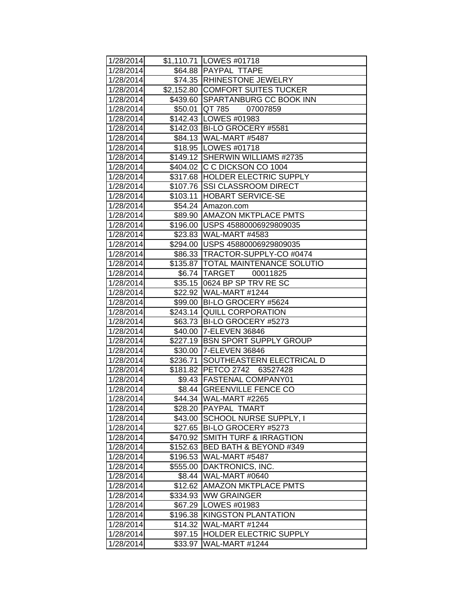| 1/28/2014 |          | \$1,110.71 LOWES #01718              |
|-----------|----------|--------------------------------------|
| 1/28/2014 |          | \$64.88   PAYPAL TTAPE               |
| 1/28/2014 |          | \$74.35  RHINESTONE JEWELRY          |
| 1/28/2014 |          | \$2,152.80 COMFORT SUITES TUCKER     |
| 1/28/2014 |          | \$439.60 SPARTANBURG CC BOOK INN     |
| 1/28/2014 | \$50.01  | <b>QT 785 07007859</b>               |
| 1/28/2014 |          | \$142.43 LOWES #01983                |
| 1/28/2014 |          | \$142.03 BI-LO GROCERY #5581         |
| 1/28/2014 |          | \$84.13 WAL-MART #5487               |
| 1/28/2014 |          | \$18.95   LOWES #01718               |
| 1/28/2014 |          | \$149.12 SHERWIN WILLIAMS #2735      |
| 1/28/2014 |          | \$404.02 C C DICKSON CO 1004         |
| 1/28/2014 |          | \$317.68 HOLDER ELECTRIC SUPPLY      |
| 1/28/2014 |          | \$107.76 SSI CLASSROOM DIRECT        |
| 1/28/2014 |          | \$103.11 HOBART SERVICE-SE           |
| 1/28/2014 |          | \$54.24 Amazon.com                   |
| 1/28/2014 |          | \$89.90   AMAZON MKTPLACE PMTS       |
| 1/28/2014 |          | \$196.00 USPS 45880006929809035      |
| 1/28/2014 |          | \$23.83 WAL-MART #4583               |
| 1/28/2014 |          | \$294.00 USPS 45880006929809035      |
| 1/28/2014 |          | \$86.33   TRACTOR-SUPPLY-CO #0474    |
| 1/28/2014 |          | \$135.87   TOTAL MAINTENANCE SOLUTIO |
| 1/28/2014 |          | \$6.74 TARGET 00011825               |
| 1/28/2014 |          | \$35.15   0624 BP SP TRV RE SC       |
| 1/28/2014 |          | \$22.92 WAL-MART #1244               |
| 1/28/2014 |          | \$99.00 BI-LO GROCERY #5624          |
| 1/28/2014 |          | \$243.14 QUILL CORPORATION           |
| 1/28/2014 |          | \$63.73 BI-LO GROCERY #5273          |
| 1/28/2014 |          | \$40.00 7-ELEVEN 36846               |
| 1/28/2014 |          | \$227.19 BSN SPORT SUPPLY GROUP      |
| 1/28/2014 |          | \$30.00 7-ELEVEN 36846               |
| 1/28/2014 | \$236.71 | SOUTHEASTERN ELECTRICAL D            |
| 1/28/2014 |          | \$181.82 PETCO 2742 63527428         |
| 1/28/2014 |          | \$9.43 FASTENAL COMPANY01            |
| 1/28/2014 |          | \$8.44 GREENVILLE FENCE CO           |
| 1/28/2014 |          | \$44.34 WAL-MART #2265               |
| 1/28/2014 |          | \$28.20 PAYPAL TMART                 |
| 1/28/2014 |          | \$43.00 SCHOOL NURSE SUPPLY, I       |
| 1/28/2014 | \$27.65  | BI-LO GROCERY #5273                  |
| 1/28/2014 |          | \$470.92 SMITH TURF & IRRAGTION      |
| 1/28/2014 | \$152.63 | <b>BED BATH &amp; BEYOND #349</b>    |
| 1/28/2014 |          | \$196.53 WAL-MART #5487              |
| 1/28/2014 | \$555.00 | DAKTRONICS, INC.                     |
| 1/28/2014 | \$8.44   | WAL-MART #0640                       |
| 1/28/2014 | \$12.62  | <b>AMAZON MKTPLACE PMTS</b>          |
| 1/28/2014 |          | \$334.93   WW GRAINGER               |
| 1/28/2014 | \$67.29  | LOWES #01983                         |
| 1/28/2014 | \$196.38 | <b>KINGSTON PLANTATION</b>           |
| 1/28/2014 | \$14.32  | WAL-MART #1244                       |
| 1/28/2014 | \$97.15  | <b>HOLDER ELECTRIC SUPPLY</b>        |
| 1/28/2014 | \$33.97  | WAL-MART #1244                       |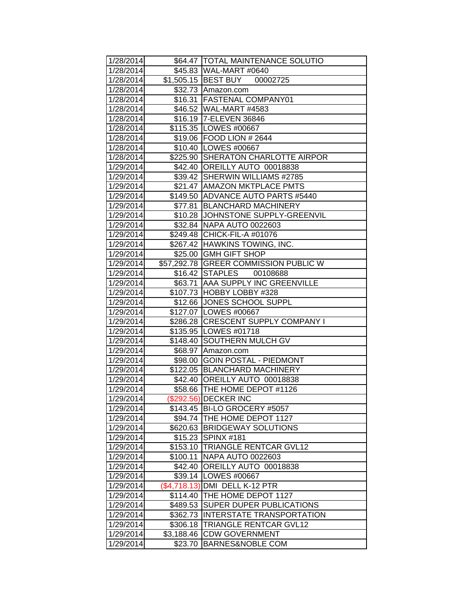| 1/28/2014 |            | \$64.47   TOTAL MAINTENANCE SOLUTIO   |
|-----------|------------|---------------------------------------|
| 1/28/2014 |            | \$45.83 WAL-MART #0640                |
| 1/28/2014 |            | \$1,505.15 BEST BUY<br>00002725       |
| 1/28/2014 |            | \$32.73 Amazon.com                    |
| 1/28/2014 | \$16.31    | <b>FASTENAL COMPANY01</b>             |
| 1/28/2014 |            | \$46.52 WAL-MART #4583                |
| 1/28/2014 |            | \$16.19 7-ELEVEN 36846                |
| 1/28/2014 |            | \$115.35   LOWES #00667               |
| 1/28/2014 |            | \$19.06 FOOD LION # 2644              |
| 1/28/2014 |            | \$10.40   LOWES #00667                |
| 1/28/2014 |            | \$225.90 SHERATON CHARLOTTE AIRPOR    |
| 1/29/2014 |            | \$42.40 OREILLY AUTO 00018838         |
| 1/29/2014 |            | \$39.42   SHERWIN WILLIAMS #2785      |
| 1/29/2014 |            | \$21.47 AMAZON MKTPLACE PMTS          |
| 1/29/2014 |            | \$149.50 ADVANCE AUTO PARTS #5440     |
| 1/29/2014 | \$77.81    | <b>BLANCHARD MACHINERY</b>            |
| 1/29/2014 | \$10.28    | JOHNSTONE SUPPLY-GREENVIL             |
| 1/29/2014 | \$32.84    | <b>NAPA AUTO 0022603</b>              |
| 1/29/2014 |            | \$249.48 CHICK-FIL-A #01076           |
| 1/29/2014 |            | \$267.42 HAWKINS TOWING, INC.         |
| 1/29/2014 |            | \$25.00 GMH GIFT SHOP                 |
| 1/29/2014 |            | \$57,292.78 GREER COMMISSION PUBLIC W |
| 1/29/2014 |            | \$16.42 STAPLES<br>00108688           |
| 1/29/2014 |            | \$63.71 AAA SUPPLY INC GREENVILLE     |
| 1/29/2014 |            | \$107.73 HOBBY LOBBY #328             |
| 1/29/2014 |            | \$12.66 JONES SCHOOL SUPPL            |
| 1/29/2014 |            | \$127.07   LOWES #00667               |
| 1/29/2014 |            | \$286.28 CRESCENT SUPPLY COMPANY I    |
| 1/29/2014 |            | \$135.95 LOWES #01718                 |
| 1/29/2014 | \$148.40   | <b>SOUTHERN MULCH GV</b>              |
| 1/29/2014 | \$68.97    | Amazon.com                            |
| 1/29/2014 | \$98.00    | <b>GOIN POSTAL - PIEDMONT</b>         |
| 1/29/2014 |            | \$122.05 BLANCHARD MACHINERY          |
| 1/29/2014 |            | \$42.40 OREILLY AUTO 00018838         |
| 1/29/2014 |            | \$58.66   THE HOME DEPOT #1126        |
| 1/29/2014 |            | (\$292.56) DECKER INC                 |
| 1/29/2014 |            | \$143.45 BI-LO GROCERY #5057          |
| 1/29/2014 |            | \$94.74 THE HOME DEPOT 1127           |
| 1/29/2014 |            | \$620.63 BRIDGEWAY SOLUTIONS          |
| 1/29/2014 |            | \$15.23 SPINX #181                    |
| 1/29/2014 | \$153.10   | <b>TRIANGLE RENTCAR GVL12</b>         |
| 1/29/2014 | \$100.11   | <b>NAPA AUTO 0022603</b>              |
| 1/29/2014 | \$42.40    | OREILLY AUTO 00018838                 |
| 1/29/2014 | \$39.14    | LOWES #00667                          |
| 1/29/2014 |            | (\$4,718.13) DMI DELL K-12 PTR        |
| 1/29/2014 | \$114.40   | THE HOME DEPOT 1127                   |
| 1/29/2014 | \$489.53   | <b>SUPER DUPER PUBLICATIONS</b>       |
| 1/29/2014 | \$362.73   | <b>INTERSTATE TRANSPORTATION</b>      |
| 1/29/2014 | \$306.18   | <b>TRIANGLE RENTCAR GVL12</b>         |
| 1/29/2014 | \$3,188.46 | <b>CDW GOVERNMENT</b>                 |
| 1/29/2014 | \$23.70    | <b>BARNES&amp;NOBLE COM</b>           |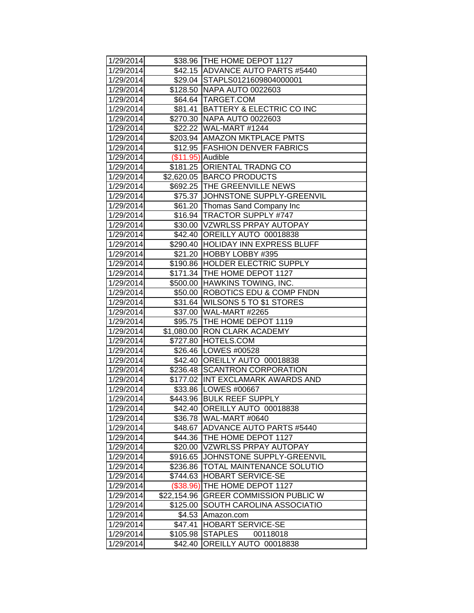| 1/29/2014 |                    | \$38.96 THE HOME DEPOT 1127        |
|-----------|--------------------|------------------------------------|
| 1/29/2014 |                    | \$42.15 ADVANCE AUTO PARTS #5440   |
| 1/29/2014 |                    | \$29.04 STAPLS0121609804000001     |
| 1/29/2014 |                    | \$128.50 NAPA AUTO 0022603         |
| 1/29/2014 |                    | \$64.64 TARGET.COM                 |
| 1/29/2014 |                    | \$81.41 BATTERY & ELECTRIC CO INC  |
| 1/29/2014 |                    | \$270.30 NAPA AUTO 0022603         |
| 1/29/2014 |                    | \$22.22 WAL-MART #1244             |
| 1/29/2014 |                    | \$203.94 AMAZON MKTPLACE PMTS      |
| 1/29/2014 |                    | \$12.95 FASHION DENVER FABRICS     |
| 1/29/2014 | $($11.95)$ Audible |                                    |
| 1/29/2014 |                    | \$181.25 ORIENTAL TRADNG CO        |
| 1/29/2014 |                    | \$2,620.05 BARCO PRODUCTS          |
| 1/29/2014 |                    | \$692.25 THE GREENVILLE NEWS       |
| 1/29/2014 | \$75.37            | JOHNSTONE SUPPLY-GREENVIL          |
| 1/29/2014 | \$61.20            | Thomas Sand Company Inc            |
| 1/29/2014 | \$16.94            | <b>TRACTOR SUPPLY #747</b>         |
| 1/29/2014 |                    | \$30.00 VZWRLSS PRPAY AUTOPAY      |
| 1/29/2014 |                    | \$42.40 OREILLY AUTO 00018838      |
| 1/29/2014 |                    | \$290.40 HOLIDAY INN EXPRESS BLUFF |
| 1/29/2014 |                    | \$21.20 HOBBY LOBBY #395           |
| 1/29/2014 |                    | \$190.86 HOLDER ELECTRIC SUPPLY    |
| 1/29/2014 |                    | \$171.34 THE HOME DEPOT 1127       |
| 1/29/2014 |                    | \$500.00 HAWKINS TOWING, INC.      |
| 1/29/2014 |                    | \$50.00 ROBOTICS EDU & COMP FNDN   |
| 1/29/2014 |                    | \$31.64 WILSONS 5 TO \$1 STORES    |
| 1/29/2014 |                    | \$37.00 WAL-MART #2265             |
| 1/29/2014 |                    | \$95.75   THE HOME DEPOT 1119      |
| 1/29/2014 | \$1,080.00         | <b>RON CLARK ACADEMY</b>           |
| 1/29/2014 | $\sqrt{3727.80}$   | HOTELS.COM                         |
| 1/29/2014 |                    | \$26.46   LOWES #00528             |
| 1/29/2014 |                    | \$42.40 OREILLY AUTO 00018838      |
| 1/29/2014 |                    | \$236.48 SCANTRON CORPORATION      |
| 1/29/2014 |                    | \$177.02 INT EXCLAMARK AWARDS AND  |
| 1/29/2014 |                    | \$33.86   LOWES #00667             |
| 1/29/2014 |                    | \$443.96 BULK REEF SUPPLY          |
| 1/29/2014 |                    | \$42.40 OREILLY AUTO 00018838      |
| 1/29/2014 |                    | \$36.78 WAL-MART #0640             |
| 1/29/2014 | \$48.67            | ADVANCE AUTO PARTS #5440           |
| 1/29/2014 | \$44.36            | THE HOME DEPOT 1127                |
| 1/29/2014 | \$20.00            | <b>VZWRLSS PRPAY AUTOPAY</b>       |
| 1/29/2014 | \$916.65           | JOHNSTONE SUPPLY-GREENVIL          |
| 1/29/2014 | \$236.86           | TOTAL MAINTENANCE SOLUTIO          |
| 1/29/2014 | \$744.63           | <b>HOBART SERVICE-SE</b>           |
| 1/29/2014 | (\$38.96)          | THE HOME DEPOT 1127                |
| 1/29/2014 | \$22,154.96        | <b>GREER COMMISSION PUBLIC W</b>   |
| 1/29/2014 | \$125.00           | SOUTH CAROLINA ASSOCIATIO          |
| 1/29/2014 | \$4.53             | Amazon.com                         |
| 1/29/2014 | \$47.41            | <b>HOBART SERVICE-SE</b>           |
| 1/29/2014 | \$105.98           | <b>STAPLES</b><br>00118018         |
| 1/29/2014 | \$42.40            | OREILLY AUTO 00018838              |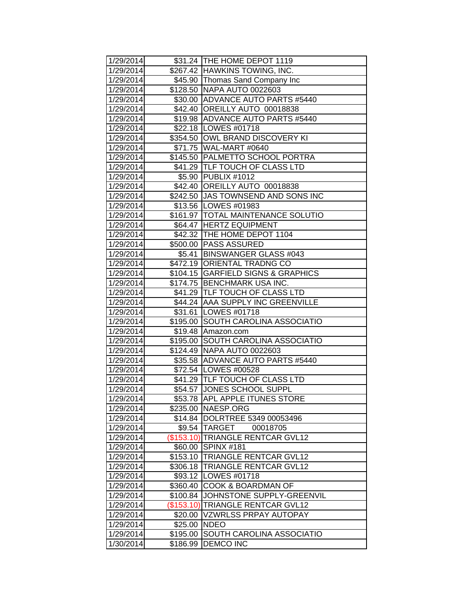| 1/29/2014 |            | \$31.24 THE HOME DEPOT 1119          |
|-----------|------------|--------------------------------------|
| 1/29/2014 |            | \$267.42 HAWKINS TOWING, INC.        |
| 1/29/2014 |            | \$45.90 Thomas Sand Company Inc      |
| 1/29/2014 |            | \$128.50 NAPA AUTO 0022603           |
| 1/29/2014 |            | \$30.00 ADVANCE AUTO PARTS #5440     |
| 1/29/2014 |            | \$42.40 OREILLY AUTO 00018838        |
| 1/29/2014 |            | \$19.98 ADVANCE AUTO PARTS #5440     |
| 1/29/2014 |            | \$22.18   LOWES #01718               |
| 1/29/2014 |            | \$354.50 OWL BRAND DISCOVERY KI      |
| 1/29/2014 |            | \$71.75 WAL-MART #0640               |
| 1/29/2014 |            | \$145.50 PALMETTO SCHOOL PORTRA      |
| 1/29/2014 |            | \$41.29 TLF TOUCH OF CLASS LTD       |
| 1/29/2014 |            | \$5.90 PUBLIX #1012                  |
| 1/29/2014 |            | \$42.40 OREILLY AUTO 00018838        |
| 1/29/2014 |            | \$242.50 JJAS TOWNSEND AND SONS INC  |
| 1/29/2014 |            | \$13.56 LOWES #01983                 |
| 1/29/2014 |            | \$161.97   TOTAL MAINTENANCE SOLUTIO |
| 1/29/2014 |            | \$64.47 HERTZ EQUIPMENT              |
| 1/29/2014 |            | \$42.32 THE HOME DEPOT 1104          |
| 1/29/2014 |            | \$500.00   PASS ASSURED              |
| 1/29/2014 |            | \$5.41 BINSWANGER GLASS #043         |
| 1/29/2014 |            | \$472.19 ORIENTAL TRADNG CO          |
| 1/29/2014 |            | \$104.15 GARFIELD SIGNS & GRAPHICS   |
| 1/29/2014 |            | \$174.75 BENCHMARK USA INC.          |
| 1/29/2014 |            | \$41.29 TLF TOUCH OF CLASS LTD       |
| 1/29/2014 |            | \$44.24   AAA SUPPLY INC GREENVILLE  |
| 1/29/2014 |            | \$31.61 LOWES #01718                 |
| 1/29/2014 |            | \$195.00 SOUTH CAROLINA ASSOCIATIO   |
| 1/29/2014 | \$19.48    | Amazon.com                           |
| 1/29/2014 | \$195.00   | SOUTH CAROLINA ASSOCIATIO            |
| 1/29/2014 |            | \$124.49 NAPA AUTO 0022603           |
| 1/29/2014 |            | \$35.58 ADVANCE AUTO PARTS #5440     |
| 1/29/2014 |            | \$72.54 LOWES #00528                 |
| 1/29/2014 |            | \$41.29 TLF TOUCH OF CLASS LTD       |
| 1/29/2014 |            | \$54.57 JJONES SCHOOL SUPPL          |
| 1/29/2014 |            | \$53.78 APL APPLE ITUNES STORE       |
| 1/29/2014 |            | \$235.00   NAESP.ORG                 |
| 1/29/2014 |            | \$14.84  DOLRTREE 5349 00053496      |
| 1/29/2014 |            | \$9.54 TARGET<br>00018705            |
| 1/29/2014 |            | (\$153.10) TRIANGLE RENTCAR GVL12    |
| 1/29/2014 | \$60.00    | SPINX <sub>#181</sub>                |
| 1/29/2014 | \$153.10   | <b>TRIANGLE RENTCAR GVL12</b>        |
| 1/29/2014 | \$306.18   | <b>TRIANGLE RENTCAR GVL12</b>        |
| 1/29/2014 | \$93.12    | LOWES #01718                         |
| 1/29/2014 | \$360.40   | <b>COOK &amp; BOARDMAN OF</b>        |
| 1/29/2014 | \$100.84   | JOHNSTONE SUPPLY-GREENVIL            |
| 1/29/2014 | (\$153.10) | <b>TRIANGLE RENTCAR GVL12</b>        |
| 1/29/2014 | \$20.00    | <b>VZWRLSS PRPAY AUTOPAY</b>         |
| 1/29/2014 | \$25.00    | <b>NDEO</b>                          |
| 1/29/2014 | \$195.00   | SOUTH CAROLINA ASSOCIATIO            |
| 1/30/2014 | \$186.99   | <b>DEMCO INC</b>                     |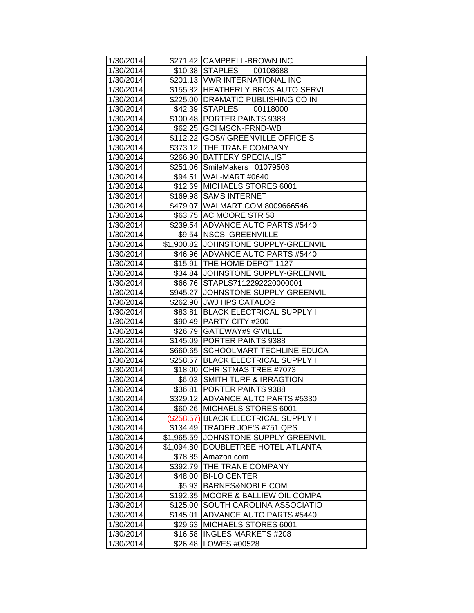| 1/30/2014 |            | \$271.42 CAMPBELL-BROWN INC           |
|-----------|------------|---------------------------------------|
| 1/30/2014 |            | \$10.38 STAPLES 00108688              |
| 1/30/2014 |            | \$201.13   VWR INTERNATIONAL INC      |
| 1/30/2014 |            | \$155.82 HEATHERLY BROS AUTO SERVI    |
| 1/30/2014 |            | \$225.00 DRAMATIC PUBLISHING CO IN    |
| 1/30/2014 |            | \$42.39 STAPLES 00118000              |
| 1/30/2014 |            | \$100.48 PORTER PAINTS 9388           |
| 1/30/2014 |            | \$62.25 GCI MSCN-FRND-WB              |
| 1/30/2014 |            | \$112.22 GOS// GREENVILLE OFFICE S    |
| 1/30/2014 |            | \$373.12 THE TRANE COMPANY            |
| 1/30/2014 |            | \$266.90 BATTERY SPECIALIST           |
| 1/30/2014 |            | \$251.06 SmileMakers 01079508         |
| 1/30/2014 |            | \$94.51 WAL-MART #0640                |
| 1/30/2014 |            | \$12.69 MICHAELS STORES 6001          |
| 1/30/2014 |            | \$169.98 SAMS INTERNET                |
| 1/30/2014 |            | \$479.07   WALMART.COM 8009666546     |
| 1/30/2014 |            | \$63.75 AC MOORE STR 58               |
| 1/30/2014 |            | \$239.54 ADVANCE AUTO PARTS #5440     |
| 1/30/2014 |            | \$9.54 NSCS GREENVILLE                |
| 1/30/2014 |            | \$1,900.82 JJOHNSTONE SUPPLY-GREENVIL |
| 1/30/2014 |            | \$46.96 ADVANCE AUTO PARTS #5440      |
| 1/30/2014 |            | \$15.91   THE HOME DEPOT 1127         |
| 1/30/2014 |            | \$34.84 JJOHNSTONE SUPPLY-GREENVIL    |
| 1/30/2014 |            | \$66.76 STAPLS7112292220000001        |
| 1/30/2014 |            | \$945.27 JJOHNSTONE SUPPLY-GREENVIL   |
| 1/30/2014 |            | \$262.90 JJWJ HPS CATALOG             |
| 1/30/2014 |            | \$83.81   BLACK ELECTRICAL SUPPLY I   |
| 1/30/2014 |            | \$90.49 PARTY CITY #200               |
| 1/30/2014 | \$26.79    | <b>GATEWAY#9 G'VILLE</b>              |
| 1/30/2014 | \$145.09   | <b>PORTER PAINTS 9388</b>             |
| 1/30/2014 | \$660.65   | <b>SCHOOLMART TECHLINE EDUCA</b>      |
| 1/30/2014 | \$258.57   | <b>BLACK ELECTRICAL SUPPLY I</b>      |
| 1/30/2014 |            | \$18.00 CHRISTMAS TREE #7073          |
| 1/30/2014 |            | \$6.03 SMITH TURF & IRRAGTION         |
| 1/30/2014 |            | \$36.81   PORTER PAINTS 9388          |
| 1/30/2014 |            | \$329.12 ADVANCE AUTO PARTS #5330     |
| 1/30/2014 | \$60.26    | <b>MICHAELS STORES 6001</b>           |
| 1/30/2014 | (\$258.57) | <b>IBLACK ELECTRICAL SUPPLY I</b>     |
| 1/30/2014 | \$134.49   | <b>TRADER JOE'S #751 QPS</b>          |
| 1/30/2014 | \$1,965.59 | JOHNSTONE SUPPLY-GREENVIL             |
| 1/30/2014 | \$1,094.80 | DOUBLETREE HOTEL ATLANTA              |
| 1/30/2014 | \$78.85    | Amazon.com                            |
| 1/30/2014 | \$392.79   | <b>THE TRANE COMPANY</b>              |
| 1/30/2014 | \$48.00    | <b>BI-LO CENTER</b>                   |
| 1/30/2014 | \$5.93     | <b>BARNES&amp;NOBLE COM</b>           |
| 1/30/2014 | \$192.35   | <b>MOORE &amp; BALLIEW OIL COMPA</b>  |
| 1/30/2014 | \$125.00   | <b>SOUTH CAROLINA ASSOCIATIO</b>      |
| 1/30/2014 | \$145.01   | <b>ADVANCE AUTO PARTS #5440</b>       |
| 1/30/2014 | \$29.63    | MICHAELS STORES 6001                  |
| 1/30/2014 | \$16.58    | <b>INGLES MARKETS #208</b>            |
| 1/30/2014 | \$26.48    | LOWES #00528                          |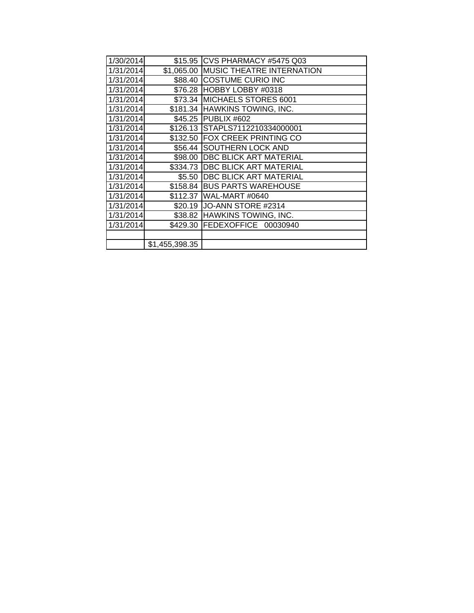| 1/30/2014 |                | \$15.95 CVS PHARMACY #5475 Q03    |
|-----------|----------------|-----------------------------------|
| 1/31/2014 | \$1,065.00     | <b>IMUSIC THEATRE INTERNATION</b> |
| 1/31/2014 |                | \$88.40 COSTUME CURIO INC         |
| 1/31/2014 |                | \$76.28 HOBBY LOBBY #0318         |
| 1/31/2014 | \$73.34        | MICHAELS STORES 6001              |
| 1/31/2014 |                | \$181.34 HAWKINS TOWING, INC.     |
| 1/31/2014 |                | \$45.25 PUBLIX #602               |
| 1/31/2014 |                | \$126.13 STAPLS7112210334000001   |
| 1/31/2014 | \$132.50       | <b>IFOX CREEK PRINTING CO</b>     |
| 1/31/2014 | \$56.44        | <b>SOUTHERN LOCK AND</b>          |
| 1/31/2014 | \$98.00        | <b>DBC BLICK ART MATERIAL</b>     |
| 1/31/2014 | \$334.73       | <b>DBC BLICK ART MATERIAL</b>     |
| 1/31/2014 | \$5.50         | <b>DBC BLICK ART MATERIAL</b>     |
| 1/31/2014 | \$158.84       | <b>BUS PARTS WAREHOUSE</b>        |
| 1/31/2014 | \$112.37       | WAL-MART #0640                    |
| 1/31/2014 | \$20.19        | JO-ANN STORE #2314                |
| 1/31/2014 | \$38.82        | <b>HAWKINS TOWING, INC.</b>       |
| 1/31/2014 | \$429.30       | FEDEXOFFICE 00030940              |
|           |                |                                   |
|           | \$1,455,398.35 |                                   |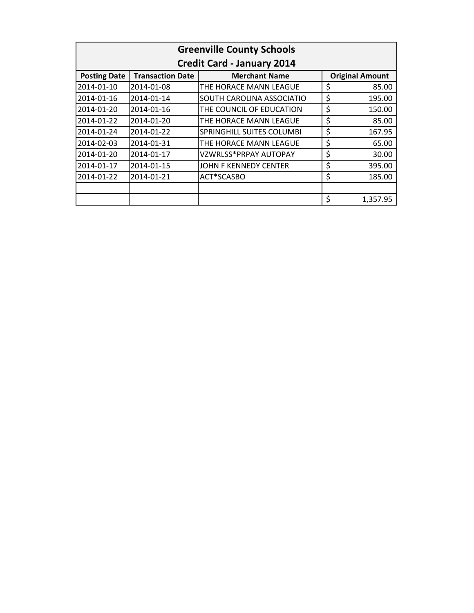| <b>Greenville County Schools</b><br><b>Credit Card - January 2014</b> |            |                           |    |                     |
|-----------------------------------------------------------------------|------------|---------------------------|----|---------------------|
|                                                                       |            |                           |    | <b>Posting Date</b> |
| 2014-01-10                                                            | 2014-01-08 | THE HORACE MANN LEAGUE    | \$ | 85.00               |
| 2014-01-16                                                            | 2014-01-14 | SOUTH CAROLINA ASSOCIATIO | \$ | 195.00              |
| 2014-01-20                                                            | 2014-01-16 | THE COUNCIL OF EDUCATION  | \$ | 150.00              |
| 2014-01-22                                                            | 2014-01-20 | THE HORACE MANN LEAGUE    | \$ | 85.00               |
| 2014-01-24                                                            | 2014-01-22 | SPRINGHILL SUITES COLUMBI | \$ | 167.95              |
| 2014-02-03                                                            | 2014-01-31 | THE HORACE MANN LEAGUE    | \$ | 65.00               |
| 2014-01-20                                                            | 2014-01-17 | VZWRLSS*PRPAY AUTOPAY     | \$ | 30.00               |
| 2014-01-17                                                            | 2014-01-15 | JOHN F KENNEDY CENTER     | \$ | 395.00              |
| 2014-01-22                                                            | 2014-01-21 | ACT*SCASBO                | \$ | 185.00              |
|                                                                       |            |                           |    |                     |
|                                                                       |            |                           | \$ | 1,357.95            |